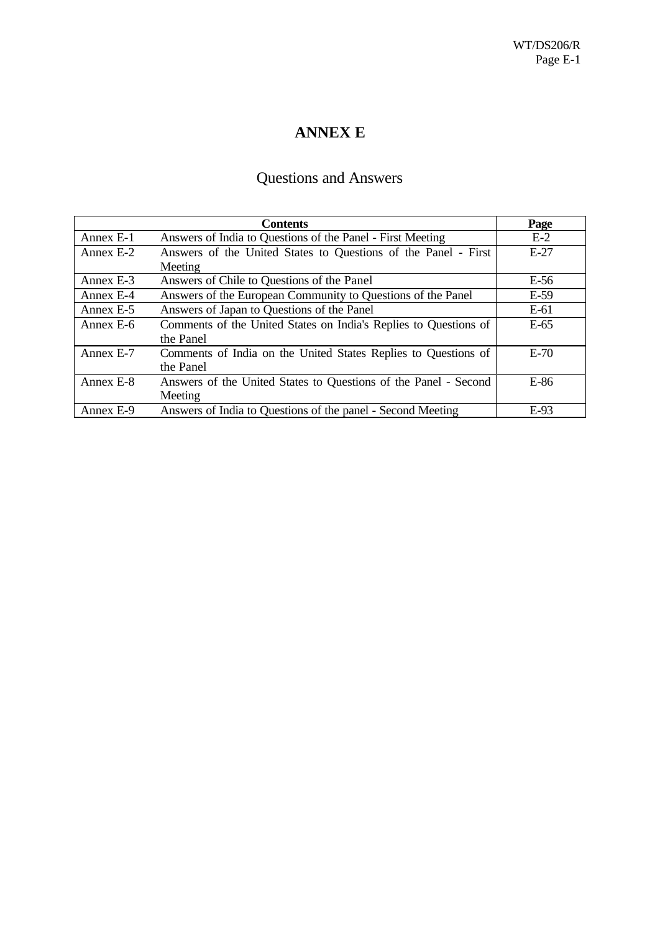# **ANNEX E**

# Questions and Answers

|             | <b>Contents</b>                                                  | Page   |
|-------------|------------------------------------------------------------------|--------|
| Annex E-1   | Answers of India to Questions of the Panel - First Meeting       | $E-2$  |
| Annex E-2   | Answers of the United States to Questions of the Panel - First   | $E-27$ |
|             | Meeting                                                          |        |
| Annex E-3   | Answers of Chile to Questions of the Panel                       | $E-56$ |
| Annex $E-4$ | Answers of the European Community to Questions of the Panel      | $E-59$ |
| Annex E-5   | Answers of Japan to Questions of the Panel                       | $E-61$ |
| Annex E-6   | Comments of the United States on India's Replies to Questions of | $E-65$ |
|             | the Panel                                                        |        |
| Annex E-7   | Comments of India on the United States Replies to Questions of   | $E-70$ |
|             | the Panel                                                        |        |
| Annex E-8   | Answers of the United States to Questions of the Panel - Second  | $E-86$ |
|             | Meeting                                                          |        |
| Annex E-9   | Answers of India to Questions of the panel - Second Meeting      | $E-93$ |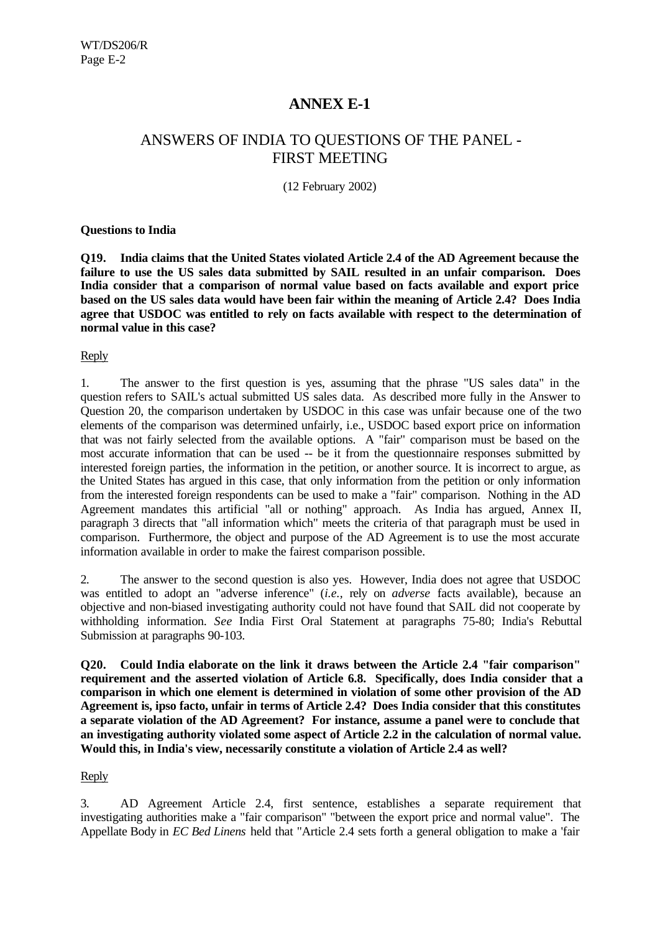# **ANNEX E-1**

# ANSWERS OF INDIA TO QUESTIONS OF THE PANEL - FIRST MEETING

(12 February 2002)

#### **Questions to India**

**Q19. India claims that the United States violated Article 2.4 of the AD Agreement because the failure to use the US sales data submitted by SAIL resulted in an unfair comparison. Does India consider that a comparison of normal value based on facts available and export price based on the US sales data would have been fair within the meaning of Article 2.4? Does India agree that USDOC was entitled to rely on facts available with respect to the determination of normal value in this case?**

#### Reply

1. The answer to the first question is yes, assuming that the phrase "US sales data" in the question refers to SAIL's actual submitted US sales data. As described more fully in the Answer to Question 20, the comparison undertaken by USDOC in this case was unfair because one of the two elements of the comparison was determined unfairly, i.e., USDOC based export price on information that was not fairly selected from the available options. A "fair" comparison must be based on the most accurate information that can be used -- be it from the questionnaire responses submitted by interested foreign parties, the information in the petition, or another source. It is incorrect to argue, as the United States has argued in this case, that only information from the petition or only information from the interested foreign respondents can be used to make a "fair" comparison. Nothing in the AD Agreement mandates this artificial "all or nothing" approach. As India has argued, Annex II, paragraph 3 directs that "all information which" meets the criteria of that paragraph must be used in comparison. Furthermore, the object and purpose of the AD Agreement is to use the most accurate information available in order to make the fairest comparison possible.

2. The answer to the second question is also yes. However, India does not agree that USDOC was entitled to adopt an "adverse inference" (*i.e.,* rely on *adverse* facts available), because an objective and non-biased investigating authority could not have found that SAIL did not cooperate by withholding information. *See* India First Oral Statement at paragraphs 75-80; India's Rebuttal Submission at paragraphs 90-103.

**Q20. Could India elaborate on the link it draws between the Article 2.4 "fair comparison" requirement and the asserted violation of Article 6.8. Specifically, does India consider that a comparison in which one element is determined in violation of some other provision of the AD Agreement is, ipso facto, unfair in terms of Article 2.4? Does India consider that this constitutes a separate violation of the AD Agreement? For instance, assume a panel were to conclude that an investigating authority violated some aspect of Article 2.2 in the calculation of normal value. Would this, in India's view, necessarily constitute a violation of Article 2.4 as well?**

#### Reply

3. AD Agreement Article 2.4, first sentence, establishes a separate requirement that investigating authorities make a "fair comparison" "between the export price and normal value". The Appellate Body in *EC Bed Linens* held that "Article 2.4 sets forth a general obligation to make a 'fair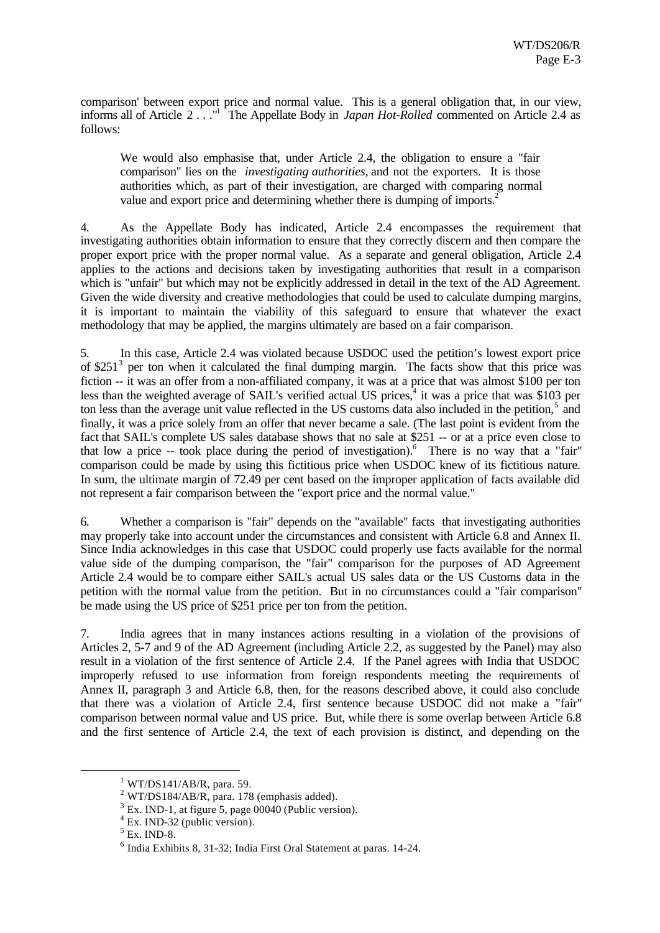comparison' between export price and normal value. This is a general obligation that, in our view, informs all of Article 2 . . ."<sup>1</sup> The Appellate Body in *Japan Hot-Rolled* commented on Article 2.4 as follows:

We would also emphasise that, under Article 2.4, the obligation to ensure a "fair comparison" lies on the *investigating authorities*, and not the exporters. It is those authorities which, as part of their investigation, are charged with comparing normal value and export price and determining whether there is dumping of imports.<sup>2</sup>

4. As the Appellate Body has indicated, Article 2.4 encompasses the requirement that investigating authorities obtain information to ensure that they correctly discern and then compare the proper export price with the proper normal value. As a separate and general obligation, Article 2.4 applies to the actions and decisions taken by investigating authorities that result in a comparison which is "unfair" but which may not be explicitly addressed in detail in the text of the AD Agreement. Given the wide diversity and creative methodologies that could be used to calculate dumping margins, it is important to maintain the viability of this safeguard to ensure that whatever the exact methodology that may be applied, the margins ultimately are based on a fair comparison.

5. In this case, Article 2.4 was violated because USDOC used the petition's lowest export price of \$251<sup>3</sup> per ton when it calculated the final dumping margin. The facts show that this price was fiction -- it was an offer from a non-affiliated company, it was at a price that was almost \$100 per ton less than the weighted average of SAIL's verified actual US prices,  $4$  it was a price that was \$103 per ton less than the average unit value reflected in the US customs data also included in the petition,<sup>5</sup> and finally, it was a price solely from an offer that never became a sale. (The last point is evident from the fact that SAIL's complete US sales database shows that no sale at \$251 -- or at a price even close to that low a price -- took place during the period of investigation). There is no way that a "fair" comparison could be made by using this fictitious price when USDOC knew of its fictitious nature. In sum, the ultimate margin of 72.49 per cent based on the improper application of facts available did not represent a fair comparison between the "export price and the normal value."

6. Whether a comparison is "fair" depends on the "available" facts that investigating authorities may properly take into account under the circumstances and consistent with Article 6.8 and Annex II. Since India acknowledges in this case that USDOC could properly use facts available for the normal value side of the dumping comparison, the "fair" comparison for the purposes of AD Agreement Article 2.4 would be to compare either SAIL's actual US sales data or the US Customs data in the petition with the normal value from the petition. But in no circumstances could a "fair comparison" be made using the US price of \$251 price per ton from the petition.

7. India agrees that in many instances actions resulting in a violation of the provisions of Articles 2, 5-7 and 9 of the AD Agreement (including Article 2.2, as suggested by the Panel) may also result in a violation of the first sentence of Article 2.4. If the Panel agrees with India that USDOC improperly refused to use information from foreign respondents meeting the requirements of Annex II, paragraph 3 and Article 6.8, then, for the reasons described above, it could also conclude that there was a violation of Article 2.4, first sentence because USDOC did not make a "fair" comparison between normal value and US price. But, while there is some overlap between Article 6.8 and the first sentence of Article 2.4, the text of each provision is distinct, and depending on the

 $1$  WT/DS141/AB/R, para. 59.

<sup>&</sup>lt;sup>2</sup> WT/DS184/AB/R, para. 178 (emphasis added).

 $3$  Ex. IND-1, at figure 5, page 00040 (Public version).

 $4$  Ex. IND-32 (public version).

<sup>5</sup> Ex. IND-8.

<sup>6</sup> India Exhibits 8, 31-32; India First Oral Statement at paras. 14-24.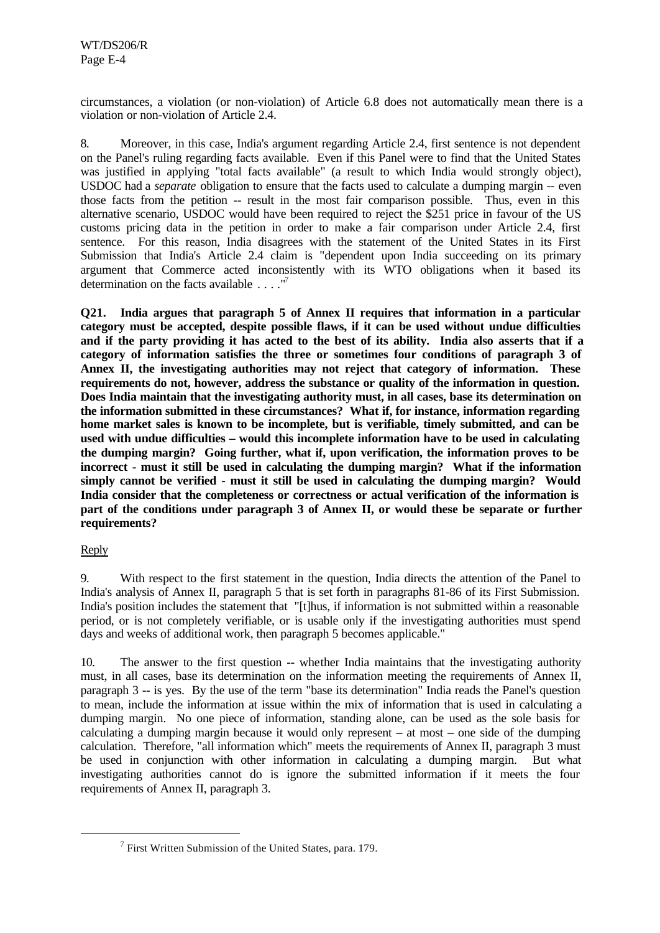circumstances, a violation (or non-violation) of Article 6.8 does not automatically mean there is a violation or non-violation of Article 2.4.

8. Moreover, in this case, India's argument regarding Article 2.4, first sentence is not dependent on the Panel's ruling regarding facts available. Even if this Panel were to find that the United States was justified in applying "total facts available" (a result to which India would strongly object), USDOC had a *separate* obligation to ensure that the facts used to calculate a dumping margin -- even those facts from the petition -- result in the most fair comparison possible. Thus, even in this alternative scenario, USDOC would have been required to reject the \$251 price in favour of the US customs pricing data in the petition in order to make a fair comparison under Article 2.4, first sentence. For this reason, India disagrees with the statement of the United States in its First Submission that India's Article 2.4 claim is "dependent upon India succeeding on its primary argument that Commerce acted inconsistently with its WTO obligations when it based its determination on the facts available  $\ldots$ ."<sup>7</sup>

**Q21. India argues that paragraph 5 of Annex II requires that information in a particular category must be accepted, despite possible flaws, if it can be used without undue difficulties and if the party providing it has acted to the best of its ability. India also asserts that if a category of information satisfies the three or sometimes four conditions of paragraph 3 of Annex II, the investigating authorities may not reject that category of information. These requirements do not, however, address the substance or quality of the information in question. Does India maintain that the investigating authority must, in all cases, base its determination on the information submitted in these circumstances? What if, for instance, information regarding home market sales is known to be incomplete, but is verifiable, timely submitted, and can be used with undue difficulties – would this incomplete information have to be used in calculating the dumping margin? Going further, what if, upon verification, the information proves to be incorrect - must it still be used in calculating the dumping margin? What if the information simply cannot be verified - must it still be used in calculating the dumping margin? Would India consider that the completeness or correctness or actual verification of the information is part of the conditions under paragraph 3 of Annex II, or would these be separate or further requirements?**

# Reply

l

9. With respect to the first statement in the question, India directs the attention of the Panel to India's analysis of Annex II, paragraph 5 that is set forth in paragraphs 81-86 of its First Submission. India's position includes the statement that "[t]hus, if information is not submitted within a reasonable period, or is not completely verifiable, or is usable only if the investigating authorities must spend days and weeks of additional work, then paragraph 5 becomes applicable."

10. The answer to the first question -- whether India maintains that the investigating authority must, in all cases, base its determination on the information meeting the requirements of Annex II, paragraph 3 -- is yes. By the use of the term "base its determination" India reads the Panel's question to mean, include the information at issue within the mix of information that is used in calculating a dumping margin. No one piece of information, standing alone, can be used as the sole basis for calculating a dumping margin because it would only represent – at most – one side of the dumping calculation. Therefore, "all information which" meets the requirements of Annex II, paragraph 3 must be used in conjunction with other information in calculating a dumping margin. But what investigating authorities cannot do is ignore the submitted information if it meets the four requirements of Annex II, paragraph 3.

 $7$  First Written Submission of the United States, para. 179.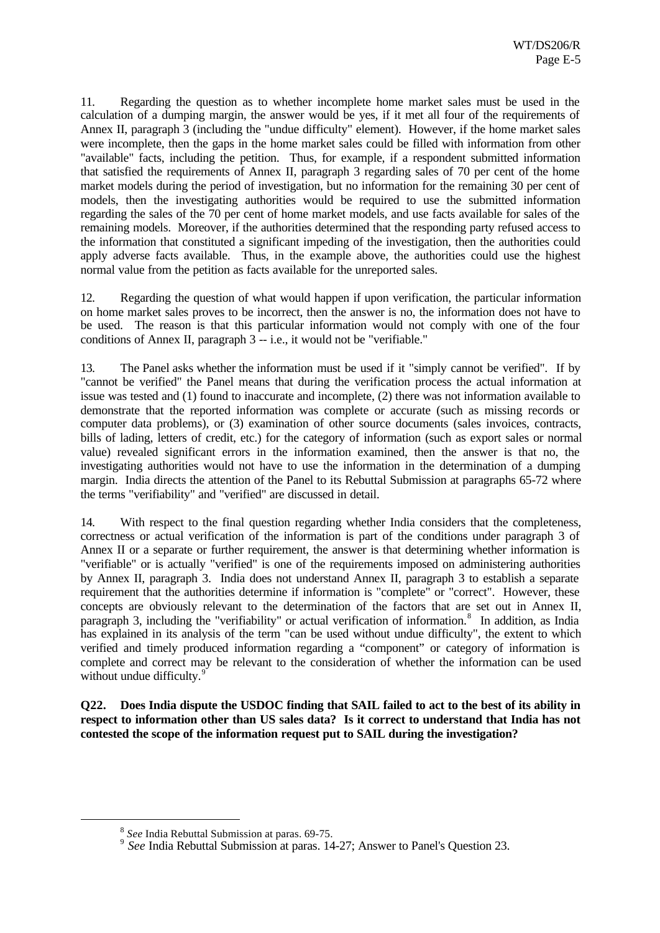11. Regarding the question as to whether incomplete home market sales must be used in the calculation of a dumping margin, the answer would be yes, if it met all four of the requirements of Annex II, paragraph 3 (including the "undue difficulty" element). However, if the home market sales were incomplete, then the gaps in the home market sales could be filled with information from other "available" facts, including the petition. Thus, for example, if a respondent submitted information that satisfied the requirements of Annex II, paragraph 3 regarding sales of 70 per cent of the home market models during the period of investigation, but no information for the remaining 30 per cent of models, then the investigating authorities would be required to use the submitted information regarding the sales of the 70 per cent of home market models, and use facts available for sales of the remaining models. Moreover, if the authorities determined that the responding party refused access to the information that constituted a significant impeding of the investigation, then the authorities could apply adverse facts available. Thus, in the example above, the authorities could use the highest normal value from the petition as facts available for the unreported sales.

12. Regarding the question of what would happen if upon verification, the particular information on home market sales proves to be incorrect, then the answer is no, the information does not have to be used. The reason is that this particular information would not comply with one of the four conditions of Annex II, paragraph 3 -- i.e., it would not be "verifiable."

13. The Panel asks whether the information must be used if it "simply cannot be verified". If by "cannot be verified" the Panel means that during the verification process the actual information at issue was tested and (1) found to inaccurate and incomplete, (2) there was not information available to demonstrate that the reported information was complete or accurate (such as missing records or computer data problems), or (3) examination of other source documents (sales invoices, contracts, bills of lading, letters of credit, etc.) for the category of information (such as export sales or normal value) revealed significant errors in the information examined, then the answer is that no, the investigating authorities would not have to use the information in the determination of a dumping margin. India directs the attention of the Panel to its Rebuttal Submission at paragraphs 65-72 where the terms "verifiability" and "verified" are discussed in detail.

14. With respect to the final question regarding whether India considers that the completeness, correctness or actual verification of the information is part of the conditions under paragraph 3 of Annex II or a separate or further requirement, the answer is that determining whether information is "verifiable" or is actually "verified" is one of the requirements imposed on administering authorities by Annex II, paragraph 3. India does not understand Annex II, paragraph 3 to establish a separate requirement that the authorities determine if information is "complete" or "correct". However, these concepts are obviously relevant to the determination of the factors that are set out in Annex II, paragraph 3, including the "verifiability" or actual verification of information.<sup>8</sup> In addition, as India has explained in its analysis of the term "can be used without undue difficulty", the extent to which verified and timely produced information regarding a "component" or category of information is complete and correct may be relevant to the consideration of whether the information can be used without undue difficulty.<sup>9</sup>

**Q22. Does India dispute the USDOC finding that SAIL failed to act to the best of its ability in respect to information other than US sales data? Is it correct to understand that India has not contested the scope of the information request put to SAIL during the investigation?**

<sup>8</sup> *See* India Rebuttal Submission at paras. 69-75.

<sup>&</sup>lt;sup>9</sup> See India Rebuttal Submission at paras. 14-27; Answer to Panel's Question 23.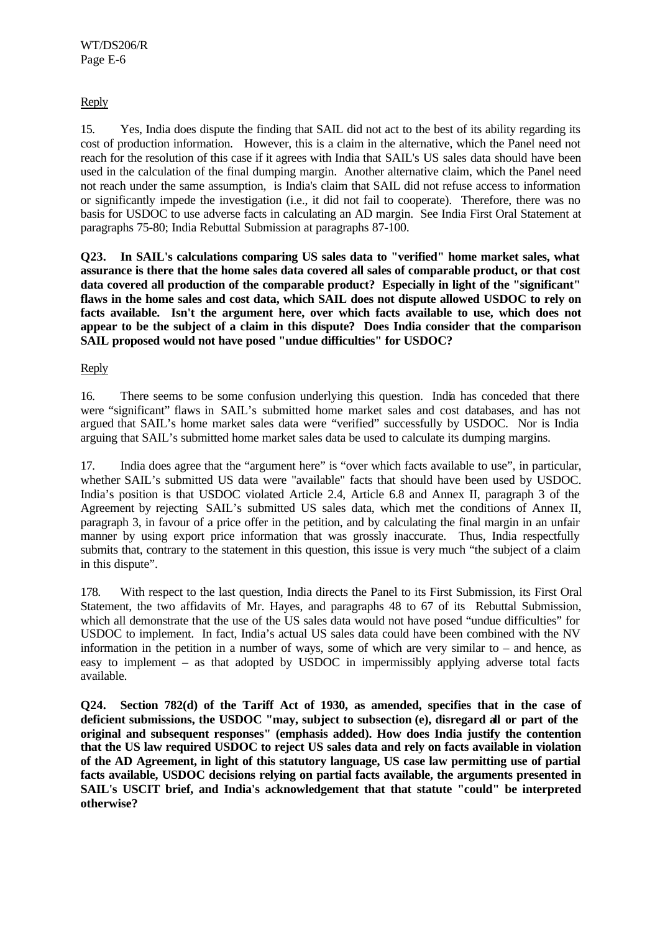# Reply

15. Yes, India does dispute the finding that SAIL did not act to the best of its ability regarding its cost of production information. However, this is a claim in the alternative, which the Panel need not reach for the resolution of this case if it agrees with India that SAIL's US sales data should have been used in the calculation of the final dumping margin. Another alternative claim, which the Panel need not reach under the same assumption, is India's claim that SAIL did not refuse access to information or significantly impede the investigation (i.e., it did not fail to cooperate). Therefore, there was no basis for USDOC to use adverse facts in calculating an AD margin. See India First Oral Statement at paragraphs 75-80; India Rebuttal Submission at paragraphs 87-100.

**Q23. In SAIL's calculations comparing US sales data to "verified" home market sales, what assurance is there that the home sales data covered all sales of comparable product, or that cost data covered all production of the comparable product? Especially in light of the "significant" flaws in the home sales and cost data, which SAIL does not dispute allowed USDOC to rely on facts available. Isn't the argument here, over which facts available to use, which does not appear to be the subject of a claim in this dispute? Does India consider that the comparison SAIL proposed would not have posed "undue difficulties" for USDOC?**

#### Reply

16. There seems to be some confusion underlying this question. India has conceded that there were "significant" flaws in SAIL's submitted home market sales and cost databases, and has not argued that SAIL's home market sales data were "verified" successfully by USDOC. Nor is India arguing that SAIL's submitted home market sales data be used to calculate its dumping margins.

17. India does agree that the "argument here" is "over which facts available to use", in particular, whether SAIL's submitted US data were "available" facts that should have been used by USDOC. India's position is that USDOC violated Article 2.4, Article 6.8 and Annex II, paragraph 3 of the Agreement by rejecting SAIL's submitted US sales data, which met the conditions of Annex II, paragraph 3, in favour of a price offer in the petition, and by calculating the final margin in an unfair manner by using export price information that was grossly inaccurate. Thus, India respectfully submits that, contrary to the statement in this question, this issue is very much "the subject of a claim in this dispute".

178. With respect to the last question, India directs the Panel to its First Submission, its First Oral Statement, the two affidavits of Mr. Hayes, and paragraphs 48 to 67 of its Rebuttal Submission, which all demonstrate that the use of the US sales data would not have posed "undue difficulties" for USDOC to implement. In fact, India's actual US sales data could have been combined with the NV information in the petition in a number of ways, some of which are very similar to – and hence, as easy to implement – as that adopted by USDOC in impermissibly applying adverse total facts available.

**Q24. Section 782(d) of the Tariff Act of 1930, as amended, specifies that in the case of deficient submissions, the USDOC "may, subject to subsection (e), disregard all or part of the original and subsequent responses" (emphasis added). How does India justify the contention that the US law required USDOC to reject US sales data and rely on facts available in violation of the AD Agreement, in light of this statutory language, US case law permitting use of partial facts available, USDOC decisions relying on partial facts available, the arguments presented in SAIL's USCIT brief, and India's acknowledgement that that statute "could" be interpreted otherwise?**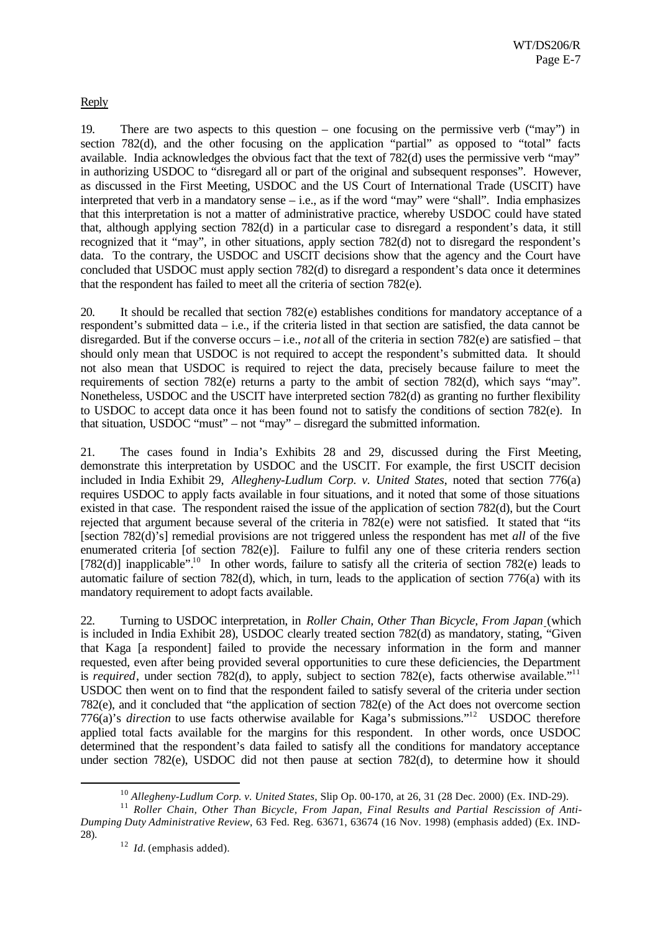Reply

19. There are two aspects to this question – one focusing on the permissive verb ("may") in section 782(d), and the other focusing on the application "partial" as opposed to "total" facts available. India acknowledges the obvious fact that the text of 782(d) uses the permissive verb "may" in authorizing USDOC to "disregard all or part of the original and subsequent responses". However, as discussed in the First Meeting, USDOC and the US Court of International Trade (USCIT) have interpreted that verb in a mandatory sense – i.e., as if the word "may" were "shall". India emphasizes that this interpretation is not a matter of administrative practice, whereby USDOC could have stated that, although applying section 782(d) in a particular case to disregard a respondent's data, it still recognized that it "may", in other situations, apply section 782(d) not to disregard the respondent's data. To the contrary, the USDOC and USCIT decisions show that the agency and the Court have concluded that USDOC must apply section 782(d) to disregard a respondent's data once it determines that the respondent has failed to meet all the criteria of section 782(e).

20. It should be recalled that section 782(e) establishes conditions for mandatory acceptance of a respondent's submitted data – i.e., if the criteria listed in that section are satisfied, the data cannot be disregarded. But if the converse occurs – i.e., *not* all of the criteria in section 782(e) are satisfied – that should only mean that USDOC is not required to accept the respondent's submitted data. It should not also mean that USDOC is required to reject the data, precisely because failure to meet the requirements of section 782(e) returns a party to the ambit of section 782(d), which says "may". Nonetheless, USDOC and the USCIT have interpreted section 782(d) as granting no further flexibility to USDOC to accept data once it has been found not to satisfy the conditions of section 782(e). In that situation, USDOC "must" – not "may" – disregard the submitted information.

21. The cases found in India's Exhibits 28 and 29, discussed during the First Meeting, demonstrate this interpretation by USDOC and the USCIT. For example, the first USCIT decision included in India Exhibit 29, *Allegheny-Ludlum Corp. v. United States*, noted that section 776(a) requires USDOC to apply facts available in four situations, and it noted that some of those situations existed in that case. The respondent raised the issue of the application of section 782(d), but the Court rejected that argument because several of the criteria in 782(e) were not satisfied. It stated that "its [section 782(d)'s] remedial provisions are not triggered unless the respondent has met *all* of the five enumerated criteria [of section 782(e)]. Failure to fulfil any one of these criteria renders section [782(d)] inapplicable".<sup>10</sup> In other words, failure to satisfy all the criteria of section 782(e) leads to automatic failure of section 782(d), which, in turn, leads to the application of section 776(a) with its mandatory requirement to adopt facts available.

22. Turning to USDOC interpretation, in *Roller Chain, Other Than Bicycle, From Japan* (which is included in India Exhibit 28), USDOC clearly treated section 782(d) as mandatory, stating, "Given that Kaga [a respondent] failed to provide the necessary information in the form and manner requested, even after being provided several opportunities to cure these deficiencies, the Department is *required*, under section 782(d), to apply, subject to section 782(e), facts otherwise available."<sup>11</sup> USDOC then went on to find that the respondent failed to satisfy several of the criteria under section 782(e), and it concluded that "the application of section 782(e) of the Act does not overcome section 776(a)'s *direction* to use facts otherwise available for Kaga's submissions."<sup>12</sup> USDOC therefore applied total facts available for the margins for this respondent. In other words, once USDOC determined that the respondent's data failed to satisfy all the conditions for mandatory acceptance under section  $782(e)$ , USDOC did not then pause at section  $782(d)$ , to determine how it should

<sup>10</sup> *Allegheny-Ludlum Corp. v. United States*, Slip Op. 00-170, at 26, 31 (28 Dec. 2000) (Ex. IND-29).

<sup>&</sup>lt;sup>11</sup> Roller Chain, Other Than Bicycle, From Japan, Final Results and Partial Rescission of Anti-*Dumping Duty Administrative Review*, 63 Fed. Reg. 63671, 63674 (16 Nov. 1998) (emphasis added) (Ex. IND-28).

<sup>&</sup>lt;sup>12</sup> *Id.* (emphasis added).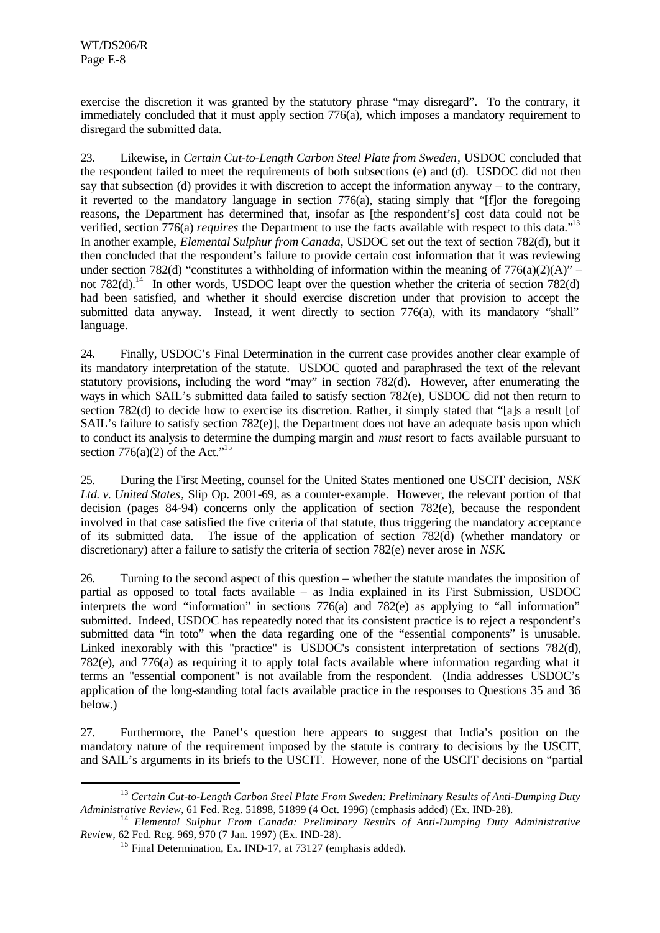l

exercise the discretion it was granted by the statutory phrase "may disregard". To the contrary, it immediately concluded that it must apply section 776(a), which imposes a mandatory requirement to disregard the submitted data.

23. Likewise, in *Certain Cut-to-Length Carbon Steel Plate from Sweden*, USDOC concluded that the respondent failed to meet the requirements of both subsections (e) and (d). USDOC did not then say that subsection (d) provides it with discretion to accept the information anyway – to the contrary, it reverted to the mandatory language in section 776(a), stating simply that "[f]or the foregoing reasons, the Department has determined that, insofar as [the respondent's] cost data could not be verified, section 776(a) *requires* the Department to use the facts available with respect to this data."<sup>13</sup> In another example, *Elemental Sulphur from Canada*, USDOC set out the text of section 782(d), but it then concluded that the respondent's failure to provide certain cost information that it was reviewing under section 782(d) "constitutes a withholding of information within the meaning of 776(a)(2)(A)" – not  $782(d)$ .<sup>14</sup> In other words, USDOC leapt over the question whether the criteria of section  $782(d)$ had been satisfied, and whether it should exercise discretion under that provision to accept the submitted data anyway. Instead, it went directly to section 776(a), with its mandatory "shall" language.

24. Finally, USDOC's Final Determination in the current case provides another clear example of its mandatory interpretation of the statute. USDOC quoted and paraphrased the text of the relevant statutory provisions, including the word "may" in section 782(d). However, after enumerating the ways in which SAIL's submitted data failed to satisfy section 782(e), USDOC did not then return to section 782(d) to decide how to exercise its discretion. Rather, it simply stated that "fals a result [of SAIL's failure to satisfy section 782(e)], the Department does not have an adequate basis upon which to conduct its analysis to determine the dumping margin and *must* resort to facts available pursuant to section 776(a)(2) of the Act."<sup>15</sup>

25. During the First Meeting, counsel for the United States mentioned one USCIT decision, *NSK Ltd. v. United States*, Slip Op. 2001-69, as a counter-example. However, the relevant portion of that decision (pages 84-94) concerns only the application of section 782(e), because the respondent involved in that case satisfied the five criteria of that statute, thus triggering the mandatory acceptance of its submitted data. The issue of the application of section 782(d) (whether mandatory or discretionary) after a failure to satisfy the criteria of section 782(e) never arose in *NSK*.

26. Turning to the second aspect of this question – whether the statute mandates the imposition of partial as opposed to total facts available – as India explained in its First Submission, USDOC interprets the word "information" in sections 776(a) and 782(e) as applying to "all information" submitted. Indeed, USDOC has repeatedly noted that its consistent practice is to reject a respondent's submitted data "in toto" when the data regarding one of the "essential components" is unusable. Linked inexorably with this "practice" is USDOC's consistent interpretation of sections 782(d), 782(e), and 776(a) as requiring it to apply total facts available where information regarding what it terms an "essential component" is not available from the respondent. (India addresses USDOC's application of the long-standing total facts available practice in the responses to Questions 35 and 36 below.)

27. Furthermore, the Panel's question here appears to suggest that India's position on the mandatory nature of the requirement imposed by the statute is contrary to decisions by the USCIT, and SAIL's arguments in its briefs to the USCIT. However, none of the USCIT decisions on "partial

<sup>13</sup> *Certain Cut-to-Length Carbon Steel Plate From Sweden: Preliminary Results of Anti-Dumping Duty Administrative Review*, 61 Fed. Reg. 51898, 51899 (4 Oct. 1996) (emphasis added) (Ex. IND-28).

<sup>14</sup> *Elemental Sulphur From Canada: Preliminary Results of Anti-Dumping Duty Administrative Review*, 62 Fed. Reg. 969, 970 (7 Jan. 1997) (Ex. IND-28).

<sup>&</sup>lt;sup>15</sup> Final Determination, Ex. IND-17, at 73127 (emphasis added).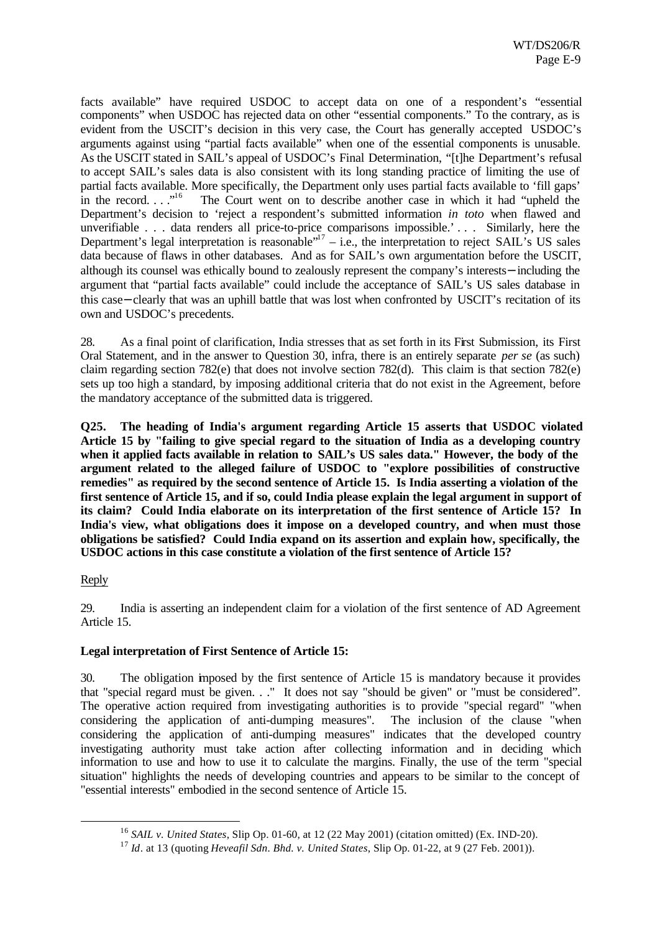facts available" have required USDOC to accept data on one of a respondent's "essential components" when USDOC has rejected data on other "essential components." To the contrary, as is evident from the USCIT's decision in this very case, the Court has generally accepted USDOC's arguments against using "partial facts available" when one of the essential components is unusable. As the USCIT stated in SAIL's appeal of USDOC's Final Determination, "[t]he Department's refusal to accept SAIL's sales data is also consistent with its long standing practice of limiting the use of partial facts available. More specifically, the Department only uses partial facts available to 'fill gaps' in the record.  $\ldots$ <sup>16</sup> The Court went on to describe another case in which it had "upheld the Department's decision to 'reject a respondent's submitted information *in toto* when flawed and unverifiable . . . data renders all price-to-price comparisons impossible.' . . . Similarly, here the Department's legal interpretation is reasonable $17 - i.e.,$  the interpretation to reject SAIL's US sales data because of flaws in other databases. And as for SAIL's own argumentation before the USCIT, although its counsel was ethically bound to zealously represent the company's interests− including the argument that "partial facts available" could include the acceptance of SAIL's US sales database in this case− clearly that was an uphill battle that was lost when confronted by USCIT's recitation of its own and USDOC's precedents.

28. As a final point of clarification, India stresses that as set forth in its First Submission, its First Oral Statement, and in the answer to Question 30, infra, there is an entirely separate *per se* (as such) claim regarding section 782(e) that does not involve section 782(d). This claim is that section 782(e) sets up too high a standard, by imposing additional criteria that do not exist in the Agreement, before the mandatory acceptance of the submitted data is triggered.

**Q25. The heading of India's argument regarding Article 15 asserts that USDOC violated Article 15 by "failing to give special regard to the situation of India as a developing country when it applied facts available in relation to SAIL's US sales data." However, the body of the argument related to the alleged failure of USDOC to "explore possibilities of constructive remedies" as required by the second sentence of Article 15. Is India asserting a violation of the first sentence of Article 15, and if so, could India please explain the legal argument in support of its claim? Could India elaborate on its interpretation of the first sentence of Article 15? In India's view, what obligations does it impose on a developed country, and when must those obligations be satisfied? Could India expand on its assertion and explain how, specifically, the USDOC actions in this case constitute a violation of the first sentence of Article 15?**

# Reply

l

29. India is asserting an independent claim for a violation of the first sentence of AD Agreement Article 15.

#### **Legal interpretation of First Sentence of Article 15:**

30. The obligation imposed by the first sentence of Article 15 is mandatory because it provides that "special regard must be given. . ." It does not say "should be given" or "must be considered". The operative action required from investigating authorities is to provide "special regard" "when considering the application of anti-dumping measures". The inclusion of the clause "when considering the application of anti-dumping measures" indicates that the developed country investigating authority must take action after collecting information and in deciding which information to use and how to use it to calculate the margins. Finally, the use of the term "special situation" highlights the needs of developing countries and appears to be similar to the concept of "essential interests" embodied in the second sentence of Article 15.

<sup>16</sup> *SAIL v. United States*, Slip Op. 01-60, at 12 (22 May 2001) (citation omitted) (Ex. IND-20).

<sup>17</sup> *Id*. at 13 (quoting *Heveafil Sdn. Bhd. v. United States*, Slip Op. 01-22, at 9 (27 Feb. 2001)).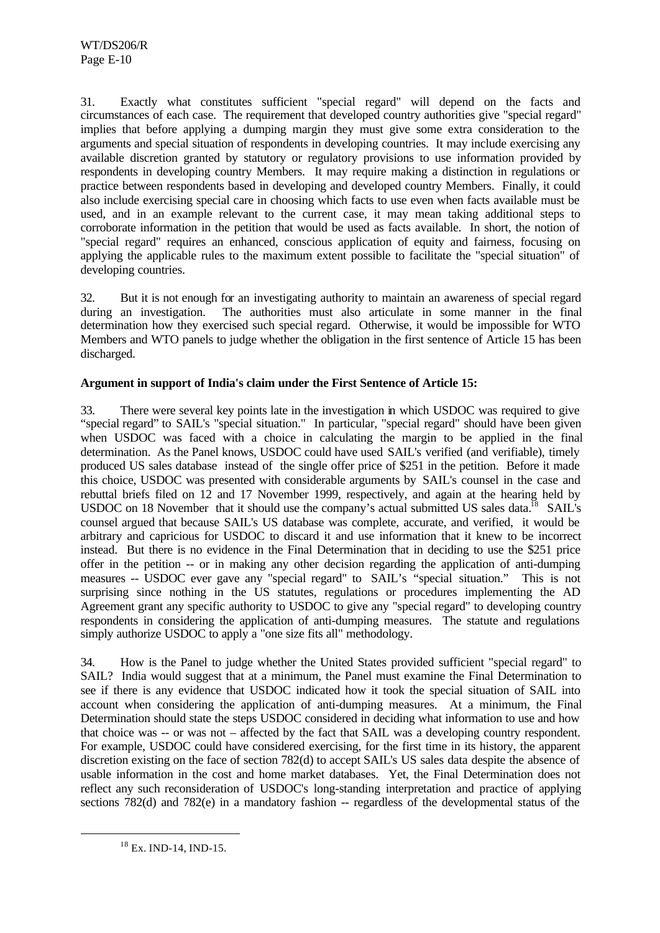31. Exactly what constitutes sufficient "special regard" will depend on the facts and circumstances of each case. The requirement that developed country authorities give "special regard" implies that before applying a dumping margin they must give some extra consideration to the arguments and special situation of respondents in developing countries. It may include exercising any available discretion granted by statutory or regulatory provisions to use information provided by respondents in developing country Members. It may require making a distinction in regulations or practice between respondents based in developing and developed country Members. Finally, it could also include exercising special care in choosing which facts to use even when facts available must be used, and in an example relevant to the current case, it may mean taking additional steps to corroborate information in the petition that would be used as facts available. In short, the notion of "special regard" requires an enhanced, conscious application of equity and fairness, focusing on applying the applicable rules to the maximum extent possible to facilitate the "special situation" of developing countries.

32. But it is not enough for an investigating authority to maintain an awareness of special regard during an investigation. The authorities must also articulate in some manner in the final determination how they exercised such special regard. Otherwise, it would be impossible for WTO Members and WTO panels to judge whether the obligation in the first sentence of Article 15 has been discharged.

# **Argument in support of India's claim under the First Sentence of Article 15:**

33. There were several key points late in the investigation in which USDOC was required to give "special regard" to SAIL's "special situation." In particular, "special regard" should have been given when USDOC was faced with a choice in calculating the margin to be applied in the final determination. As the Panel knows, USDOC could have used SAIL's verified (and verifiable), timely produced US sales database instead of the single offer price of \$251 in the petition. Before it made this choice, USDOC was presented with considerable arguments by SAIL's counsel in the case and rebuttal briefs filed on 12 and 17 November 1999, respectively, and again at the hearing held by USDOC on 18 November that it should use the company's actual submitted US sales data.<sup>18</sup> SAIL's counsel argued that because SAIL's US database was complete, accurate, and verified, it would be arbitrary and capricious for USDOC to discard it and use information that it knew to be incorrect instead. But there is no evidence in the Final Determination that in deciding to use the \$251 price offer in the petition -- or in making any other decision regarding the application of anti-dumping measures -- USDOC ever gave any "special regard" to SAIL's "special situation." This is not surprising since nothing in the US statutes, regulations or procedures implementing the AD Agreement grant any specific authority to USDOC to give any "special regard" to developing country respondents in considering the application of anti-dumping measures. The statute and regulations simply authorize USDOC to apply a "one size fits all" methodology.

34. How is the Panel to judge whether the United States provided sufficient "special regard" to SAIL? India would suggest that at a minimum, the Panel must examine the Final Determination to see if there is any evidence that USDOC indicated how it took the special situation of SAIL into account when considering the application of anti-dumping measures. At a minimum, the Final Determination should state the steps USDOC considered in deciding what information to use and how that choice was -- or was not – affected by the fact that SAIL was a developing country respondent. For example, USDOC could have considered exercising, for the first time in its history, the apparent discretion existing on the face of section 782(d) to accept SAIL's US sales data despite the absence of usable information in the cost and home market databases. Yet, the Final Determination does not reflect any such reconsideration of USDOC's long-standing interpretation and practice of applying sections 782(d) and 782(e) in a mandatory fashion -- regardless of the developmental status of the

<sup>18</sup> Ex. IND-14, IND-15.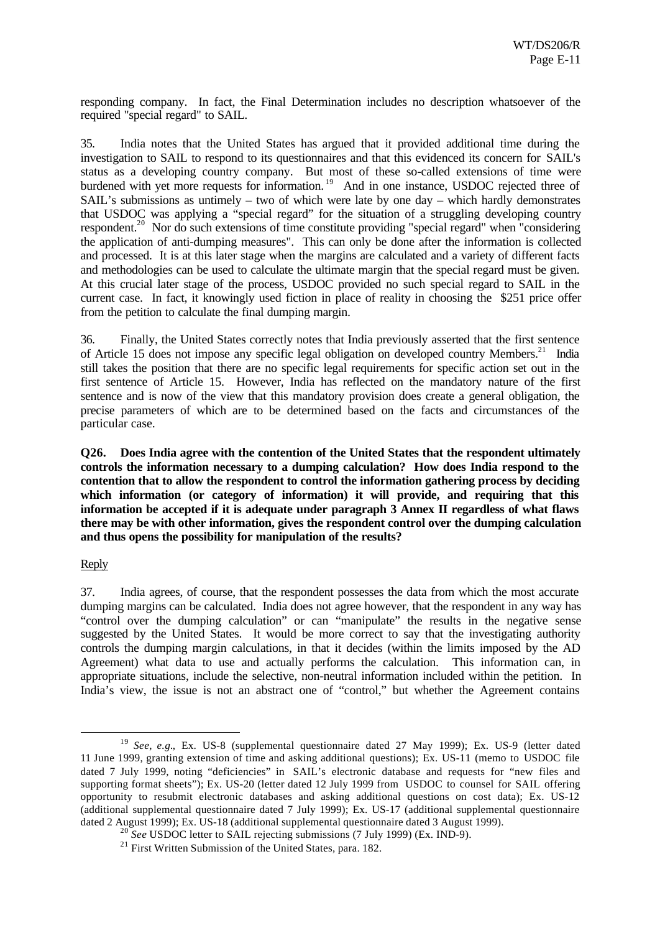responding company. In fact, the Final Determination includes no description whatsoever of the required "special regard" to SAIL.

35. India notes that the United States has argued that it provided additional time during the investigation to SAIL to respond to its questionnaires and that this evidenced its concern for SAIL's status as a developing country company. But most of these so-called extensions of time were burdened with yet more requests for information.<sup>19</sup> And in one instance, USDOC rejected three of SAIL's submissions as untimely – two of which were late by one day – which hardly demonstrates that USDOC was applying a "special regard" for the situation of a struggling developing country respondent.<sup>20</sup> Nor do such extensions of time constitute providing "special regard" when "considering the application of anti-dumping measures". This can only be done after the information is collected and processed. It is at this later stage when the margins are calculated and a variety of different facts and methodologies can be used to calculate the ultimate margin that the special regard must be given. At this crucial later stage of the process, USDOC provided no such special regard to SAIL in the current case. In fact, it knowingly used fiction in place of reality in choosing the \$251 price offer from the petition to calculate the final dumping margin.

36. Finally, the United States correctly notes that India previously asserted that the first sentence of Article 15 does not impose any specific legal obligation on developed country Members.<sup>21</sup> India still takes the position that there are no specific legal requirements for specific action set out in the first sentence of Article 15. However, India has reflected on the mandatory nature of the first sentence and is now of the view that this mandatory provision does create a general obligation, the precise parameters of which are to be determined based on the facts and circumstances of the particular case.

**Q26. Does India agree with the contention of the United States that the respondent ultimately controls the information necessary to a dumping calculation? How does India respond to the contention that to allow the respondent to control the information gathering process by deciding which information (or category of information) it will provide, and requiring that this information be accepted if it is adequate under paragraph 3 Annex II regardless of what flaws there may be with other information, gives the respondent control over the dumping calculation and thus opens the possibility for manipulation of the results?**

#### Reply

l

37. India agrees, of course, that the respondent possesses the data from which the most accurate dumping margins can be calculated. India does not agree however, that the respondent in any way has "control over the dumping calculation" or can "manipulate" the results in the negative sense suggested by the United States. It would be more correct to say that the investigating authority controls the dumping margin calculations, in that it decides (within the limits imposed by the AD Agreement) what data to use and actually performs the calculation. This information can, in appropriate situations, include the selective, non-neutral information included within the petition. In India's view, the issue is not an abstract one of "control," but whether the Agreement contains

<sup>19</sup> *See*, *e.g.*, Ex. US-8 (supplemental questionnaire dated 27 May 1999); Ex. US-9 (letter dated 11 June 1999, granting extension of time and asking additional questions); Ex. US-11 (memo to USDOC file dated 7 July 1999, noting "deficiencies" in SAIL's electronic database and requests for "new files and supporting format sheets"); Ex. US-20 (letter dated 12 July 1999 from USDOC to counsel for SAIL offering opportunity to resubmit electronic databases and asking additional questions on cost data); Ex. US-12 (additional supplemental questionnaire dated 7 July 1999); Ex. US-17 (additional supplemental questionnaire dated 2 August 1999); Ex. US-18 (additional supplemental questionnaire dated 3 August 1999).

<sup>20</sup> *See* USDOC letter to SAIL rejecting submissions (7 July 1999) (Ex. IND-9).

 $21$  First Written Submission of the United States, para. 182.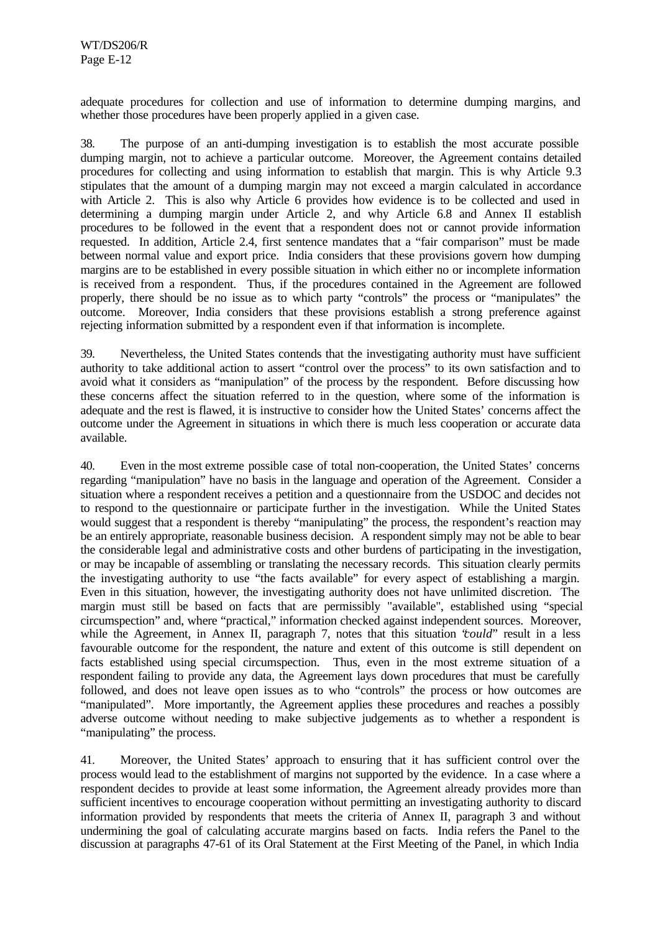adequate procedures for collection and use of information to determine dumping margins, and whether those procedures have been properly applied in a given case.

38. The purpose of an anti-dumping investigation is to establish the most accurate possible dumping margin, not to achieve a particular outcome. Moreover, the Agreement contains detailed procedures for collecting and using information to establish that margin. This is why Article 9.3 stipulates that the amount of a dumping margin may not exceed a margin calculated in accordance with Article 2. This is also why Article 6 provides how evidence is to be collected and used in determining a dumping margin under Article 2, and why Article 6.8 and Annex II establish procedures to be followed in the event that a respondent does not or cannot provide information requested. In addition, Article 2.4, first sentence mandates that a "fair comparison" must be made between normal value and export price. India considers that these provisions govern how dumping margins are to be established in every possible situation in which either no or incomplete information is received from a respondent. Thus, if the procedures contained in the Agreement are followed properly, there should be no issue as to which party "controls" the process or "manipulates" the outcome. Moreover, India considers that these provisions establish a strong preference against rejecting information submitted by a respondent even if that information is incomplete.

39. Nevertheless, the United States contends that the investigating authority must have sufficient authority to take additional action to assert "control over the process" to its own satisfaction and to avoid what it considers as "manipulation" of the process by the respondent. Before discussing how these concerns affect the situation referred to in the question, where some of the information is adequate and the rest is flawed, it is instructive to consider how the United States' concerns affect the outcome under the Agreement in situations in which there is much less cooperation or accurate data available.

40. Even in the most extreme possible case of total non-cooperation, the United States' concerns regarding "manipulation" have no basis in the language and operation of the Agreement. Consider a situation where a respondent receives a petition and a questionnaire from the USDOC and decides not to respond to the questionnaire or participate further in the investigation. While the United States would suggest that a respondent is thereby "manipulating" the process, the respondent's reaction may be an entirely appropriate, reasonable business decision. A respondent simply may not be able to bear the considerable legal and administrative costs and other burdens of participating in the investigation, or may be incapable of assembling or translating the necessary records. This situation clearly permits the investigating authority to use "the facts available" for every aspect of establishing a margin. Even in this situation, however, the investigating authority does not have unlimited discretion. The margin must still be based on facts that are permissibly "available", established using "special circumspection" and, where "practical," information checked against independent sources. Moreover, while the Agreement, in Annex II, paragraph 7, notes that this situation "*could*" result in a less favourable outcome for the respondent, the nature and extent of this outcome is still dependent on facts established using special circumspection. Thus, even in the most extreme situation of a respondent failing to provide any data, the Agreement lays down procedures that must be carefully followed, and does not leave open issues as to who "controls" the process or how outcomes are "manipulated". More importantly, the Agreement applies these procedures and reaches a possibly adverse outcome without needing to make subjective judgements as to whether a respondent is "manipulating" the process.

41. Moreover, the United States' approach to ensuring that it has sufficient control over the process would lead to the establishment of margins not supported by the evidence. In a case where a respondent decides to provide at least some information, the Agreement already provides more than sufficient incentives to encourage cooperation without permitting an investigating authority to discard information provided by respondents that meets the criteria of Annex II, paragraph 3 and without undermining the goal of calculating accurate margins based on facts. India refers the Panel to the discussion at paragraphs 47-61 of its Oral Statement at the First Meeting of the Panel, in which India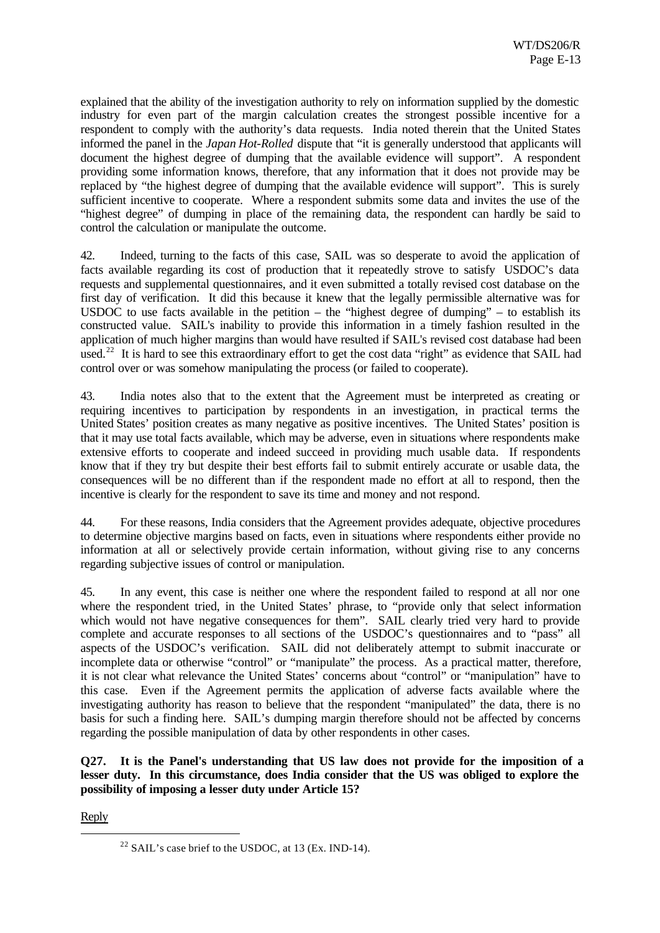explained that the ability of the investigation authority to rely on information supplied by the domestic industry for even part of the margin calculation creates the strongest possible incentive for a respondent to comply with the authority's data requests. India noted therein that the United States informed the panel in the *Japan Hot-Rolled* dispute that "it is generally understood that applicants will document the highest degree of dumping that the available evidence will support". A respondent providing some information knows, therefore, that any information that it does not provide may be replaced by "the highest degree of dumping that the available evidence will support". This is surely sufficient incentive to cooperate. Where a respondent submits some data and invites the use of the "highest degree" of dumping in place of the remaining data, the respondent can hardly be said to control the calculation or manipulate the outcome.

42. Indeed, turning to the facts of this case, SAIL was so desperate to avoid the application of facts available regarding its cost of production that it repeatedly strove to satisfy USDOC's data requests and supplemental questionnaires, and it even submitted a totally revised cost database on the first day of verification. It did this because it knew that the legally permissible alternative was for USDOC to use facts available in the petition – the "highest degree of dumping" – to establish its constructed value. SAIL's inability to provide this information in a timely fashion resulted in the application of much higher margins than would have resulted if SAIL's revised cost database had been used.<sup>22</sup> It is hard to see this extraordinary effort to get the cost data "right" as evidence that SAIL had control over or was somehow manipulating the process (or failed to cooperate).

43. India notes also that to the extent that the Agreement must be interpreted as creating or requiring incentives to participation by respondents in an investigation, in practical terms the United States' position creates as many negative as positive incentives. The United States' position is that it may use total facts available, which may be adverse, even in situations where respondents make extensive efforts to cooperate and indeed succeed in providing much usable data. If respondents know that if they try but despite their best efforts fail to submit entirely accurate or usable data, the consequences will be no different than if the respondent made no effort at all to respond, then the incentive is clearly for the respondent to save its time and money and not respond.

44. For these reasons, India considers that the Agreement provides adequate, objective procedures to determine objective margins based on facts, even in situations where respondents either provide no information at all or selectively provide certain information, without giving rise to any concerns regarding subjective issues of control or manipulation.

45. In any event, this case is neither one where the respondent failed to respond at all nor one where the respondent tried, in the United States' phrase, to "provide only that select information which would not have negative consequences for them". SAIL clearly tried very hard to provide complete and accurate responses to all sections of the USDOC's questionnaires and to "pass" all aspects of the USDOC's verification. SAIL did not deliberately attempt to submit inaccurate or incomplete data or otherwise "control" or "manipulate" the process. As a practical matter, therefore, it is not clear what relevance the United States' concerns about "control" or "manipulation" have to this case. Even if the Agreement permits the application of adverse facts available where the investigating authority has reason to believe that the respondent "manipulated" the data, there is no basis for such a finding here. SAIL's dumping margin therefore should not be affected by concerns regarding the possible manipulation of data by other respondents in other cases.

**Q27. It is the Panel's understanding that US law does not provide for the imposition of a lesser duty. In this circumstance, does India consider that the US was obliged to explore the possibility of imposing a lesser duty under Article 15?**

Reply

<sup>&</sup>lt;sup>22</sup> SAIL's case brief to the USDOC, at 13 (Ex. IND-14).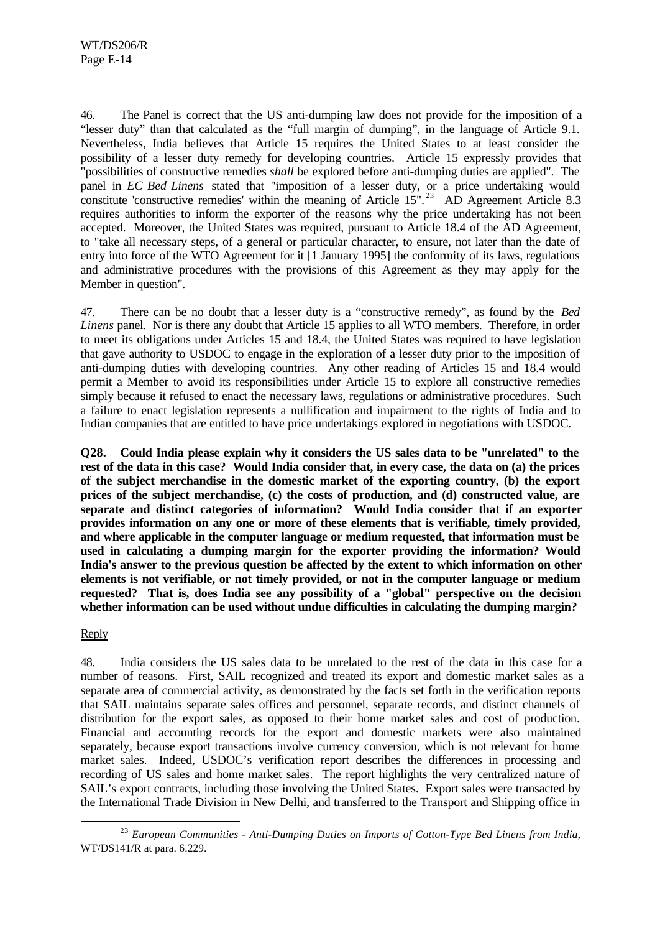46. The Panel is correct that the US anti-dumping law does not provide for the imposition of a "lesser duty" than that calculated as the "full margin of dumping", in the language of Article 9.1. Nevertheless, India believes that Article 15 requires the United States to at least consider the possibility of a lesser duty remedy for developing countries. Article 15 expressly provides that "possibilities of constructive remedies *shall* be explored before anti-dumping duties are applied". The panel in *EC Bed Linens* stated that "imposition of a lesser duty, or a price undertaking would constitute 'constructive remedies' within the meaning of Article 15".<sup>23</sup> AD Agreement Article 8.3 requires authorities to inform the exporter of the reasons why the price undertaking has not been accepted. Moreover, the United States was required, pursuant to Article 18.4 of the AD Agreement, to "take all necessary steps, of a general or particular character, to ensure, not later than the date of entry into force of the WTO Agreement for it [1 January 1995] the conformity of its laws, regulations and administrative procedures with the provisions of this Agreement as they may apply for the Member in question".

47. There can be no doubt that a lesser duty is a "constructive remedy", as found by the *Bed Linens* panel. Nor is there any doubt that Article 15 applies to all WTO members. Therefore, in order to meet its obligations under Articles 15 and 18.4, the United States was required to have legislation that gave authority to USDOC to engage in the exploration of a lesser duty prior to the imposition of anti-dumping duties with developing countries. Any other reading of Articles 15 and 18.4 would permit a Member to avoid its responsibilities under Article 15 to explore all constructive remedies simply because it refused to enact the necessary laws, regulations or administrative procedures. Such a failure to enact legislation represents a nullification and impairment to the rights of India and to Indian companies that are entitled to have price undertakings explored in negotiations with USDOC.

**Q28. Could India please explain why it considers the US sales data to be "unrelated" to the rest of the data in this case? Would India consider that, in every case, the data on (a) the prices of the subject merchandise in the domestic market of the exporting country, (b) the export prices of the subject merchandise, (c) the costs of production, and (d) constructed value, are separate and distinct categories of information? Would India consider that if an exporter provides information on any one or more of these elements that is verifiable, timely provided, and where applicable in the computer language or medium requested, that information must be used in calculating a dumping margin for the exporter providing the information? Would India's answer to the previous question be affected by the extent to which information on other elements is not verifiable, or not timely provided, or not in the computer language or medium requested? That is, does India see any possibility of a "global" perspective on the decision whether information can be used without undue difficulties in calculating the dumping margin?**

#### Reply

l

48. India considers the US sales data to be unrelated to the rest of the data in this case for a number of reasons. First, SAIL recognized and treated its export and domestic market sales as a separate area of commercial activity, as demonstrated by the facts set forth in the verification reports that SAIL maintains separate sales offices and personnel, separate records, and distinct channels of distribution for the export sales, as opposed to their home market sales and cost of production. Financial and accounting records for the export and domestic markets were also maintained separately, because export transactions involve currency conversion, which is not relevant for home market sales. Indeed, USDOC's verification report describes the differences in processing and recording of US sales and home market sales. The report highlights the very centralized nature of SAIL's export contracts, including those involving the United States. Export sales were transacted by the International Trade Division in New Delhi, and transferred to the Transport and Shipping office in

<sup>23</sup> *European Communities - Anti-Dumping Duties on Imports of Cotton-Type Bed Linens from India*, WT/DS141/R at para. 6.229.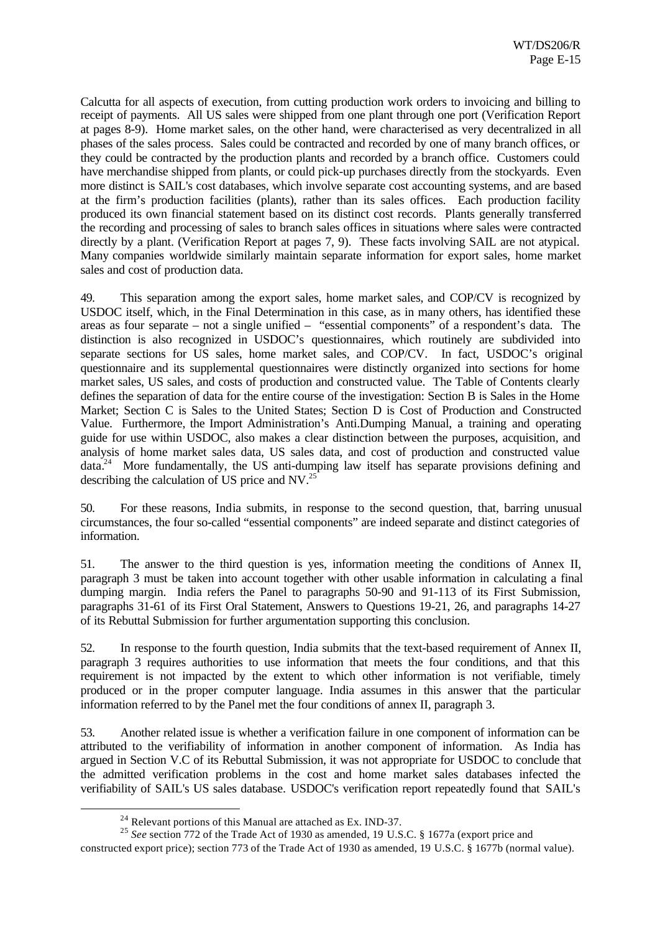Calcutta for all aspects of execution, from cutting production work orders to invoicing and billing to receipt of payments. All US sales were shipped from one plant through one port (Verification Report at pages 8-9). Home market sales, on the other hand, were characterised as very decentralized in all phases of the sales process. Sales could be contracted and recorded by one of many branch offices, or they could be contracted by the production plants and recorded by a branch office. Customers could have merchandise shipped from plants, or could pick-up purchases directly from the stockyards. Even more distinct is SAIL's cost databases, which involve separate cost accounting systems, and are based at the firm's production facilities (plants), rather than its sales offices. Each production facility produced its own financial statement based on its distinct cost records. Plants generally transferred the recording and processing of sales to branch sales offices in situations where sales were contracted directly by a plant. (Verification Report at pages 7, 9). These facts involving SAIL are not atypical. Many companies worldwide similarly maintain separate information for export sales, home market sales and cost of production data.

49. This separation among the export sales, home market sales, and COP/CV is recognized by USDOC itself, which, in the Final Determination in this case, as in many others, has identified these areas as four separate – not a single unified – "essential components" of a respondent's data. The distinction is also recognized in USDOC's questionnaires, which routinely are subdivided into separate sections for US sales, home market sales, and COP/CV. In fact, USDOC's original questionnaire and its supplemental questionnaires were distinctly organized into sections for home market sales, US sales, and costs of production and constructed value. The Table of Contents clearly defines the separation of data for the entire course of the investigation: Section B is Sales in the Home Market; Section C is Sales to the United States; Section D is Cost of Production and Constructed Value. Furthermore, the Import Administration's Anti.Dumping Manual, a training and operating guide for use within USDOC, also makes a clear distinction between the purposes, acquisition, and analysis of home market sales data, US sales data, and cost of production and constructed value data.<sup>24</sup> More fundamentally, the US anti-dumping law itself has separate provisions defining and describing the calculation of US price and NV.<sup>25</sup>

50. For these reasons, India submits, in response to the second question, that, barring unusual circumstances, the four so-called "essential components" are indeed separate and distinct categories of information.

51. The answer to the third question is yes, information meeting the conditions of Annex II, paragraph 3 must be taken into account together with other usable information in calculating a final dumping margin. India refers the Panel to paragraphs 50-90 and 91-113 of its First Submission, paragraphs 31-61 of its First Oral Statement, Answers to Questions 19-21, 26, and paragraphs 14-27 of its Rebuttal Submission for further argumentation supporting this conclusion.

52. In response to the fourth question, India submits that the text-based requirement of Annex II, paragraph 3 requires authorities to use information that meets the four conditions, and that this requirement is not impacted by the extent to which other information is not verifiable, timely produced or in the proper computer language. India assumes in this answer that the particular information referred to by the Panel met the four conditions of annex II, paragraph 3.

53. Another related issue is whether a verification failure in one component of information can be attributed to the verifiability of information in another component of information. As India has argued in Section V.C of its Rebuttal Submission, it was not appropriate for USDOC to conclude that the admitted verification problems in the cost and home market sales databases infected the verifiability of SAIL's US sales database. USDOC's verification report repeatedly found that SAIL's

<sup>&</sup>lt;sup>24</sup> Relevant portions of this Manual are attached as Ex. IND-37.

<sup>&</sup>lt;sup>25</sup> See section 772 of the Trade Act of 1930 as amended, 19 U.S.C. § 1677a (export price and

constructed export price); section 773 of the Trade Act of 1930 as amended, 19 U.S.C. § 1677b (normal value).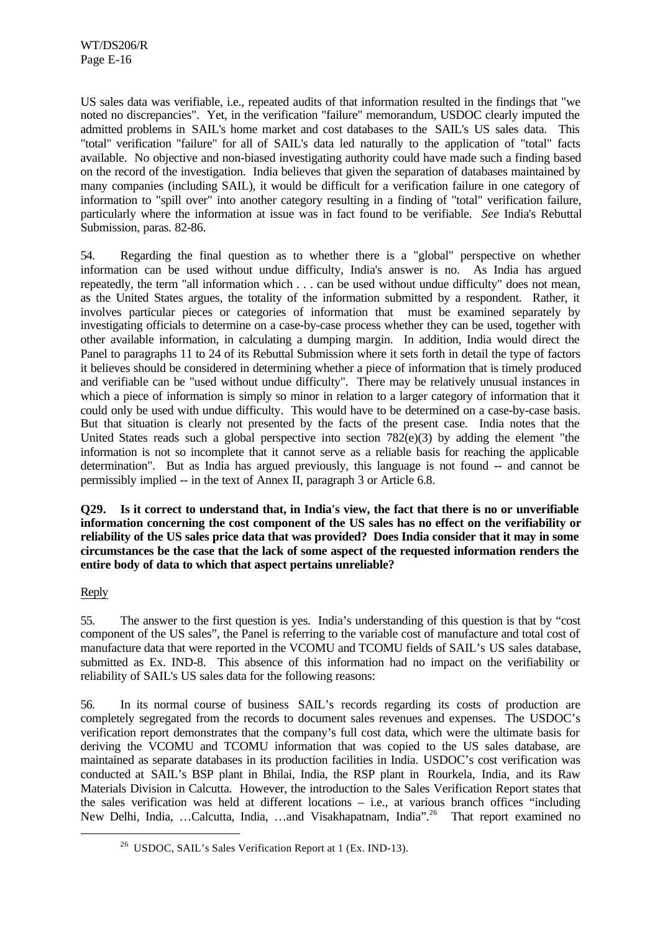US sales data was verifiable, i.e., repeated audits of that information resulted in the findings that "we noted no discrepancies". Yet, in the verification "failure" memorandum, USDOC clearly imputed the admitted problems in SAIL's home market and cost databases to the SAIL's US sales data. This "total" verification "failure" for all of SAIL's data led naturally to the application of "total" facts available. No objective and non-biased investigating authority could have made such a finding based on the record of the investigation. India believes that given the separation of databases maintained by many companies (including SAIL), it would be difficult for a verification failure in one category of information to "spill over" into another category resulting in a finding of "total" verification failure, particularly where the information at issue was in fact found to be verifiable. *See* India's Rebuttal Submission, paras. 82-86.

54. Regarding the final question as to whether there is a "global" perspective on whether information can be used without undue difficulty, India's answer is no. As India has argued repeatedly, the term "all information which . . . can be used without undue difficulty" does not mean, as the United States argues, the totality of the information submitted by a respondent. Rather, it involves particular pieces or categories of information that must be examined separately by investigating officials to determine on a case-by-case process whether they can be used, together with other available information, in calculating a dumping margin. In addition, India would direct the Panel to paragraphs 11 to 24 of its Rebuttal Submission where it sets forth in detail the type of factors it believes should be considered in determining whether a piece of information that is timely produced and verifiable can be "used without undue difficulty". There may be relatively unusual instances in which a piece of information is simply so minor in relation to a larger category of information that it could only be used with undue difficulty. This would have to be determined on a case-by-case basis. But that situation is clearly not presented by the facts of the present case. India notes that the United States reads such a global perspective into section  $782(e)(3)$  by adding the element "the information is not so incomplete that it cannot serve as a reliable basis for reaching the applicable determination". But as India has argued previously, this language is not found -- and cannot be permissibly implied -- in the text of Annex II, paragraph 3 or Article 6.8.

**Q29. Is it correct to understand that, in India's view, the fact that there is no or unverifiable information concerning the cost component of the US sales has no effect on the verifiability or reliability of the US sales price data that was provided? Does India consider that it may in some circumstances be the case that the lack of some aspect of the requested information renders the entire body of data to which that aspect pertains unreliable?**

# Reply

l

55. The answer to the first question is yes. India's understanding of this question is that by "cost component of the US sales", the Panel is referring to the variable cost of manufacture and total cost of manufacture data that were reported in the VCOMU and TCOMU fields of SAIL's US sales database, submitted as Ex. IND-8. This absence of this information had no impact on the verifiability or reliability of SAIL's US sales data for the following reasons:

56. In its normal course of business SAIL's records regarding its costs of production are completely segregated from the records to document sales revenues and expenses. The USDOC's verification report demonstrates that the company's full cost data, which were the ultimate basis for deriving the VCOMU and TCOMU information that was copied to the US sales database, are maintained as separate databases in its production facilities in India. USDOC's cost verification was conducted at SAIL's BSP plant in Bhilai, India, the RSP plant in Rourkela, India, and its Raw Materials Division in Calcutta. However, the introduction to the Sales Verification Report states that the sales verification was held at different locations – i.e., at various branch offices "including New Delhi, India, …Calcutta, India, …and Visakhapatnam, India".<sup>26</sup> That report examined no

<sup>&</sup>lt;sup>26</sup> USDOC, SAIL's Sales Verification Report at 1 (Ex. IND-13).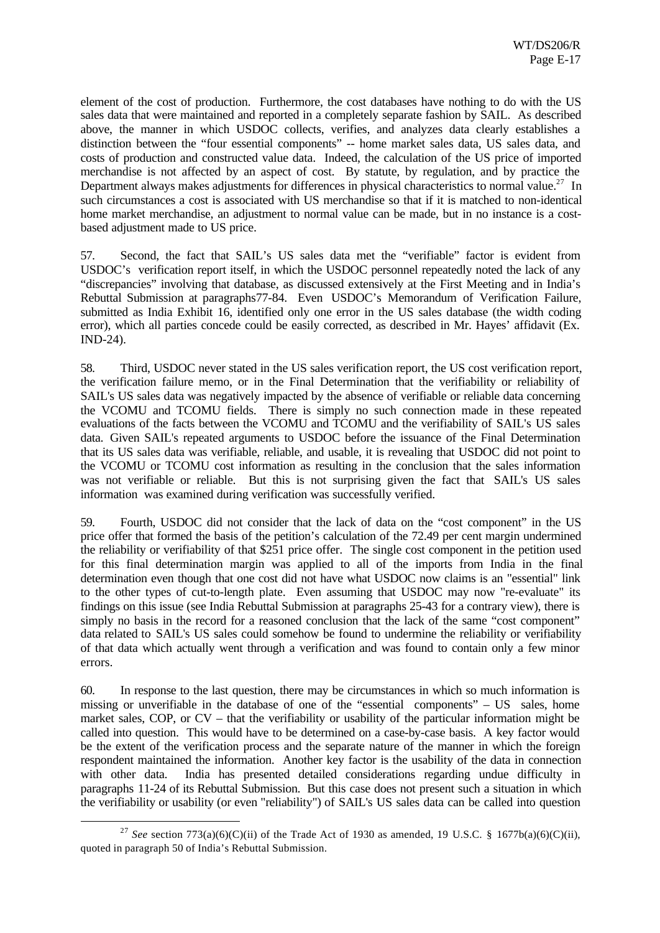element of the cost of production. Furthermore, the cost databases have nothing to do with the US sales data that were maintained and reported in a completely separate fashion by SAIL. As described above, the manner in which USDOC collects, verifies, and analyzes data clearly establishes a distinction between the "four essential components" -- home market sales data, US sales data, and costs of production and constructed value data. Indeed, the calculation of the US price of imported merchandise is not affected by an aspect of cost. By statute, by regulation, and by practice the Department always makes adjustments for differences in physical characteristics to normal value.<sup>27</sup> In such circumstances a cost is associated with US merchandise so that if it is matched to non-identical home market merchandise, an adjustment to normal value can be made, but in no instance is a costbased adjustment made to US price.

57. Second, the fact that SAIL's US sales data met the "verifiable" factor is evident from USDOC's verification report itself, in which the USDOC personnel repeatedly noted the lack of any "discrepancies" involving that database, as discussed extensively at the First Meeting and in India's Rebuttal Submission at paragraphs77-84. Even USDOC's Memorandum of Verification Failure, submitted as India Exhibit 16, identified only one error in the US sales database (the width coding error), which all parties concede could be easily corrected, as described in Mr. Hayes' affidavit (Ex. IND-24).

58. Third, USDOC never stated in the US sales verification report, the US cost verification report, the verification failure memo, or in the Final Determination that the verifiability or reliability of SAIL's US sales data was negatively impacted by the absence of verifiable or reliable data concerning the VCOMU and TCOMU fields. There is simply no such connection made in these repeated evaluations of the facts between the VCOMU and TCOMU and the verifiability of SAIL's US sales data. Given SAIL's repeated arguments to USDOC before the issuance of the Final Determination that its US sales data was verifiable, reliable, and usable, it is revealing that USDOC did not point to the VCOMU or TCOMU cost information as resulting in the conclusion that the sales information was not verifiable or reliable. But this is not surprising given the fact that SAIL's US sales information was examined during verification was successfully verified.

59. Fourth, USDOC did not consider that the lack of data on the "cost component" in the US price offer that formed the basis of the petition's calculation of the 72.49 per cent margin undermined the reliability or verifiability of that \$251 price offer. The single cost component in the petition used for this final determination margin was applied to all of the imports from India in the final determination even though that one cost did not have what USDOC now claims is an "essential" link to the other types of cut-to-length plate. Even assuming that USDOC may now "re-evaluate" its findings on this issue (see India Rebuttal Submission at paragraphs 25-43 for a contrary view), there is simply no basis in the record for a reasoned conclusion that the lack of the same "cost component" data related to SAIL's US sales could somehow be found to undermine the reliability or verifiability of that data which actually went through a verification and was found to contain only a few minor errors.

60. In response to the last question, there may be circumstances in which so much information is missing or unverifiable in the database of one of the "essential components" – US sales, home market sales, COP, or CV – that the verifiability or usability of the particular information might be called into question. This would have to be determined on a case-by-case basis. A key factor would be the extent of the verification process and the separate nature of the manner in which the foreign respondent maintained the information. Another key factor is the usability of the data in connection with other data. India has presented detailed considerations regarding undue difficulty in paragraphs 11-24 of its Rebuttal Submission. But this case does not present such a situation in which the verifiability or usability (or even "reliability") of SAIL's US sales data can be called into question

<sup>&</sup>lt;sup>27</sup> *See* section 773(a)(6)(C)(ii) of the Trade Act of 1930 as amended, 19 U.S.C. § 1677b(a)(6)(C)(ii), quoted in paragraph 50 of India's Rebuttal Submission.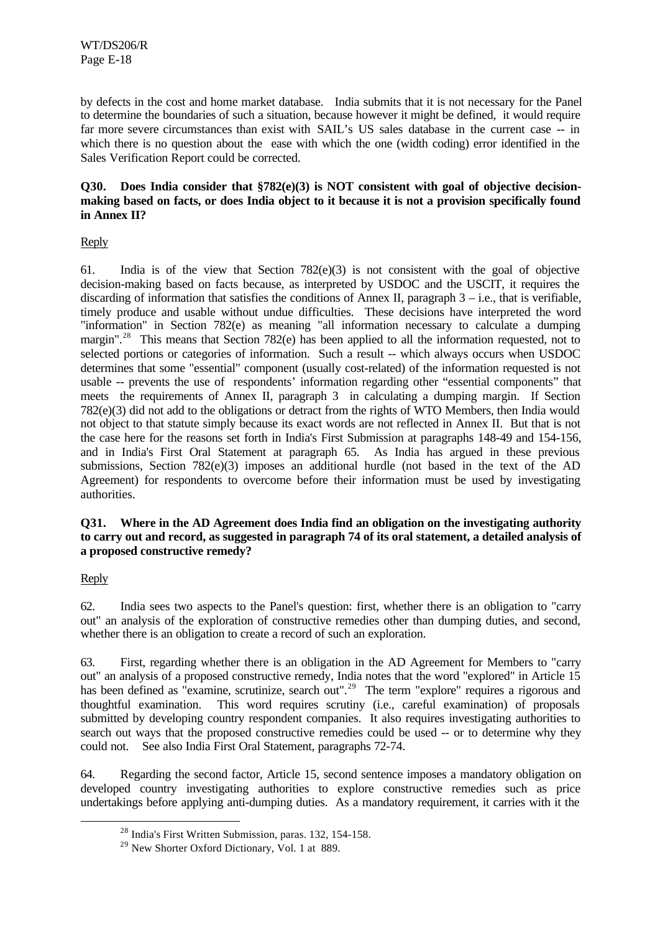by defects in the cost and home market database. India submits that it is not necessary for the Panel to determine the boundaries of such a situation, because however it might be defined, it would require far more severe circumstances than exist with SAIL's US sales database in the current case -- in which there is no question about the ease with which the one (width coding) error identified in the Sales Verification Report could be corrected.

### **Q30. Does India consider that §782(e)(3) is NOT consistent with goal of objective decisionmaking based on facts, or does India object to it because it is not a provision specifically found in Annex II?**

# Reply

61. India is of the view that Section  $782(e)(3)$  is not consistent with the goal of objective decision-making based on facts because, as interpreted by USDOC and the USCIT, it requires the discarding of information that satisfies the conditions of Annex II, paragraph  $3 - i.e.,$  that is verifiable. timely produce and usable without undue difficulties. These decisions have interpreted the word "information" in Section 782(e) as meaning "all information necessary to calculate a dumping margin".<sup>28</sup> This means that Section 782(e) has been applied to all the information requested, not to selected portions or categories of information. Such a result -- which always occurs when USDOC determines that some "essential" component (usually cost-related) of the information requested is not usable -- prevents the use of respondents' information regarding other "essential components" that meets the requirements of Annex II, paragraph 3 in calculating a dumping margin. If Section 782(e)(3) did not add to the obligations or detract from the rights of WTO Members, then India would not object to that statute simply because its exact words are not reflected in Annex II. But that is not the case here for the reasons set forth in India's First Submission at paragraphs 148-49 and 154-156, and in India's First Oral Statement at paragraph 65. As India has argued in these previous submissions, Section  $782(e)(3)$  imposes an additional hurdle (not based in the text of the AD Agreement) for respondents to overcome before their information must be used by investigating authorities.

#### **Q31. Where in the AD Agreement does India find an obligation on the investigating authority to carry out and record, as suggested in paragraph 74 of its oral statement, a detailed analysis of a proposed constructive remedy?**

#### Reply

l

62. India sees two aspects to the Panel's question: first, whether there is an obligation to "carry out" an analysis of the exploration of constructive remedies other than dumping duties, and second, whether there is an obligation to create a record of such an exploration.

63. First, regarding whether there is an obligation in the AD Agreement for Members to "carry out" an analysis of a proposed constructive remedy, India notes that the word "explored" in Article 15 has been defined as "examine, scrutinize, search out".<sup>29</sup> The term "explore" requires a rigorous and thoughtful examination. This word requires scrutiny (i.e., careful examination) of proposals submitted by developing country respondent companies. It also requires investigating authorities to search out ways that the proposed constructive remedies could be used -- or to determine why they could not. See also India First Oral Statement, paragraphs 72-74.

64. Regarding the second factor, Article 15, second sentence imposes a mandatory obligation on developed country investigating authorities to explore constructive remedies such as price undertakings before applying anti-dumping duties. As a mandatory requirement, it carries with it the

<sup>28</sup> India's First Written Submission, paras. 132, 154-158.

<sup>&</sup>lt;sup>29</sup> New Shorter Oxford Dictionary, Vol. 1 at 889.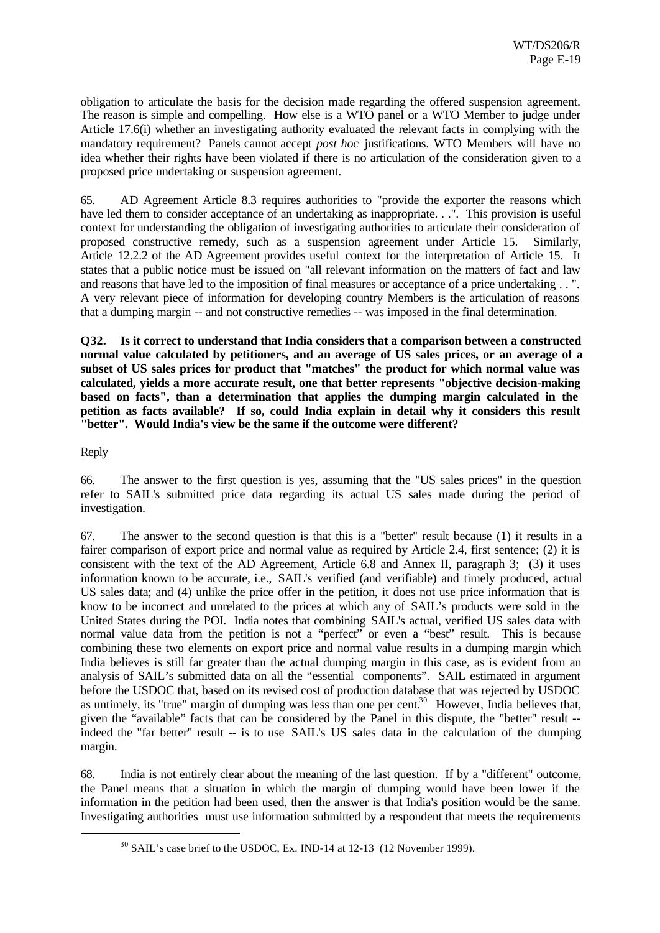obligation to articulate the basis for the decision made regarding the offered suspension agreement. The reason is simple and compelling. How else is a WTO panel or a WTO Member to judge under Article 17.6(i) whether an investigating authority evaluated the relevant facts in complying with the mandatory requirement? Panels cannot accept *post hoc* justifications. WTO Members will have no idea whether their rights have been violated if there is no articulation of the consideration given to a proposed price undertaking or suspension agreement.

65. AD Agreement Article 8.3 requires authorities to "provide the exporter the reasons which have led them to consider acceptance of an undertaking as inappropriate. . .". This provision is useful context for understanding the obligation of investigating authorities to articulate their consideration of proposed constructive remedy, such as a suspension agreement under Article 15. Similarly, Article 12.2.2 of the AD Agreement provides useful context for the interpretation of Article 15. It states that a public notice must be issued on "all relevant information on the matters of fact and law and reasons that have led to the imposition of final measures or acceptance of a price undertaking . . ". A very relevant piece of information for developing country Members is the articulation of reasons that a dumping margin -- and not constructive remedies -- was imposed in the final determination.

**Q32. Is it correct to understand that India considers that a comparison between a constructed normal value calculated by petitioners, and an average of US sales prices, or an average of a subset of US sales prices for product that "matches" the product for which normal value was calculated, yields a more accurate result, one that better represents "objective decision-making based on facts", than a determination that applies the dumping margin calculated in the petition as facts available? If so, could India explain in detail why it considers this result "better". Would India's view be the same if the outcome were different?**

#### Reply

l

66. The answer to the first question is yes, assuming that the "US sales prices" in the question refer to SAIL's submitted price data regarding its actual US sales made during the period of investigation.

67. The answer to the second question is that this is a "better" result because (1) it results in a fairer comparison of export price and normal value as required by Article 2.4, first sentence; (2) it is consistent with the text of the AD Agreement, Article 6.8 and Annex II, paragraph 3; (3) it uses information known to be accurate, i.e., SAIL's verified (and verifiable) and timely produced, actual US sales data; and (4) unlike the price offer in the petition, it does not use price information that is know to be incorrect and unrelated to the prices at which any of SAIL's products were sold in the United States during the POI. India notes that combining SAIL's actual, verified US sales data with normal value data from the petition is not a "perfect" or even a "best" result. This is because combining these two elements on export price and normal value results in a dumping margin which India believes is still far greater than the actual dumping margin in this case, as is evident from an analysis of SAIL's submitted data on all the "essential components". SAIL estimated in argument before the USDOC that, based on its revised cost of production database that was rejected by USDOC as untimely, its "true" margin of dumping was less than one per cent.<sup>30</sup> However, India believes that, given the "available" facts that can be considered by the Panel in this dispute, the "better" result - indeed the "far better" result -- is to use SAIL's US sales data in the calculation of the dumping margin.

68. India is not entirely clear about the meaning of the last question. If by a "different" outcome, the Panel means that a situation in which the margin of dumping would have been lower if the information in the petition had been used, then the answer is that India's position would be the same. Investigating authorities must use information submitted by a respondent that meets the requirements

 $30$  SAIL's case brief to the USDOC, Ex. IND-14 at 12-13 (12 November 1999).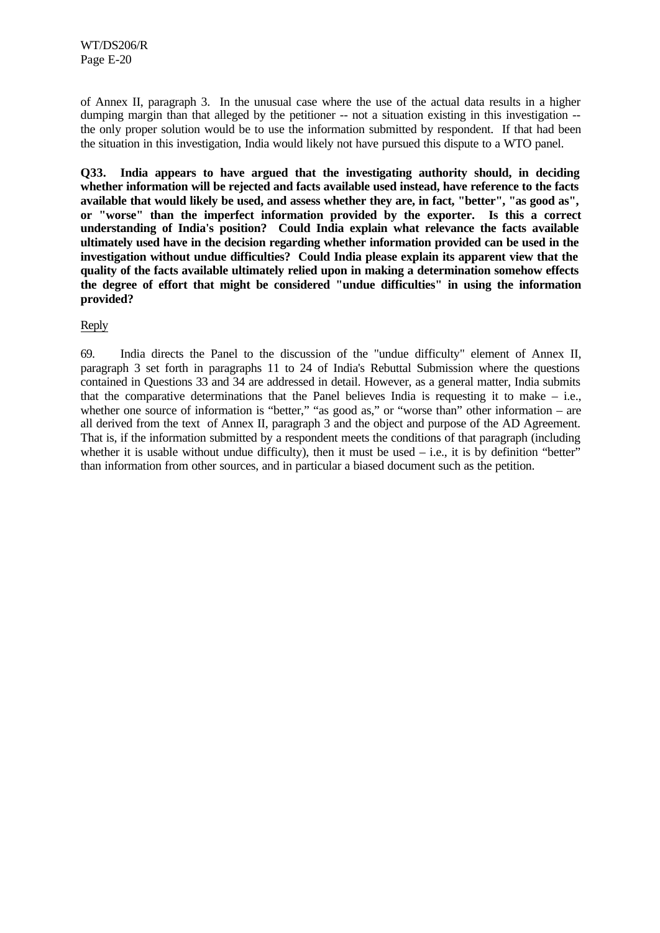of Annex II, paragraph 3. In the unusual case where the use of the actual data results in a higher dumping margin than that alleged by the petitioner -- not a situation existing in this investigation - the only proper solution would be to use the information submitted by respondent. If that had been the situation in this investigation, India would likely not have pursued this dispute to a WTO panel.

**Q33. India appears to have argued that the investigating authority should, in deciding whether information will be rejected and facts available used instead, have reference to the facts available that would likely be used, and assess whether they are, in fact, "better", "as good as", or "worse" than the imperfect information provided by the exporter. Is this a correct understanding of India's position? Could India explain what relevance the facts available ultimately used have in the decision regarding whether information provided can be used in the investigation without undue difficulties? Could India please explain its apparent view that the quality of the facts available ultimately relied upon in making a determination somehow effects the degree of effort that might be considered "undue difficulties" in using the information provided?**

#### Reply

69. India directs the Panel to the discussion of the "undue difficulty" element of Annex II, paragraph 3 set forth in paragraphs 11 to 24 of India's Rebuttal Submission where the questions contained in Questions 33 and 34 are addressed in detail. However, as a general matter, India submits that the comparative determinations that the Panel believes India is requesting it to make  $-$  i.e., whether one source of information is "better," "as good as," or "worse than" other information – are all derived from the text of Annex II, paragraph 3 and the object and purpose of the AD Agreement. That is, if the information submitted by a respondent meets the conditions of that paragraph (including whether it is usable without undue difficulty), then it must be used  $-$  i.e., it is by definition "better" than information from other sources, and in particular a biased document such as the petition.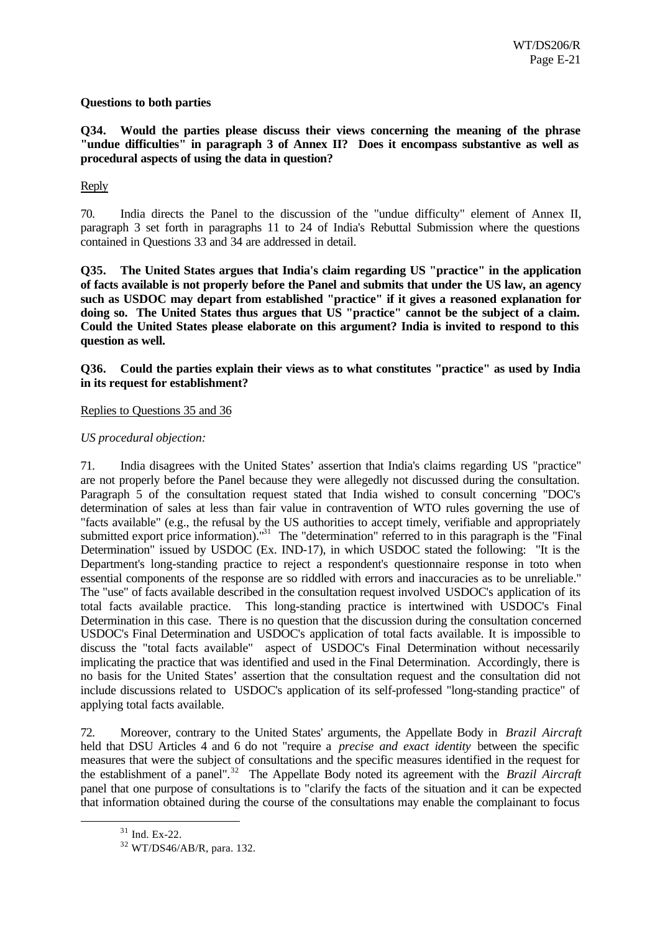#### **Questions to both parties**

**Q34. Would the parties please discuss their views concerning the meaning of the phrase "undue difficulties" in paragraph 3 of Annex II? Does it encompass substantive as well as procedural aspects of using the data in question?**

#### Reply

70. India directs the Panel to the discussion of the "undue difficulty" element of Annex II, paragraph 3 set forth in paragraphs 11 to 24 of India's Rebuttal Submission where the questions contained in Questions 33 and 34 are addressed in detail.

**Q35. The United States argues that India's claim regarding US "practice" in the application of facts available is not properly before the Panel and submits that under the US law, an agency such as USDOC may depart from established "practice" if it gives a reasoned explanation for doing so. The United States thus argues that US "practice" cannot be the subject of a claim. Could the United States please elaborate on this argument? India is invited to respond to this question as well.**

**Q36. Could the parties explain their views as to what constitutes "practice" as used by India in its request for establishment?**

#### Replies to Questions 35 and 36

#### *US procedural objection:*

71. India disagrees with the United States' assertion that India's claims regarding US "practice" are not properly before the Panel because they were allegedly not discussed during the consultation. Paragraph 5 of the consultation request stated that India wished to consult concerning "DOC's determination of sales at less than fair value in contravention of WTO rules governing the use of "facts available" (e.g., the refusal by the US authorities to accept timely, verifiable and appropriately submitted export price information)."<sup>31</sup> The "determination" referred to in this paragraph is the "Final" Determination" issued by USDOC (Ex. IND-17), in which USDOC stated the following: "It is the Department's long-standing practice to reject a respondent's questionnaire response in toto when essential components of the response are so riddled with errors and inaccuracies as to be unreliable." The "use" of facts available described in the consultation request involved USDOC's application of its total facts available practice. This long-standing practice is intertwined with USDOC's Final Determination in this case. There is no question that the discussion during the consultation concerned USDOC's Final Determination and USDOC's application of total facts available. It is impossible to discuss the "total facts available" aspect of USDOC's Final Determination without necessarily implicating the practice that was identified and used in the Final Determination. Accordingly, there is no basis for the United States' assertion that the consultation request and the consultation did not include discussions related to USDOC's application of its self-professed "long-standing practice" of applying total facts available.

72. Moreover, contrary to the United States' arguments, the Appellate Body in *Brazil Aircraft* held that DSU Articles 4 and 6 do not "require a *precise and exact identity* between the specific measures that were the subject of consultations and the specific measures identified in the request for the establishment of a panel".<sup>32</sup> The Appellate Body noted its agreement with the *Brazil Aircraft* panel that one purpose of consultations is to "clarify the facts of the situation and it can be expected that information obtained during the course of the consultations may enable the complainant to focus

<sup>31</sup> Ind. Ex-22.

<sup>32</sup> WT/DS46/AB/R, para. 132.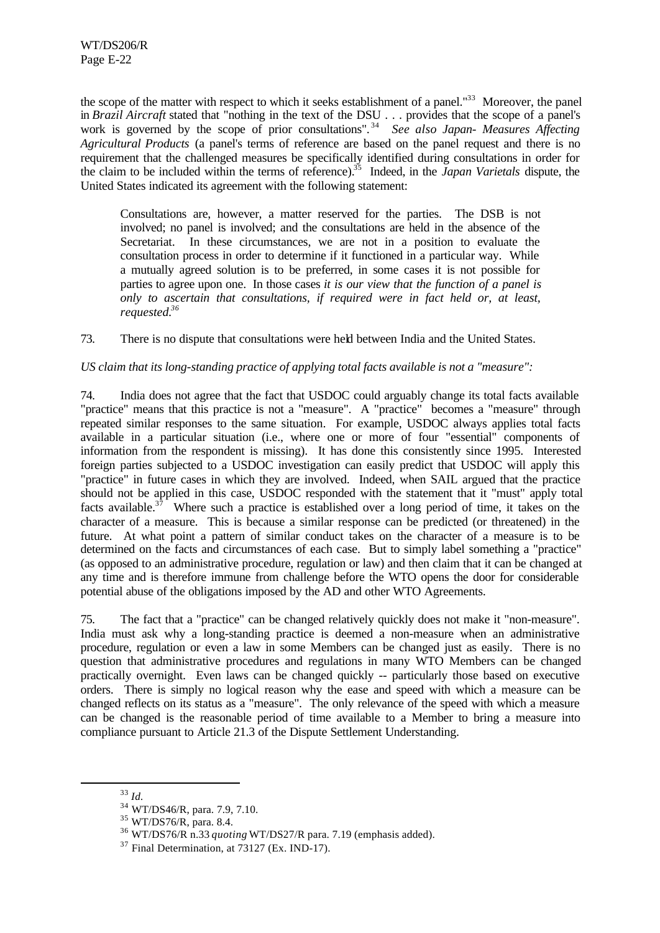the scope of the matter with respect to which it seeks establishment of a panel."<sup>33</sup> Moreover, the panel in *Brazil Aircraft* stated that "nothing in the text of the DSU . . . provides that the scope of a panel's work is governed by the scope of prior consultations". <sup>34</sup> *See also Japan- Measures Affecting Agricultural Products* (a panel's terms of reference are based on the panel request and there is no requirement that the challenged measures be specifically identified during consultations in order for the claim to be included within the terms of reference).<sup>35</sup> Indeed, in the *Japan Varietals* dispute, the United States indicated its agreement with the following statement:

Consultations are, however, a matter reserved for the parties. The DSB is not involved; no panel is involved; and the consultations are held in the absence of the Secretariat. In these circumstances, we are not in a position to evaluate the consultation process in order to determine if it functioned in a particular way. While a mutually agreed solution is to be preferred, in some cases it is not possible for parties to agree upon one. In those cases *it is our view that the function of a panel is only to ascertain that consultations, if required were in fact held or, at least, requested.<sup>36</sup>*

73. There is no dispute that consultations were held between India and the United States.

# *US claim that its long-standing practice of applying total facts available is not a "measure":*

74. India does not agree that the fact that USDOC could arguably change its total facts available "practice" means that this practice is not a "measure". A "practice" becomes a "measure" through repeated similar responses to the same situation. For example, USDOC always applies total facts available in a particular situation (i.e., where one or more of four "essential" components of information from the respondent is missing). It has done this consistently since 1995. Interested foreign parties subjected to a USDOC investigation can easily predict that USDOC will apply this "practice" in future cases in which they are involved. Indeed, when SAIL argued that the practice should not be applied in this case, USDOC responded with the statement that it "must" apply total facts available.<sup>37</sup> Where such a practice is established over a long period of time, it takes on the character of a measure. This is because a similar response can be predicted (or threatened) in the future. At what point a pattern of similar conduct takes on the character of a measure is to be determined on the facts and circumstances of each case. But to simply label something a "practice" (as opposed to an administrative procedure, regulation or law) and then claim that it can be changed at any time and is therefore immune from challenge before the WTO opens the door for considerable potential abuse of the obligations imposed by the AD and other WTO Agreements.

75. The fact that a "practice" can be changed relatively quickly does not make it "non-measure". India must ask why a long-standing practice is deemed a non-measure when an administrative procedure, regulation or even a law in some Members can be changed just as easily. There is no question that administrative procedures and regulations in many WTO Members can be changed practically overnight. Even laws can be changed quickly -- particularly those based on executive orders. There is simply no logical reason why the ease and speed with which a measure can be changed reflects on its status as a "measure". The only relevance of the speed with which a measure can be changed is the reasonable period of time available to a Member to bring a measure into compliance pursuant to Article 21.3 of the Dispute Settlement Understanding.

<sup>33</sup> *Id.*

<sup>34</sup> WT/DS46/R, para. 7.9, 7.10.

<sup>35</sup> WT/DS76/R, para. 8.4.

<sup>36</sup> WT/DS76/R n.33 *quoting* WT/DS27/R para. 7.19 (emphasis added).

 $37$  Final Determination, at 73127 (Ex. IND-17).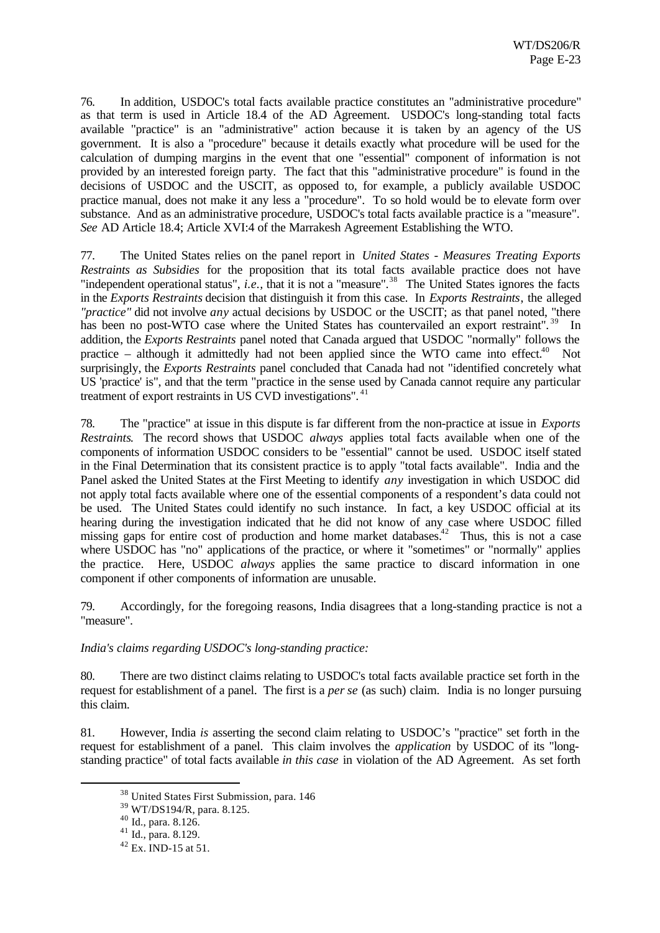76. In addition, USDOC's total facts available practice constitutes an "administrative procedure" as that term is used in Article 18.4 of the AD Agreement. USDOC's long-standing total facts available "practice" is an "administrative" action because it is taken by an agency of the US government. It is also a "procedure" because it details exactly what procedure will be used for the calculation of dumping margins in the event that one "essential" component of information is not provided by an interested foreign party. The fact that this "administrative procedure" is found in the decisions of USDOC and the USCIT, as opposed to, for example, a publicly available USDOC practice manual, does not make it any less a "procedure". To so hold would be to elevate form over substance. And as an administrative procedure, USDOC's total facts available practice is a "measure". *See* AD Article 18.4; Article XVI:4 of the Marrakesh Agreement Establishing the WTO.

77. The United States relies on the panel report in *United States - Measures Treating Exports Restraints as Subsidies* for the proposition that its total facts available practice does not have "independent operational status", *i.e.,* that it is not a "measure".<sup>38</sup> The United States ignores the facts in the *Exports Restraints* decision that distinguish it from this case. In *Exports Restraints*, the alleged *"practice"* did not involve *any* actual decisions by USDOC or the USCIT; as that panel noted, "there has been no post-WTO case where the United States has countervailed an export restraint".<sup>39</sup> In addition, the *Exports Restraints* panel noted that Canada argued that USDOC "normally" follows the practice – although it admittedly had not been applied since the WTO came into effect.<sup>40</sup> Not surprisingly, the *Exports Restraints* panel concluded that Canada had not "identified concretely what US 'practice' is", and that the term "practice in the sense used by Canada cannot require any particular treatment of export restraints in US CVD investigations".<sup>41</sup>

78. The "practice" at issue in this dispute is far different from the non-practice at issue in *Exports Restraints*. The record shows that USDOC *always* applies total facts available when one of the components of information USDOC considers to be "essential" cannot be used. USDOC itself stated in the Final Determination that its consistent practice is to apply "total facts available". India and the Panel asked the United States at the First Meeting to identify *any* investigation in which USDOC did not apply total facts available where one of the essential components of a respondent's data could not be used. The United States could identify no such instance. In fact, a key USDOC official at its hearing during the investigation indicated that he did not know of any case where USDOC filled missing gaps for entire cost of production and home market databases.<sup>42</sup> Thus, this is not a case where USDOC has "no" applications of the practice, or where it "sometimes" or "normally" applies the practice. Here, USDOC *always* applies the same practice to discard information in one component if other components of information are unusable.

79. Accordingly, for the foregoing reasons, India disagrees that a long-standing practice is not a "measure".

#### *India's claims regarding USDOC's long-standing practice:*

80. There are two distinct claims relating to USDOC's total facts available practice set forth in the request for establishment of a panel. The first is a *per se* (as such) claim. India is no longer pursuing this claim.

81. However, India *is* asserting the second claim relating to USDOC's "practice" set forth in the request for establishment of a panel. This claim involves the *application* by USDOC of its "longstanding practice" of total facts available *in this case* in violation of the AD Agreement. As set forth

<sup>38</sup> United States First Submission, para. 146

<sup>39</sup> WT/DS194/R, para. 8.125.

<sup>40</sup> Id., para. 8.126.

<sup>&</sup>lt;sup>41</sup> Id., para. 8.129.

 $42$  Ex. IND-15 at 51.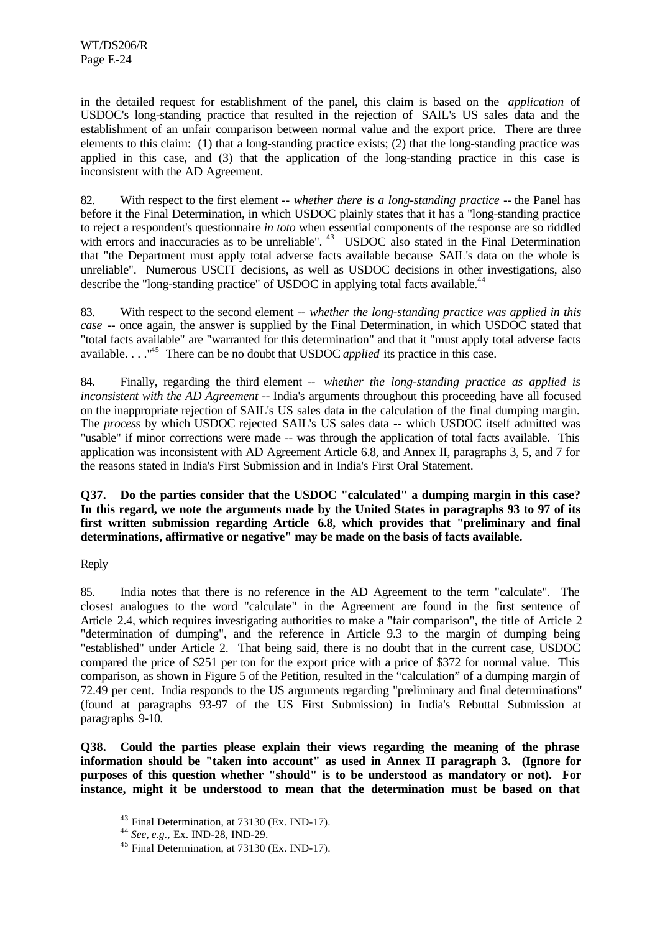in the detailed request for establishment of the panel, this claim is based on the *application* of USDOC's long-standing practice that resulted in the rejection of SAIL's US sales data and the establishment of an unfair comparison between normal value and the export price. There are three elements to this claim: (1) that a long-standing practice exists; (2) that the long-standing practice was applied in this case, and (3) that the application of the long-standing practice in this case is inconsistent with the AD Agreement.

82. With respect to the first element -- *whether there is a long-standing practice --* the Panel has before it the Final Determination, in which USDOC plainly states that it has a "long-standing practice to reject a respondent's questionnaire *in toto* when essential components of the response are so riddled with errors and inaccuracies as to be unreliable".<sup>43</sup> USDOC also stated in the Final Determination that "the Department must apply total adverse facts available because SAIL's data on the whole is unreliable". Numerous USCIT decisions, as well as USDOC decisions in other investigations, also describe the "long-standing practice" of USDOC in applying total facts available.<sup>44</sup>

83. With respect to the second element -- *whether the long-standing practice was applied in this case* -- once again, the answer is supplied by the Final Determination, in which USDOC stated that "total facts available" are "warranted for this determination" and that it "must apply total adverse facts available. . . ."<sup>45</sup> There can be no doubt that USDOC *applied* its practice in this case.

84. Finally, regarding the third element -- *whether the long-standing practice as applied is inconsistent with the AD Agreement --* India's arguments throughout this proceeding have all focused on the inappropriate rejection of SAIL's US sales data in the calculation of the final dumping margin. The *process* by which USDOC rejected SAIL's US sales data -- which USDOC itself admitted was "usable" if minor corrections were made -- was through the application of total facts available. This application was inconsistent with AD Agreement Article 6.8, and Annex II, paragraphs 3, 5, and 7 for the reasons stated in India's First Submission and in India's First Oral Statement.

**Q37. Do the parties consider that the USDOC "calculated" a dumping margin in this case? In this regard, we note the arguments made by the United States in paragraphs 93 to 97 of its first written submission regarding Article 6.8, which provides that "preliminary and final determinations, affirmative or negative" may be made on the basis of facts available.**

# Reply

l

85. India notes that there is no reference in the AD Agreement to the term "calculate". The closest analogues to the word "calculate" in the Agreement are found in the first sentence of Article 2.4, which requires investigating authorities to make a "fair comparison", the title of Article 2 "determination of dumping", and the reference in Article 9.3 to the margin of dumping being "established" under Article 2. That being said, there is no doubt that in the current case, USDOC compared the price of \$251 per ton for the export price with a price of \$372 for normal value. This comparison, as shown in Figure 5 of the Petition, resulted in the "calculation" of a dumping margin of 72.49 per cent. India responds to the US arguments regarding "preliminary and final determinations" (found at paragraphs 93-97 of the US First Submission) in India's Rebuttal Submission at paragraphs 9-10.

**Q38. Could the parties please explain their views regarding the meaning of the phrase information should be "taken into account" as used in Annex II paragraph 3. (Ignore for purposes of this question whether "should" is to be understood as mandatory or not). For instance, might it be understood to mean that the determination must be based on that**

<sup>43</sup> Final Determination, at 73130 (Ex. IND-17).

<sup>44</sup> *See, e.g.,* Ex. IND-28, IND-29.

<sup>45</sup> Final Determination, at 73130 (Ex. IND-17).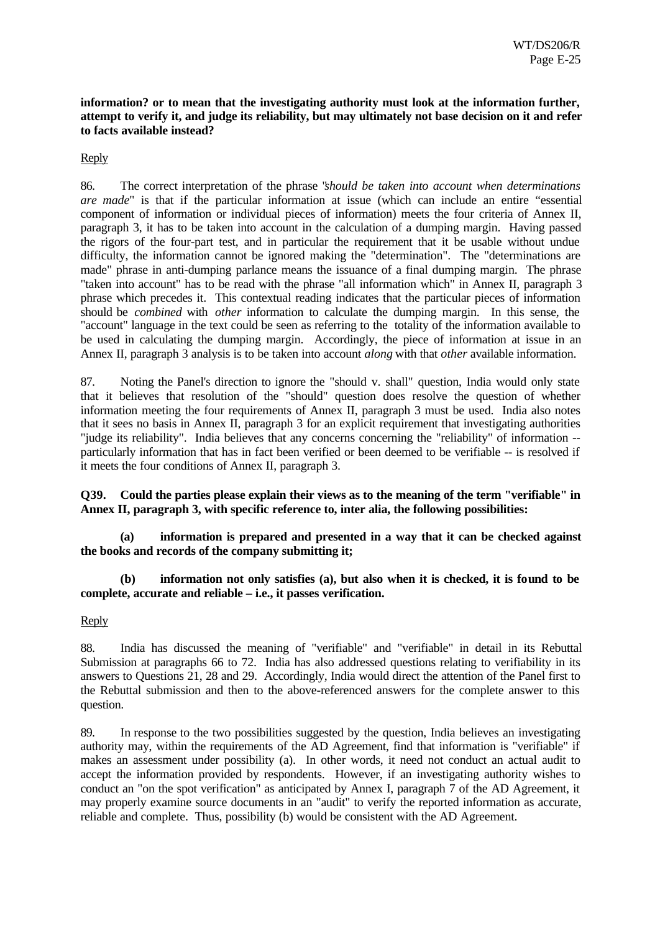#### **information? or to mean that the investigating authority must look at the information further, attempt to verify it, and judge its reliability, but may ultimately not base decision on it and refer to facts available instead?**

#### Reply

86. The correct interpretation of the phrase "*should be taken into account when determinations are made*" is that if the particular information at issue (which can include an entire "essential component of information or individual pieces of information) meets the four criteria of Annex II, paragraph 3, it has to be taken into account in the calculation of a dumping margin. Having passed the rigors of the four-part test, and in particular the requirement that it be usable without undue difficulty, the information cannot be ignored making the "determination". The "determinations are made" phrase in anti-dumping parlance means the issuance of a final dumping margin. The phrase "taken into account" has to be read with the phrase "all information which" in Annex II, paragraph 3 phrase which precedes it. This contextual reading indicates that the particular pieces of information should be *combined* with *other* information to calculate the dumping margin. In this sense, the "account" language in the text could be seen as referring to the totality of the information available to be used in calculating the dumping margin. Accordingly, the piece of information at issue in an Annex II, paragraph 3 analysis is to be taken into account *along* with that *other* available information.

87. Noting the Panel's direction to ignore the "should v. shall" question, India would only state that it believes that resolution of the "should" question does resolve the question of whether information meeting the four requirements of Annex II, paragraph 3 must be used. India also notes that it sees no basis in Annex II, paragraph 3 for an explicit requirement that investigating authorities "judge its reliability". India believes that any concerns concerning the "reliability" of information - particularly information that has in fact been verified or been deemed to be verifiable -- is resolved if it meets the four conditions of Annex II, paragraph 3.

**Q39. Could the parties please explain their views as to the meaning of the term "verifiable" in Annex II, paragraph 3, with specific reference to, inter alia, the following possibilities:**

**(a) information is prepared and presented in a way that it can be checked against the books and records of the company submitting it;**

**(b) information not only satisfies (a), but also when it is checked, it is found to be complete, accurate and reliable – i.e., it passes verification.**

#### Reply

88. India has discussed the meaning of "verifiable" and "verifiable" in detail in its Rebuttal Submission at paragraphs 66 to 72. India has also addressed questions relating to verifiability in its answers to Questions 21, 28 and 29. Accordingly, India would direct the attention of the Panel first to the Rebuttal submission and then to the above-referenced answers for the complete answer to this question.

89. In response to the two possibilities suggested by the question, India believes an investigating authority may, within the requirements of the AD Agreement, find that information is "verifiable" if makes an assessment under possibility (a). In other words, it need not conduct an actual audit to accept the information provided by respondents. However, if an investigating authority wishes to conduct an "on the spot verification" as anticipated by Annex I, paragraph 7 of the AD Agreement, it may properly examine source documents in an "audit" to verify the reported information as accurate, reliable and complete. Thus, possibility (b) would be consistent with the AD Agreement.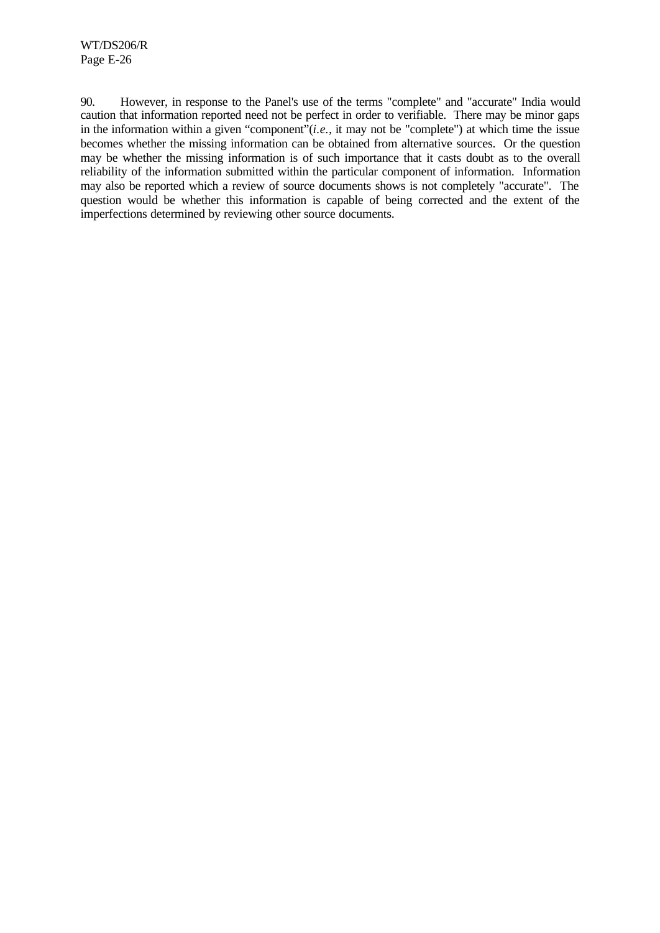90. However, in response to the Panel's use of the terms "complete" and "accurate" India would caution that information reported need not be perfect in order to verifiable. There may be minor gaps in the information within a given "component"(*i.e.,* it may not be "complete") at which time the issue becomes whether the missing information can be obtained from alternative sources. Or the question may be whether the missing information is of such importance that it casts doubt as to the overall reliability of the information submitted within the particular component of information. Information may also be reported which a review of source documents shows is not completely "accurate". The question would be whether this information is capable of being corrected and the extent of the imperfections determined by reviewing other source documents.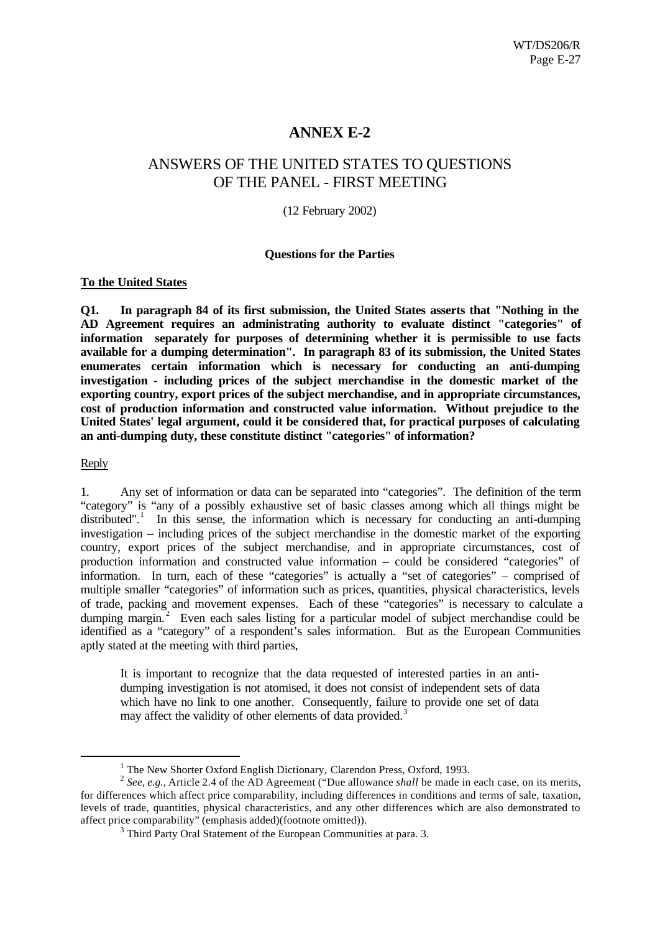# **ANNEX E-2**

# ANSWERS OF THE UNITED STATES TO QUESTIONS OF THE PANEL - FIRST MEETING

#### (12 February 2002)

#### **Questions for the Parties**

#### **To the United States**

**Q1. In paragraph 84 of its first submission, the United States asserts that "Nothing in the AD Agreement requires an administrating authority to evaluate distinct "categories" of information separately for purposes of determining whether it is permissible to use facts available for a dumping determination". In paragraph 83 of its submission, the United States enumerates certain information which is necessary for conducting an anti-dumping investigation - including prices of the subject merchandise in the domestic market of the exporting country, export prices of the subject merchandise, and in appropriate circumstances, cost of production information and constructed value information. Without prejudice to the United States' legal argument, could it be considered that, for practical purposes of calculating an anti-dumping duty, these constitute distinct "categories" of information?**

#### Reply

l

1. Any set of information or data can be separated into "categories". The definition of the term "category" is "any of a possibly exhaustive set of basic classes among which all things might be distributed".<sup>1</sup> In this sense, the information which is necessary for conducting an anti-dumping investigation – including prices of the subject merchandise in the domestic market of the exporting country, export prices of the subject merchandise, and in appropriate circumstances, cost of production information and constructed value information – could be considered "categories" of information. In turn, each of these "categories" is actually a "set of categories" – comprised of multiple smaller "categories" of information such as prices, quantities, physical characteristics, levels of trade, packing and movement expenses. Each of these "categories" is necessary to calculate a dumping margin.<sup>2</sup> Even each sales listing for a particular model of subject merchandise could be identified as a "category" of a respondent's sales information. But as the European Communities aptly stated at the meeting with third parties,

It is important to recognize that the data requested of interested parties in an antidumping investigation is not atomised, it does not consist of independent sets of data which have no link to one another. Consequently, failure to provide one set of data may affect the validity of other elements of data provided.<sup>3</sup>

<sup>&</sup>lt;sup>1</sup> The New Shorter Oxford English Dictionary, Clarendon Press, Oxford, 1993.

<sup>&</sup>lt;sup>2</sup> See, e.g., Article 2.4 of the AD Agreement ("Due allowance *shall* be made in each case, on its merits, for differences which affect price comparability, including differences in conditions and terms of sale, taxation, levels of trade, quantities, physical characteristics, and any other differences which are also demonstrated to affect price comparability" (emphasis added)(footnote omitted)).

<sup>&</sup>lt;sup>3</sup> Third Party Oral Statement of the European Communities at para. 3.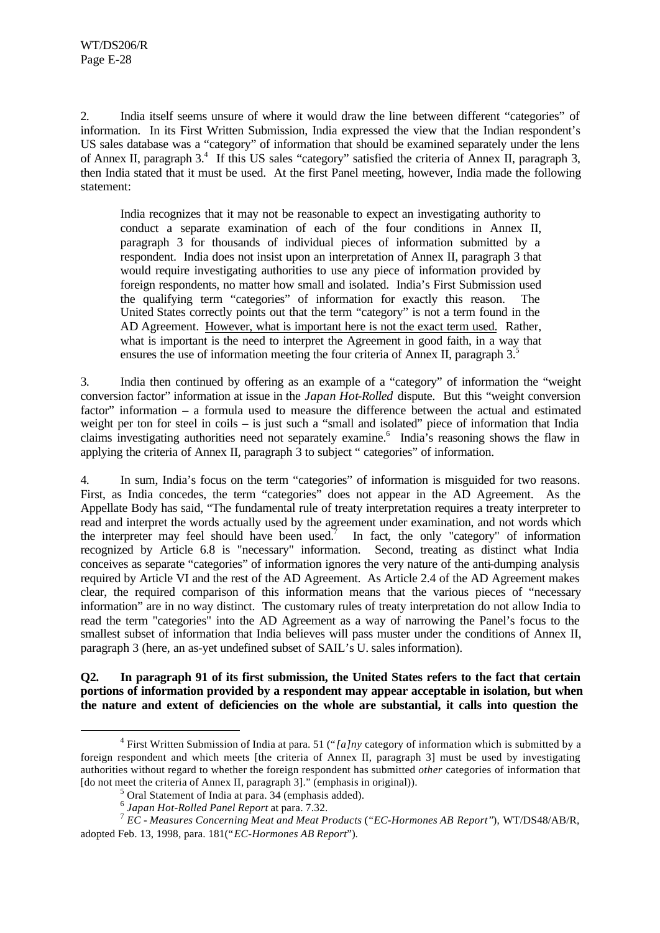2. India itself seems unsure of where it would draw the line between different "categories" of information. In its First Written Submission, India expressed the view that the Indian respondent's US sales database was a "category" of information that should be examined separately under the lens of Annex II, paragraph 3.<sup>4</sup> If this US sales "category" satisfied the criteria of Annex II, paragraph 3, then India stated that it must be used. At the first Panel meeting, however, India made the following statement:

India recognizes that it may not be reasonable to expect an investigating authority to conduct a separate examination of each of the four conditions in Annex II, paragraph 3 for thousands of individual pieces of information submitted by a respondent. India does not insist upon an interpretation of Annex II, paragraph 3 that would require investigating authorities to use any piece of information provided by foreign respondents, no matter how small and isolated. India's First Submission used the qualifying term "categories" of information for exactly this reason. The United States correctly points out that the term "category" is not a term found in the AD Agreement. However, what is important here is not the exact term used. Rather, what is important is the need to interpret the Agreement in good faith, in a way that ensures the use of information meeting the four criteria of Annex II, paragraph 3.<sup>5</sup>

3. India then continued by offering as an example of a "category" of information the "weight conversion factor" information at issue in the *Japan Hot-Rolled* dispute. But this "weight conversion factor" information – a formula used to measure the difference between the actual and estimated weight per ton for steel in coils – is just such a "small and isolated" piece of information that India claims investigating authorities need not separately examine.<sup>6</sup> India's reasoning shows the flaw in applying the criteria of Annex II, paragraph 3 to subject " categories" of information.

4. In sum, India's focus on the term "categories" of information is misguided for two reasons. First, as India concedes, the term "categories" does not appear in the AD Agreement. As the Appellate Body has said, "The fundamental rule of treaty interpretation requires a treaty interpreter to read and interpret the words actually used by the agreement under examination, and not words which the interpreter may feel should have been used.<sup>7</sup> In fact, the only "category" of information recognized by Article 6.8 is "necessary" information. Second, treating as distinct what India conceives as separate "categories" of information ignores the very nature of the anti-dumping analysis required by Article VI and the rest of the AD Agreement. As Article 2.4 of the AD Agreement makes clear, the required comparison of this information means that the various pieces of "necessary information" are in no way distinct. The customary rules of treaty interpretation do not allow India to read the term "categories" into the AD Agreement as a way of narrowing the Panel's focus to the smallest subset of information that India believes will pass muster under the conditions of Annex II, paragraph 3 (here, an as-yet undefined subset of SAIL's U. sales information).

**Q2. In paragraph 91 of its first submission, the United States refers to the fact that certain portions of information provided by a respondent may appear acceptable in isolation, but when the nature and extent of deficiencies on the whole are substantial, it calls into question the**

<sup>4</sup> First Written Submission of India at para. 51 ("*[a]ny* category of information which is submitted by a foreign respondent and which meets [the criteria of Annex II, paragraph 3] must be used by investigating authorities without regard to whether the foreign respondent has submitted *other* categories of information that [do not meet the criteria of Annex II, paragraph 3]." (emphasis in original)).

<sup>5</sup> Oral Statement of India at para. 34 (emphasis added).

<sup>6</sup> *Japan Hot-Rolled Panel Report* at para. 7.32.

<sup>7</sup> *EC - Measures Concerning Meat and Meat Products* (*"EC-Hormones AB Report"*), WT/DS48/AB/R, adopted Feb. 13, 1998, para. 181("*EC-Hormones AB Report*").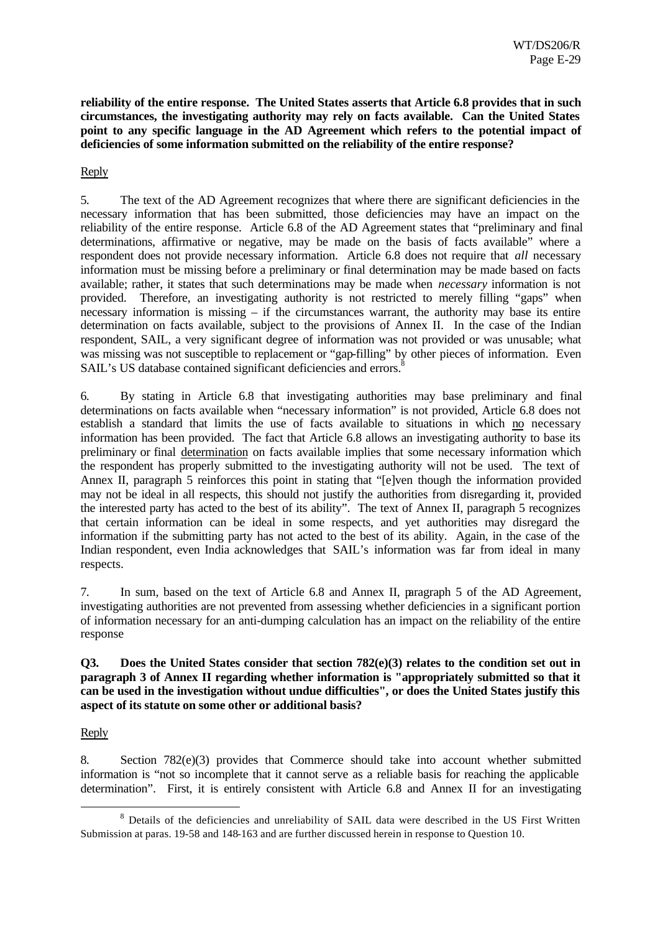**reliability of the entire response. The United States asserts that Article 6.8 provides that in such circumstances, the investigating authority may rely on facts available. Can the United States point to any specific language in the AD Agreement which refers to the potential impact of deficiencies of some information submitted on the reliability of the entire response?**

Reply

5. The text of the AD Agreement recognizes that where there are significant deficiencies in the necessary information that has been submitted, those deficiencies may have an impact on the reliability of the entire response. Article 6.8 of the AD Agreement states that "preliminary and final determinations, affirmative or negative, may be made on the basis of facts available" where a respondent does not provide necessary information. Article 6.8 does not require that *all* necessary information must be missing before a preliminary or final determination may be made based on facts available; rather, it states that such determinations may be made when *necessary* information is not provided. Therefore, an investigating authority is not restricted to merely filling "gaps" when necessary information is missing – if the circumstances warrant, the authority may base its entire determination on facts available, subject to the provisions of Annex II. In the case of the Indian respondent, SAIL, a very significant degree of information was not provided or was unusable; what was missing was not susceptible to replacement or "gap-filling" by other pieces of information. Even SAIL's US database contained significant deficiencies and errors.<sup>8</sup>

6. By stating in Article 6.8 that investigating authorities may base preliminary and final determinations on facts available when "necessary information" is not provided, Article 6.8 does not establish a standard that limits the use of facts available to situations in which no necessary information has been provided. The fact that Article 6.8 allows an investigating authority to base its preliminary or final determination on facts available implies that some necessary information which the respondent has properly submitted to the investigating authority will not be used. The text of Annex II, paragraph 5 reinforces this point in stating that "[e]ven though the information provided may not be ideal in all respects, this should not justify the authorities from disregarding it, provided the interested party has acted to the best of its ability". The text of Annex II, paragraph 5 recognizes that certain information can be ideal in some respects, and yet authorities may disregard the information if the submitting party has not acted to the best of its ability. Again, in the case of the Indian respondent, even India acknowledges that SAIL's information was far from ideal in many respects.

7. In sum, based on the text of Article 6.8 and Annex II, paragraph 5 of the AD Agreement, investigating authorities are not prevented from assessing whether deficiencies in a significant portion of information necessary for an anti-dumping calculation has an impact on the reliability of the entire response

#### **Q3. Does the United States consider that section 782(e)(3) relates to the condition set out in paragraph 3 of Annex II regarding whether information is "appropriately submitted so that it can be used in the investigation without undue difficulties", or does the United States justify this aspect of its statute on some other or additional basis?**

# Reply

l

8. Section 782(e)(3) provides that Commerce should take into account whether submitted information is "not so incomplete that it cannot serve as a reliable basis for reaching the applicable determination". First, it is entirely consistent with Article 6.8 and Annex II for an investigating

<sup>&</sup>lt;sup>8</sup> Details of the deficiencies and unreliability of SAIL data were described in the US First Written Submission at paras. 19-58 and 148-163 and are further discussed herein in response to Question 10.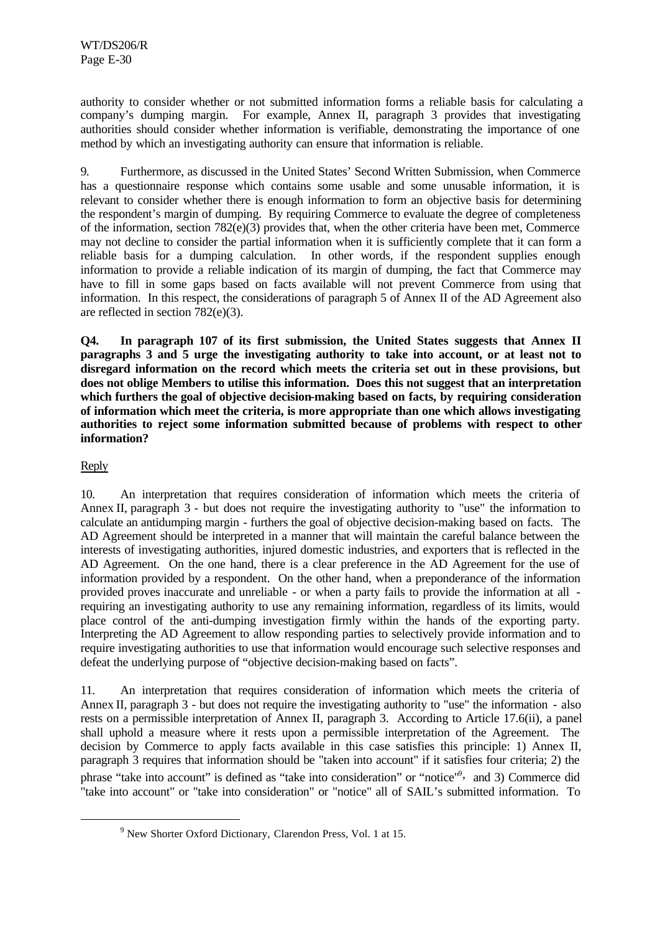authority to consider whether or not submitted information forms a reliable basis for calculating a company's dumping margin. For example, Annex II, paragraph 3 provides that investigating authorities should consider whether information is verifiable, demonstrating the importance of one method by which an investigating authority can ensure that information is reliable.

9. Furthermore, as discussed in the United States' Second Written Submission, when Commerce has a questionnaire response which contains some usable and some unusable information, it is relevant to consider whether there is enough information to form an objective basis for determining the respondent's margin of dumping. By requiring Commerce to evaluate the degree of completeness of the information, section 782(e)(3) provides that, when the other criteria have been met, Commerce may not decline to consider the partial information when it is sufficiently complete that it can form a reliable basis for a dumping calculation. In other words, if the respondent supplies enough information to provide a reliable indication of its margin of dumping, the fact that Commerce may have to fill in some gaps based on facts available will not prevent Commerce from using that information. In this respect, the considerations of paragraph 5 of Annex II of the AD Agreement also are reflected in section 782(e)(3).

**Q4. In paragraph 107 of its first submission, the United States suggests that Annex II paragraphs 3 and 5 urge the investigating authority to take into account, or at least not to disregard information on the record which meets the criteria set out in these provisions, but does not oblige Members to utilise this information. Does this not suggest that an interpretation which furthers the goal of objective decision-making based on facts, by requiring consideration of information which meet the criteria, is more appropriate than one which allows investigating authorities to reject some information submitted because of problems with respect to other information?**

# **Reply**

l

10. An interpretation that requires consideration of information which meets the criteria of Annex II, paragraph 3 - but does not require the investigating authority to "use" the information to calculate an antidumping margin - furthers the goal of objective decision-making based on facts. The AD Agreement should be interpreted in a manner that will maintain the careful balance between the interests of investigating authorities, injured domestic industries, and exporters that is reflected in the AD Agreement. On the one hand, there is a clear preference in the AD Agreement for the use of information provided by a respondent. On the other hand, when a preponderance of the information provided proves inaccurate and unreliable - or when a party fails to provide the information at all requiring an investigating authority to use any remaining information, regardless of its limits, would place control of the anti-dumping investigation firmly within the hands of the exporting party. Interpreting the AD Agreement to allow responding parties to selectively provide information and to require investigating authorities to use that information would encourage such selective responses and defeat the underlying purpose of "objective decision-making based on facts".

11. An interpretation that requires consideration of information which meets the criteria of Annex II, paragraph 3 - but does not require the investigating authority to "use" the information - also rests on a permissible interpretation of Annex II, paragraph 3. According to Article 17.6(ii), a panel shall uphold a measure where it rests upon a permissible interpretation of the Agreement. The decision by Commerce to apply facts available in this case satisfies this principle: 1) Annex II, paragraph 3 requires that information should be "taken into account" if it satisfies four criteria; 2) the phrase "take into account" is defined as "take into consideration" or "notice"<sup>9</sup>, and 3) Commerce did "take into account" or "take into consideration" or "notice" all of SAIL's submitted information. To

<sup>9</sup> New Shorter Oxford Dictionary, Clarendon Press, Vol. 1 at 15.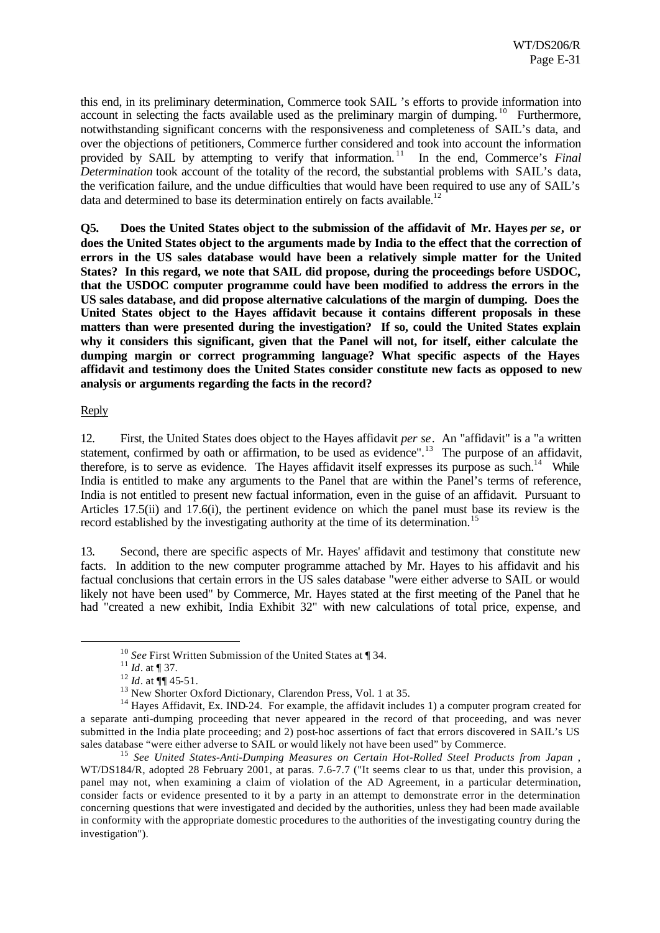this end, in its preliminary determination, Commerce took SAIL 's efforts to provide information into account in selecting the facts available used as the preliminary margin of dumping.<sup>10</sup> Furthermore, notwithstanding significant concerns with the responsiveness and completeness of SAIL's data, and over the objections of petitioners, Commerce further considered and took into account the information provided by SAIL by attempting to verify that information.<sup>11</sup> In the end, Commerce's *Final Determination* took account of the totality of the record, the substantial problems with SAIL's data, the verification failure, and the undue difficulties that would have been required to use any of SAIL's data and determined to base its determination entirely on facts available.<sup>12</sup>

**Q5. Does the United States object to the submission of the affidavit of Mr. Hayes** *per se***, or does the United States object to the arguments made by India to the effect that the correction of errors in the US sales database would have been a relatively simple matter for the United States? In this regard, we note that SAIL did propose, during the proceedings before USDOC, that the USDOC computer programme could have been modified to address the errors in the US sales database, and did propose alternative calculations of the margin of dumping. Does the United States object to the Hayes affidavit because it contains different proposals in these matters than were presented during the investigation? If so, could the United States explain why it considers this significant, given that the Panel will not, for itself, either calculate the dumping margin or correct programming language? What specific aspects of the Hayes affidavit and testimony does the United States consider constitute new facts as opposed to new analysis or arguments regarding the facts in the record?**

#### Reply

l

12. First, the United States does object to the Hayes affidavit *per se*. An "affidavit" is a "a written statement, confirmed by oath or affirmation, to be used as evidence".<sup>13</sup> The purpose of an affidavit, therefore, is to serve as evidence. The Hayes affidavit itself expresses its purpose as such.<sup>14</sup> While India is entitled to make any arguments to the Panel that are within the Panel's terms of reference, India is not entitled to present new factual information, even in the guise of an affidavit. Pursuant to Articles 17.5(ii) and 17.6(i), the pertinent evidence on which the panel must base its review is the record established by the investigating authority at the time of its determination.<sup>15</sup>

13. Second, there are specific aspects of Mr. Hayes' affidavit and testimony that constitute new facts. In addition to the new computer programme attached by Mr. Hayes to his affidavit and his factual conclusions that certain errors in the US sales database "were either adverse to SAIL or would likely not have been used" by Commerce, Mr. Hayes stated at the first meeting of the Panel that he had "created a new exhibit, India Exhibit 32" with new calculations of total price, expense, and

<sup>10</sup> *See* First Written Submission of the United States at ¶ 34.

<sup>11</sup> *Id*. at ¶ 37.

<sup>12</sup> *Id*. at ¶¶ 45-51.

<sup>&</sup>lt;sup>13</sup> New Shorter Oxford Dictionary, Clarendon Press, Vol. 1 at 35.

<sup>&</sup>lt;sup>14</sup> Hayes Affidavit, Ex. IND-24. For example, the affidavit includes 1) a computer program created for a separate anti-dumping proceeding that never appeared in the record of that proceeding, and was never submitted in the India plate proceeding; and 2) post-hoc assertions of fact that errors discovered in SAIL's US sales database "were either adverse to SAIL or would likely not have been used" by Commerce.

<sup>15</sup> *See United States-Anti-Dumping Measures on Certain Hot-Rolled Steel Products from Japan* , WT/DS184/R, adopted 28 February 2001, at paras. 7.6-7.7 ("It seems clear to us that, under this provision, a panel may not, when examining a claim of violation of the AD Agreement, in a particular determination, consider facts or evidence presented to it by a party in an attempt to demonstrate error in the determination concerning questions that were investigated and decided by the authorities, unless they had been made available in conformity with the appropriate domestic procedures to the authorities of the investigating country during the investigation").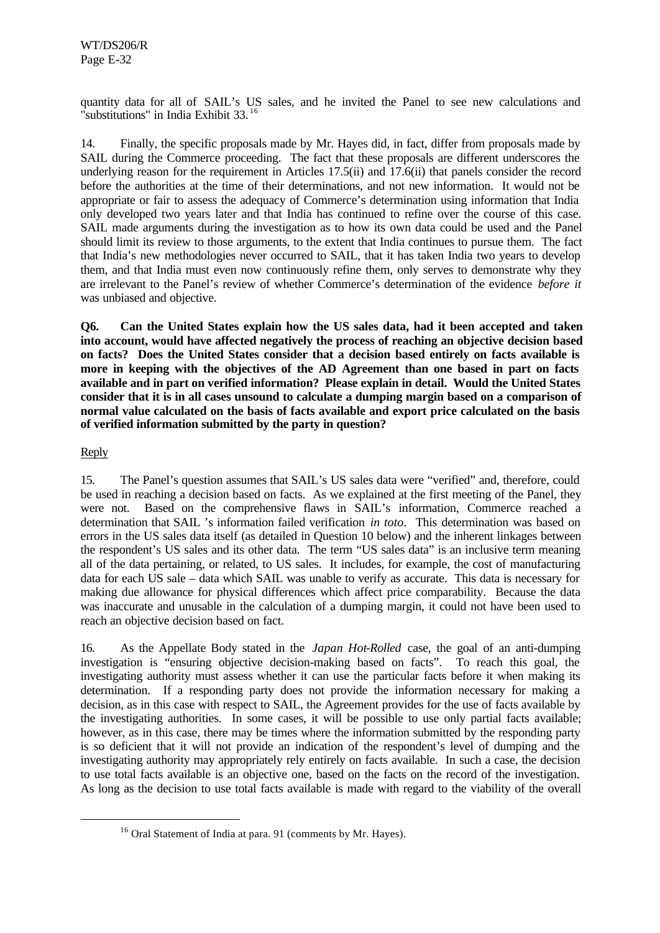quantity data for all of SAIL's US sales, and he invited the Panel to see new calculations and "substitutions" in India Exhibit 33.<sup>16</sup>

14. Finally, the specific proposals made by Mr. Hayes did, in fact, differ from proposals made by SAIL during the Commerce proceeding. The fact that these proposals are different underscores the underlying reason for the requirement in Articles 17.5(ii) and 17.6(ii) that panels consider the record before the authorities at the time of their determinations, and not new information. It would not be appropriate or fair to assess the adequacy of Commerce's determination using information that India only developed two years later and that India has continued to refine over the course of this case. SAIL made arguments during the investigation as to how its own data could be used and the Panel should limit its review to those arguments, to the extent that India continues to pursue them. The fact that India's new methodologies never occurred to SAIL, that it has taken India two years to develop them, and that India must even now continuously refine them, only serves to demonstrate why they are irrelevant to the Panel's review of whether Commerce's determination of the evidence *before it* was unbiased and objective.

**Q6. Can the United States explain how the US sales data, had it been accepted and taken into account, would have affected negatively the process of reaching an objective decision based on facts? Does the United States consider that a decision based entirely on facts available is more in keeping with the objectives of the AD Agreement than one based in part on facts available and in part on verified information? Please explain in detail. Would the United States consider that it is in all cases unsound to calculate a dumping margin based on a comparison of normal value calculated on the basis of facts available and export price calculated on the basis of verified information submitted by the party in question?**

# Reply

l

15. The Panel's question assumes that SAIL's US sales data were "verified" and, therefore, could be used in reaching a decision based on facts. As we explained at the first meeting of the Panel, they were not. Based on the comprehensive flaws in SAIL's information, Commerce reached a determination that SAIL 's information failed verification *in toto*. This determination was based on errors in the US sales data itself (as detailed in Question 10 below) and the inherent linkages between the respondent's US sales and its other data. The term "US sales data" is an inclusive term meaning all of the data pertaining, or related, to US sales. It includes, for example, the cost of manufacturing data for each US sale – data which SAIL was unable to verify as accurate. This data is necessary for making due allowance for physical differences which affect price comparability. Because the data was inaccurate and unusable in the calculation of a dumping margin, it could not have been used to reach an objective decision based on fact.

16. As the Appellate Body stated in the *Japan Hot-Rolled* case, the goal of an anti-dumping investigation is "ensuring objective decision-making based on facts". To reach this goal, the investigating authority must assess whether it can use the particular facts before it when making its determination. If a responding party does not provide the information necessary for making a decision, as in this case with respect to SAIL, the Agreement provides for the use of facts available by the investigating authorities. In some cases, it will be possible to use only partial facts available; however, as in this case, there may be times where the information submitted by the responding party is so deficient that it will not provide an indication of the respondent's level of dumping and the investigating authority may appropriately rely entirely on facts available. In such a case, the decision to use total facts available is an objective one, based on the facts on the record of the investigation. As long as the decision to use total facts available is made with regard to the viability of the overall

<sup>16</sup> Oral Statement of India at para. 91 (comments by Mr. Hayes).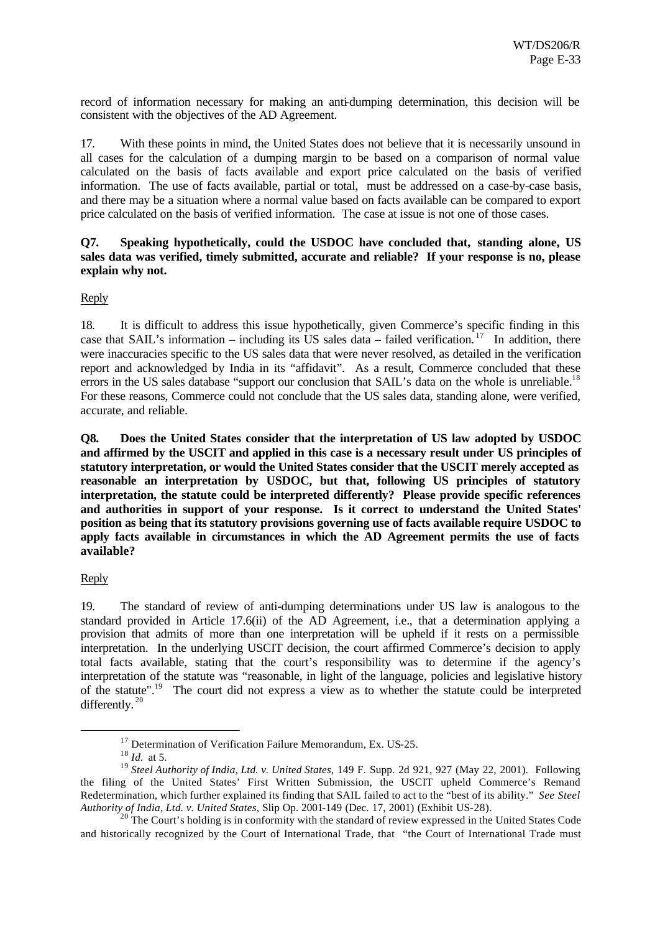record of information necessary for making an anti-dumping determination, this decision will be consistent with the objectives of the AD Agreement.

17. With these points in mind, the United States does not believe that it is necessarily unsound in all cases for the calculation of a dumping margin to be based on a comparison of normal value calculated on the basis of facts available and export price calculated on the basis of verified information. The use of facts available, partial or total, must be addressed on a case-by-case basis, and there may be a situation where a normal value based on facts available can be compared to export price calculated on the basis of verified information. The case at issue is not one of those cases.

#### **Q7. Speaking hypothetically, could the USDOC have concluded that, standing alone, US sales data was verified, timely submitted, accurate and reliable? If your response is no, please explain why not.**

# Reply

18. It is difficult to address this issue hypothetically, given Commerce's specific finding in this case that SAIL's information – including its US sales data – failed verification.<sup>17</sup> In addition, there were inaccuracies specific to the US sales data that were never resolved, as detailed in the verification report and acknowledged by India in its "affidavit". As a result, Commerce concluded that these errors in the US sales database "support our conclusion that SAIL's data on the whole is unreliable.<sup>18</sup> For these reasons, Commerce could not conclude that the US sales data, standing alone, were verified, accurate, and reliable.

**Q8. Does the United States consider that the interpretation of US law adopted by USDOC and affirmed by the USCIT and applied in this case is a necessary result under US principles of statutory interpretation, or would the United States consider that the USCIT merely accepted as reasonable an interpretation by USDOC, but that, following US principles of statutory interpretation, the statute could be interpreted differently? Please provide specific references and authorities in support of your response. Is it correct to understand the United States' position as being that its statutory provisions governing use of facts available require USDOC to apply facts available in circumstances in which the AD Agreement permits the use of facts available?**

#### Reply

l

19. The standard of review of anti-dumping determinations under US law is analogous to the standard provided in Article 17.6(ii) of the AD Agreement, i.e., that a determination applying a provision that admits of more than one interpretation will be upheld if it rests on a permissible interpretation. In the underlying USCIT decision, the court affirmed Commerce's decision to apply total facts available, stating that the court's responsibility was to determine if the agency's interpretation of the statute was "reasonable, in light of the language, policies and legislative history of the statute".<sup>19</sup> The court did not express a view as to whether the statute could be interpreted differently.<sup>20</sup>

<sup>&</sup>lt;sup>17</sup> Determination of Verification Failure Memorandum, Ex. US-25.

<sup>18</sup> *Id.* at 5.

<sup>19</sup> *Steel Authority of India, Ltd. v. United States*, 149 F. Supp. 2d 921, 927 (May 22, 2001). Following the filing of the United States' First Written Submission, the USCIT upheld Commerce's Remand Redetermination, which further explained its finding that SAIL failed to act to the "best of its ability." *See Steel Authority of India, Ltd. v. United States*, Slip Op. 2001-149 (Dec. 17, 2001) (Exhibit US-28).

 $^{20}$  The Court's holding is in conformity with the standard of review expressed in the United States Code and historically recognized by the Court of International Trade, that "the Court of International Trade must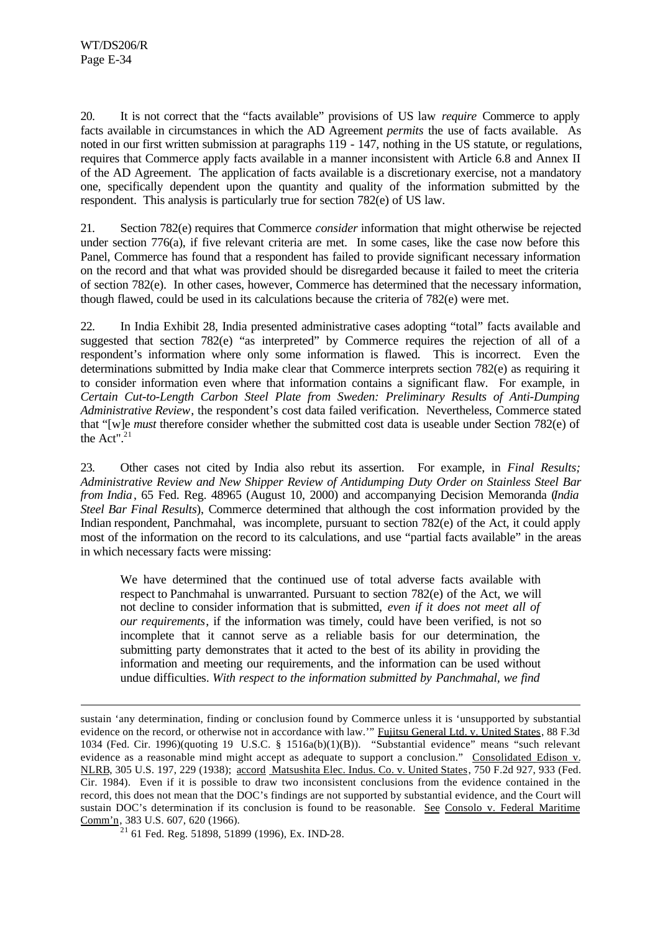l

20. It is not correct that the "facts available" provisions of US law *require* Commerce to apply facts available in circumstances in which the AD Agreement *permits* the use of facts available. As noted in our first written submission at paragraphs 119 - 147, nothing in the US statute, or regulations, requires that Commerce apply facts available in a manner inconsistent with Article 6.8 and Annex II of the AD Agreement. The application of facts available is a discretionary exercise, not a mandatory one, specifically dependent upon the quantity and quality of the information submitted by the respondent. This analysis is particularly true for section 782(e) of US law.

21. Section 782(e) requires that Commerce *consider* information that might otherwise be rejected under section 776(a), if five relevant criteria are met. In some cases, like the case now before this Panel, Commerce has found that a respondent has failed to provide significant necessary information on the record and that what was provided should be disregarded because it failed to meet the criteria of section 782(e). In other cases, however, Commerce has determined that the necessary information, though flawed, could be used in its calculations because the criteria of 782(e) were met.

22. In India Exhibit 28, India presented administrative cases adopting "total" facts available and suggested that section 782(e) "as interpreted" by Commerce requires the rejection of all of a respondent's information where only some information is flawed. This is incorrect. Even the determinations submitted by India make clear that Commerce interprets section 782(e) as requiring it to consider information even where that information contains a significant flaw. For example, in *Certain Cut-to-Length Carbon Steel Plate from Sweden: Preliminary Results of Anti-Dumping Administrative Review*, the respondent's cost data failed verification. Nevertheless, Commerce stated that "[w]e *must* therefore consider whether the submitted cost data is useable under Section 782(e) of the Act". $^{21}$ 

23. Other cases not cited by India also rebut its assertion. For example, in *Final Results; Administrative Review and New Shipper Review of Antidumping Duty Order on Stainless Steel Bar from India*, 65 Fed. Reg. 48965 (August 10, 2000) and accompanying Decision Memoranda (*India Steel Bar Final Results*), Commerce determined that although the cost information provided by the Indian respondent, Panchmahal, was incomplete, pursuant to section 782(e) of the Act, it could apply most of the information on the record to its calculations, and use "partial facts available" in the areas in which necessary facts were missing:

We have determined that the continued use of total adverse facts available with respect to Panchmahal is unwarranted. Pursuant to section 782(e) of the Act, we will not decline to consider information that is submitted, *even if it does not meet all of our requirements*, if the information was timely, could have been verified, is not so incomplete that it cannot serve as a reliable basis for our determination, the submitting party demonstrates that it acted to the best of its ability in providing the information and meeting our requirements, and the information can be used without undue difficulties. *With respect to the information submitted by Panchmahal, we find*

 $21$  61 Fed. Reg. 51898, 51899 (1996), Ex. IND-28.

sustain 'any determination, finding or conclusion found by Commerce unless it is 'unsupported by substantial evidence on the record, or otherwise not in accordance with law."" Fujitsu General Ltd. v. United States, 88 F.3d 1034 (Fed. Cir. 1996)(quoting 19 U.S.C. § 1516a(b)(1)(B)). "Substantial evidence" means "such relevant evidence as a reasonable mind might accept as adequate to support a conclusion." Consolidated Edison v. NLRB, 305 U.S. 197, 229 (1938); accord Matsushita Elec. Indus. Co. v. United States, 750 F.2d 927, 933 (Fed. Cir. 1984). Even if it is possible to draw two inconsistent conclusions from the evidence contained in the record, this does not mean that the DOC's findings are not supported by substantial evidence, and the Court will sustain DOC's determination if its conclusion is found to be reasonable. See Consolo v. Federal Maritime Comm'n, 383 U.S. 607, 620 (1966).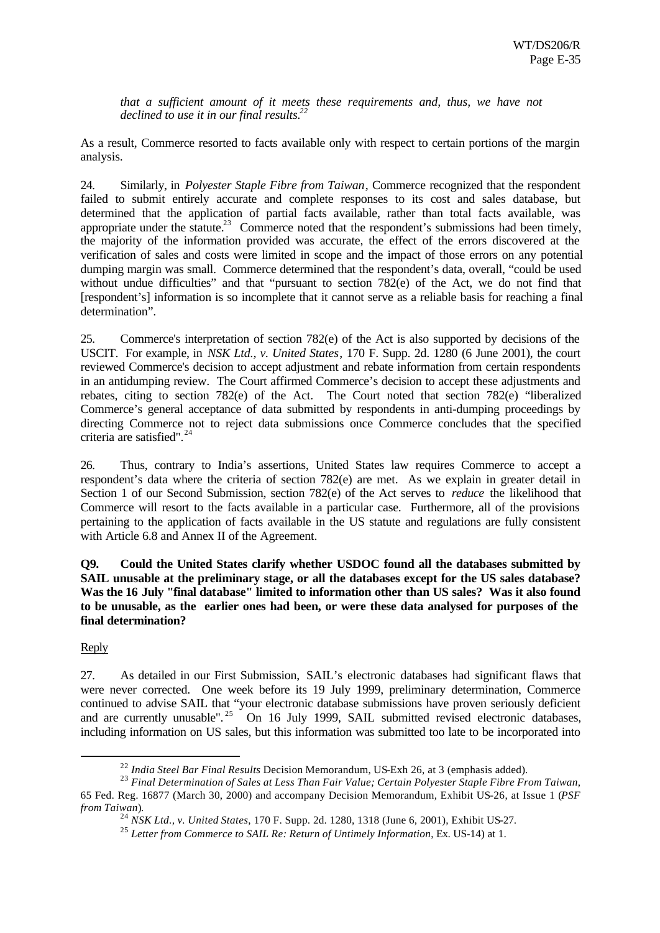*that a sufficient amount of it meets these requirements and, thus, we have not declined to use it in our final results.<sup>22</sup>*

As a result, Commerce resorted to facts available only with respect to certain portions of the margin analysis.

24. Similarly, in *Polyester Staple Fibre from Taiwan*, Commerce recognized that the respondent failed to submit entirely accurate and complete responses to its cost and sales database, but determined that the application of partial facts available, rather than total facts available, was appropriate under the statute.<sup>23</sup> Commerce noted that the respondent's submissions had been timely, the majority of the information provided was accurate, the effect of the errors discovered at the verification of sales and costs were limited in scope and the impact of those errors on any potential dumping margin was small. Commerce determined that the respondent's data, overall, "could be used without undue difficulties" and that "pursuant to section 782(e) of the Act, we do not find that [respondent's] information is so incomplete that it cannot serve as a reliable basis for reaching a final determination".

25. Commerce's interpretation of section 782(e) of the Act is also supported by decisions of the USCIT. For example, in *NSK Ltd., v. United States*, 170 F. Supp. 2d. 1280 (6 June 2001), the court reviewed Commerce's decision to accept adjustment and rebate information from certain respondents in an antidumping review. The Court affirmed Commerce's decision to accept these adjustments and rebates, citing to section 782(e) of the Act. The Court noted that section 782(e) "liberalized Commerce's general acceptance of data submitted by respondents in anti-dumping proceedings by directing Commerce not to reject data submissions once Commerce concludes that the specified criteria are satisfied".<sup>2</sup>

26. Thus, contrary to India's assertions, United States law requires Commerce to accept a respondent's data where the criteria of section 782(e) are met. As we explain in greater detail in Section 1 of our Second Submission, section 782(e) of the Act serves to *reduce* the likelihood that Commerce will resort to the facts available in a particular case. Furthermore, all of the provisions pertaining to the application of facts available in the US statute and regulations are fully consistent with Article 6.8 and Annex II of the Agreement.

**Q9. Could the United States clarify whether USDOC found all the databases submitted by SAIL unusable at the preliminary stage, or all the databases except for the US sales database? Was the 16 July "final database" limited to information other than US sales? Was it also found to be unusable, as the earlier ones had been, or were these data analysed for purposes of the final determination?**

# Reply

l

27. As detailed in our First Submission, SAIL's electronic databases had significant flaws that were never corrected. One week before its 19 July 1999, preliminary determination, Commerce continued to advise SAIL that "your electronic database submissions have proven seriously deficient and are currently unusable".<sup>25</sup> On 16 July 1999, SAIL submitted revised electronic databases, including information on US sales, but this information was submitted too late to be incorporated into

<sup>22</sup> *India Steel Bar Final Results* Decision Memorandum, US-Exh 26, at 3 (emphasis added).

<sup>23</sup> *Final Determination of Sales at Less Than Fair Value; Certain Polyester Staple Fibre From Taiwan*, 65 Fed. Reg. 16877 (March 30, 2000) and accompany Decision Memorandum, Exhibit US-26, at Issue 1 (*PSF from Taiwan*).

<sup>24</sup> *NSK Ltd., v. United States*, 170 F. Supp. 2d. 1280, 1318 (June 6, 2001), Exhibit US-27.

<sup>25</sup> *Letter from Commerce to SAIL Re: Return of Untimely Information*, Ex. US-14) at 1.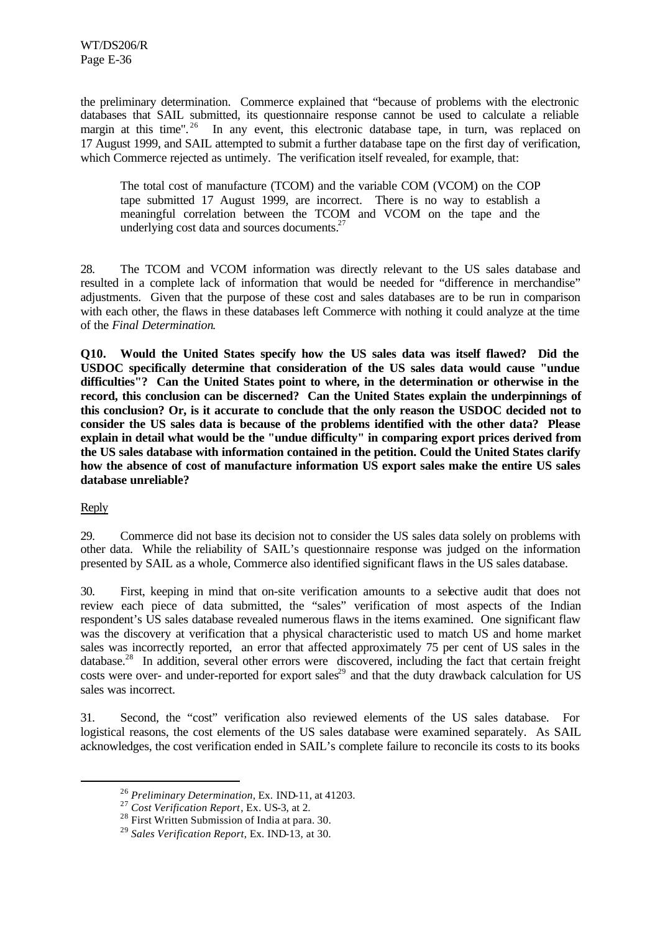the preliminary determination. Commerce explained that "because of problems with the electronic databases that SAIL submitted, its questionnaire response cannot be used to calculate a reliable margin at this time".<sup>26</sup> In any event, this electronic database tape, in turn, was replaced on 17 August 1999, and SAIL attempted to submit a further database tape on the first day of verification, which Commerce rejected as untimely. The verification itself revealed, for example, that:

The total cost of manufacture (TCOM) and the variable COM (VCOM) on the COP tape submitted 17 August 1999, are incorrect. There is no way to establish a meaningful correlation between the TCOM and VCOM on the tape and the underlying cost data and sources documents.<sup>27</sup>

28. The TCOM and VCOM information was directly relevant to the US sales database and resulted in a complete lack of information that would be needed for "difference in merchandise" adjustments. Given that the purpose of these cost and sales databases are to be run in comparison with each other, the flaws in these databases left Commerce with nothing it could analyze at the time of the *Final Determination*.

**Q10. Would the United States specify how the US sales data was itself flawed? Did the USDOC specifically determine that consideration of the US sales data would cause "undue difficulties"? Can the United States point to where, in the determination or otherwise in the record, this conclusion can be discerned? Can the United States explain the underpinnings of this conclusion? Or, is it accurate to conclude that the only reason the USDOC decided not to consider the US sales data is because of the problems identified with the other data? Please explain in detail what would be the "undue difficulty" in comparing export prices derived from the US sales database with information contained in the petition. Could the United States clarify how the absence of cost of manufacture information US export sales make the entire US sales database unreliable?**

Reply

l

29. Commerce did not base its decision not to consider the US sales data solely on problems with other data. While the reliability of SAIL's questionnaire response was judged on the information presented by SAIL as a whole, Commerce also identified significant flaws in the US sales database.

30. First, keeping in mind that on-site verification amounts to a selective audit that does not review each piece of data submitted, the "sales" verification of most aspects of the Indian respondent's US sales database revealed numerous flaws in the items examined. One significant flaw was the discovery at verification that a physical characteristic used to match US and home market sales was incorrectly reported, an error that affected approximately 75 per cent of US sales in the database.<sup>28</sup> In addition, several other errors were discovered, including the fact that certain freight costs were over- and under-reported for export sales<sup>29</sup> and that the duty drawback calculation for US sales was incorrect.

31. Second, the "cost" verification also reviewed elements of the US sales database. For logistical reasons, the cost elements of the US sales database were examined separately. As SAIL acknowledges, the cost verification ended in SAIL's complete failure to reconcile its costs to its books

<sup>26</sup> *Preliminary Determination,* Ex. IND-11, at 41203.

<sup>27</sup> *Cost Verification Report*, Ex. US-3, at 2.

 $^{28}$  First Written Submission of India at para. 30.

<sup>29</sup> *Sales Verification Report*, Ex. IND-13, at 30.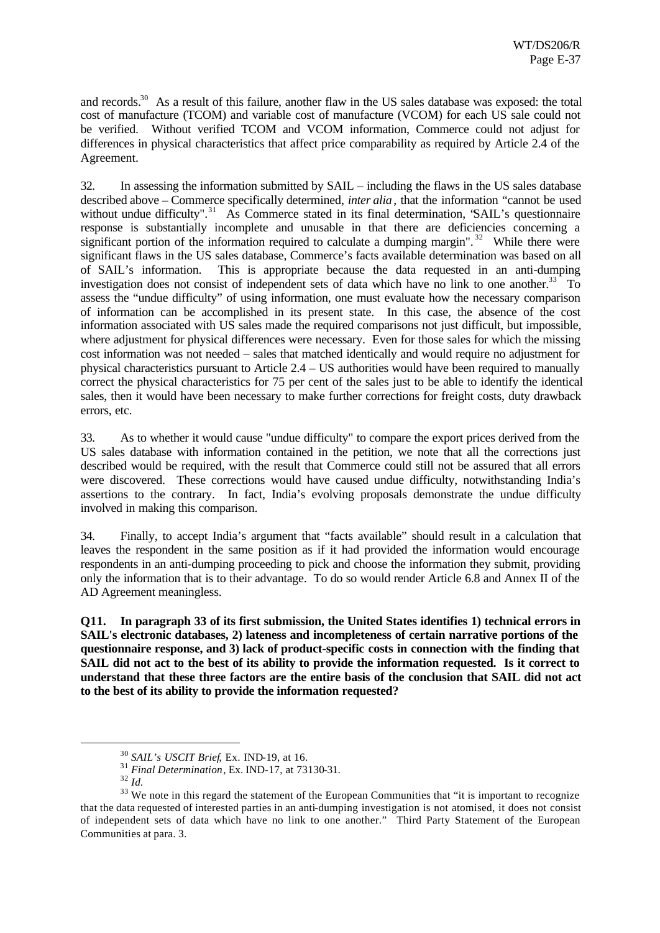and records.<sup>30</sup> As a result of this failure, another flaw in the US sales database was exposed: the total cost of manufacture (TCOM) and variable cost of manufacture (VCOM) for each US sale could not be verified. Without verified TCOM and VCOM information, Commerce could not adjust for differences in physical characteristics that affect price comparability as required by Article 2.4 of the Agreement.

32. In assessing the information submitted by SAIL – including the flaws in the US sales database described above – Commerce specifically determined, *inter alia*, that the information "cannot be used without undue difficulty".<sup>31</sup> As Commerce stated in its final determination, 'SAIL's questionnaire response is substantially incomplete and unusable in that there are deficiencies concerning a significant portion of the information required to calculate a dumping margin".<sup>32</sup> While there were significant flaws in the US sales database, Commerce's facts available determination was based on all of SAIL's information. This is appropriate because the data requested in an anti-dumping investigation does not consist of independent sets of data which have no link to one another. $33\text{ To}$ assess the "undue difficulty" of using information, one must evaluate how the necessary comparison of information can be accomplished in its present state. In this case, the absence of the cost information associated with US sales made the required comparisons not just difficult, but impossible, where adjustment for physical differences were necessary. Even for those sales for which the missing cost information was not needed – sales that matched identically and would require no adjustment for physical characteristics pursuant to Article 2.4 – US authorities would have been required to manually correct the physical characteristics for 75 per cent of the sales just to be able to identify the identical sales, then it would have been necessary to make further corrections for freight costs, duty drawback errors, etc.

33. As to whether it would cause "undue difficulty" to compare the export prices derived from the US sales database with information contained in the petition, we note that all the corrections just described would be required, with the result that Commerce could still not be assured that all errors were discovered. These corrections would have caused undue difficulty, notwithstanding India's assertions to the contrary. In fact, India's evolving proposals demonstrate the undue difficulty involved in making this comparison.

34. Finally, to accept India's argument that "facts available" should result in a calculation that leaves the respondent in the same position as if it had provided the information would encourage respondents in an anti-dumping proceeding to pick and choose the information they submit, providing only the information that is to their advantage. To do so would render Article 6.8 and Annex II of the AD Agreement meaningless.

**Q11. In paragraph 33 of its first submission, the United States identifies 1) technical errors in SAIL's electronic databases, 2) lateness and incompleteness of certain narrative portions of the questionnaire response, and 3) lack of product-specific costs in connection with the finding that SAIL did not act to the best of its ability to provide the information requested. Is it correct to understand that these three factors are the entire basis of the conclusion that SAIL did not act to the best of its ability to provide the information requested?**

<sup>30</sup> *SAIL's USCIT Brief*, Ex. IND-19, at 16.

<sup>31</sup> *Final Determination*, Ex. IND-17, at 73130-31.

<sup>32</sup> *Id.*

<sup>&</sup>lt;sup>33</sup> We note in this regard the statement of the European Communities that "it is important to recognize that the data requested of interested parties in an anti-dumping investigation is not atomised, it does not consist of independent sets of data which have no link to one another." Third Party Statement of the European Communities at para. 3.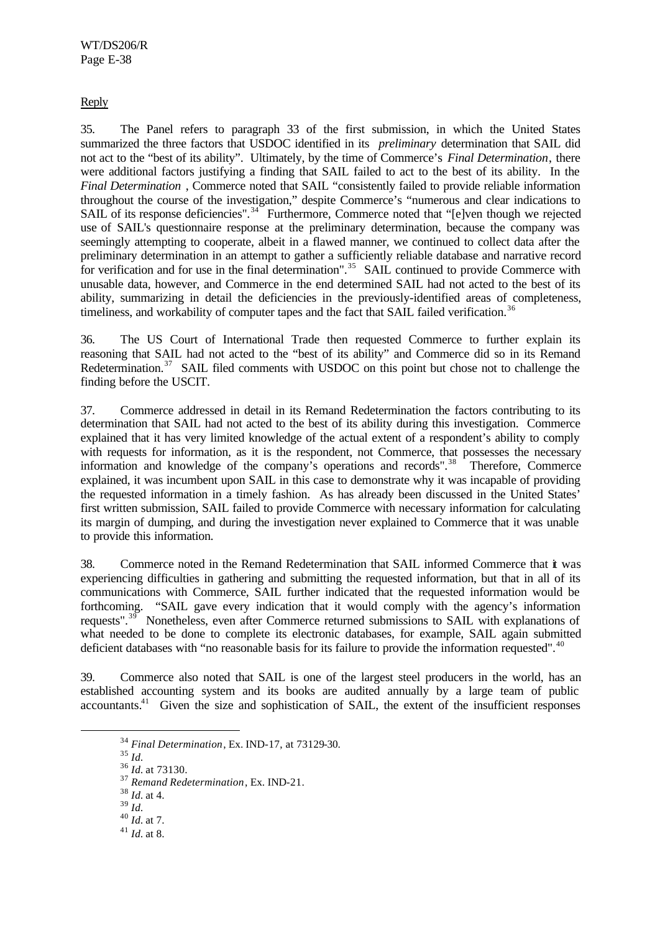Reply

35. The Panel refers to paragraph 33 of the first submission, in which the United States summarized the three factors that USDOC identified in its *preliminary* determination that SAIL did not act to the "best of its ability". Ultimately, by the time of Commerce's *Final Determination*, there were additional factors justifying a finding that SAIL failed to act to the best of its ability. In the *Final Determination* , Commerce noted that SAIL "consistently failed to provide reliable information throughout the course of the investigation," despite Commerce's "numerous and clear indications to SAIL of its response deficiencies".<sup>34</sup> Furthermore, Commerce noted that "[e]ven though we rejected use of SAIL's questionnaire response at the preliminary determination, because the company was seemingly attempting to cooperate, albeit in a flawed manner, we continued to collect data after the preliminary determination in an attempt to gather a sufficiently reliable database and narrative record for verification and for use in the final determination".<sup>35</sup> SAIL continued to provide Commerce with unusable data, however, and Commerce in the end determined SAIL had not acted to the best of its ability, summarizing in detail the deficiencies in the previously-identified areas of completeness, timeliness, and workability of computer tapes and the fact that SAIL failed verification.<sup>36</sup>

36. The US Court of International Trade then requested Commerce to further explain its reasoning that SAIL had not acted to the "best of its ability" and Commerce did so in its Remand Redetermination.<sup>37</sup> SAIL filed comments with USDOC on this point but chose not to challenge the finding before the USCIT.

37. Commerce addressed in detail in its Remand Redetermination the factors contributing to its determination that SAIL had not acted to the best of its ability during this investigation. Commerce explained that it has very limited knowledge of the actual extent of a respondent's ability to comply with requests for information, as it is the respondent, not Commerce, that possesses the necessary information and knowledge of the company's operations and records".<sup>38</sup> Therefore, Commerce explained, it was incumbent upon SAIL in this case to demonstrate why it was incapable of providing the requested information in a timely fashion. As has already been discussed in the United States' first written submission, SAIL failed to provide Commerce with necessary information for calculating its margin of dumping, and during the investigation never explained to Commerce that it was unable to provide this information.

38. Commerce noted in the Remand Redetermination that SAIL informed Commerce that it was experiencing difficulties in gathering and submitting the requested information, but that in all of its communications with Commerce, SAIL further indicated that the requested information would be forthcoming. "SAIL gave every indication that it would comply with the agency's information requests".<sup>39</sup> Nonetheless, even after Commerce returned submissions to SAIL with explanations of what needed to be done to complete its electronic databases, for example, SAIL again submitted deficient databases with "no reasonable basis for its failure to provide the information requested".<sup>40</sup>

39. Commerce also noted that SAIL is one of the largest steel producers in the world, has an established accounting system and its books are audited annually by a large team of public accountants.<sup>41</sup> Given the size and sophistication of SAIL, the extent of the insufficient responses

l

 $^{41}$   $\emph{Id.}$  at 8.

<sup>34</sup> *Final Determination*, Ex. IND-17, at 73129-30.

<sup>35</sup> *Id.*

<sup>36</sup> *Id.* at 73130.

<sup>37</sup> *Remand Redetermination*, Ex. IND-21.

<sup>38</sup> *Id.* at 4.

<sup>39</sup> *Id.*

 $^{40}$  *Id.* at 7.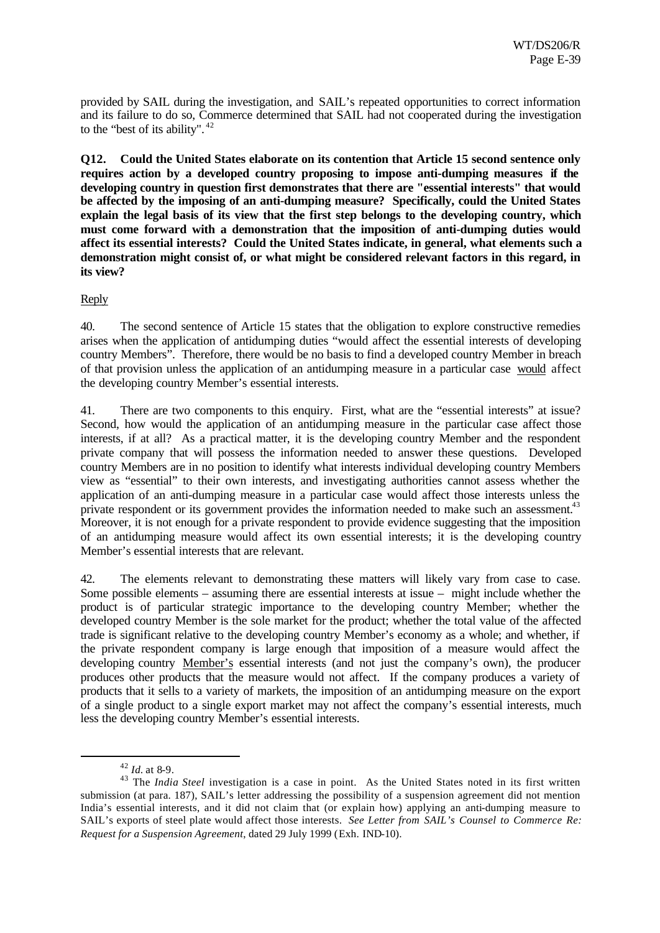provided by SAIL during the investigation, and SAIL's repeated opportunities to correct information and its failure to do so, Commerce determined that SAIL had not cooperated during the investigation to the "best of its ability".  $42$ 

**Q12. Could the United States elaborate on its contention that Article 15 second sentence only requires action by a developed country proposing to impose anti-dumping measures if the developing country in question first demonstrates that there are "essential interests" that would be affected by the imposing of an anti-dumping measure? Specifically, could the United States explain the legal basis of its view that the first step belongs to the developing country, which must come forward with a demonstration that the imposition of anti-dumping duties would affect its essential interests? Could the United States indicate, in general, what elements such a demonstration might consist of, or what might be considered relevant factors in this regard, in its view?**

## Reply

40. The second sentence of Article 15 states that the obligation to explore constructive remedies arises when the application of antidumping duties "would affect the essential interests of developing country Members". Therefore, there would be no basis to find a developed country Member in breach of that provision unless the application of an antidumping measure in a particular case would affect the developing country Member's essential interests.

41. There are two components to this enquiry. First, what are the "essential interests" at issue? Second, how would the application of an antidumping measure in the particular case affect those interests, if at all? As a practical matter, it is the developing country Member and the respondent private company that will possess the information needed to answer these questions. Developed country Members are in no position to identify what interests individual developing country Members view as "essential" to their own interests, and investigating authorities cannot assess whether the application of an anti-dumping measure in a particular case would affect those interests unless the private respondent or its government provides the information needed to make such an assessment.<sup>43</sup> Moreover, it is not enough for a private respondent to provide evidence suggesting that the imposition of an antidumping measure would affect its own essential interests; it is the developing country Member's essential interests that are relevant.

42. The elements relevant to demonstrating these matters will likely vary from case to case. Some possible elements – assuming there are essential interests at issue – might include whether the product is of particular strategic importance to the developing country Member; whether the developed country Member is the sole market for the product; whether the total value of the affected trade is significant relative to the developing country Member's economy as a whole; and whether, if the private respondent company is large enough that imposition of a measure would affect the developing country Member's essential interests (and not just the company's own), the producer produces other products that the measure would not affect. If the company produces a variety of products that it sells to a variety of markets, the imposition of an antidumping measure on the export of a single product to a single export market may not affect the company's essential interests, much less the developing country Member's essential interests.

<sup>42</sup> *Id.* at 8-9.

<sup>&</sup>lt;sup>43</sup> The *India Steel* investigation is a case in point. As the United States noted in its first written submission (at para. 187), SAIL's letter addressing the possibility of a suspension agreement did not mention India's essential interests, and it did not claim that (or explain how) applying an anti-dumping measure to SAIL's exports of steel plate would affect those interests. *See Letter from SAIL's Counsel to Commerce Re: Request for a Suspension Agreement*, dated 29 July 1999 (Exh. IND-10).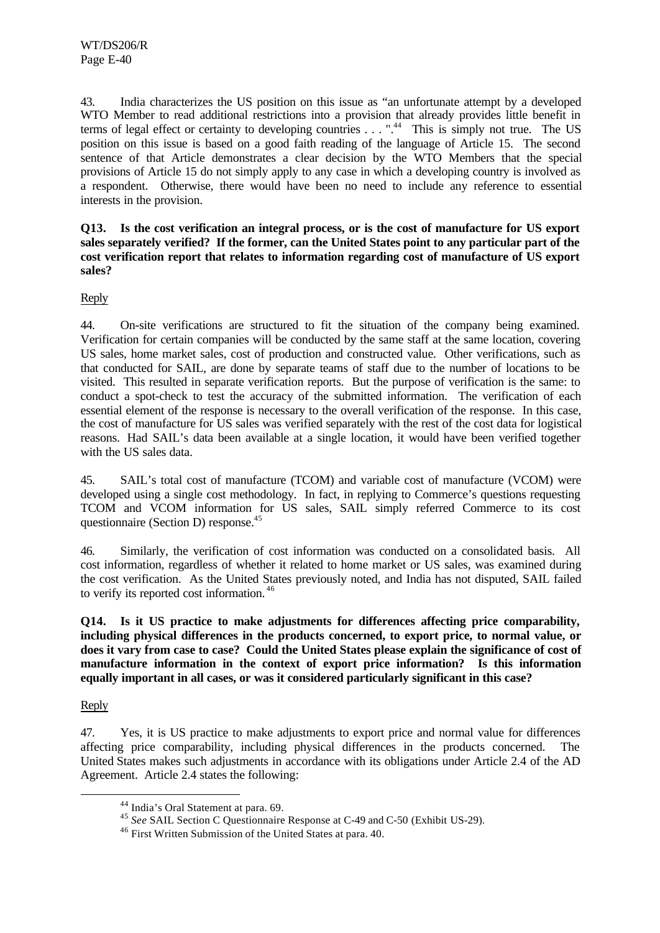43. India characterizes the US position on this issue as "an unfortunate attempt by a developed WTO Member to read additional restrictions into a provision that already provides little benefit in terms of legal effect or certainty to developing countries . . . ".<sup>44</sup> This is simply not true. The US position on this issue is based on a good faith reading of the language of Article 15. The second sentence of that Article demonstrates a clear decision by the WTO Members that the special provisions of Article 15 do not simply apply to any case in which a developing country is involved as a respondent. Otherwise, there would have been no need to include any reference to essential interests in the provision.

**Q13. Is the cost verification an integral process, or is the cost of manufacture for US export sales separately verified? If the former, can the United States point to any particular part of the cost verification report that relates to information regarding cost of manufacture of US export sales?**

## Reply

44. On-site verifications are structured to fit the situation of the company being examined. Verification for certain companies will be conducted by the same staff at the same location, covering US sales, home market sales, cost of production and constructed value. Other verifications, such as that conducted for SAIL, are done by separate teams of staff due to the number of locations to be visited. This resulted in separate verification reports. But the purpose of verification is the same: to conduct a spot-check to test the accuracy of the submitted information. The verification of each essential element of the response is necessary to the overall verification of the response. In this case, the cost of manufacture for US sales was verified separately with the rest of the cost data for logistical reasons. Had SAIL's data been available at a single location, it would have been verified together with the US sales data.

45. SAIL's total cost of manufacture (TCOM) and variable cost of manufacture (VCOM) were developed using a single cost methodology. In fact, in replying to Commerce's questions requesting TCOM and VCOM information for US sales, SAIL simply referred Commerce to its cost questionnaire (Section D) response.<sup>45</sup>

46. Similarly, the verification of cost information was conducted on a consolidated basis. All cost information, regardless of whether it related to home market or US sales, was examined during the cost verification. As the United States previously noted, and India has not disputed, SAIL failed to verify its reported cost information. <sup>46</sup>

**Q14. Is it US practice to make adjustments for differences affecting price comparability, including physical differences in the products concerned, to export price, to normal value, or does it vary from case to case? Could the United States please explain the significance of cost of manufacture information in the context of export price information? Is this information equally important in all cases, or was it considered particularly significant in this case?**

## Reply

l

47. Yes, it is US practice to make adjustments to export price and normal value for differences affecting price comparability, including physical differences in the products concerned. The United States makes such adjustments in accordance with its obligations under Article 2.4 of the AD Agreement. Article 2.4 states the following:

<sup>44</sup> India's Oral Statement at para. 69.

<sup>45</sup> *See* SAIL Section C Questionnaire Response at C-49 and C-50 (Exhibit US-29).

<sup>46</sup> First Written Submission of the United States at para. 40.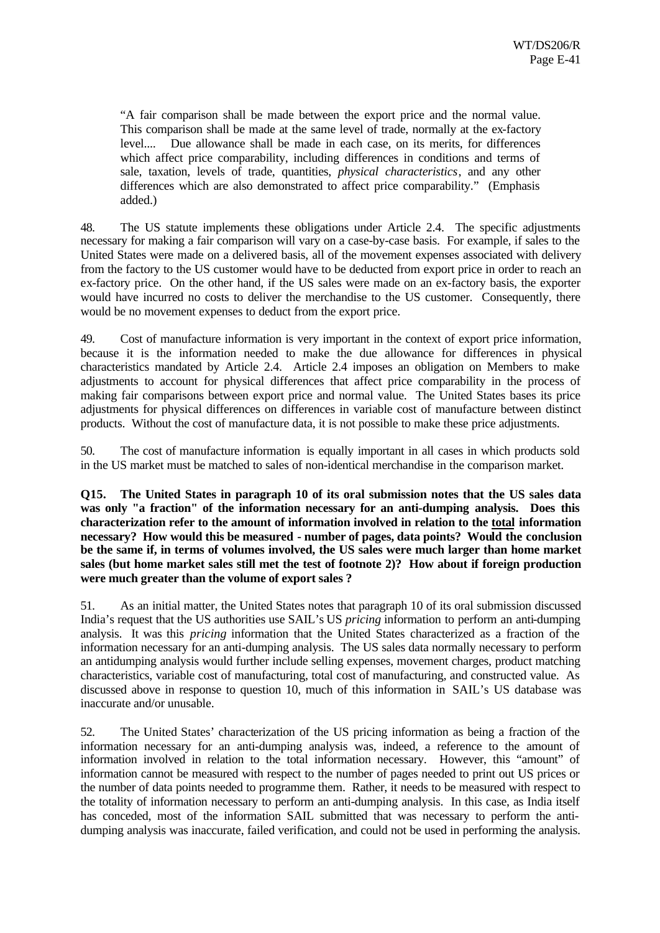"A fair comparison shall be made between the export price and the normal value. This comparison shall be made at the same level of trade, normally at the ex-factory level.... Due allowance shall be made in each case, on its merits, for differences which affect price comparability, including differences in conditions and terms of sale, taxation, levels of trade, quantities, *physical characteristics*, and any other differences which are also demonstrated to affect price comparability." (Emphasis added.)

48. The US statute implements these obligations under Article 2.4. The specific adjustments necessary for making a fair comparison will vary on a case-by-case basis. For example, if sales to the United States were made on a delivered basis, all of the movement expenses associated with delivery from the factory to the US customer would have to be deducted from export price in order to reach an ex-factory price. On the other hand, if the US sales were made on an ex-factory basis, the exporter would have incurred no costs to deliver the merchandise to the US customer. Consequently, there would be no movement expenses to deduct from the export price.

49. Cost of manufacture information is very important in the context of export price information, because it is the information needed to make the due allowance for differences in physical characteristics mandated by Article 2.4. Article 2.4 imposes an obligation on Members to make adjustments to account for physical differences that affect price comparability in the process of making fair comparisons between export price and normal value. The United States bases its price adjustments for physical differences on differences in variable cost of manufacture between distinct products. Without the cost of manufacture data, it is not possible to make these price adjustments.

50. The cost of manufacture information is equally important in all cases in which products sold in the US market must be matched to sales of non-identical merchandise in the comparison market.

**Q15. The United States in paragraph 10 of its oral submission notes that the US sales data was only "a fraction" of the information necessary for an anti-dumping analysis. Does this characterization refer to the amount of information involved in relation to the total information necessary? How would this be measured - number of pages, data points? Would the conclusion be the same if, in terms of volumes involved, the US sales were much larger than home market sales (but home market sales still met the test of footnote 2)? How about if foreign production were much greater than the volume of export sales ?**

51. As an initial matter, the United States notes that paragraph 10 of its oral submission discussed India's request that the US authorities use SAIL's US *pricing* information to perform an anti-dumping analysis. It was this *pricing* information that the United States characterized as a fraction of the information necessary for an anti-dumping analysis. The US sales data normally necessary to perform an antidumping analysis would further include selling expenses, movement charges, product matching characteristics, variable cost of manufacturing, total cost of manufacturing, and constructed value. As discussed above in response to question 10, much of this information in SAIL's US database was inaccurate and/or unusable.

52. The United States' characterization of the US pricing information as being a fraction of the information necessary for an anti-dumping analysis was, indeed, a reference to the amount of information involved in relation to the total information necessary. However, this "amount" of information cannot be measured with respect to the number of pages needed to print out US prices or the number of data points needed to programme them. Rather, it needs to be measured with respect to the totality of information necessary to perform an anti-dumping analysis. In this case, as India itself has conceded, most of the information SAIL submitted that was necessary to perform the antidumping analysis was inaccurate, failed verification, and could not be used in performing the analysis.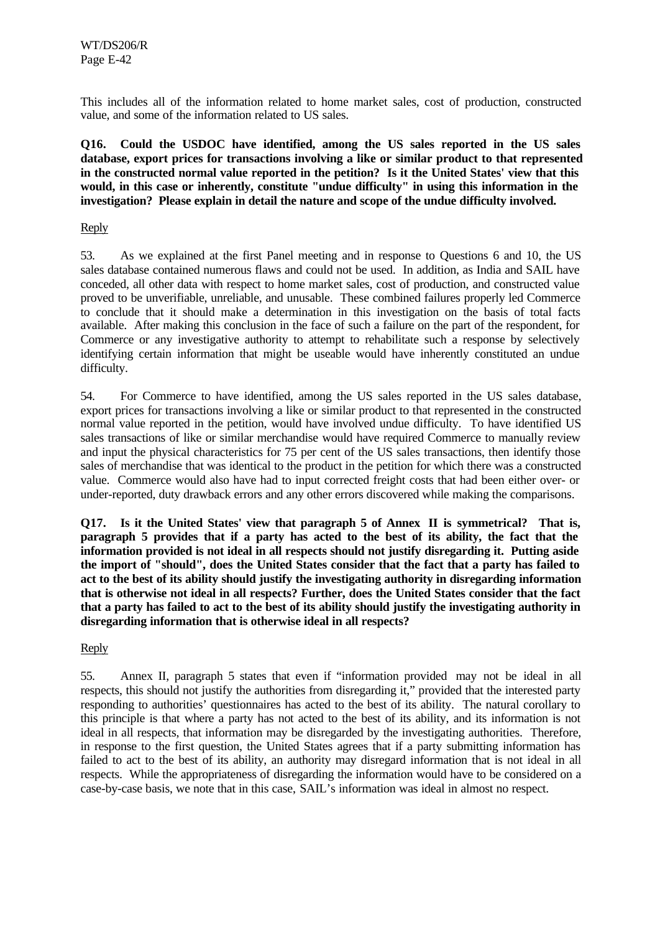This includes all of the information related to home market sales, cost of production, constructed value, and some of the information related to US sales.

**Q16. Could the USDOC have identified, among the US sales reported in the US sales database, export prices for transactions involving a like or similar product to that represented in the constructed normal value reported in the petition? Is it the United States' view that this would, in this case or inherently, constitute "undue difficulty" in using this information in the investigation? Please explain in detail the nature and scope of the undue difficulty involved.**

## Reply

53. As we explained at the first Panel meeting and in response to Questions 6 and 10, the US sales database contained numerous flaws and could not be used. In addition, as India and SAIL have conceded, all other data with respect to home market sales, cost of production, and constructed value proved to be unverifiable, unreliable, and unusable. These combined failures properly led Commerce to conclude that it should make a determination in this investigation on the basis of total facts available. After making this conclusion in the face of such a failure on the part of the respondent, for Commerce or any investigative authority to attempt to rehabilitate such a response by selectively identifying certain information that might be useable would have inherently constituted an undue difficulty.

54. For Commerce to have identified, among the US sales reported in the US sales database, export prices for transactions involving a like or similar product to that represented in the constructed normal value reported in the petition, would have involved undue difficulty. To have identified US sales transactions of like or similar merchandise would have required Commerce to manually review and input the physical characteristics for 75 per cent of the US sales transactions, then identify those sales of merchandise that was identical to the product in the petition for which there was a constructed value. Commerce would also have had to input corrected freight costs that had been either over- or under-reported, duty drawback errors and any other errors discovered while making the comparisons.

**Q17. Is it the United States' view that paragraph 5 of Annex II is symmetrical? That is, paragraph 5 provides that if a party has acted to the best of its ability, the fact that the information provided is not ideal in all respects should not justify disregarding it. Putting aside the import of "should", does the United States consider that the fact that a party has failed to act to the best of its ability should justify the investigating authority in disregarding information that is otherwise not ideal in all respects? Further, does the United States consider that the fact that a party has failed to act to the best of its ability should justify the investigating authority in disregarding information that is otherwise ideal in all respects?**

## Reply

55. Annex II, paragraph 5 states that even if "information provided may not be ideal in all respects, this should not justify the authorities from disregarding it," provided that the interested party responding to authorities' questionnaires has acted to the best of its ability. The natural corollary to this principle is that where a party has not acted to the best of its ability, and its information is not ideal in all respects, that information may be disregarded by the investigating authorities. Therefore, in response to the first question, the United States agrees that if a party submitting information has failed to act to the best of its ability, an authority may disregard information that is not ideal in all respects. While the appropriateness of disregarding the information would have to be considered on a case-by-case basis, we note that in this case, SAIL's information was ideal in almost no respect.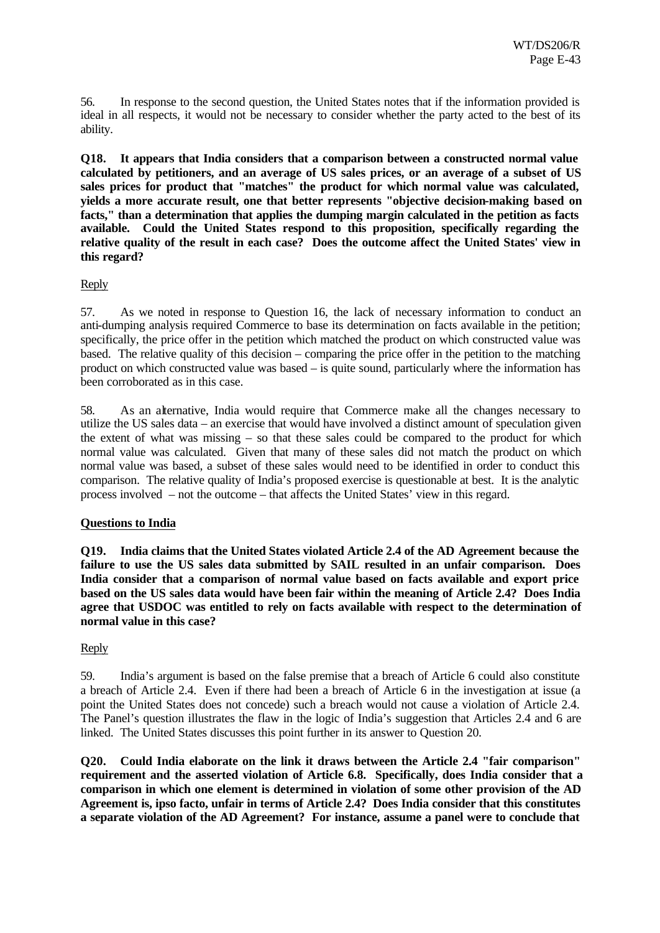56. In response to the second question, the United States notes that if the information provided is ideal in all respects, it would not be necessary to consider whether the party acted to the best of its ability.

**Q18. It appears that India considers that a comparison between a constructed normal value calculated by petitioners, and an average of US sales prices, or an average of a subset of US sales prices for product that "matches" the product for which normal value was calculated, yields a more accurate result, one that better represents "objective decision-making based on facts," than a determination that applies the dumping margin calculated in the petition as facts available. Could the United States respond to this proposition, specifically regarding the relative quality of the result in each case? Does the outcome affect the United States' view in this regard?**

## Reply

57. As we noted in response to Question 16, the lack of necessary information to conduct an anti-dumping analysis required Commerce to base its determination on facts available in the petition; specifically, the price offer in the petition which matched the product on which constructed value was based. The relative quality of this decision – comparing the price offer in the petition to the matching product on which constructed value was based – is quite sound, particularly where the information has been corroborated as in this case.

58. As an alternative, India would require that Commerce make all the changes necessary to utilize the US sales data – an exercise that would have involved a distinct amount of speculation given the extent of what was missing – so that these sales could be compared to the product for which normal value was calculated. Given that many of these sales did not match the product on which normal value was based, a subset of these sales would need to be identified in order to conduct this comparison. The relative quality of India's proposed exercise is questionable at best. It is the analytic process involved – not the outcome – that affects the United States' view in this regard.

## **Questions to India**

**Q19. India claims that the United States violated Article 2.4 of the AD Agreement because the failure to use the US sales data submitted by SAIL resulted in an unfair comparison. Does India consider that a comparison of normal value based on facts available and export price based on the US sales data would have been fair within the meaning of Article 2.4? Does India agree that USDOC was entitled to rely on facts available with respect to the determination of normal value in this case?**

## Reply

59. India's argument is based on the false premise that a breach of Article 6 could also constitute a breach of Article 2.4. Even if there had been a breach of Article 6 in the investigation at issue (a point the United States does not concede) such a breach would not cause a violation of Article 2.4. The Panel's question illustrates the flaw in the logic of India's suggestion that Articles 2.4 and 6 are linked. The United States discusses this point further in its answer to Question 20.

**Q20. Could India elaborate on the link it draws between the Article 2.4 "fair comparison" requirement and the asserted violation of Article 6.8. Specifically, does India consider that a comparison in which one element is determined in violation of some other provision of the AD Agreement is, ipso facto, unfair in terms of Article 2.4? Does India consider that this constitutes a separate violation of the AD Agreement? For instance, assume a panel were to conclude that**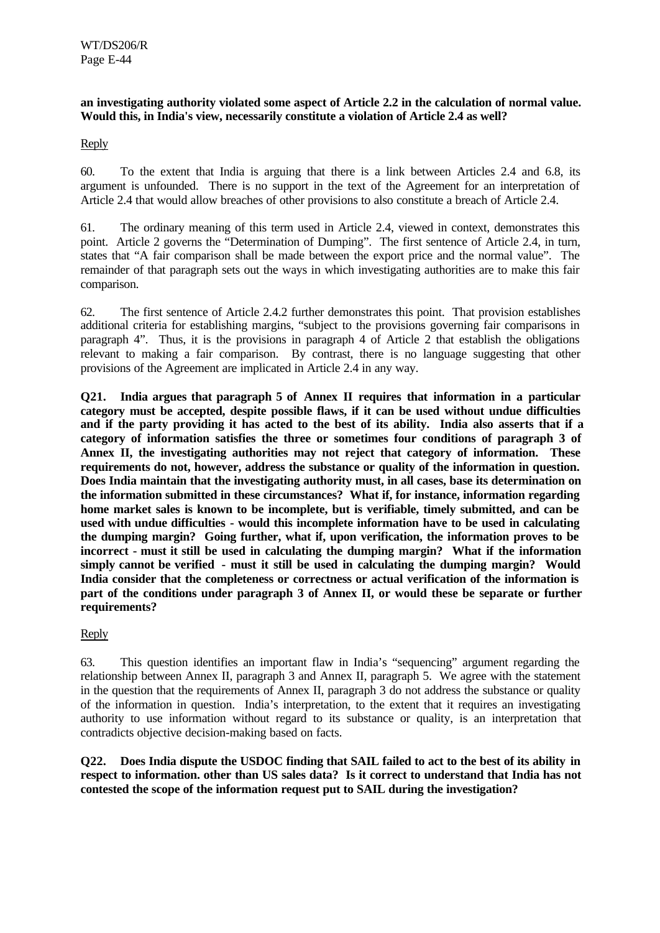## **an investigating authority violated some aspect of Article 2.2 in the calculation of normal value. Would this, in India's view, necessarily constitute a violation of Article 2.4 as well?**

## Reply

60. To the extent that India is arguing that there is a link between Articles 2.4 and 6.8, its argument is unfounded. There is no support in the text of the Agreement for an interpretation of Article 2.4 that would allow breaches of other provisions to also constitute a breach of Article 2.4.

61. The ordinary meaning of this term used in Article 2.4, viewed in context, demonstrates this point. Article 2 governs the "Determination of Dumping". The first sentence of Article 2.4, in turn, states that "A fair comparison shall be made between the export price and the normal value". The remainder of that paragraph sets out the ways in which investigating authorities are to make this fair comparison.

62. The first sentence of Article 2.4.2 further demonstrates this point. That provision establishes additional criteria for establishing margins, "subject to the provisions governing fair comparisons in paragraph 4". Thus, it is the provisions in paragraph 4 of Article 2 that establish the obligations relevant to making a fair comparison. By contrast, there is no language suggesting that other provisions of the Agreement are implicated in Article 2.4 in any way.

**Q21. India argues that paragraph 5 of Annex II requires that information in a particular category must be accepted, despite possible flaws, if it can be used without undue difficulties and if the party providing it has acted to the best of its ability. India also asserts that if a category of information satisfies the three or sometimes four conditions of paragraph 3 of Annex II, the investigating authorities may not reject that category of information. These requirements do not, however, address the substance or quality of the information in question. Does India maintain that the investigating authority must, in all cases, base its determination on the information submitted in these circumstances? What if, for instance, information regarding home market sales is known to be incomplete, but is verifiable, timely submitted, and can be used with undue difficulties - would this incomplete information have to be used in calculating the dumping margin? Going further, what if, upon verification, the information proves to be incorrect - must it still be used in calculating the dumping margin? What if the information simply cannot be verified - must it still be used in calculating the dumping margin? Would India consider that the completeness or correctness or actual verification of the information is part of the conditions under paragraph 3 of Annex II, or would these be separate or further requirements?**

## Reply

63. This question identifies an important flaw in India's "sequencing" argument regarding the relationship between Annex II, paragraph 3 and Annex II, paragraph 5. We agree with the statement in the question that the requirements of Annex II, paragraph 3 do not address the substance or quality of the information in question. India's interpretation, to the extent that it requires an investigating authority to use information without regard to its substance or quality, is an interpretation that contradicts objective decision-making based on facts.

**Q22. Does India dispute the USDOC finding that SAIL failed to act to the best of its ability in respect to information. other than US sales data? Is it correct to understand that India has not contested the scope of the information request put to SAIL during the investigation?**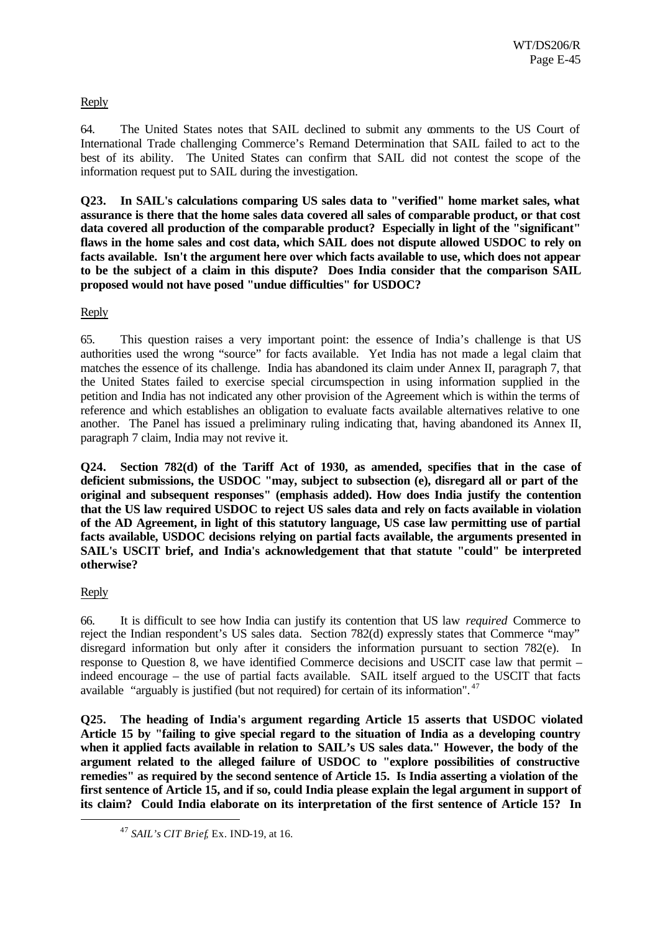## Reply

64. The United States notes that SAIL declined to submit any comments to the US Court of International Trade challenging Commerce's Remand Determination that SAIL failed to act to the best of its ability. The United States can confirm that SAIL did not contest the scope of the information request put to SAIL during the investigation.

**Q23. In SAIL's calculations comparing US sales data to "verified" home market sales, what assurance is there that the home sales data covered all sales of comparable product, or that cost data covered all production of the comparable product? Especially in light of the "significant" flaws in the home sales and cost data, which SAIL does not dispute allowed USDOC to rely on facts available. Isn't the argument here over which facts available to use, which does not appear to be the subject of a claim in this dispute? Does India consider that the comparison SAIL proposed would not have posed "undue difficulties" for USDOC?**

## Reply

65. This question raises a very important point: the essence of India's challenge is that US authorities used the wrong "source" for facts available. Yet India has not made a legal claim that matches the essence of its challenge. India has abandoned its claim under Annex II, paragraph 7, that the United States failed to exercise special circumspection in using information supplied in the petition and India has not indicated any other provision of the Agreement which is within the terms of reference and which establishes an obligation to evaluate facts available alternatives relative to one another. The Panel has issued a preliminary ruling indicating that, having abandoned its Annex II, paragraph 7 claim, India may not revive it.

**Q24. Section 782(d) of the Tariff Act of 1930, as amended, specifies that in the case of deficient submissions, the USDOC "may, subject to subsection (e), disregard all or part of the original and subsequent responses" (emphasis added). How does India justify the contention that the US law required USDOC to reject US sales data and rely on facts available in violation of the AD Agreement, in light of this statutory language, US case law permitting use of partial facts available, USDOC decisions relying on partial facts available, the arguments presented in SAIL's USCIT brief, and India's acknowledgement that that statute "could" be interpreted otherwise?**

## Reply

l

66. It is difficult to see how India can justify its contention that US law *required* Commerce to reject the Indian respondent's US sales data. Section 782(d) expressly states that Commerce "may" disregard information but only after it considers the information pursuant to section 782(e). In response to Question 8, we have identified Commerce decisions and USCIT case law that permit – indeed encourage – the use of partial facts available. SAIL itself argued to the USCIT that facts available "arguably is justified (but not required) for certain of its information".<sup>47</sup>

**Q25. The heading of India's argument regarding Article 15 asserts that USDOC violated Article 15 by "failing to give special regard to the situation of India as a developing country when it applied facts available in relation to SAIL's US sales data." However, the body of the argument related to the alleged failure of USDOC to "explore possibilities of constructive remedies" as required by the second sentence of Article 15. Is India asserting a violation of the first sentence of Article 15, and if so, could India please explain the legal argument in support of its claim? Could India elaborate on its interpretation of the first sentence of Article 15? In**

<sup>47</sup> *SAIL's CIT Brief*, Ex. IND-19, at 16.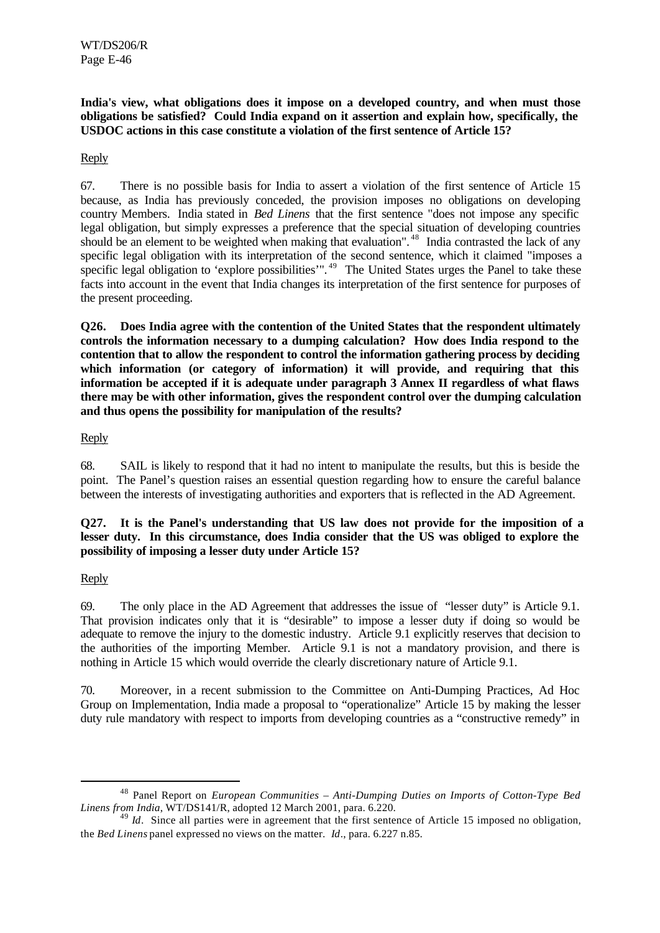**India's view, what obligations does it impose on a developed country, and when must those obligations be satisfied? Could India expand on it assertion and explain how, specifically, the USDOC actions in this case constitute a violation of the first sentence of Article 15?**

## Reply

67. There is no possible basis for India to assert a violation of the first sentence of Article 15 because, as India has previously conceded, the provision imposes no obligations on developing country Members. India stated in *Bed Linens* that the first sentence "does not impose any specific legal obligation, but simply expresses a preference that the special situation of developing countries should be an element to be weighted when making that evaluation".<sup>48</sup> India contrasted the lack of any specific legal obligation with its interpretation of the second sentence, which it claimed "imposes a specific legal obligation to 'explore possibilities'".<sup>49</sup> The United States urges the Panel to take these facts into account in the event that India changes its interpretation of the first sentence for purposes of the present proceeding.

**Q26. Does India agree with the contention of the United States that the respondent ultimately controls the information necessary to a dumping calculation? How does India respond to the contention that to allow the respondent to control the information gathering process by deciding which information (or category of information) it will provide, and requiring that this information be accepted if it is adequate under paragraph 3 Annex II regardless of what flaws there may be with other information, gives the respondent control over the dumping calculation and thus opens the possibility for manipulation of the results?**

## Reply

68. SAIL is likely to respond that it had no intent to manipulate the results, but this is beside the point. The Panel's question raises an essential question regarding how to ensure the careful balance between the interests of investigating authorities and exporters that is reflected in the AD Agreement.

## **Q27. It is the Panel's understanding that US law does not provide for the imposition of a lesser duty. In this circumstance, does India consider that the US was obliged to explore the possibility of imposing a lesser duty under Article 15?**

## Reply

l

69. The only place in the AD Agreement that addresses the issue of "lesser duty" is Article 9.1. That provision indicates only that it is "desirable" to impose a lesser duty if doing so would be adequate to remove the injury to the domestic industry. Article 9.1 explicitly reserves that decision to the authorities of the importing Member. Article 9.1 is not a mandatory provision, and there is nothing in Article 15 which would override the clearly discretionary nature of Article 9.1.

70. Moreover, in a recent submission to the Committee on Anti-Dumping Practices, Ad Hoc Group on Implementation, India made a proposal to "operationalize" Article 15 by making the lesser duty rule mandatory with respect to imports from developing countries as a "constructive remedy" in

<sup>48</sup> Panel Report on *European Communities – Anti-Dumping Duties on Imports of Cotton-Type Bed Linens from India*, WT/DS141/R, adopted 12 March 2001, para. 6.220.

<sup>&</sup>lt;sup>49</sup> *Id.* Since all parties were in agreement that the first sentence of Article 15 imposed no obligation, the *Bed Linens* panel expressed no views on the matter. *Id*., para. 6.227 n.85.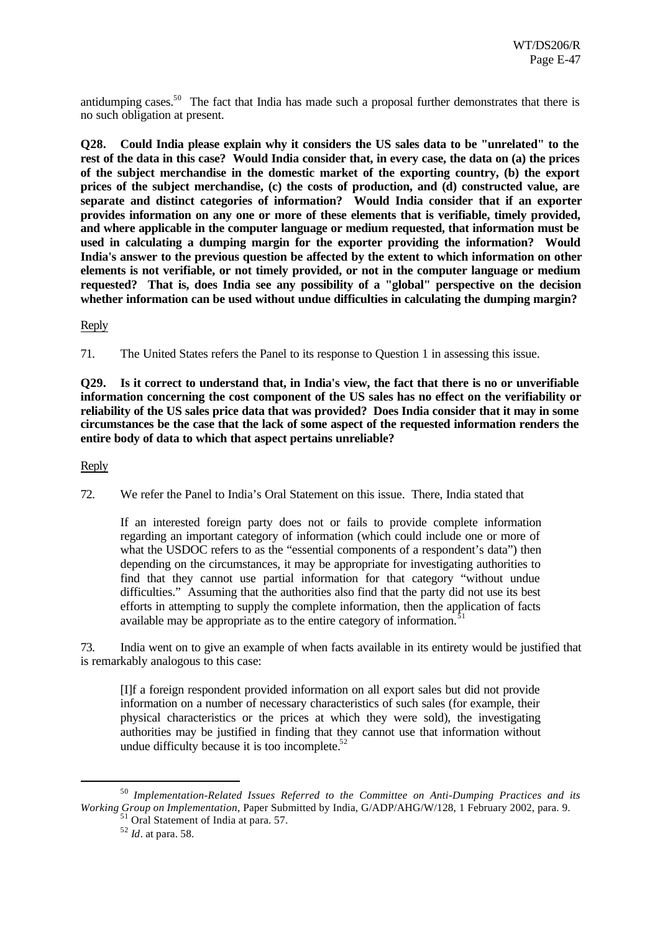antidumping cases.<sup>50</sup> The fact that India has made such a proposal further demonstrates that there is no such obligation at present.

**Q28. Could India please explain why it considers the US sales data to be "unrelated" to the rest of the data in this case? Would India consider that, in every case, the data on (a) the prices of the subject merchandise in the domestic market of the exporting country, (b) the export prices of the subject merchandise, (c) the costs of production, and (d) constructed value, are separate and distinct categories of information? Would India consider that if an exporter provides information on any one or more of these elements that is verifiable, timely provided, and where applicable in the computer language or medium requested, that information must be used in calculating a dumping margin for the exporter providing the information? Would India's answer to the previous question be affected by the extent to which information on other elements is not verifiable, or not timely provided, or not in the computer language or medium requested? That is, does India see any possibility of a "global" perspective on the decision whether information can be used without undue difficulties in calculating the dumping margin?**

Reply

71. The United States refers the Panel to its response to Question 1 in assessing this issue.

**Q29. Is it correct to understand that, in India's view, the fact that there is no or unverifiable information concerning the cost component of the US sales has no effect on the verifiability or reliability of the US sales price data that was provided? Does India consider that it may in some circumstances be the case that the lack of some aspect of the requested information renders the entire body of data to which that aspect pertains unreliable?**

## Reply

l

72. We refer the Panel to India's Oral Statement on this issue. There, India stated that

If an interested foreign party does not or fails to provide complete information regarding an important category of information (which could include one or more of what the USDOC refers to as the "essential components of a respondent's data") then depending on the circumstances, it may be appropriate for investigating authorities to find that they cannot use partial information for that category "without undue difficulties." Assuming that the authorities also find that the party did not use its best efforts in attempting to supply the complete information, then the application of facts available may be appropriate as to the entire category of information.<sup>5</sup>

73. India went on to give an example of when facts available in its entirety would be justified that is remarkably analogous to this case:

[I]f a foreign respondent provided information on all export sales but did not provide information on a number of necessary characteristics of such sales (for example, their physical characteristics or the prices at which they were sold), the investigating authorities may be justified in finding that they cannot use that information without undue difficulty because it is too incomplete. $52$ 

<sup>50</sup> *Implementation-Related Issues Referred to the Committee on Anti-Dumping Practices and its Working Group on Implementation*, Paper Submitted by India, G/ADP/AHG/W/128, 1 February 2002, para. 9.

<sup>&</sup>lt;sup>51</sup> Oral Statement of India at para. 57.

<sup>52</sup> *Id*. at para. 58.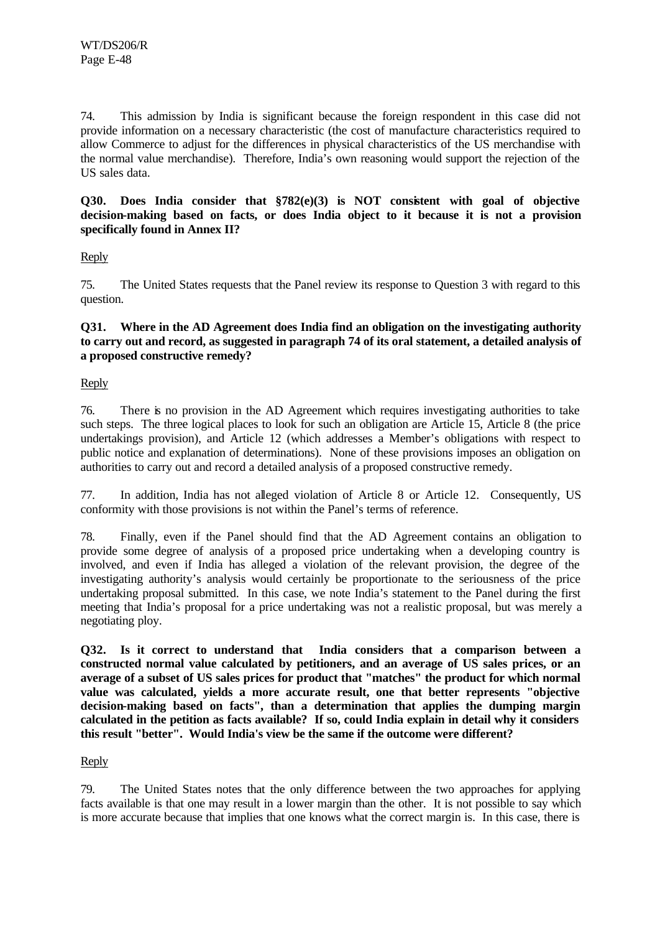74. This admission by India is significant because the foreign respondent in this case did not provide information on a necessary characteristic (the cost of manufacture characteristics required to allow Commerce to adjust for the differences in physical characteristics of the US merchandise with the normal value merchandise). Therefore, India's own reasoning would support the rejection of the US sales data.

**Q30. Does India consider that §782(e)(3) is NOT consistent with goal of objective decision-making based on facts, or does India object to it because it is not a provision specifically found in Annex II?**

## Reply

75. The United States requests that the Panel review its response to Question 3 with regard to this question.

## **Q31. Where in the AD Agreement does India find an obligation on the investigating authority to carry out and record, as suggested in paragraph 74 of its oral statement, a detailed analysis of a proposed constructive remedy?**

## Reply

76. There is no provision in the AD Agreement which requires investigating authorities to take such steps. The three logical places to look for such an obligation are Article 15, Article 8 (the price undertakings provision), and Article 12 (which addresses a Member's obligations with respect to public notice and explanation of determinations). None of these provisions imposes an obligation on authorities to carry out and record a detailed analysis of a proposed constructive remedy.

77. In addition, India has not alleged violation of Article 8 or Article 12. Consequently, US conformity with those provisions is not within the Panel's terms of reference.

78. Finally, even if the Panel should find that the AD Agreement contains an obligation to provide some degree of analysis of a proposed price undertaking when a developing country is involved, and even if India has alleged a violation of the relevant provision, the degree of the investigating authority's analysis would certainly be proportionate to the seriousness of the price undertaking proposal submitted. In this case, we note India's statement to the Panel during the first meeting that India's proposal for a price undertaking was not a realistic proposal, but was merely a negotiating ploy.

**Q32. Is it correct to understand that India considers that a comparison between a constructed normal value calculated by petitioners, and an average of US sales prices, or an average of a subset of US sales prices for product that "matches" the product for which normal value was calculated, yields a more accurate result, one that better represents "objective decision-making based on facts", than a determination that applies the dumping margin calculated in the petition as facts available? If so, could India explain in detail why it considers this result "better". Would India's view be the same if the outcome were different?**

## Reply

79. The United States notes that the only difference between the two approaches for applying facts available is that one may result in a lower margin than the other. It is not possible to say which is more accurate because that implies that one knows what the correct margin is. In this case, there is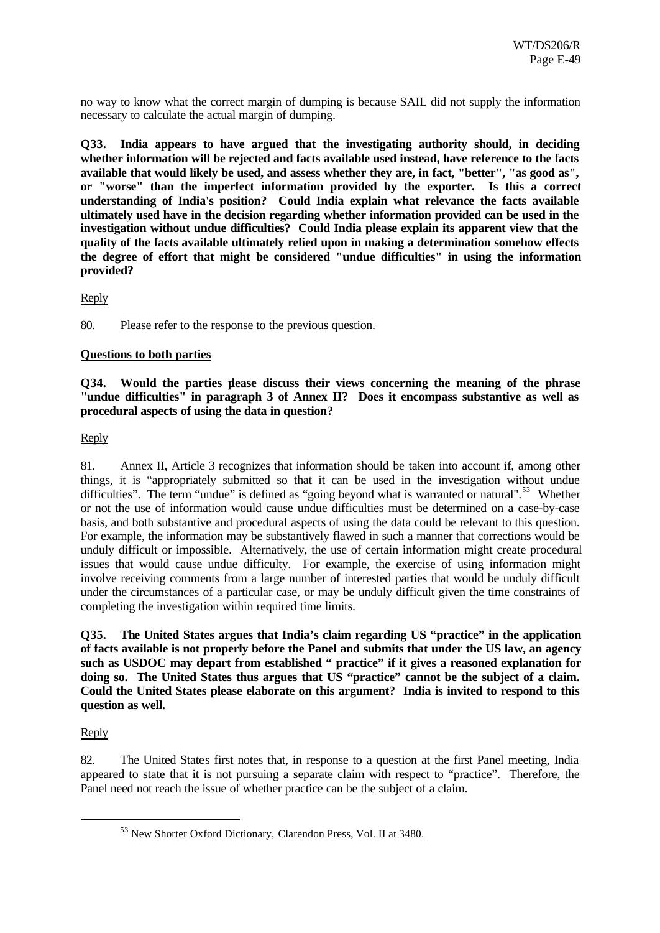no way to know what the correct margin of dumping is because SAIL did not supply the information necessary to calculate the actual margin of dumping.

**Q33. India appears to have argued that the investigating authority should, in deciding whether information will be rejected and facts available used instead, have reference to the facts available that would likely be used, and assess whether they are, in fact, "better", "as good as", or "worse" than the imperfect information provided by the exporter. Is this a correct understanding of India's position? Could India explain what relevance the facts available ultimately used have in the decision regarding whether information provided can be used in the investigation without undue difficulties? Could India please explain its apparent view that the quality of the facts available ultimately relied upon in making a determination somehow effects the degree of effort that might be considered "undue difficulties" in using the information provided?**

## Reply

80. Please refer to the response to the previous question.

## **Questions to both parties**

**Q34. Would the parties please discuss their views concerning the meaning of the phrase "undue difficulties" in paragraph 3 of Annex II? Does it encompass substantive as well as procedural aspects of using the data in question?**

## Reply

81. Annex II, Article 3 recognizes that information should be taken into account if, among other things, it is "appropriately submitted so that it can be used in the investigation without undue difficulties". The term "undue" is defined as "going beyond what is warranted or natural".<sup>53</sup> Whether or not the use of information would cause undue difficulties must be determined on a case-by-case basis, and both substantive and procedural aspects of using the data could be relevant to this question. For example, the information may be substantively flawed in such a manner that corrections would be unduly difficult or impossible. Alternatively, the use of certain information might create procedural issues that would cause undue difficulty. For example, the exercise of using information might involve receiving comments from a large number of interested parties that would be unduly difficult under the circumstances of a particular case, or may be unduly difficult given the time constraints of completing the investigation within required time limits.

**Q35. The United States argues that India's claim regarding US "practice" in the application of facts available is not properly before the Panel and submits that under the US law, an agency such as USDOC may depart from established " practice" if it gives a reasoned explanation for doing so. The United States thus argues that US "practice" cannot be the subject of a claim. Could the United States please elaborate on this argument? India is invited to respond to this question as well.**

## Reply

l

82. The United States first notes that, in response to a question at the first Panel meeting, India appeared to state that it is not pursuing a separate claim with respect to "practice". Therefore, the Panel need not reach the issue of whether practice can be the subject of a claim.

<sup>53</sup> New Shorter Oxford Dictionary, Clarendon Press, Vol. II at 3480.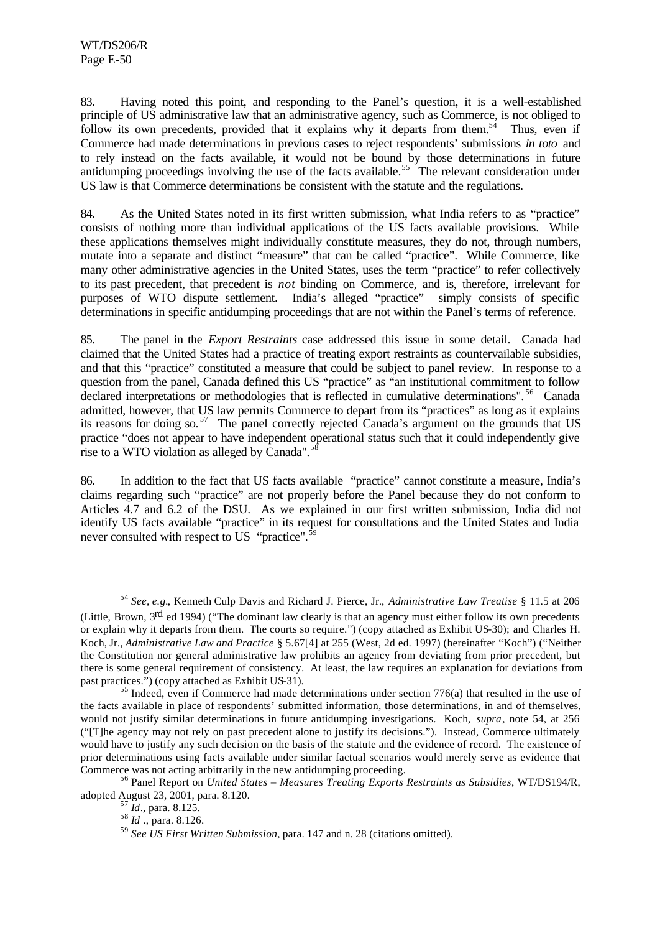83. Having noted this point, and responding to the Panel's question, it is a well-established principle of US administrative law that an administrative agency, such as Commerce, is not obliged to follow its own precedents, provided that it explains why it departs from them.<sup>54</sup> Thus, even if Commerce had made determinations in previous cases to reject respondents' submissions *in toto* and to rely instead on the facts available, it would not be bound by those determinations in future antidumping proceedings involving the use of the facts available.<sup>55</sup> The relevant consideration under US law is that Commerce determinations be consistent with the statute and the regulations.

84. As the United States noted in its first written submission, what India refers to as "practice" consists of nothing more than individual applications of the US facts available provisions. While these applications themselves might individually constitute measures, they do not, through numbers, mutate into a separate and distinct "measure" that can be called "practice". While Commerce, like many other administrative agencies in the United States, uses the term "practice" to refer collectively to its past precedent, that precedent is *not* binding on Commerce, and is, therefore, irrelevant for purposes of WTO dispute settlement. India's alleged "practice" simply consists of specific determinations in specific antidumping proceedings that are not within the Panel's terms of reference.

85. The panel in the *Export Restraints* case addressed this issue in some detail. Canada had claimed that the United States had a practice of treating export restraints as countervailable subsidies, and that this "practice" constituted a measure that could be subject to panel review. In response to a question from the panel, Canada defined this US "practice" as "an institutional commitment to follow declared interpretations or methodologies that is reflected in cumulative determinations".<sup>56</sup> Canada admitted, however, that US law permits Commerce to depart from its "practices" as long as it explains its reasons for doing so.<sup>57</sup> The panel correctly rejected Canada's argument on the grounds that US practice "does not appear to have independent operational status such that it could independently give rise to a WTO violation as alleged by Canada".<sup>58</sup>

86. In addition to the fact that US facts available "practice" cannot constitute a measure, India's claims regarding such "practice" are not properly before the Panel because they do not conform to Articles 4.7 and 6.2 of the DSU. As we explained in our first written submission, India did not identify US facts available "practice" in its request for consultations and the United States and India never consulted with respect to US "practice".<sup>59</sup>

<sup>54</sup> *See, e.g.*, Kenneth Culp Davis and Richard J. Pierce, Jr., *Administrative Law Treatise* § 11.5 at 206 (Little, Brown, 3<sup>rd</sup> ed 1994) ("The dominant law clearly is that an agency must either follow its own precedents or explain why it departs from them. The courts so require.") (copy attached as Exhibit US-30); and Charles H. Koch, Jr., *Administrative Law and Practice* § 5.67[4] at 255 (West, 2d ed. 1997) (hereinafter "Koch") ("Neither the Constitution nor general administrative law prohibits an agency from deviating from prior precedent, but there is some general requirement of consistency. At least, the law requires an explanation for deviations from past practices.") (copy attached as Exhibit US-31).

<sup>&</sup>lt;sup>55</sup> Indeed, even if Commerce had made determinations under section 776(a) that resulted in the use of the facts available in place of respondents' submitted information, those determinations, in and of themselves, would not justify similar determinations in future antidumping investigations. Koch, *supra*, note 54, at 256 ("[T]he agency may not rely on past precedent alone to justify its decisions."). Instead, Commerce ultimately would have to justify any such decision on the basis of the statute and the evidence of record. The existence of prior determinations using facts available under similar factual scenarios would merely serve as evidence that Commerce was not acting arbitrarily in the new antidumping proceeding.

<sup>56</sup> Panel Report on *United States – Measures Treating Exports Restraints as Subsidies*, WT/DS194/R, adopted August 23, 2001, para. 8.120.

<sup>57</sup> *Id*., para. 8.125.

<sup>58</sup> *Id* ., para. 8.126.

<sup>59</sup> *See US First Written Submission*, para. 147 and n. 28 (citations omitted).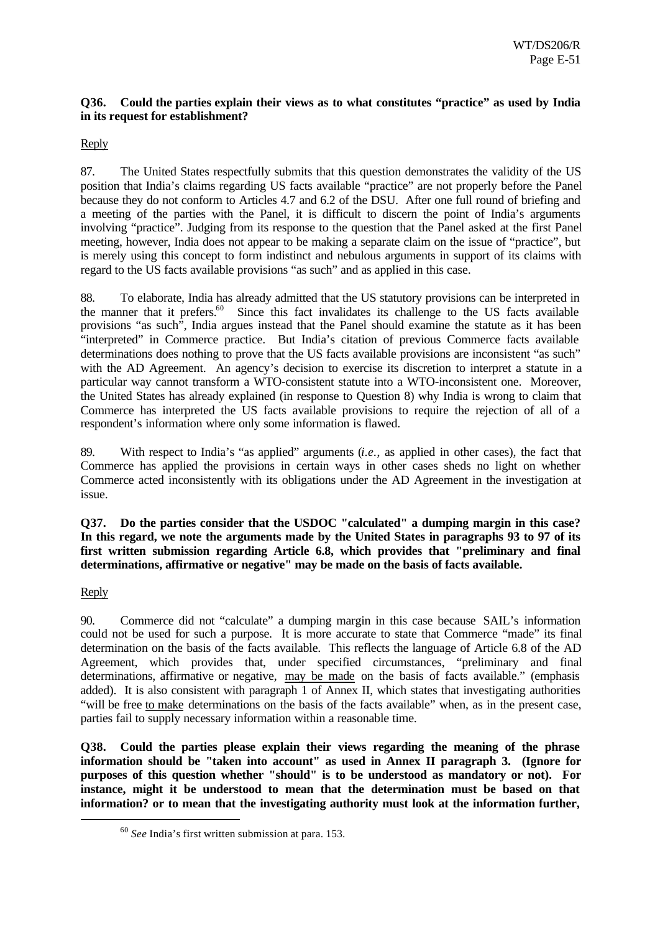## **Q36. Could the parties explain their views as to what constitutes "practice" as used by India in its request for establishment?**

## Reply

87. The United States respectfully submits that this question demonstrates the validity of the US position that India's claims regarding US facts available "practice" are not properly before the Panel because they do not conform to Articles 4.7 and 6.2 of the DSU. After one full round of briefing and a meeting of the parties with the Panel, it is difficult to discern the point of India's arguments involving "practice". Judging from its response to the question that the Panel asked at the first Panel meeting, however, India does not appear to be making a separate claim on the issue of "practice", but is merely using this concept to form indistinct and nebulous arguments in support of its claims with regard to the US facts available provisions "as such" and as applied in this case.

88. To elaborate, India has already admitted that the US statutory provisions can be interpreted in the manner that it prefers. $60$  Since this fact invalidates its challenge to the US facts available provisions "as such", India argues instead that the Panel should examine the statute as it has been "interpreted" in Commerce practice. But India's citation of previous Commerce facts available determinations does nothing to prove that the US facts available provisions are inconsistent "as such" with the AD Agreement. An agency's decision to exercise its discretion to interpret a statute in a particular way cannot transform a WTO-consistent statute into a WTO-inconsistent one. Moreover, the United States has already explained (in response to Question 8) why India is wrong to claim that Commerce has interpreted the US facts available provisions to require the rejection of all of a respondent's information where only some information is flawed.

89. With respect to India's "as applied" arguments (*i.e.*, as applied in other cases), the fact that Commerce has applied the provisions in certain ways in other cases sheds no light on whether Commerce acted inconsistently with its obligations under the AD Agreement in the investigation at issue.

**Q37. Do the parties consider that the USDOC "calculated" a dumping margin in this case? In this regard, we note the arguments made by the United States in paragraphs 93 to 97 of its first written submission regarding Article 6.8, which provides that "preliminary and final determinations, affirmative or negative" may be made on the basis of facts available.**

## Reply

l

90. Commerce did not "calculate" a dumping margin in this case because SAIL's information could not be used for such a purpose. It is more accurate to state that Commerce "made" its final determination on the basis of the facts available. This reflects the language of Article 6.8 of the AD Agreement, which provides that, under specified circumstances, "preliminary and final determinations, affirmative or negative, may be made on the basis of facts available." (emphasis added). It is also consistent with paragraph 1 of Annex II, which states that investigating authorities "will be free to make determinations on the basis of the facts available" when, as in the present case, parties fail to supply necessary information within a reasonable time.

**Q38. Could the parties please explain their views regarding the meaning of the phrase information should be "taken into account" as used in Annex II paragraph 3. (Ignore for purposes of this question whether "should" is to be understood as mandatory or not). For instance, might it be understood to mean that the determination must be based on that information? or to mean that the investigating authority must look at the information further,**

<sup>60</sup> *See* India's first written submission at para. 153.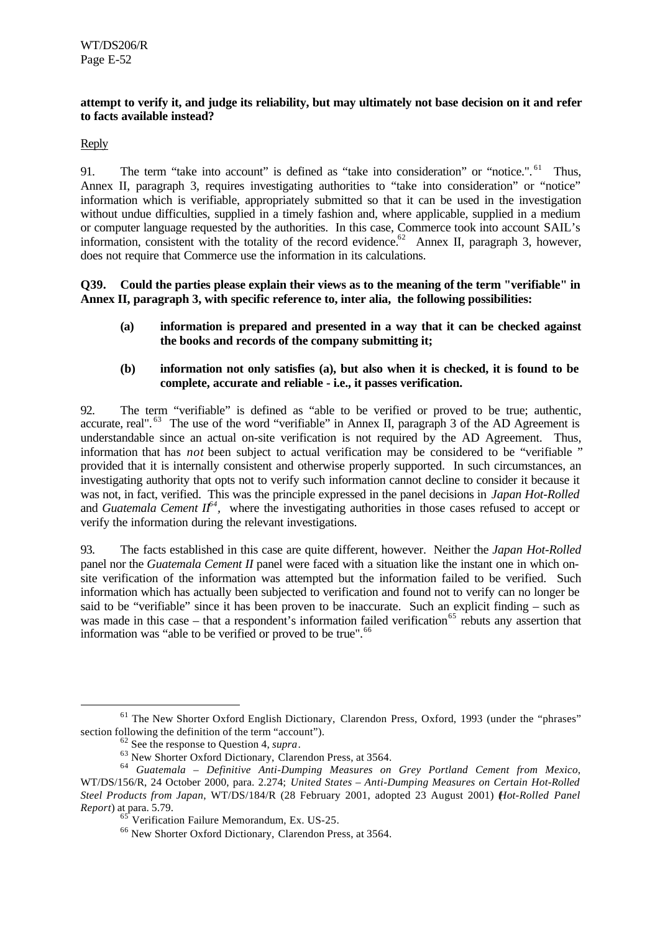## **attempt to verify it, and judge its reliability, but may ultimately not base decision on it and refer to facts available instead?**

## Reply

l

91. The term "take into account" is defined as "take into consideration" or "notice.".<sup>61</sup> Thus, Annex II, paragraph 3, requires investigating authorities to "take into consideration" or "notice" information which is verifiable, appropriately submitted so that it can be used in the investigation without undue difficulties, supplied in a timely fashion and, where applicable, supplied in a medium or computer language requested by the authorities. In this case, Commerce took into account SAIL's information, consistent with the totality of the record evidence.<sup>62</sup> Annex II, paragraph 3, however, does not require that Commerce use the information in its calculations.

## **Q39. Could the parties please explain their views as to the meaning of the term "verifiable" in Annex II, paragraph 3, with specific reference to, inter alia, the following possibilities:**

**(a) information is prepared and presented in a way that it can be checked against the books and records of the company submitting it;**

## **(b) information not only satisfies (a), but also when it is checked, it is found to be complete, accurate and reliable - i.e., it passes verification.**

92. The term "verifiable" is defined as "able to be verified or proved to be true; authentic, accurate, real".<sup>63</sup> The use of the word "verifiable" in Annex II, paragraph 3 of the AD Agreement is understandable since an actual on-site verification is not required by the AD Agreement. Thus, information that has *not* been subject to actual verification may be considered to be "verifiable " provided that it is internally consistent and otherwise properly supported. In such circumstances, an investigating authority that opts not to verify such information cannot decline to consider it because it was not, in fact, verified. This was the principle expressed in the panel decisions in *Japan Hot-Rolled* and *Guatemala Cement*  $II^6$ *<sup>4</sup>*, where the investigating authorities in those cases refused to accept or verify the information during the relevant investigations.

93. The facts established in this case are quite different, however. Neither the *Japan Hot-Rolled* panel nor the *Guatemala Cement II* panel were faced with a situation like the instant one in which onsite verification of the information was attempted but the information failed to be verified. Such information which has actually been subjected to verification and found not to verify can no longer be said to be "verifiable" since it has been proven to be inaccurate. Such an explicit finding – such as was made in this case – that a respondent's information failed verification<sup>65</sup> rebuts any assertion that information was "able to be verified or proved to be true". <sup>66</sup>

<sup>&</sup>lt;sup>61</sup> The New Shorter Oxford English Dictionary, Clarendon Press, Oxford, 1993 (under the "phrases" section following the definition of the term "account").

<sup>62</sup> See the response to Question 4, *supra*.

<sup>63</sup> New Shorter Oxford Dictionary, Clarendon Press, at 3564.

<sup>64</sup> *Guatemala – Definitive Anti-Dumping Measures on Grey Portland Cement from Mexico*, WT/DS/156/R, 24 October 2000, para. 2.274; *United States – Anti-Dumping Measures on Certain Hot-Rolled Steel Products from Japan*, WT/DS/184/R (28 February 2001, adopted 23 August 2001) (*Hot-Rolled Panel Report*) at para. 5.79.

 $65$ <sup>os</sup> Verification Failure Memorandum, Ex. US-25.

<sup>66</sup> New Shorter Oxford Dictionary, Clarendon Press, at 3564.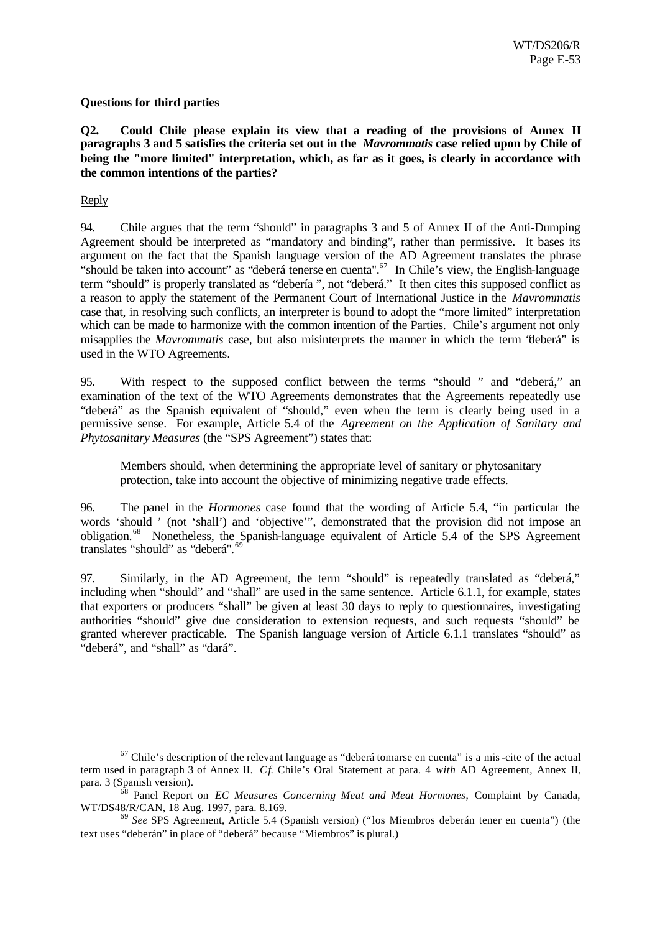## **Questions for third parties**

**Q2. Could Chile please explain its view that a reading of the provisions of Annex II paragraphs 3 and 5 satisfies the criteria set out in the** *Mavrommatis* **case relied upon by Chile of being the "more limited" interpretation, which, as far as it goes, is clearly in accordance with the common intentions of the parties?**

## Reply

l

94. Chile argues that the term "should" in paragraphs 3 and 5 of Annex II of the Anti-Dumping Agreement should be interpreted as "mandatory and binding", rather than permissive. It bases its argument on the fact that the Spanish language version of the AD Agreement translates the phrase "should be taken into account" as "deberá tenerse en cuenta".<sup>67</sup> In Chile's view, the English-language term "should" is properly translated as "debería ", not "deberá." It then cites this supposed conflict as a reason to apply the statement of the Permanent Court of International Justice in the *Mavrommatis* case that, in resolving such conflicts, an interpreter is bound to adopt the "more limited" interpretation which can be made to harmonize with the common intention of the Parties. Chile's argument not only misapplies the *Mavrommatis* case, but also misinterprets the manner in which the term "deberá" is used in the WTO Agreements.

95. With respect to the supposed conflict between the terms "should " and "deberá," an examination of the text of the WTO Agreements demonstrates that the Agreements repeatedly use "deberá" as the Spanish equivalent of "should," even when the term is clearly being used in a permissive sense. For example, Article 5.4 of the *Agreement on the Application of Sanitary and Phytosanitary Measures* (the "SPS Agreement") states that:

Members should, when determining the appropriate level of sanitary or phytosanitary protection, take into account the objective of minimizing negative trade effects.

96. The panel in the *Hormones* case found that the wording of Article 5.4, "in particular the words 'should ' (not 'shall') and 'objective'", demonstrated that the provision did not impose an obligation.<sup>68</sup> Nonetheless, the Spanish-language equivalent of Article 5.4 of the SPS Agreement translates "should" as "deberá".<sup>6</sup>

97. Similarly, in the AD Agreement, the term "should" is repeatedly translated as "deberá," including when "should" and "shall" are used in the same sentence. Article 6.1.1, for example, states that exporters or producers "shall" be given at least 30 days to reply to questionnaires, investigating authorities "should" give due consideration to extension requests, and such requests "should" be granted wherever practicable. The Spanish language version of Article 6.1.1 translates "should" as "deberá", and "shall" as "dará".

 $67$  Chile's description of the relevant language as "deberá tomarse en cuenta" is a mis-cite of the actual term used in paragraph 3 of Annex II. *Cf*. Chile's Oral Statement at para. 4 *with* AD Agreement, Annex II, para. 3 (Spanish version).

<sup>68</sup> Panel Report on *EC Measures Concerning Meat and Meat Hormones*, Complaint by Canada, WT/DS48/R/CAN, 18 Aug. 1997, para. 8.169.

<sup>69</sup> *See* SPS Agreement, Article 5.4 (Spanish version) ("los Miembros deberán tener en cuenta") (the text uses "deberán" in place of "deberá" because "Miembros" is plural.)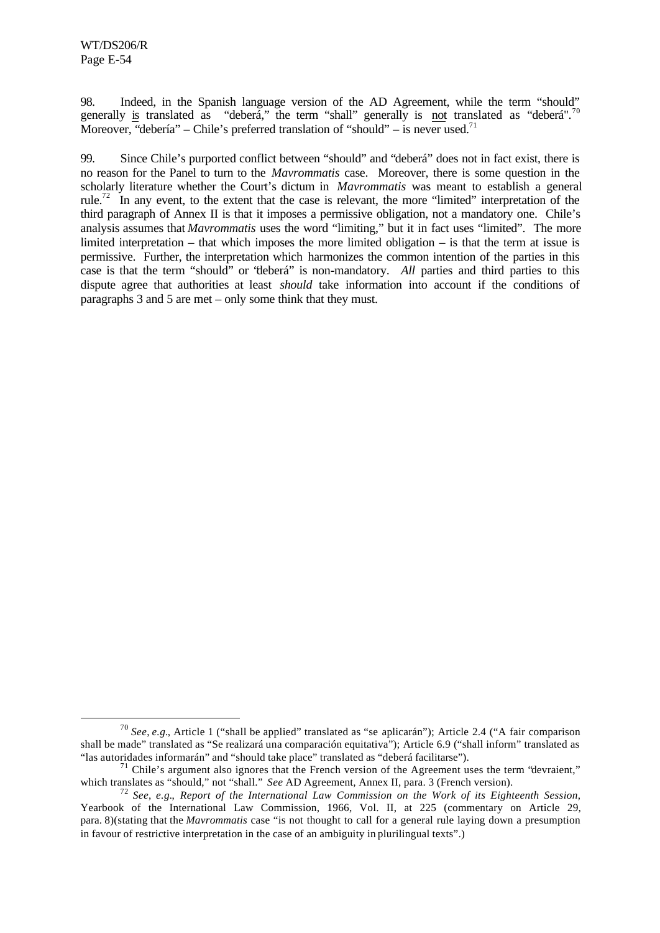l

98. Indeed, in the Spanish language version of the AD Agreement, while the term "should" generally is translated as "deberá," the term "shall" generally is not translated as "deberá".<sup>70</sup> Moreover, "debería" – Chile's preferred translation of "should" – is never used.<sup>71</sup>

99. Since Chile's purported conflict between "should" and "deberá" does not in fact exist, there is no reason for the Panel to turn to the *Mavrommatis* case. Moreover, there is some question in the scholarly literature whether the Court's dictum in *Mavrommatis* was meant to establish a general rule.<sup>72</sup> In any event, to the extent that the case is relevant, the more "limited" interpretation of the third paragraph of Annex II is that it imposes a permissive obligation, not a mandatory one. Chile's analysis assumes that *Mavrommatis* uses the word "limiting," but it in fact uses "limited". The more limited interpretation – that which imposes the more limited obligation – is that the term at issue is permissive. Further, the interpretation which harmonizes the common intention of the parties in this case is that the term "should" or "deberá" is non-mandatory. *All* parties and third parties to this dispute agree that authorities at least *should* take information into account if the conditions of paragraphs 3 and 5 are met – only some think that they must.

<sup>70</sup> *See*, *e.g.*, Article 1 ("shall be applied" translated as "se aplicarán"); Article 2.4 ("A fair comparison shall be made" translated as "Se realizará una comparación equitativa"); Article 6.9 ("shall inform" translated as "las autoridades informarán" and "should take place" translated as "deberá facilitarse").

 $71$  Chile's argument also ignores that the French version of the Agreement uses the term "devraient," which translates as "should," not "shall." *See* AD Agreement, Annex II, para. 3 (French version).

<sup>72</sup> *See*, *e.g.*, *Report of the International Law Commission on the Work of its Eighteenth Session*, Yearbook of the International Law Commission, 1966, Vol. II, at 225 (commentary on Article 29, para. 8)(stating that the *Mavrommatis* case "is not thought to call for a general rule laying down a presumption in favour of restrictive interpretation in the case of an ambiguity in plurilingual texts".)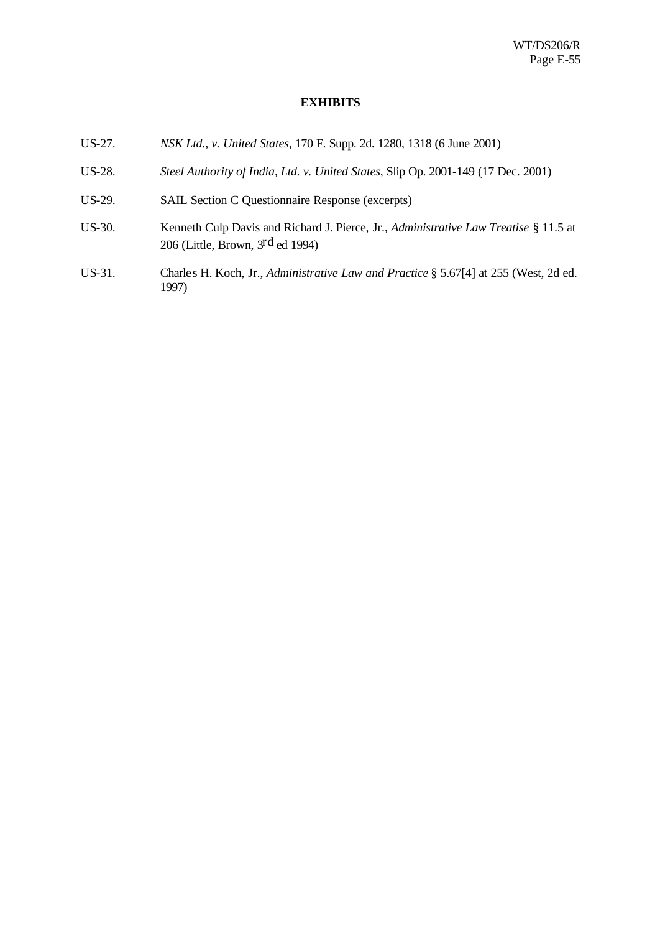## **EXHIBITS**

- US-27. *NSK Ltd., v. United States*, 170 F. Supp. 2d. 1280, 1318 (6 June 2001)
- US-28. *Steel Authority of India, Ltd. v. United States*, Slip Op. 2001-149 (17 Dec. 2001)
- US-29. SAIL Section C Questionnaire Response (excerpts)
- US-30. Kenneth Culp Davis and Richard J. Pierce, Jr., *Administrative Law Treatise* § 11.5 at 206 (Little, Brown, 3rd ed 1994)
- US-31. Charles H. Koch, Jr., *Administrative Law and Practice* § 5.67[4] at 255 (West, 2d ed. 1997)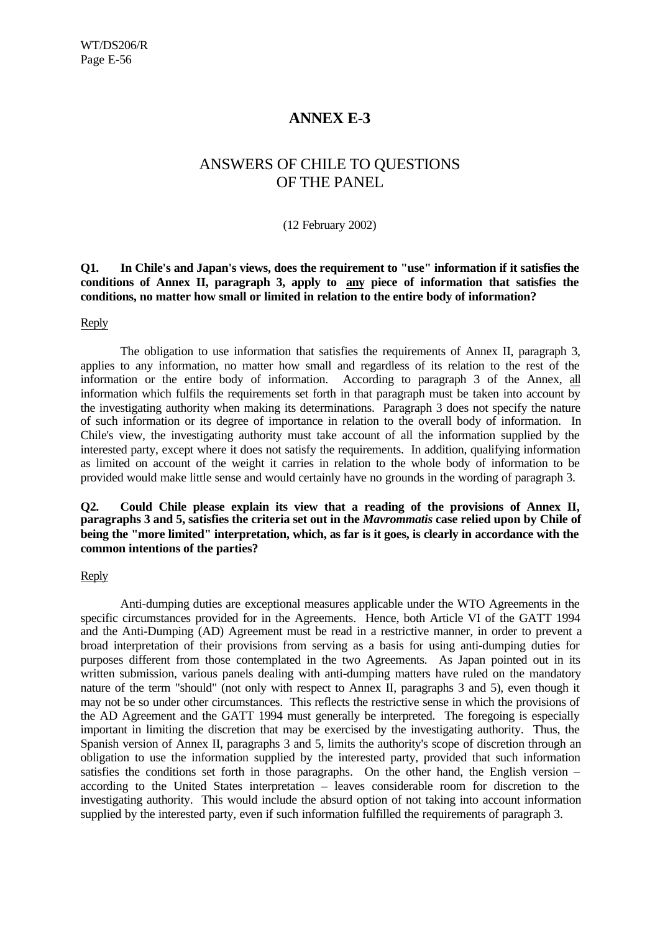## **ANNEX E-3**

# ANSWERS OF CHILE TO QUESTIONS OF THE PANEL

### (12 February 2002)

## **Q1. In Chile's and Japan's views, does the requirement to "use" information if it satisfies the conditions of Annex II, paragraph 3, apply to any piece of information that satisfies the conditions, no matter how small or limited in relation to the entire body of information?**

#### Reply

The obligation to use information that satisfies the requirements of Annex II, paragraph 3, applies to any information, no matter how small and regardless of its relation to the rest of the information or the entire body of information. According to paragraph 3 of the Annex, all information which fulfils the requirements set forth in that paragraph must be taken into account by the investigating authority when making its determinations. Paragraph 3 does not specify the nature of such information or its degree of importance in relation to the overall body of information. In Chile's view, the investigating authority must take account of all the information supplied by the interested party, except where it does not satisfy the requirements. In addition, qualifying information as limited on account of the weight it carries in relation to the whole body of information to be provided would make little sense and would certainly have no grounds in the wording of paragraph 3.

## **Q2. Could Chile please explain its view that a reading of the provisions of Annex II, paragraphs 3 and 5, satisfies the criteria set out in the** *Mavrommatis* **case relied upon by Chile of being the "more limited" interpretation, which, as far is it goes, is clearly in accordance with the common intentions of the parties?**

#### Reply

Anti-dumping duties are exceptional measures applicable under the WTO Agreements in the specific circumstances provided for in the Agreements. Hence, both Article VI of the GATT 1994 and the Anti-Dumping (AD) Agreement must be read in a restrictive manner, in order to prevent a broad interpretation of their provisions from serving as a basis for using anti-dumping duties for purposes different from those contemplated in the two Agreements. As Japan pointed out in its written submission, various panels dealing with anti-dumping matters have ruled on the mandatory nature of the term "should" (not only with respect to Annex II, paragraphs 3 and 5), even though it may not be so under other circumstances. This reflects the restrictive sense in which the provisions of the AD Agreement and the GATT 1994 must generally be interpreted. The foregoing is especially important in limiting the discretion that may be exercised by the investigating authority. Thus, the Spanish version of Annex II, paragraphs 3 and 5, limits the authority's scope of discretion through an obligation to use the information supplied by the interested party, provided that such information satisfies the conditions set forth in those paragraphs. On the other hand, the English version – according to the United States interpretation – leaves considerable room for discretion to the investigating authority. This would include the absurd option of not taking into account information supplied by the interested party, even if such information fulfilled the requirements of paragraph 3.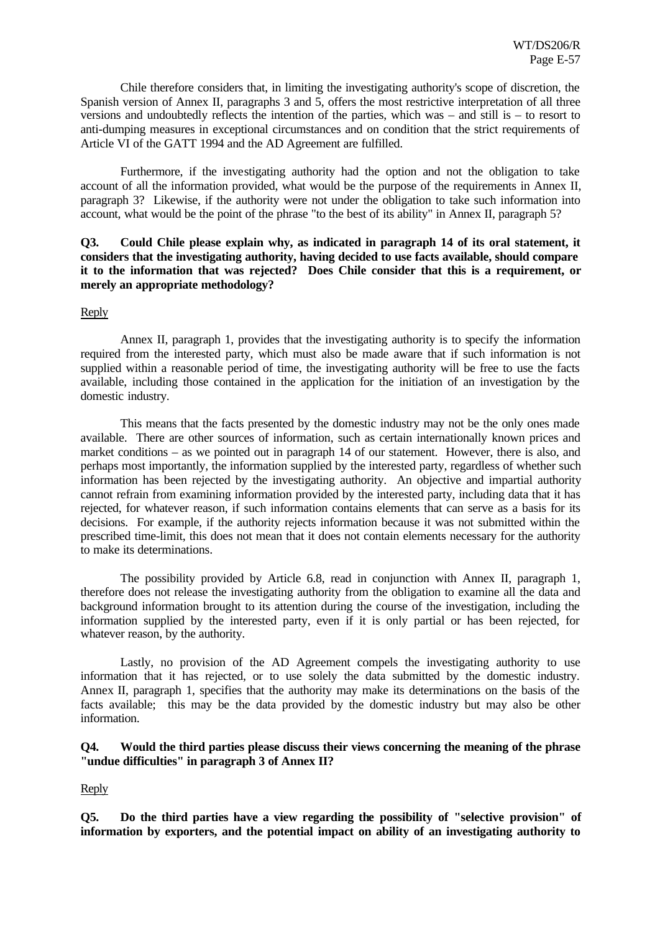Chile therefore considers that, in limiting the investigating authority's scope of discretion, the Spanish version of Annex II, paragraphs 3 and 5, offers the most restrictive interpretation of all three versions and undoubtedly reflects the intention of the parties, which was – and still is – to resort to anti-dumping measures in exceptional circumstances and on condition that the strict requirements of Article VI of the GATT 1994 and the AD Agreement are fulfilled.

Furthermore, if the investigating authority had the option and not the obligation to take account of all the information provided, what would be the purpose of the requirements in Annex II, paragraph 3? Likewise, if the authority were not under the obligation to take such information into account, what would be the point of the phrase "to the best of its ability" in Annex II, paragraph 5?

## **Q3. Could Chile please explain why, as indicated in paragraph 14 of its oral statement, it considers that the investigating authority, having decided to use facts available, should compare it to the information that was rejected? Does Chile consider that this is a requirement, or merely an appropriate methodology?**

#### Reply

Annex II, paragraph 1, provides that the investigating authority is to specify the information required from the interested party, which must also be made aware that if such information is not supplied within a reasonable period of time, the investigating authority will be free to use the facts available, including those contained in the application for the initiation of an investigation by the domestic industry.

This means that the facts presented by the domestic industry may not be the only ones made available. There are other sources of information, such as certain internationally known prices and market conditions – as we pointed out in paragraph 14 of our statement. However, there is also, and perhaps most importantly, the information supplied by the interested party, regardless of whether such information has been rejected by the investigating authority. An objective and impartial authority cannot refrain from examining information provided by the interested party, including data that it has rejected, for whatever reason, if such information contains elements that can serve as a basis for its decisions. For example, if the authority rejects information because it was not submitted within the prescribed time-limit, this does not mean that it does not contain elements necessary for the authority to make its determinations.

The possibility provided by Article 6.8, read in conjunction with Annex II, paragraph 1, therefore does not release the investigating authority from the obligation to examine all the data and background information brought to its attention during the course of the investigation, including the information supplied by the interested party, even if it is only partial or has been rejected, for whatever reason, by the authority.

Lastly, no provision of the AD Agreement compels the investigating authority to use information that it has rejected, or to use solely the data submitted by the domestic industry. Annex II, paragraph 1, specifies that the authority may make its determinations on the basis of the facts available; this may be the data provided by the domestic industry but may also be other information.

## **Q4. Would the third parties please discuss their views concerning the meaning of the phrase "undue difficulties" in paragraph 3 of Annex II?**

Reply

**Q5. Do the third parties have a view regarding the possibility of "selective provision" of information by exporters, and the potential impact on ability of an investigating authority to**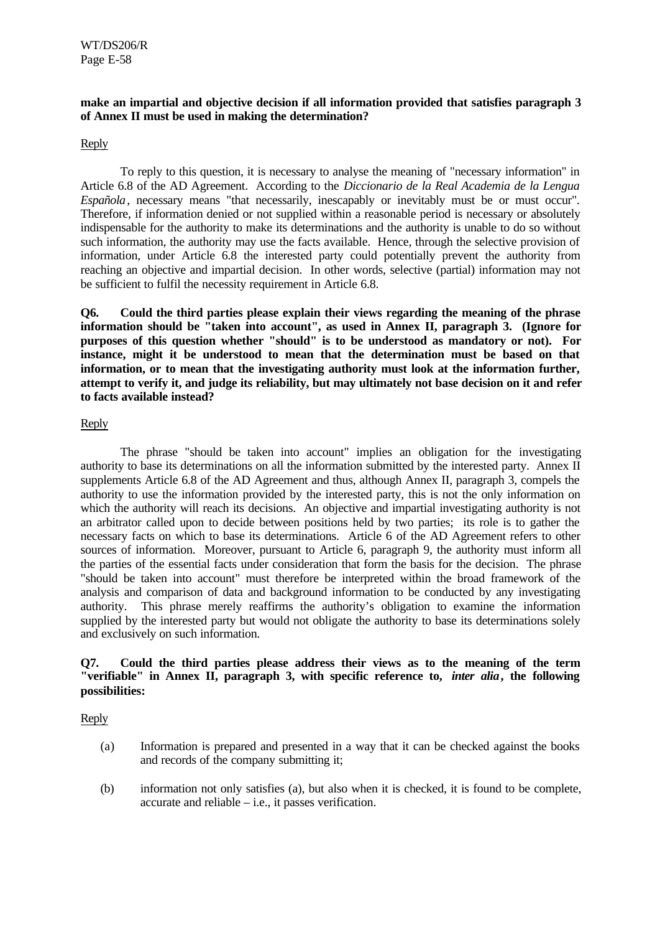## **make an impartial and objective decision if all information provided that satisfies paragraph 3 of Annex II must be used in making the determination?**

## Reply

To reply to this question, it is necessary to analyse the meaning of "necessary information" in Article 6.8 of the AD Agreement. According to the *Diccionario de la Real Academia de la Lengua Española*, necessary means "that necessarily, inescapably or inevitably must be or must occur". Therefore, if information denied or not supplied within a reasonable period is necessary or absolutely indispensable for the authority to make its determinations and the authority is unable to do so without such information, the authority may use the facts available. Hence, through the selective provision of information, under Article 6.8 the interested party could potentially prevent the authority from reaching an objective and impartial decision. In other words, selective (partial) information may not be sufficient to fulfil the necessity requirement in Article 6.8.

**Q6. Could the third parties please explain their views regarding the meaning of the phrase information should be "taken into account", as used in Annex II, paragraph 3. (Ignore for purposes of this question whether "should" is to be understood as mandatory or not). For instance, might it be understood to mean that the determination must be based on that information, or to mean that the investigating authority must look at the information further, attempt to verify it, and judge its reliability, but may ultimately not base decision on it and refer to facts available instead?**

## Reply

The phrase "should be taken into account" implies an obligation for the investigating authority to base its determinations on all the information submitted by the interested party. Annex II supplements Article 6.8 of the AD Agreement and thus, although Annex II, paragraph 3, compels the authority to use the information provided by the interested party, this is not the only information on which the authority will reach its decisions. An objective and impartial investigating authority is not an arbitrator called upon to decide between positions held by two parties; its role is to gather the necessary facts on which to base its determinations. Article 6 of the AD Agreement refers to other sources of information. Moreover, pursuant to Article 6, paragraph 9, the authority must inform all the parties of the essential facts under consideration that form the basis for the decision. The phrase "should be taken into account" must therefore be interpreted within the broad framework of the analysis and comparison of data and background information to be conducted by any investigating authority. This phrase merely reaffirms the authority's obligation to examine the information supplied by the interested party but would not obligate the authority to base its determinations solely and exclusively on such information.

## **Q7. Could the third parties please address their views as to the meaning of the term "verifiable" in Annex II, paragraph 3, with specific reference to,** *inter alia***, the following possibilities:**

## **Reply**

- (a) Information is prepared and presented in a way that it can be checked against the books and records of the company submitting it;
- (b) information not only satisfies (a), but also when it is checked, it is found to be complete, accurate and reliable – i.e., it passes verification.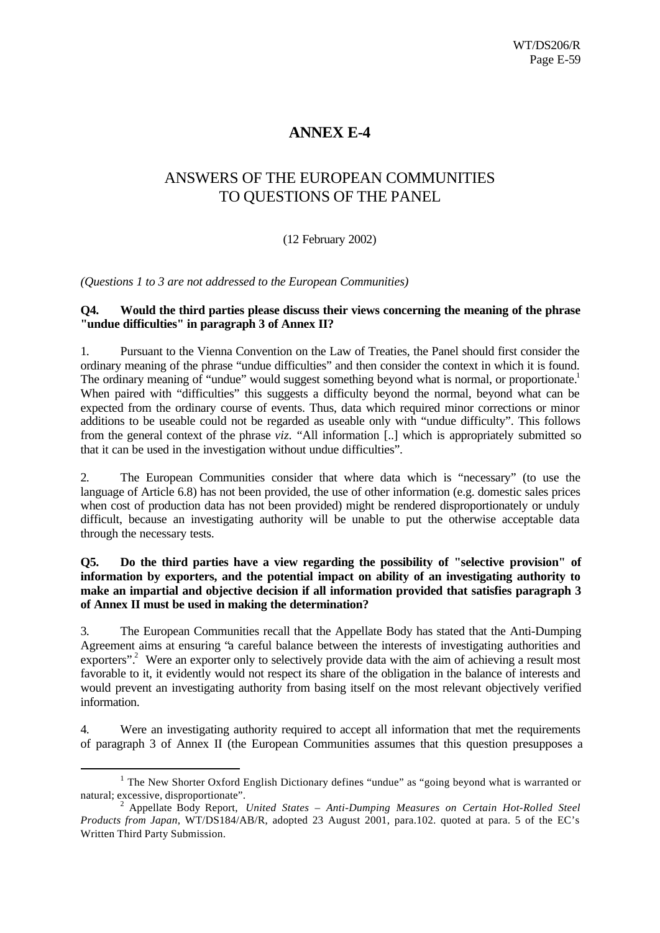# **ANNEX E-4**

# ANSWERS OF THE EUROPEAN COMMUNITIES TO QUESTIONS OF THE PANEL

## (12 February 2002)

*(Questions 1 to 3 are not addressed to the European Communities)*

## **Q4. Would the third parties please discuss their views concerning the meaning of the phrase "undue difficulties" in paragraph 3 of Annex II?**

1. Pursuant to the Vienna Convention on the Law of Treaties, the Panel should first consider the ordinary meaning of the phrase "undue difficulties" and then consider the context in which it is found. The ordinary meaning of "undue" would suggest something beyond what is normal, or proportionate.<sup>1</sup> When paired with "difficulties" this suggests a difficulty beyond the normal, beyond what can be expected from the ordinary course of events. Thus, data which required minor corrections or minor additions to be useable could not be regarded as useable only with "undue difficulty". This follows from the general context of the phrase *viz.* "All information [..] which is appropriately submitted so that it can be used in the investigation without undue difficulties".

2. The European Communities consider that where data which is "necessary" (to use the language of Article 6.8) has not been provided, the use of other information (e.g. domestic sales prices when cost of production data has not been provided) might be rendered disproportionately or unduly difficult, because an investigating authority will be unable to put the otherwise acceptable data through the necessary tests.

## **Q5. Do the third parties have a view regarding the possibility of "selective provision" of information by exporters, and the potential impact on ability of an investigating authority to make an impartial and objective decision if all information provided that satisfies paragraph 3 of Annex II must be used in making the determination?**

3. The European Communities recall that the Appellate Body has stated that the Anti-Dumping Agreement aims at ensuring "a careful balance between the interests of investigating authorities and exporters".<sup>2</sup> Were an exporter only to selectively provide data with the aim of achieving a result most favorable to it, it evidently would not respect its share of the obligation in the balance of interests and would prevent an investigating authority from basing itself on the most relevant objectively verified information.

4. Were an investigating authority required to accept all information that met the requirements of paragraph 3 of Annex II (the European Communities assumes that this question presupposes a

<sup>&</sup>lt;sup>1</sup> The New Shorter Oxford English Dictionary defines "undue" as "going beyond what is warranted or natural; excessive, disproportionate".

<sup>2</sup> Appellate Body Report, *United States – Anti-Dumping Measures on Certain Hot-Rolled Steel Products from Japan*, WT/DS184/AB/R, adopted 23 August 2001, para.102. quoted at para. 5 of the EC's Written Third Party Submission.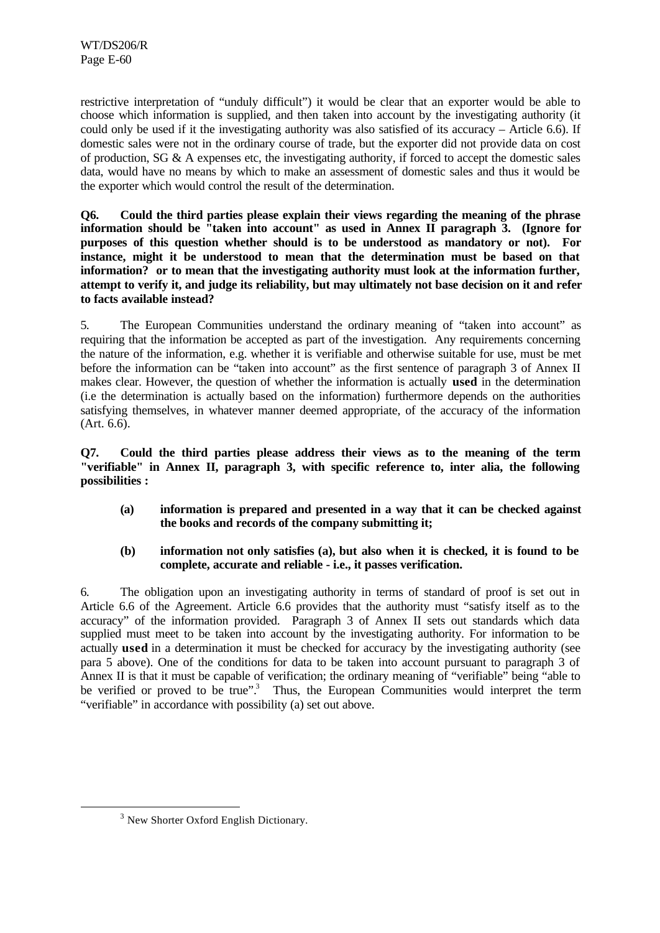restrictive interpretation of "unduly difficult") it would be clear that an exporter would be able to choose which information is supplied, and then taken into account by the investigating authority (it could only be used if it the investigating authority was also satisfied of its accuracy – Article 6.6). If domestic sales were not in the ordinary course of trade, but the exporter did not provide data on cost of production, SG & A expenses etc, the investigating authority, if forced to accept the domestic sales data, would have no means by which to make an assessment of domestic sales and thus it would be the exporter which would control the result of the determination.

**Q6. Could the third parties please explain their views regarding the meaning of the phrase information should be "taken into account" as used in Annex II paragraph 3. (Ignore for purposes of this question whether should is to be understood as mandatory or not). For instance, might it be understood to mean that the determination must be based on that information? or to mean that the investigating authority must look at the information further, attempt to verify it, and judge its reliability, but may ultimately not base decision on it and refer to facts available instead?**

5. The European Communities understand the ordinary meaning of "taken into account" as requiring that the information be accepted as part of the investigation. Any requirements concerning the nature of the information, e.g. whether it is verifiable and otherwise suitable for use, must be met before the information can be "taken into account" as the first sentence of paragraph 3 of Annex II makes clear. However, the question of whether the information is actually **used** in the determination (i.e the determination is actually based on the information) furthermore depends on the authorities satisfying themselves, in whatever manner deemed appropriate, of the accuracy of the information (Art. 6.6).

**Q7. Could the third parties please address their views as to the meaning of the term "verifiable" in Annex II, paragraph 3, with specific reference to, inter alia, the following possibilities :**

- **(a) information is prepared and presented in a way that it can be checked against the books and records of the company submitting it;**
- **(b) information not only satisfies (a), but also when it is checked, it is found to be complete, accurate and reliable - i.e., it passes verification.**

6. The obligation upon an investigating authority in terms of standard of proof is set out in Article 6.6 of the Agreement. Article 6.6 provides that the authority must "satisfy itself as to the accuracy" of the information provided. Paragraph 3 of Annex II sets out standards which data supplied must meet to be taken into account by the investigating authority. For information to be actually **used** in a determination it must be checked for accuracy by the investigating authority (see para 5 above). One of the conditions for data to be taken into account pursuant to paragraph 3 of Annex II is that it must be capable of verification; the ordinary meaning of "verifiable" being "able to be verified or proved to be true".<sup>3</sup> Thus, the European Communities would interpret the term "verifiable" in accordance with possibility (a) set out above.

<sup>&</sup>lt;sup>3</sup> New Shorter Oxford English Dictionary.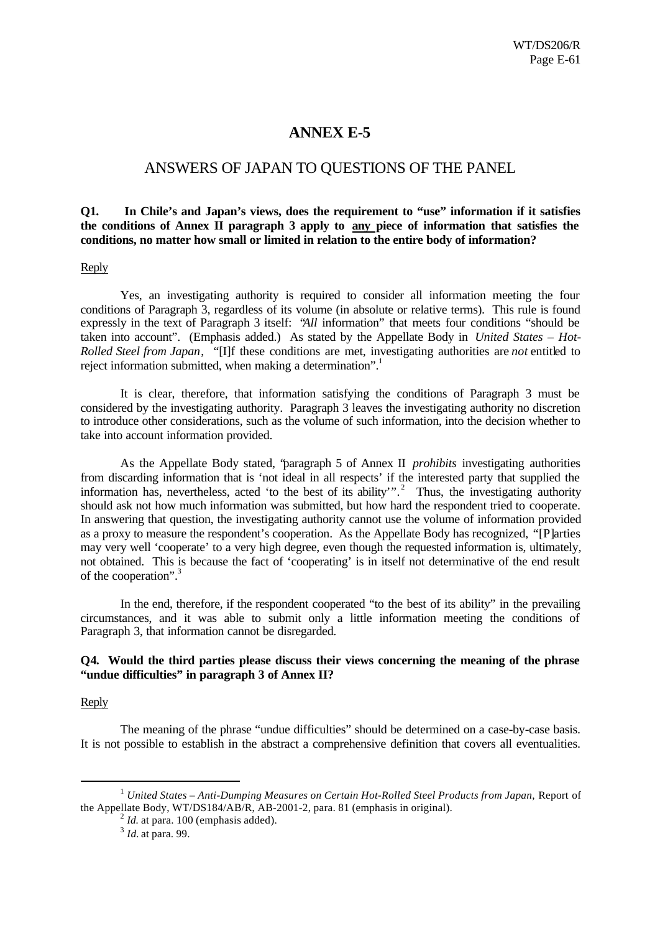## **ANNEX E-5**

## ANSWERS OF JAPAN TO QUESTIONS OF THE PANEL

## **Q1. In Chile's and Japan's views, does the requirement to "use" information if it satisfies the conditions of Annex II paragraph 3 apply to any piece of information that satisfies the conditions, no matter how small or limited in relation to the entire body of information?**

Reply

Yes, an investigating authority is required to consider all information meeting the four conditions of Paragraph 3, regardless of its volume (in absolute or relative terms). This rule is found expressly in the text of Paragraph 3 itself: "*All* information" that meets four conditions "should be taken into account". (Emphasis added.) As stated by the Appellate Body in *United States – Hot-Rolled Steel from Japan*, "[I]f these conditions are met, investigating authorities are *not* entitled to reject information submitted, when making a determination".

It is clear, therefore, that information satisfying the conditions of Paragraph 3 must be considered by the investigating authority. Paragraph 3 leaves the investigating authority no discretion to introduce other considerations, such as the volume of such information, into the decision whether to take into account information provided.

As the Appellate Body stated, "paragraph 5 of Annex II *prohibits* investigating authorities from discarding information that is 'not ideal in all respects' if the interested party that supplied the information has, nevertheless, acted 'to the best of its ability'".<sup>2</sup> Thus, the investigating authority should ask not how much information was submitted, but how hard the respondent tried to cooperate. In answering that question, the investigating authority cannot use the volume of information provided as a proxy to measure the respondent's cooperation. As the Appellate Body has recognized, "[P]arties may very well 'cooperate' to a very high degree, even though the requested information is, ultimately, not obtained. This is because the fact of 'cooperating' is in itself not determinative of the end result of the cooperation".<sup>3</sup>

In the end, therefore, if the respondent cooperated "to the best of its ability" in the prevailing circumstances, and it was able to submit only a little information meeting the conditions of Paragraph 3, that information cannot be disregarded.

## **Q4. Would the third parties please discuss their views concerning the meaning of the phrase "undue difficulties" in paragraph 3 of Annex II?**

### Reply

l

The meaning of the phrase "undue difficulties" should be determined on a case-by-case basis. It is not possible to establish in the abstract a comprehensive definition that covers all eventualities.

<sup>1</sup> *United States – Anti-Dumping Measures on Certain Hot-Rolled Steel Products from Japan*, Report of the Appellate Body, WT/DS184/AB/R, AB-2001-2, para. 81 (emphasis in original).

 $^{2}$  *Id.* at para. 100 (emphasis added).

<sup>3</sup> *Id.* at para. 99.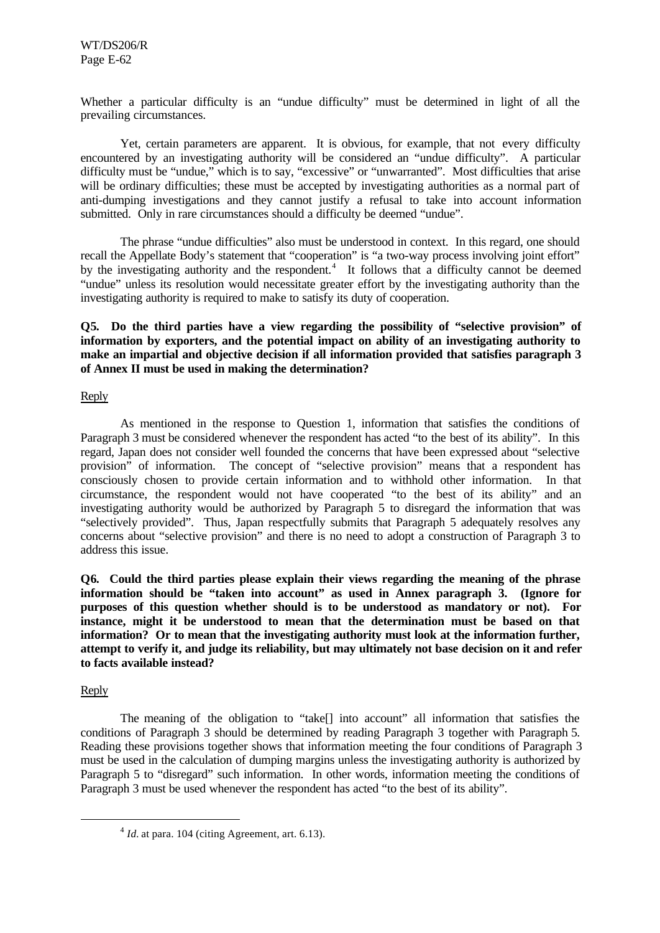Whether a particular difficulty is an "undue difficulty" must be determined in light of all the prevailing circumstances.

Yet, certain parameters are apparent. It is obvious, for example, that not every difficulty encountered by an investigating authority will be considered an "undue difficulty". A particular difficulty must be "undue," which is to say, "excessive" or "unwarranted". Most difficulties that arise will be ordinary difficulties; these must be accepted by investigating authorities as a normal part of anti-dumping investigations and they cannot justify a refusal to take into account information submitted. Only in rare circumstances should a difficulty be deemed "undue".

The phrase "undue difficulties" also must be understood in context. In this regard, one should recall the Appellate Body's statement that "cooperation" is "a two-way process involving joint effort" by the investigating authority and the respondent.<sup>4</sup> It follows that a difficulty cannot be deemed "undue" unless its resolution would necessitate greater effort by the investigating authority than the investigating authority is required to make to satisfy its duty of cooperation.

**Q5. Do the third parties have a view regarding the possibility of "selective provision" of information by exporters, and the potential impact on ability of an investigating authority to make an impartial and objective decision if all information provided that satisfies paragraph 3 of Annex II must be used in making the determination?**

## Reply

As mentioned in the response to Question 1, information that satisfies the conditions of Paragraph 3 must be considered whenever the respondent has acted "to the best of its ability". In this regard, Japan does not consider well founded the concerns that have been expressed about "selective provision" of information. The concept of "selective provision" means that a respondent has consciously chosen to provide certain information and to withhold other information. In that circumstance, the respondent would not have cooperated "to the best of its ability" and an investigating authority would be authorized by Paragraph 5 to disregard the information that was "selectively provided". Thus, Japan respectfully submits that Paragraph 5 adequately resolves any concerns about "selective provision" and there is no need to adopt a construction of Paragraph 3 to address this issue.

**Q6. Could the third parties please explain their views regarding the meaning of the phrase information should be "taken into account" as used in Annex paragraph 3. (Ignore for purposes of this question whether should is to be understood as mandatory or not). For instance, might it be understood to mean that the determination must be based on that information? Or to mean that the investigating authority must look at the information further, attempt to verify it, and judge its reliability, but may ultimately not base decision on it and refer to facts available instead?**

## Reply

l

The meaning of the obligation to "take[] into account" all information that satisfies the conditions of Paragraph 3 should be determined by reading Paragraph 3 together with Paragraph 5. Reading these provisions together shows that information meeting the four conditions of Paragraph 3 must be used in the calculation of dumping margins unless the investigating authority is authorized by Paragraph 5 to "disregard" such information. In other words, information meeting the conditions of Paragraph 3 must be used whenever the respondent has acted "to the best of its ability".

 $4$  *Id.* at para. 104 (citing Agreement, art. 6.13).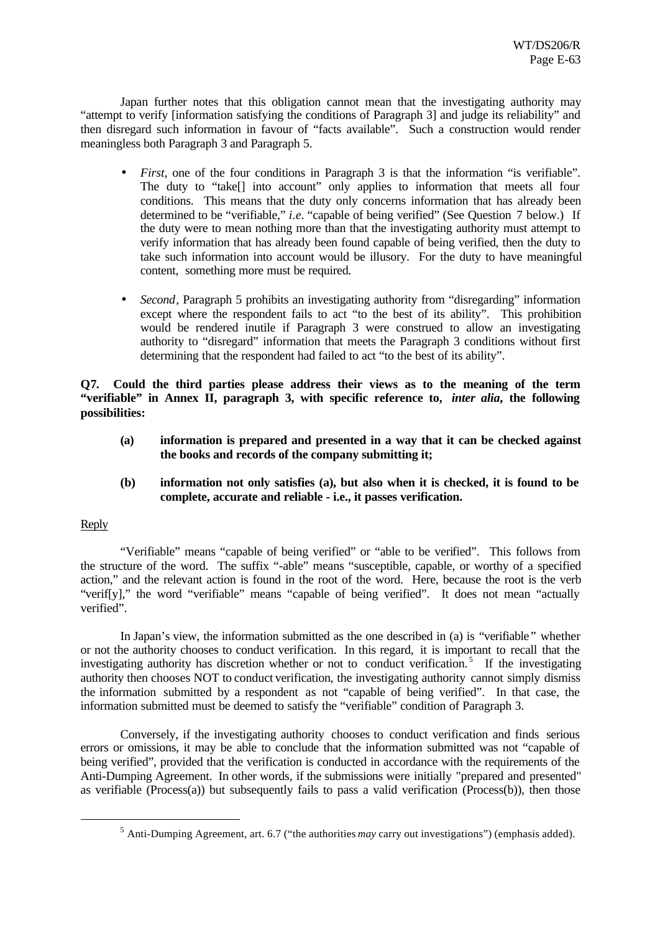Japan further notes that this obligation cannot mean that the investigating authority may "attempt to verify [information satisfying the conditions of Paragraph 3] and judge its reliability" and then disregard such information in favour of "facts available". Such a construction would render meaningless both Paragraph 3 and Paragraph 5.

- *First*, one of the four conditions in Paragraph 3 is that the information "is verifiable". The duty to "take[] into account" only applies to information that meets all four conditions. This means that the duty only concerns information that has already been determined to be "verifiable," *i.e.* "capable of being verified" (See Question 7 below.) If the duty were to mean nothing more than that the investigating authority must attempt to verify information that has already been found capable of being verified, then the duty to take such information into account would be illusory. For the duty to have meaningful content, something more must be required.
- *Second*, Paragraph 5 prohibits an investigating authority from "disregarding" information except where the respondent fails to act "to the best of its ability". This prohibition would be rendered inutile if Paragraph 3 were construed to allow an investigating authority to "disregard" information that meets the Paragraph 3 conditions without first determining that the respondent had failed to act "to the best of its ability".

**Q7. Could the third parties please address their views as to the meaning of the term "verifiable" in Annex II, paragraph 3, with specific reference to,** *inter alia***, the following possibilities:**

- **(a) information is prepared and presented in a way that it can be checked against the books and records of the company submitting it;**
- **(b) information not only satisfies (a), but also when it is checked, it is found to be complete, accurate and reliable - i.e., it passes verification.**

## Reply

l

"Verifiable" means "capable of being verified" or "able to be verified". This follows from the structure of the word. The suffix "-able" means "susceptible, capable, or worthy of a specified action," and the relevant action is found in the root of the word. Here, because the root is the verb "verif[y]," the word "verifiable" means "capable of being verified". It does not mean "actually verified".

In Japan's view, the information submitted as the one described in (a) is "verifiable" whether or not the authority chooses to conduct verification. In this regard, it is important to recall that the investigating authority has discretion whether or not to conduct verification.<sup>5</sup> If the investigating authority then chooses NOT to conduct verification, the investigating authority cannot simply dismiss the information submitted by a respondent as not "capable of being verified". In that case, the information submitted must be deemed to satisfy the "verifiable" condition of Paragraph 3.

Conversely, if the investigating authority chooses to conduct verification and finds serious errors or omissions, it may be able to conclude that the information submitted was not "capable of being verified", provided that the verification is conducted in accordance with the requirements of the Anti-Dumping Agreement. In other words, if the submissions were initially "prepared and presented" as verifiable (Process(a)) but subsequently fails to pass a valid verification (Process(b)), then those

<sup>5</sup> Anti-Dumping Agreement, art. 6.7 ("the authorities *may* carry out investigations") (emphasis added).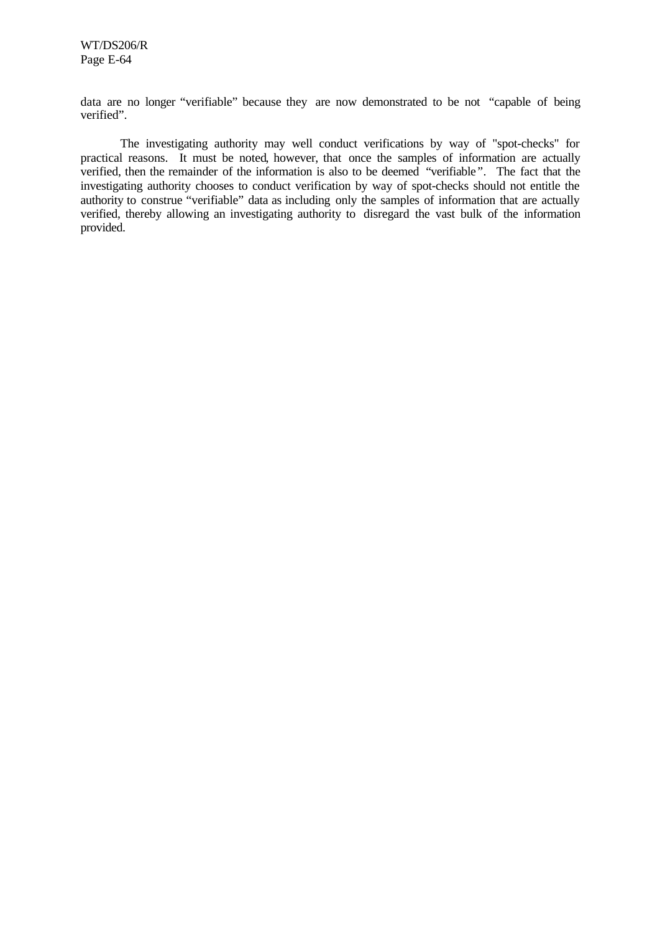data are no longer "verifiable" because they are now demonstrated to be not "capable of being verified".

The investigating authority may well conduct verifications by way of "spot-checks" for practical reasons. It must be noted, however, that once the samples of information are actually verified, then the remainder of the information is also to be deemed "verifiable". The fact that the investigating authority chooses to conduct verification by way of spot-checks should not entitle the authority to construe "verifiable" data as including only the samples of information that are actually verified, thereby allowing an investigating authority to disregard the vast bulk of the information provided.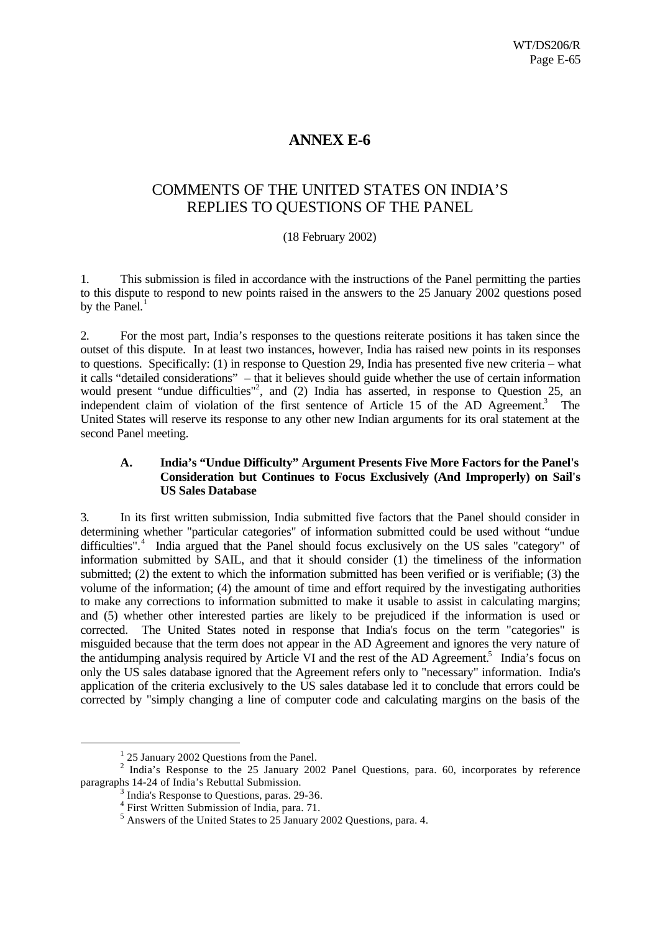# **ANNEX E-6**

## COMMENTS OF THE UNITED STATES ON INDIA'S REPLIES TO QUESTIONS OF THE PANEL

## (18 February 2002)

1. This submission is filed in accordance with the instructions of the Panel permitting the parties to this dispute to respond to new points raised in the answers to the 25 January 2002 questions posed by the Panel. $<sup>1</sup>$ </sup>

2. For the most part, India's responses to the questions reiterate positions it has taken since the outset of this dispute. In at least two instances, however, India has raised new points in its responses to questions. Specifically: (1) in response to Question 29, India has presented five new criteria – what it calls "detailed considerations" – that it believes should guide whether the use of certain information would present "undue difficulties"<sup>2</sup>, and (2) India has asserted, in response to Question 25, an independent claim of violation of the first sentence of Article 15 of the AD Agreement.<sup>3</sup> The United States will reserve its response to any other new Indian arguments for its oral statement at the second Panel meeting.

## **A. India's "Undue Difficulty" Argument Presents Five More Factors for the Panel's Consideration but Continues to Focus Exclusively (And Improperly) on Sail's US Sales Database**

3. In its first written submission, India submitted five factors that the Panel should consider in determining whether "particular categories" of information submitted could be used without "undue difficulties".<sup>4</sup> India argued that the Panel should focus exclusively on the US sales "category" of information submitted by SAIL, and that it should consider (1) the timeliness of the information submitted; (2) the extent to which the information submitted has been verified or is verifiable; (3) the volume of the information; (4) the amount of time and effort required by the investigating authorities to make any corrections to information submitted to make it usable to assist in calculating margins; and (5) whether other interested parties are likely to be prejudiced if the information is used or corrected. The United States noted in response that India's focus on the term "categories" is misguided because that the term does not appear in the AD Agreement and ignores the very nature of the antidumping analysis required by Article VI and the rest of the AD Agreement.<sup>5</sup> India's focus on only the US sales database ignored that the Agreement refers only to "necessary" information. India's application of the criteria exclusively to the US sales database led it to conclude that errors could be corrected by "simply changing a line of computer code and calculating margins on the basis of the

<sup>&</sup>lt;sup>1</sup> 25 January 2002 Questions from the Panel.

<sup>&</sup>lt;sup>2</sup> India's Response to the 25 January 2002 Panel Questions, para. 60, incorporates by reference paragraphs 14-24 of India's Rebuttal Submission.

<sup>&</sup>lt;sup>3</sup> India's Response to Questions, paras. 29-36.

<sup>4</sup> First Written Submission of India, para. 71.

 $5$  Answers of the United States to 25 January 2002 Questions, para. 4.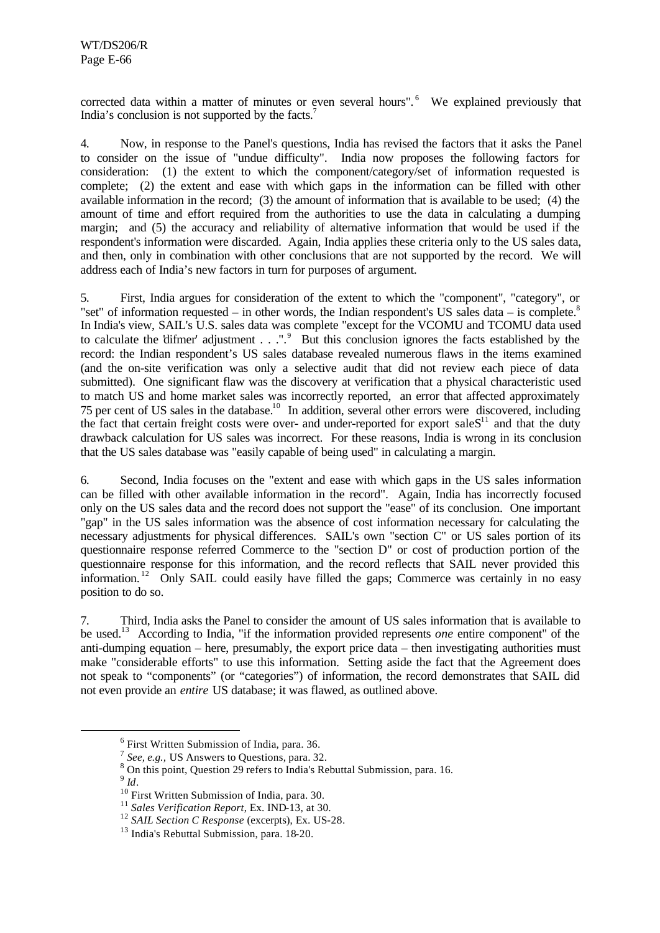corrected data within a matter of minutes or even several hours".<sup>6</sup> We explained previously that India's conclusion is not supported by the facts.<sup>7</sup>

4. Now, in response to the Panel's questions, India has revised the factors that it asks the Panel to consider on the issue of "undue difficulty". India now proposes the following factors for consideration: (1) the extent to which the component/category/set of information requested is complete; (2) the extent and ease with which gaps in the information can be filled with other available information in the record; (3) the amount of information that is available to be used; (4) the amount of time and effort required from the authorities to use the data in calculating a dumping margin; and (5) the accuracy and reliability of alternative information that would be used if the respondent's information were discarded. Again, India applies these criteria only to the US sales data, and then, only in combination with other conclusions that are not supported by the record. We will address each of India's new factors in turn for purposes of argument.

5. First, India argues for consideration of the extent to which the "component", "category", or "set" of information requested – in other words, the Indian respondent's US sales data – is complete.<sup>8</sup> In India's view, SAIL's U.S. sales data was complete "except for the VCOMU and TCOMU data used to calculate the 'difmer' adjustment  $\ldots$ ". But this conclusion ignores the facts established by the record: the Indian respondent's US sales database revealed numerous flaws in the items examined (and the on-site verification was only a selective audit that did not review each piece of data submitted). One significant flaw was the discovery at verification that a physical characteristic used to match US and home market sales was incorrectly reported, an error that affected approximately 75 per cent of US sales in the database.<sup>10</sup> In addition, several other errors were discovered, including the fact that certain freight costs were over- and under-reported for export sale $S<sup>11</sup>$  and that the duty drawback calculation for US sales was incorrect. For these reasons, India is wrong in its conclusion that the US sales database was "easily capable of being used" in calculating a margin.

6. Second, India focuses on the "extent and ease with which gaps in the US sales information can be filled with other available information in the record". Again, India has incorrectly focused only on the US sales data and the record does not support the "ease" of its conclusion. One important "gap" in the US sales information was the absence of cost information necessary for calculating the necessary adjustments for physical differences. SAIL's own "section C" or US sales portion of its questionnaire response referred Commerce to the "section D" or cost of production portion of the questionnaire response for this information, and the record reflects that SAIL never provided this information.<sup>12</sup> Only SAIL could easily have filled the gaps; Commerce was certainly in no easy position to do so.

7. Third, India asks the Panel to consider the amount of US sales information that is available to be used.<sup>13</sup> According to India, "if the information provided represents *one* entire component" of the anti-dumping equation – here, presumably, the export price data – then investigating authorities must make "considerable efforts" to use this information. Setting aside the fact that the Agreement does not speak to "components" (or "categories") of information, the record demonstrates that SAIL did not even provide an *entire* US database; it was flawed, as outlined above.

<sup>&</sup>lt;sup>6</sup> First Written Submission of India, para. 36.

<sup>7</sup> *See, e.g.,* US Answers to Questions, para. 32.

<sup>8</sup> On this point, Question 29 refers to India's Rebuttal Submission, para. 16.

<sup>9</sup> *Id*.

<sup>&</sup>lt;sup>10</sup> First Written Submission of India, para. 30.

<sup>11</sup> *Sales Verification Report*, Ex. IND-13, at 30.

<sup>12</sup> *SAIL Section C Response* (excerpts), Ex. US-28.

<sup>&</sup>lt;sup>13</sup> India's Rebuttal Submission, para. 18-20.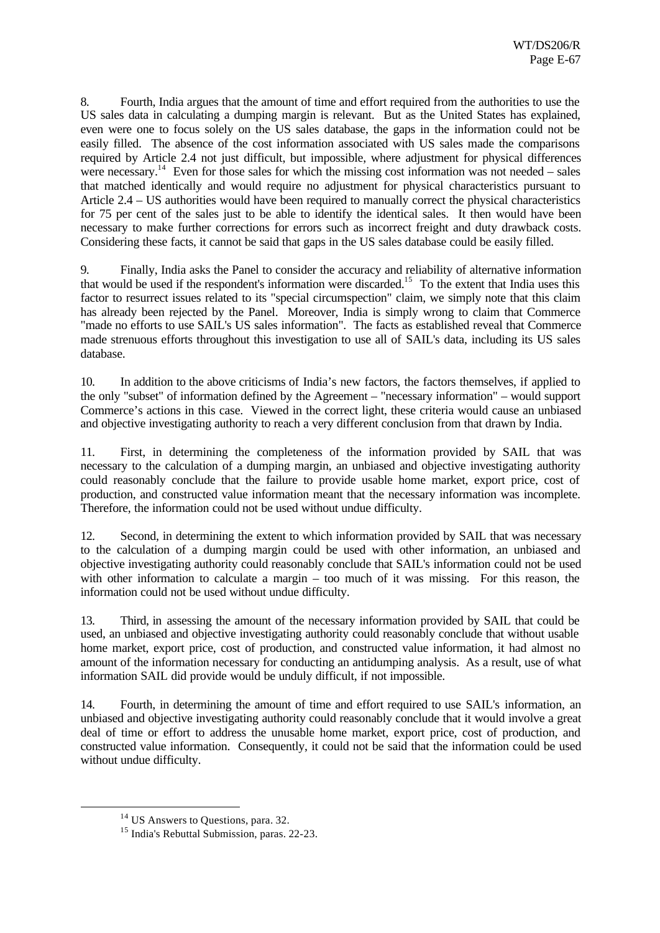8. Fourth, India argues that the amount of time and effort required from the authorities to use the US sales data in calculating a dumping margin is relevant. But as the United States has explained, even were one to focus solely on the US sales database, the gaps in the information could not be easily filled. The absence of the cost information associated with US sales made the comparisons required by Article 2.4 not just difficult, but impossible, where adjustment for physical differences were necessary.<sup>14</sup> Even for those sales for which the missing cost information was not needed – sales that matched identically and would require no adjustment for physical characteristics pursuant to Article 2.4 – US authorities would have been required to manually correct the physical characteristics for 75 per cent of the sales just to be able to identify the identical sales. It then would have been necessary to make further corrections for errors such as incorrect freight and duty drawback costs. Considering these facts, it cannot be said that gaps in the US sales database could be easily filled.

9. Finally, India asks the Panel to consider the accuracy and reliability of alternative information that would be used if the respondent's information were discarded.<sup>15</sup> To the extent that India uses this factor to resurrect issues related to its "special circumspection" claim, we simply note that this claim has already been rejected by the Panel. Moreover, India is simply wrong to claim that Commerce "made no efforts to use SAIL's US sales information". The facts as established reveal that Commerce made strenuous efforts throughout this investigation to use all of SAIL's data, including its US sales database.

10. In addition to the above criticisms of India's new factors, the factors themselves, if applied to the only "subset" of information defined by the Agreement – "necessary information" – would support Commerce's actions in this case. Viewed in the correct light, these criteria would cause an unbiased and objective investigating authority to reach a very different conclusion from that drawn by India.

11. First, in determining the completeness of the information provided by SAIL that was necessary to the calculation of a dumping margin, an unbiased and objective investigating authority could reasonably conclude that the failure to provide usable home market, export price, cost of production, and constructed value information meant that the necessary information was incomplete. Therefore, the information could not be used without undue difficulty.

12. Second, in determining the extent to which information provided by SAIL that was necessary to the calculation of a dumping margin could be used with other information, an unbiased and objective investigating authority could reasonably conclude that SAIL's information could not be used with other information to calculate a margin – too much of it was missing. For this reason, the information could not be used without undue difficulty.

13. Third, in assessing the amount of the necessary information provided by SAIL that could be used, an unbiased and objective investigating authority could reasonably conclude that without usable home market, export price, cost of production, and constructed value information, it had almost no amount of the information necessary for conducting an antidumping analysis. As a result, use of what information SAIL did provide would be unduly difficult, if not impossible.

14. Fourth, in determining the amount of time and effort required to use SAIL's information, an unbiased and objective investigating authority could reasonably conclude that it would involve a great deal of time or effort to address the unusable home market, export price, cost of production, and constructed value information. Consequently, it could not be said that the information could be used without undue difficulty.

<sup>&</sup>lt;sup>14</sup> US Answers to Questions, para. 32.

<sup>15</sup> India's Rebuttal Submission, paras. 22-23.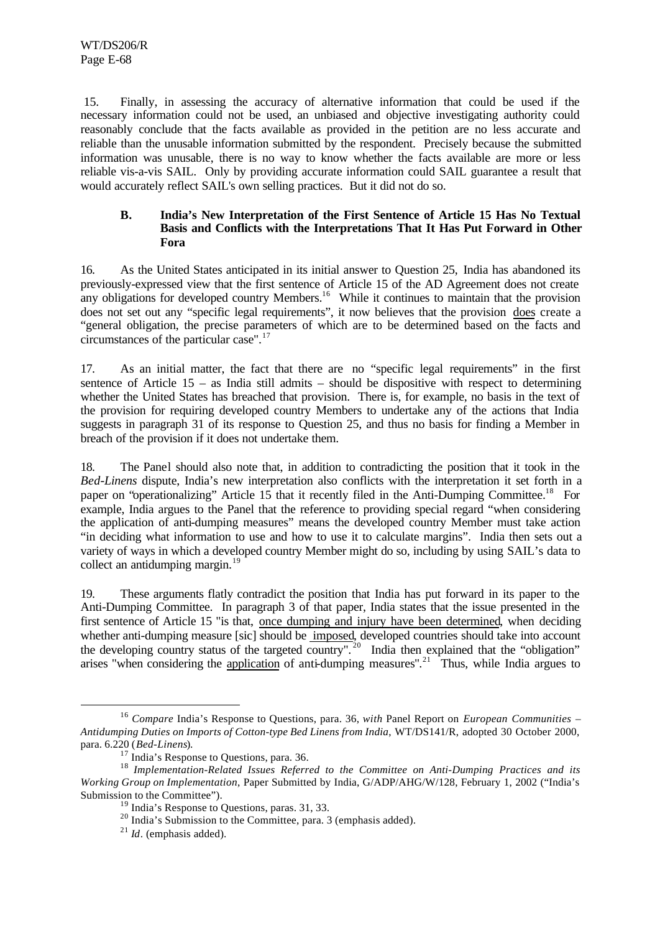15. Finally, in assessing the accuracy of alternative information that could be used if the necessary information could not be used, an unbiased and objective investigating authority could reasonably conclude that the facts available as provided in the petition are no less accurate and reliable than the unusable information submitted by the respondent. Precisely because the submitted information was unusable, there is no way to know whether the facts available are more or less reliable vis-a-vis SAIL. Only by providing accurate information could SAIL guarantee a result that would accurately reflect SAIL's own selling practices. But it did not do so.

## **B. India's New Interpretation of the First Sentence of Article 15 Has No Textual Basis and Conflicts with the Interpretations That It Has Put Forward in Other Fora**

16. As the United States anticipated in its initial answer to Question 25, India has abandoned its previously-expressed view that the first sentence of Article 15 of the AD Agreement does not create any obligations for developed country Members.<sup>16</sup> While it continues to maintain that the provision does not set out any "specific legal requirements", it now believes that the provision does create a "general obligation, the precise parameters of which are to be determined based on the facts and circumstances of the particular case".<sup>17</sup>

17. As an initial matter, the fact that there are no "specific legal requirements" in the first sentence of Article  $15 -$  as India still admits – should be dispositive with respect to determining whether the United States has breached that provision. There is, for example, no basis in the text of the provision for requiring developed country Members to undertake any of the actions that India suggests in paragraph 31 of its response to Question 25, and thus no basis for finding a Member in breach of the provision if it does not undertake them.

18. The Panel should also note that, in addition to contradicting the position that it took in the *Bed-Linens* dispute, India's new interpretation also conflicts with the interpretation it set forth in a paper on "operationalizing" Article 15 that it recently filed in the Anti-Dumping Committee.<sup>18</sup> For example, India argues to the Panel that the reference to providing special regard "when considering the application of anti-dumping measures" means the developed country Member must take action "in deciding what information to use and how to use it to calculate margins". India then sets out a variety of ways in which a developed country Member might do so, including by using SAIL's data to collect an antidumping margin.<sup>19</sup>

19. These arguments flatly contradict the position that India has put forward in its paper to the Anti-Dumping Committee. In paragraph 3 of that paper, India states that the issue presented in the first sentence of Article 15 "is that, once dumping and injury have been determined, when deciding whether anti-dumping measure [sic] should be imposed, developed countries should take into account the developing country status of the targeted country".<sup>20</sup> India then explained that the "obligation" arises "when considering the application of anti-dumping measures".<sup>21</sup> Thus, while India argues to

<sup>16</sup> *Compare* India's Response to Questions, para. 36, *with* Panel Report on *European Communities – Antidumping Duties on Imports of Cotton-type Bed Linens from India*, WT/DS141/R, adopted 30 October 2000, para. 6.220 (*Bed-Linens*).

 $17$  India's Response to Questions, para. 36.

<sup>&</sup>lt;sup>18</sup> *Implementation-Related Issues Referred to the Committee on Anti-Dumping Practices and its*<br><sup>18</sup> *Implementation-Related Issues Referred to the Committee on Anti-Dumping Practices and its Working Group on Implementation*, Paper Submitted by India, G/ADP/AHG/W/128, February 1, 2002 ("India's Submission to the Committee").

<sup>19</sup> India's Response to Questions, paras. 31, 33.

<sup>&</sup>lt;sup>20</sup> India's Submission to the Committee, para. 3 (emphasis added).

<sup>21</sup> *Id*. (emphasis added).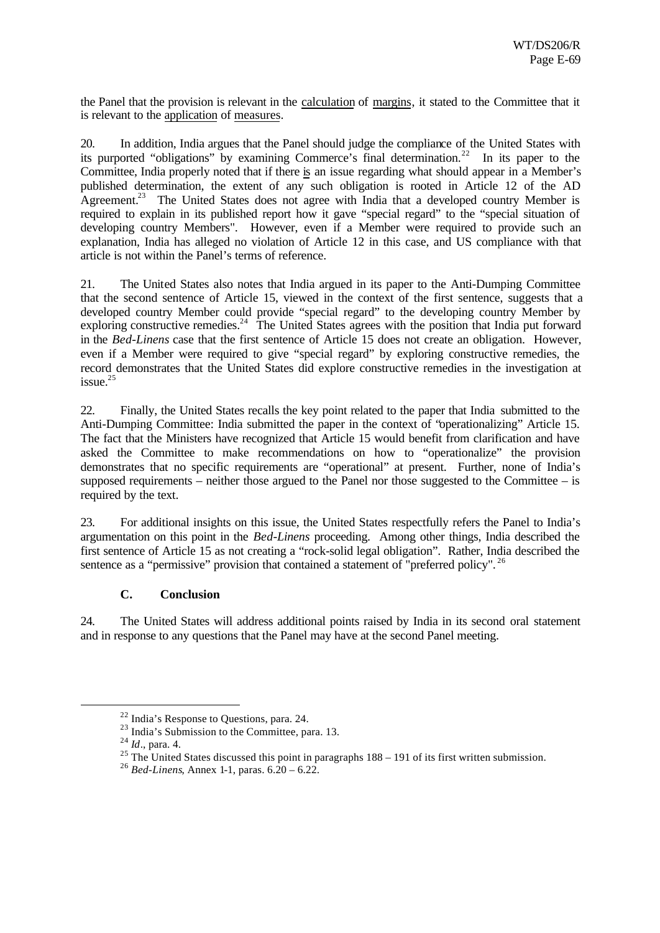the Panel that the provision is relevant in the calculation of margins, it stated to the Committee that it is relevant to the application of measures.

20. In addition, India argues that the Panel should judge the compliance of the United States with its purported "obligations" by examining Commerce's final determination.<sup>22</sup> In its paper to the Committee, India properly noted that if there is an issue regarding what should appear in a Member's published determination, the extent of any such obligation is rooted in Article 12 of the AD Agreement.<sup>23</sup> The United States does not agree with India that a developed country Member is required to explain in its published report how it gave "special regard" to the "special situation of developing country Members". However, even if a Member were required to provide such an explanation, India has alleged no violation of Article 12 in this case, and US compliance with that article is not within the Panel's terms of reference.

21. The United States also notes that India argued in its paper to the Anti-Dumping Committee that the second sentence of Article 15, viewed in the context of the first sentence, suggests that a developed country Member could provide "special regard" to the developing country Member by exploring constructive remedies.<sup>24</sup> The United States agrees with the position that India put forward in the *Bed-Linens* case that the first sentence of Article 15 does not create an obligation. However, even if a Member were required to give "special regard" by exploring constructive remedies, the record demonstrates that the United States did explore constructive remedies in the investigation at issue. $25$ 

22. Finally, the United States recalls the key point related to the paper that India submitted to the Anti-Dumping Committee: India submitted the paper in the context of "operationalizing" Article 15. The fact that the Ministers have recognized that Article 15 would benefit from clarification and have asked the Committee to make recommendations on how to "operationalize" the provision demonstrates that no specific requirements are "operational" at present. Further, none of India's supposed requirements – neither those argued to the Panel nor those suggested to the Committee – is required by the text.

23. For additional insights on this issue, the United States respectfully refers the Panel to India's argumentation on this point in the *Bed-Linens* proceeding. Among other things, India described the first sentence of Article 15 as not creating a "rock-solid legal obligation". Rather, India described the sentence as a "permissive" provision that contained a statement of "preferred policy". <sup>26</sup>

## **C. Conclusion**

24. The United States will address additional points raised by India in its second oral statement and in response to any questions that the Panel may have at the second Panel meeting.

<sup>22</sup> India's Response to Questions, para. 24.

<sup>&</sup>lt;sup>23</sup> India's Submission to the Committee, para. 13.

<sup>24</sup> *Id*., para. 4.

<sup>&</sup>lt;sup>25</sup> The United States discussed this point in paragraphs  $188 - 191$  of its first written submission.

<sup>26</sup> *Bed-Linens*, Annex 1-1, paras. 6.20 – 6.22.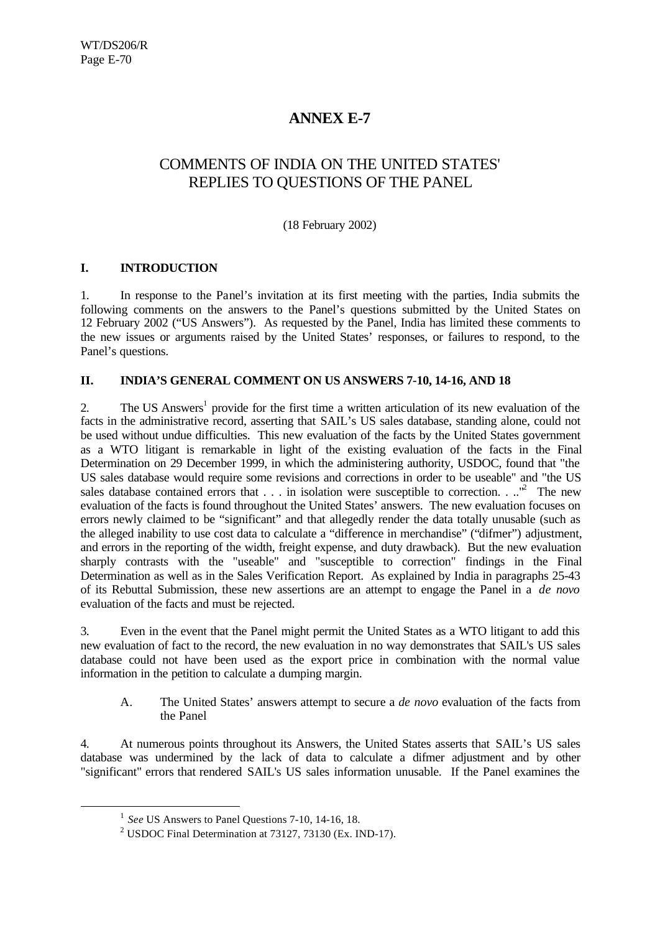# **ANNEX E-7**

# COMMENTS OF INDIA ON THE UNITED STATES' REPLIES TO QUESTIONS OF THE PANEL

(18 February 2002)

## **I. INTRODUCTION**

1. In response to the Panel's invitation at its first meeting with the parties, India submits the following comments on the answers to the Panel's questions submitted by the United States on 12 February 2002 ("US Answers"). As requested by the Panel, India has limited these comments to the new issues or arguments raised by the United States' responses, or failures to respond, to the Panel's questions.

## **II. INDIA'S GENERAL COMMENT ON US ANSWERS 7-10, 14-16, AND 18**

2. The US Answers<sup>1</sup> provide for the first time a written articulation of its new evaluation of the facts in the administrative record, asserting that SAIL's US sales database, standing alone, could not be used without undue difficulties. This new evaluation of the facts by the United States government as a WTO litigant is remarkable in light of the existing evaluation of the facts in the Final Determination on 29 December 1999, in which the administering authority, USDOC, found that "the US sales database would require some revisions and corrections in order to be useable" and "the US sales database contained errors that  $\dots$  in isolation were susceptible to correction.  $\dots$ <sup>2</sup> The new evaluation of the facts is found throughout the United States' answers. The new evaluation focuses on errors newly claimed to be "significant" and that allegedly render the data totally unusable (such as the alleged inability to use cost data to calculate a "difference in merchandise" ("difmer") adjustment, and errors in the reporting of the width, freight expense, and duty drawback). But the new evaluation sharply contrasts with the "useable" and "susceptible to correction" findings in the Final Determination as well as in the Sales Verification Report. As explained by India in paragraphs 25-43 of its Rebuttal Submission, these new assertions are an attempt to engage the Panel in a *de novo* evaluation of the facts and must be rejected.

3. Even in the event that the Panel might permit the United States as a WTO litigant to add this new evaluation of fact to the record, the new evaluation in no way demonstrates that SAIL's US sales database could not have been used as the export price in combination with the normal value information in the petition to calculate a dumping margin.

A. The United States' answers attempt to secure a *de novo* evaluation of the facts from the Panel

4. At numerous points throughout its Answers, the United States asserts that SAIL's US sales database was undermined by the lack of data to calculate a difmer adjustment and by other "significant" errors that rendered SAIL's US sales information unusable. If the Panel examines the

<sup>&</sup>lt;sup>1</sup> See US Answers to Panel Questions 7-10, 14-16, 18.

 $2$  USDOC Final Determination at  $73127$ ,  $73130$  (Ex. IND-17).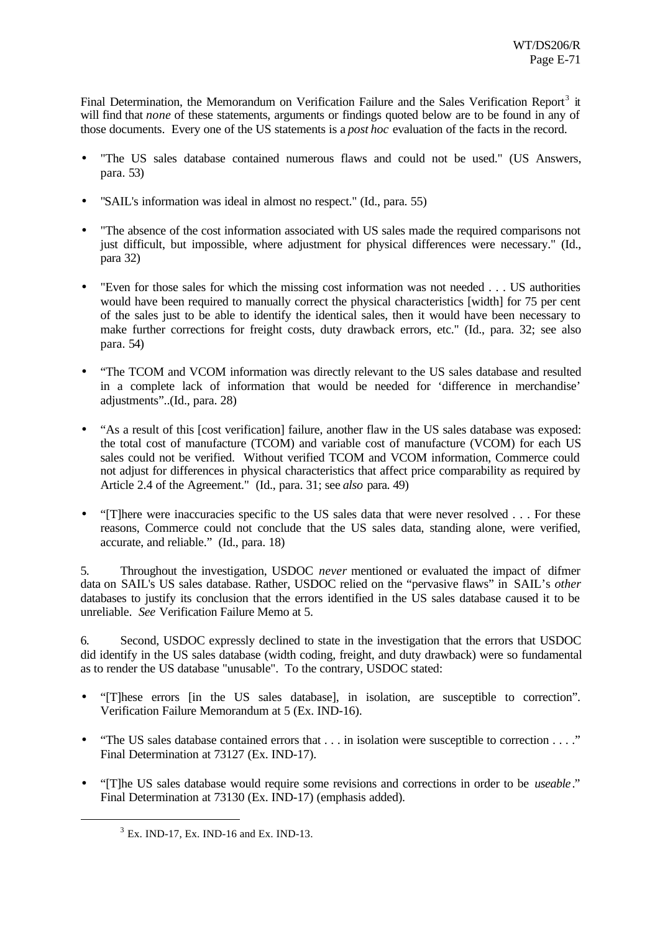Final Determination, the Memorandum on Verification Failure and the Sales Verification Report<sup>3</sup> it will find that *none* of these statements, arguments or findings quoted below are to be found in any of those documents. Every one of the US statements is a *post hoc* evaluation of the facts in the record.

- "The US sales database contained numerous flaws and could not be used." (US Answers, para. 53)
- "SAIL's information was ideal in almost no respect." (Id., para. 55)
- "The absence of the cost information associated with US sales made the required comparisons not just difficult, but impossible, where adjustment for physical differences were necessary." (Id., para 32)
- "Even for those sales for which the missing cost information was not needed . . . US authorities would have been required to manually correct the physical characteristics [width] for 75 per cent of the sales just to be able to identify the identical sales, then it would have been necessary to make further corrections for freight costs, duty drawback errors, etc." (Id., para. 32; see also para. 54)
- "The TCOM and VCOM information was directly relevant to the US sales database and resulted in a complete lack of information that would be needed for 'difference in merchandise' adjustments"..(Id., para. 28)
- "As a result of this [cost verification] failure, another flaw in the US sales database was exposed: the total cost of manufacture (TCOM) and variable cost of manufacture (VCOM) for each US sales could not be verified. Without verified TCOM and VCOM information, Commerce could not adjust for differences in physical characteristics that affect price comparability as required by Article 2.4 of the Agreement." (Id., para. 31; see *also* para. 49)
- "[T]here were inaccuracies specific to the US sales data that were never resolved . . . For these reasons, Commerce could not conclude that the US sales data, standing alone, were verified, accurate, and reliable." (Id., para. 18)

5. Throughout the investigation, USDOC *never* mentioned or evaluated the impact of difmer data on SAIL's US sales database. Rather, USDOC relied on the "pervasive flaws" in SAIL's *other* databases to justify its conclusion that the errors identified in the US sales database caused it to be unreliable. *See* Verification Failure Memo at 5.

6. Second, USDOC expressly declined to state in the investigation that the errors that USDOC did identify in the US sales database (width coding, freight, and duty drawback) were so fundamental as to render the US database "unusable". To the contrary, USDOC stated:

- "[T]hese errors [in the US sales database], in isolation, are susceptible to correction". Verification Failure Memorandum at 5 (Ex. IND-16).
- "The US sales database contained errors that . . . in isolation were susceptible to correction . . . ." Final Determination at 73127 (Ex. IND-17).
- "[T]he US sales database would require some revisions and corrections in order to be *useable*." Final Determination at 73130 (Ex. IND-17) (emphasis added).

 $3$  Ex. IND-17, Ex. IND-16 and Ex. IND-13.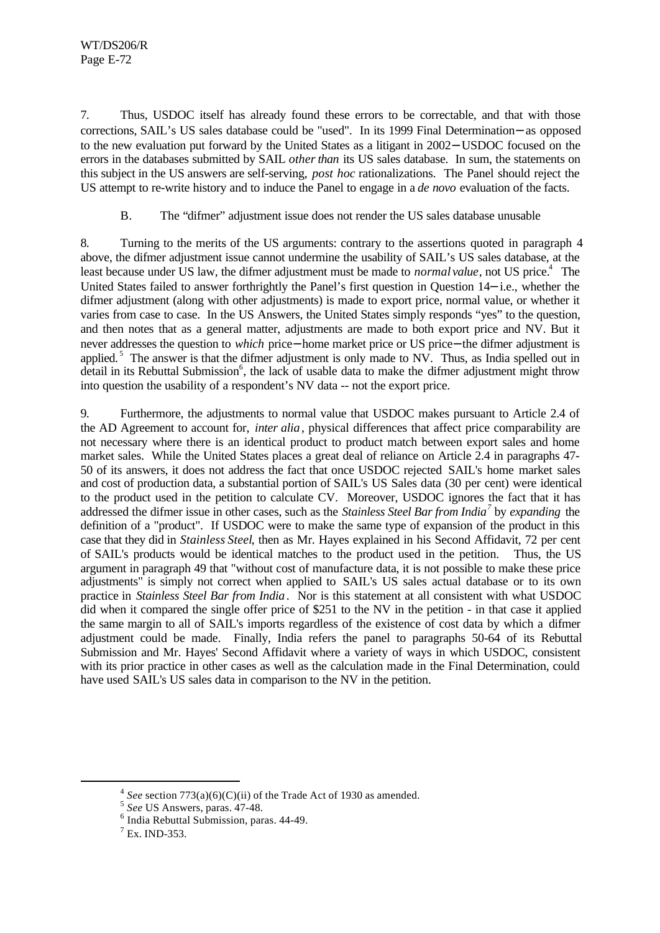7. Thus, USDOC itself has already found these errors to be correctable, and that with those corrections, SAIL's US sales database could be "used". In its 1999 Final Determination− as opposed to the new evaluation put forward by the United States as a litigant in 2002− USDOC focused on the errors in the databases submitted by SAIL *other than* its US sales database. In sum, the statements on this subject in the US answers are self-serving, *post hoc* rationalizations. The Panel should reject the US attempt to re-write history and to induce the Panel to engage in a *de novo* evaluation of the facts.

B. The "difmer" adjustment issue does not render the US sales database unusable

8. Turning to the merits of the US arguments: contrary to the assertions quoted in paragraph 4 above, the difmer adjustment issue cannot undermine the usability of SAIL's US sales database, at the least because under US law, the difmer adjustment must be made to *normal value*, not US price.<sup>4</sup> The United States failed to answer forthrightly the Panel's first question in Question 14− i.e., whether the difmer adjustment (along with other adjustments) is made to export price, normal value, or whether it varies from case to case. In the US Answers, the United States simply responds "yes" to the question, and then notes that as a general matter, adjustments are made to both export price and NV. But it never addresses the question to *which* price− home market price or US price− the difmer adjustment is applied.<sup>5</sup> The answer is that the difmer adjustment is only made to NV. Thus, as India spelled out in  $\det$  detail in its Rebuttal Submission<sup>6</sup>, the lack of usable data to make the difmer adjustment might throw into question the usability of a respondent's NV data -- not the export price.

9. Furthermore, the adjustments to normal value that USDOC makes pursuant to Article 2.4 of the AD Agreement to account for, *inter alia*, physical differences that affect price comparability are not necessary where there is an identical product to product match between export sales and home market sales. While the United States places a great deal of reliance on Article 2.4 in paragraphs 47- 50 of its answers, it does not address the fact that once USDOC rejected SAIL's home market sales and cost of production data, a substantial portion of SAIL's US Sales data (30 per cent) were identical to the product used in the petition to calculate CV. Moreover, USDOC ignores the fact that it has addressed the difmer issue in other cases, such as the *Stainless Steel Bar from India<sup>7</sup>* by *expanding* the definition of a "product". If USDOC were to make the same type of expansion of the product in this case that they did in *Stainless Steel*, then as Mr. Hayes explained in his Second Affidavit, 72 per cent of SAIL's products would be identical matches to the product used in the petition. Thus, the US argument in paragraph 49 that "without cost of manufacture data, it is not possible to make these price adjustments" is simply not correct when applied to SAIL's US sales actual database or to its own practice in *Stainless Steel Bar from India*. Nor is this statement at all consistent with what USDOC did when it compared the single offer price of \$251 to the NV in the petition - in that case it applied the same margin to all of SAIL's imports regardless of the existence of cost data by which a difmer adjustment could be made. Finally, India refers the panel to paragraphs 50-64 of its Rebuttal Submission and Mr. Hayes' Second Affidavit where a variety of ways in which USDOC, consistent with its prior practice in other cases as well as the calculation made in the Final Determination, could have used SAIL's US sales data in comparison to the NV in the petition.

<sup>&</sup>lt;sup>4</sup> See section 773(a)(6)(C)(ii) of the Trade Act of 1930 as amended.

<sup>5</sup> *See* US Answers, paras. 47-48.

<sup>6</sup> India Rebuttal Submission, paras. 44-49.

 $<sup>7</sup>$  Ex. IND-353.</sup>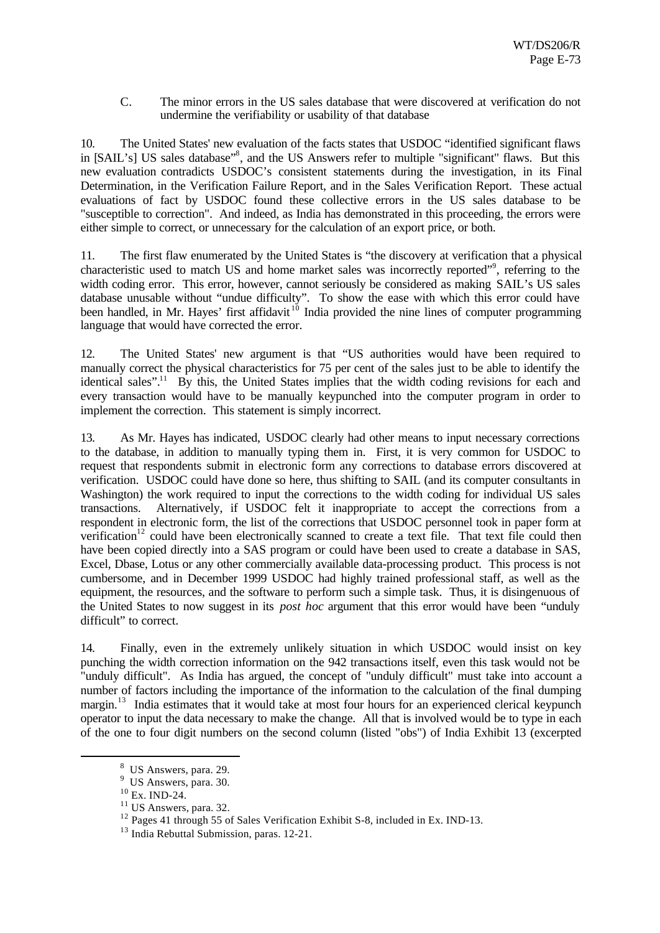C. The minor errors in the US sales database that were discovered at verification do not undermine the verifiability or usability of that database

10. The United States' new evaluation of the facts states that USDOC "identified significant flaws in [SAIL's] US sales database"<sup>8</sup>, and the US Answers refer to multiple "significant" flaws. But this new evaluation contradicts USDOC's consistent statements during the investigation, in its Final Determination, in the Verification Failure Report, and in the Sales Verification Report. These actual evaluations of fact by USDOC found these collective errors in the US sales database to be "susceptible to correction". And indeed, as India has demonstrated in this proceeding, the errors were either simple to correct, or unnecessary for the calculation of an export price, or both.

11. The first flaw enumerated by the United States is "the discovery at verification that a physical characteristic used to match US and home market sales was incorrectly reported"<sup>9</sup>, referring to the width coding error. This error, however, cannot seriously be considered as making SAIL's US sales database unusable without "undue difficulty". To show the ease with which this error could have been handled, in Mr. Hayes' first affidavit<sup>10</sup> India provided the nine lines of computer programming language that would have corrected the error.

12. The United States' new argument is that "US authorities would have been required to manually correct the physical characteristics for 75 per cent of the sales just to be able to identify the identical sales".<sup>11</sup> By this, the United States implies that the width coding revisions for each and every transaction would have to be manually keypunched into the computer program in order to implement the correction. This statement is simply incorrect.

13. As Mr. Hayes has indicated, USDOC clearly had other means to input necessary corrections to the database, in addition to manually typing them in. First, it is very common for USDOC to request that respondents submit in electronic form any corrections to database errors discovered at verification. USDOC could have done so here, thus shifting to SAIL (and its computer consultants in Washington) the work required to input the corrections to the width coding for individual US sales transactions. Alternatively, if USDOC felt it inappropriate to accept the corrections from a respondent in electronic form, the list of the corrections that USDOC personnel took in paper form at verification<sup>12</sup> could have been electronically scanned to create a text file. That text file could then have been copied directly into a SAS program or could have been used to create a database in SAS, Excel, Dbase, Lotus or any other commercially available data-processing product. This process is not cumbersome, and in December 1999 USDOC had highly trained professional staff, as well as the equipment, the resources, and the software to perform such a simple task. Thus, it is disingenuous of the United States to now suggest in its *post hoc* argument that this error would have been "unduly difficult" to correct.

14. Finally, even in the extremely unlikely situation in which USDOC would insist on key punching the width correction information on the 942 transactions itself, even this task would not be "unduly difficult". As India has argued, the concept of "unduly difficult" must take into account a number of factors including the importance of the information to the calculation of the final dumping margin.<sup>13</sup> India estimates that it would take at most four hours for an experienced clerical keypunch operator to input the data necessary to make the change. All that is involved would be to type in each of the one to four digit numbers on the second column (listed "obs") of India Exhibit 13 (excerpted

<sup>&</sup>lt;sup>8</sup> US Answers, para. 29.

<sup>&</sup>lt;sup>9</sup> US Answers, para. 30.

 $^{10}$  Ex. IND-24.

 $11$  US Answers, para. 32.

<sup>&</sup>lt;sup>12</sup> Pages 41 through 55 of Sales Verification Exhibit S-8, included in Ex. IND-13.

<sup>&</sup>lt;sup>13</sup> India Rebuttal Submission, paras. 12-21.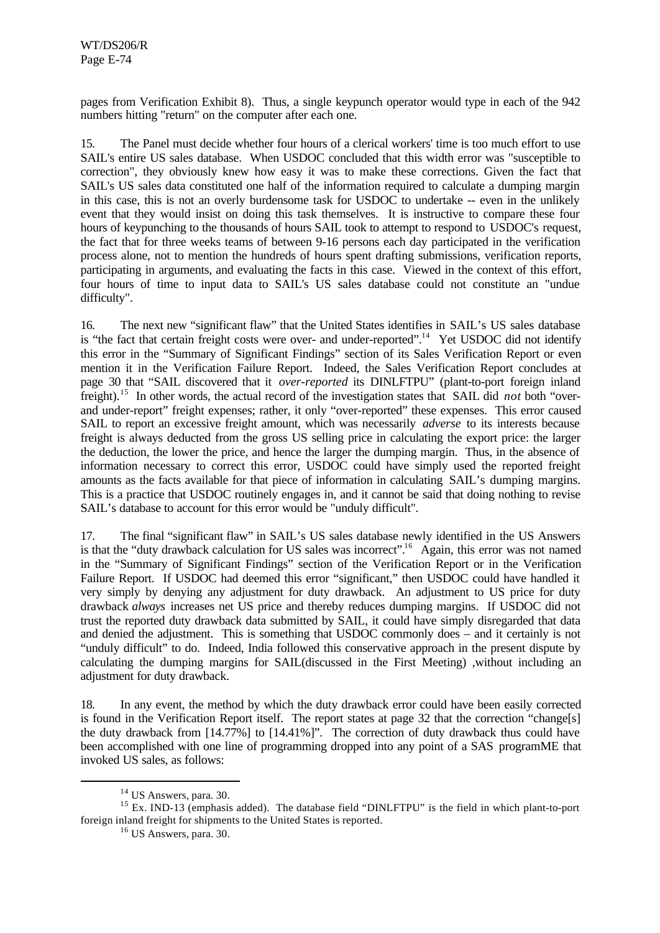pages from Verification Exhibit 8). Thus, a single keypunch operator would type in each of the 942 numbers hitting "return" on the computer after each one.

15. The Panel must decide whether four hours of a clerical workers' time is too much effort to use SAIL's entire US sales database. When USDOC concluded that this width error was "susceptible to correction", they obviously knew how easy it was to make these corrections. Given the fact that SAIL's US sales data constituted one half of the information required to calculate a dumping margin in this case, this is not an overly burdensome task for USDOC to undertake -- even in the unlikely event that they would insist on doing this task themselves. It is instructive to compare these four hours of keypunching to the thousands of hours SAIL took to attempt to respond to USDOC's request, the fact that for three weeks teams of between 9-16 persons each day participated in the verification process alone, not to mention the hundreds of hours spent drafting submissions, verification reports, participating in arguments, and evaluating the facts in this case. Viewed in the context of this effort, four hours of time to input data to SAIL's US sales database could not constitute an "undue difficulty".

16. The next new "significant flaw" that the United States identifies in SAIL's US sales database is "the fact that certain freight costs were over- and under-reported".<sup>14</sup> Yet USDOC did not identify this error in the "Summary of Significant Findings" section of its Sales Verification Report or even mention it in the Verification Failure Report. Indeed, the Sales Verification Report concludes at page 30 that "SAIL discovered that it *over-reported* its DINLFTPU" (plant-to-port foreign inland freight).<sup>15</sup> In other words, the actual record of the investigation states that SAIL did *not* both "overand under-report" freight expenses; rather, it only "over-reported" these expenses. This error caused SAIL to report an excessive freight amount, which was necessarily *adverse* to its interests because freight is always deducted from the gross US selling price in calculating the export price: the larger the deduction, the lower the price, and hence the larger the dumping margin. Thus, in the absence of information necessary to correct this error, USDOC could have simply used the reported freight amounts as the facts available for that piece of information in calculating SAIL's dumping margins. This is a practice that USDOC routinely engages in, and it cannot be said that doing nothing to revise SAIL's database to account for this error would be "unduly difficult".

17. The final "significant flaw" in SAIL's US sales database newly identified in the US Answers is that the "duty drawback calculation for US sales was incorrect".<sup>16</sup> Again, this error was not named in the "Summary of Significant Findings" section of the Verification Report or in the Verification Failure Report. If USDOC had deemed this error "significant," then USDOC could have handled it very simply by denying any adjustment for duty drawback. An adjustment to US price for duty drawback *always* increases net US price and thereby reduces dumping margins. If USDOC did not trust the reported duty drawback data submitted by SAIL, it could have simply disregarded that data and denied the adjustment. This is something that USDOC commonly does – and it certainly is not "unduly difficult" to do. Indeed, India followed this conservative approach in the present dispute by calculating the dumping margins for SAIL(discussed in the First Meeting) ,without including an adjustment for duty drawback.

18. In any event, the method by which the duty drawback error could have been easily corrected is found in the Verification Report itself. The report states at page 32 that the correction "change[s] the duty drawback from  $[14.77\%]$  to  $[14.41\%]$ ". The correction of duty drawback thus could have been accomplished with one line of programming dropped into any point of a SAS programME that invoked US sales, as follows:

<sup>&</sup>lt;sup>14</sup> US Answers, para. 30.

<sup>&</sup>lt;sup>15</sup> Ex. IND-13 (emphasis added). The database field "DINLFTPU" is the field in which plant-to-port foreign inland freight for shipments to the United States is reported.

<sup>&</sup>lt;sup>16</sup> US Answers, para. 30.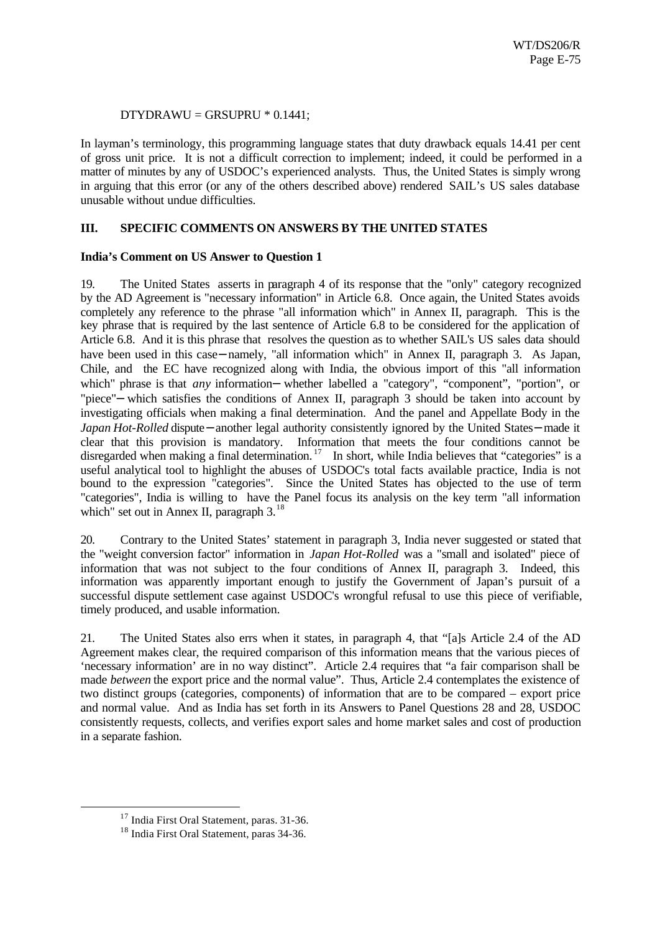## $DTYDRAWU = GRSUPRU * 0.1441;$

In layman's terminology, this programming language states that duty drawback equals 14.41 per cent of gross unit price. It is not a difficult correction to implement; indeed, it could be performed in a matter of minutes by any of USDOC's experienced analysts. Thus, the United States is simply wrong in arguing that this error (or any of the others described above) rendered SAIL's US sales database unusable without undue difficulties.

## **III. SPECIFIC COMMENTS ON ANSWERS BY THE UNITED STATES**

## **India's Comment on US Answer to Question 1**

19. The United States asserts in paragraph 4 of its response that the "only" category recognized by the AD Agreement is "necessary information" in Article 6.8. Once again, the United States avoids completely any reference to the phrase "all information which" in Annex II, paragraph. This is the key phrase that is required by the last sentence of Article 6.8 to be considered for the application of Article 6.8. And it is this phrase that resolves the question as to whether SAIL's US sales data should have been used in this case− namely, "all information which" in Annex II, paragraph 3. As Japan, Chile, and the EC have recognized along with India, the obvious import of this "all information which" phrase is that *any* information− whether labelled a "category", "component", "portion", or "piece"− which satisfies the conditions of Annex II, paragraph 3 should be taken into account by investigating officials when making a final determination. And the panel and Appellate Body in the *Japan Hot-Rolled* dispute− another legal authority consistently ignored by the United States− made it clear that this provision is mandatory. Information that meets the four conditions cannot be disregarded when making a final determination.<sup>17</sup> In short, while India believes that "categories" is a useful analytical tool to highlight the abuses of USDOC's total facts available practice, India is not bound to the expression "categories". Since the United States has objected to the use of term "categories", India is willing to have the Panel focus its analysis on the key term "all information which" set out in Annex II, paragraph  $3.^{18}$ 

20. Contrary to the United States' statement in paragraph 3, India never suggested or stated that the "weight conversion factor" information in *Japan Hot-Rolled* was a "small and isolated" piece of information that was not subject to the four conditions of Annex II, paragraph 3. Indeed, this information was apparently important enough to justify the Government of Japan's pursuit of a successful dispute settlement case against USDOC's wrongful refusal to use this piece of verifiable, timely produced, and usable information.

21. The United States also errs when it states, in paragraph 4, that "[a]s Article 2.4 of the AD Agreement makes clear, the required comparison of this information means that the various pieces of 'necessary information' are in no way distinct". Article 2.4 requires that "a fair comparison shall be made *between* the export price and the normal value". Thus, Article 2.4 contemplates the existence of two distinct groups (categories, components) of information that are to be compared – export price and normal value. And as India has set forth in its Answers to Panel Questions 28 and 28, USDOC consistently requests, collects, and verifies export sales and home market sales and cost of production in a separate fashion.

<sup>&</sup>lt;sup>17</sup> India First Oral Statement, paras. 31-36.

<sup>18</sup> India First Oral Statement, paras 34-36.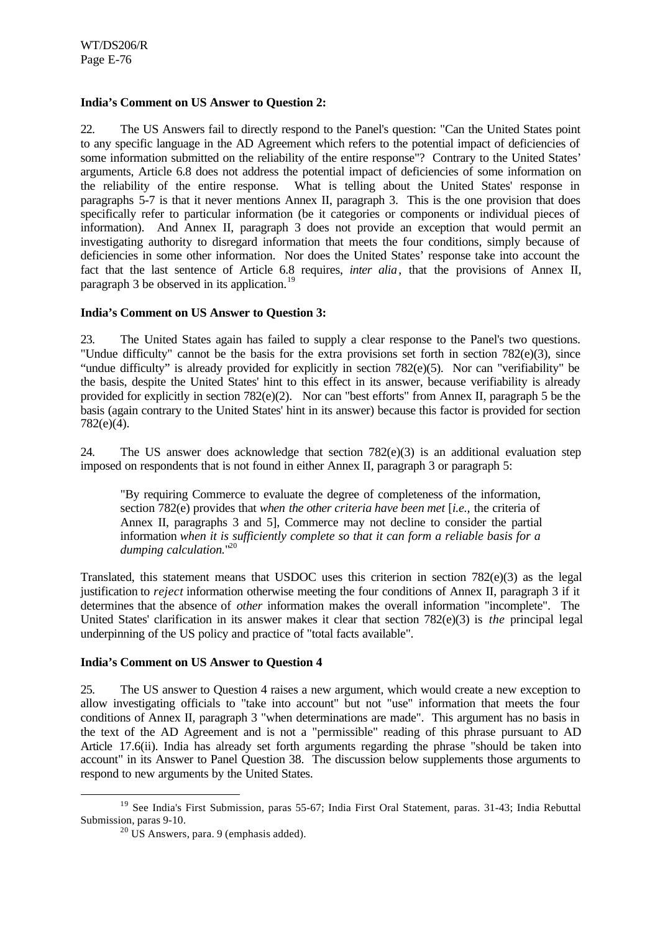## **India's Comment on US Answer to Question 2:**

22. The US Answers fail to directly respond to the Panel's question: "Can the United States point to any specific language in the AD Agreement which refers to the potential impact of deficiencies of some information submitted on the reliability of the entire response"? Contrary to the United States' arguments, Article 6.8 does not address the potential impact of deficiencies of some information on the reliability of the entire response. What is telling about the United States' response in paragraphs 5-7 is that it never mentions Annex II, paragraph 3. This is the one provision that does specifically refer to particular information (be it categories or components or individual pieces of information). And Annex II, paragraph 3 does not provide an exception that would permit an investigating authority to disregard information that meets the four conditions, simply because of deficiencies in some other information. Nor does the United States' response take into account the fact that the last sentence of Article 6.8 requires, *inter alia*, that the provisions of Annex II, paragraph 3 be observed in its application.<sup>19</sup>

## **India's Comment on US Answer to Question 3:**

23. The United States again has failed to supply a clear response to the Panel's two questions. "Undue difficulty" cannot be the basis for the extra provisions set forth in section 782(e)(3), since "undue difficulty" is already provided for explicitly in section 782(e)(5). Nor can "verifiability" be the basis, despite the United States' hint to this effect in its answer, because verifiability is already provided for explicitly in section 782(e)(2). Nor can "best efforts" from Annex II, paragraph 5 be the basis (again contrary to the United States' hint in its answer) because this factor is provided for section 782(e)(4).

24. The US answer does acknowledge that section 782(e)(3) is an additional evaluation step imposed on respondents that is not found in either Annex II, paragraph 3 or paragraph 5:

"By requiring Commerce to evaluate the degree of completeness of the information, section 782(e) provides that *when the other criteria have been met* [*i.e.,* the criteria of Annex II, paragraphs 3 and 5], Commerce may not decline to consider the partial information *when it is sufficiently complete so that it can form a reliable basis for a dumping calculation.*" 20

Translated, this statement means that USDOC uses this criterion in section 782(e)(3) as the legal justification to *reject* information otherwise meeting the four conditions of Annex II, paragraph 3 if it determines that the absence of *other* information makes the overall information "incomplete". The United States' clarification in its answer makes it clear that section 782(e)(3) is *the* principal legal underpinning of the US policy and practice of "total facts available".

## **India's Comment on US Answer to Question 4**

25. The US answer to Question 4 raises a new argument, which would create a new exception to allow investigating officials to "take into account" but not "use" information that meets the four conditions of Annex II, paragraph 3 "when determinations are made". This argument has no basis in the text of the AD Agreement and is not a "permissible" reading of this phrase pursuant to AD Article 17.6(ii). India has already set forth arguments regarding the phrase "should be taken into account" in its Answer to Panel Question 38. The discussion below supplements those arguments to respond to new arguments by the United States.

<sup>19</sup> See India's First Submission, paras 55-67; India First Oral Statement, paras. 31-43; India Rebuttal Submission, paras 9-10.

 $20 \text{ US Answers. para. } 9 \text{ (emphasis added)}.$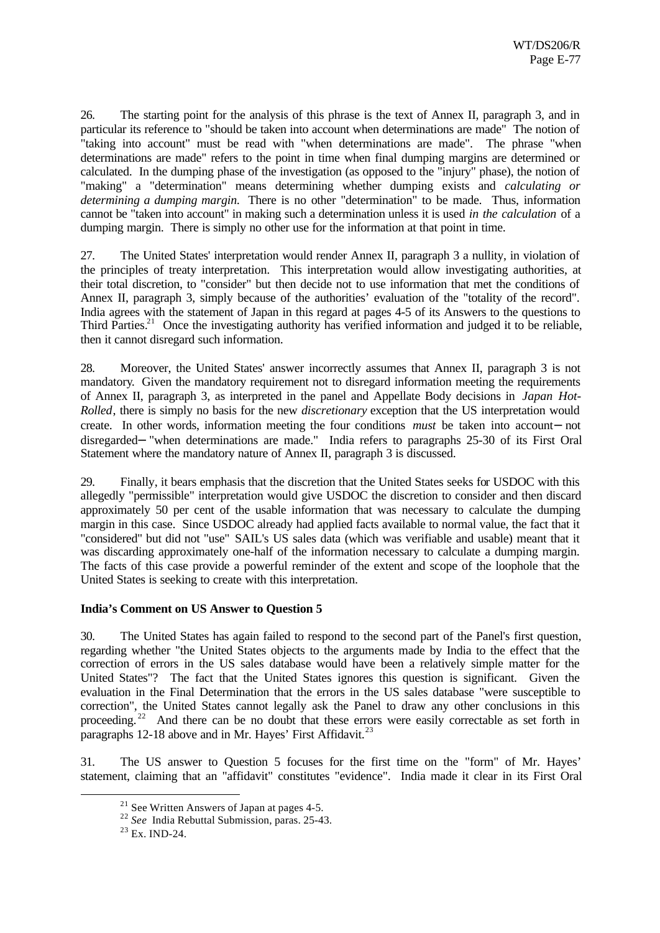26. The starting point for the analysis of this phrase is the text of Annex II, paragraph 3, and in particular its reference to "should be taken into account when determinations are made" The notion of "taking into account" must be read with "when determinations are made". The phrase "when determinations are made" refers to the point in time when final dumping margins are determined or calculated. In the dumping phase of the investigation (as opposed to the "injury" phase), the notion of "making" a "determination" means determining whether dumping exists and *calculating or determining a dumping margin.* There is no other "determination" to be made. Thus, information cannot be "taken into account" in making such a determination unless it is used *in the calculation* of a dumping margin. There is simply no other use for the information at that point in time.

27. The United States' interpretation would render Annex II, paragraph 3 a nullity, in violation of the principles of treaty interpretation. This interpretation would allow investigating authorities, at their total discretion, to "consider" but then decide not to use information that met the conditions of Annex II, paragraph 3, simply because of the authorities' evaluation of the "totality of the record". India agrees with the statement of Japan in this regard at pages 4-5 of its Answers to the questions to Third Parties.<sup>21</sup> Once the investigating authority has verified information and judged it to be reliable, then it cannot disregard such information.

28. Moreover, the United States' answer incorrectly assumes that Annex II, paragraph 3 is not mandatory*.* Given the mandatory requirement not to disregard information meeting the requirements of Annex II, paragraph 3, as interpreted in the panel and Appellate Body decisions in *Japan Hot-Rolled*, there is simply no basis for the new *discretionary* exception that the US interpretation would create. In other words, information meeting the four conditions *must* be taken into account− not disregarded− "when determinations are made." India refers to paragraphs 25-30 of its First Oral Statement where the mandatory nature of Annex II, paragraph 3 is discussed.

29. Finally, it bears emphasis that the discretion that the United States seeks for USDOC with this allegedly "permissible" interpretation would give USDOC the discretion to consider and then discard approximately 50 per cent of the usable information that was necessary to calculate the dumping margin in this case. Since USDOC already had applied facts available to normal value, the fact that it "considered" but did not "use" SAIL's US sales data (which was verifiable and usable) meant that it was discarding approximately one-half of the information necessary to calculate a dumping margin. The facts of this case provide a powerful reminder of the extent and scope of the loophole that the United States is seeking to create with this interpretation.

## **India's Comment on US Answer to Question 5**

30. The United States has again failed to respond to the second part of the Panel's first question, regarding whether "the United States objects to the arguments made by India to the effect that the correction of errors in the US sales database would have been a relatively simple matter for the United States"? The fact that the United States ignores this question is significant. Given the evaluation in the Final Determination that the errors in the US sales database "were susceptible to correction", the United States cannot legally ask the Panel to draw any other conclusions in this proceeding.<sup>22</sup> And there can be no doubt that these errors were easily correctable as set forth in paragraphs 12-18 above and in Mr. Hayes' First Affidavit.<sup>23</sup>

31. The US answer to Question 5 focuses for the first time on the "form" of Mr. Hayes' statement, claiming that an "affidavit" constitutes "evidence". India made it clear in its First Oral

<sup>21</sup> See Written Answers of Japan at pages 4-5.

<sup>22</sup> *See* India Rebuttal Submission, paras. 25-43.

 $^{23}$  Ex. IND-24.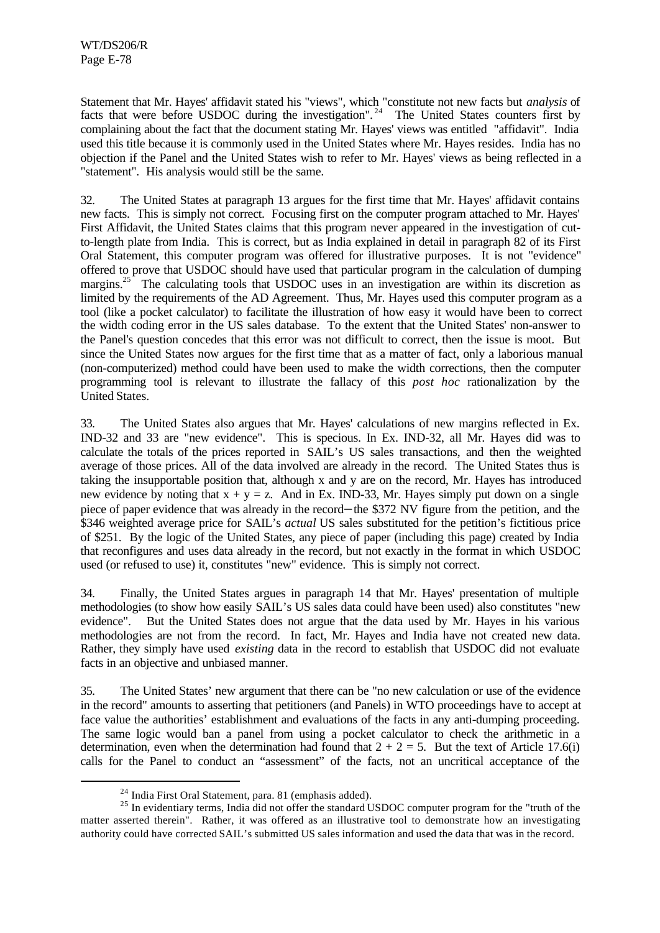Statement that Mr. Hayes' affidavit stated his "views", which "constitute not new facts but *analysis* of facts that were before USDOC during the investigation".<sup>24</sup> The United States counters first by complaining about the fact that the document stating Mr. Hayes' views was entitled "affidavit". India used this title because it is commonly used in the United States where Mr. Hayes resides. India has no objection if the Panel and the United States wish to refer to Mr. Hayes' views as being reflected in a "statement". His analysis would still be the same.

32. The United States at paragraph 13 argues for the first time that Mr. Hayes' affidavit contains new facts. This is simply not correct. Focusing first on the computer program attached to Mr. Hayes' First Affidavit, the United States claims that this program never appeared in the investigation of cutto-length plate from India. This is correct, but as India explained in detail in paragraph 82 of its First Oral Statement, this computer program was offered for illustrative purposes. It is not "evidence" offered to prove that USDOC should have used that particular program in the calculation of dumping margins.<sup>25</sup> The calculating tools that USDOC uses in an investigation are within its discretion as limited by the requirements of the AD Agreement. Thus, Mr. Hayes used this computer program as a tool (like a pocket calculator) to facilitate the illustration of how easy it would have been to correct the width coding error in the US sales database. To the extent that the United States' non-answer to the Panel's question concedes that this error was not difficult to correct, then the issue is moot. But since the United States now argues for the first time that as a matter of fact, only a laborious manual (non-computerized) method could have been used to make the width corrections, then the computer programming tool is relevant to illustrate the fallacy of this *post hoc* rationalization by the United States.

33. The United States also argues that Mr. Hayes' calculations of new margins reflected in Ex. IND-32 and 33 are "new evidence". This is specious. In Ex. IND-32, all Mr. Hayes did was to calculate the totals of the prices reported in SAIL's US sales transactions, and then the weighted average of those prices. All of the data involved are already in the record. The United States thus is taking the insupportable position that, although x and y are on the record, Mr. Hayes has introduced new evidence by noting that  $x + y = z$ . And in Ex. IND-33, Mr. Hayes simply put down on a single piece of paper evidence that was already in the record− the \$372 NV figure from the petition, and the \$346 weighted average price for SAIL's *actual* US sales substituted for the petition's fictitious price of \$251. By the logic of the United States, any piece of paper (including this page) created by India that reconfigures and uses data already in the record, but not exactly in the format in which USDOC used (or refused to use) it, constitutes "new" evidence. This is simply not correct.

34. Finally, the United States argues in paragraph 14 that Mr. Hayes' presentation of multiple methodologies (to show how easily SAIL's US sales data could have been used) also constitutes "new evidence". But the United States does not argue that the data used by Mr. Hayes in his various methodologies are not from the record. In fact, Mr. Hayes and India have not created new data. Rather, they simply have used *existing* data in the record to establish that USDOC did not evaluate facts in an objective and unbiased manner.

35. The United States' new argument that there can be "no new calculation or use of the evidence in the record" amounts to asserting that petitioners (and Panels) in WTO proceedings have to accept at face value the authorities' establishment and evaluations of the facts in any anti-dumping proceeding. The same logic would ban a panel from using a pocket calculator to check the arithmetic in a determination, even when the determination had found that  $2 + 2 = 5$ . But the text of Article 17.6(i) calls for the Panel to conduct an "assessment" of the facts, not an uncritical acceptance of the

<sup>24</sup> India First Oral Statement, para. 81 (emphasis added).

<sup>&</sup>lt;sup>25</sup> In evidentiary terms, India did not offer the standard USDOC computer program for the "truth of the matter asserted therein". Rather, it was offered as an illustrative tool to demonstrate how an investigating authority could have corrected SAIL's submitted US sales information and used the data that was in the record.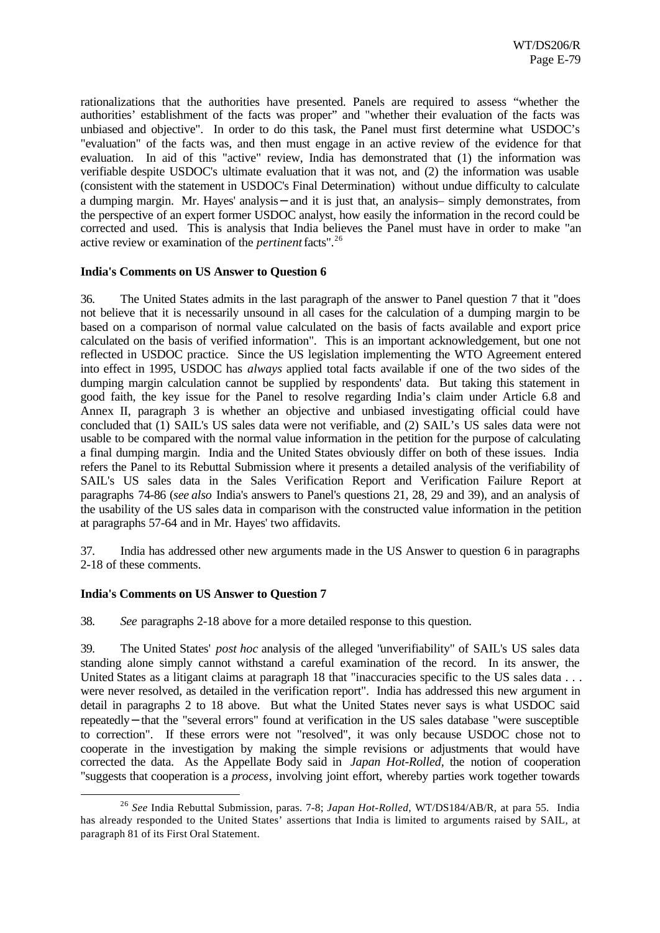rationalizations that the authorities have presented. Panels are required to assess "whether the authorities' establishment of the facts was proper" and "whether their evaluation of the facts was unbiased and objective". In order to do this task, the Panel must first determine what USDOC's "evaluation" of the facts was, and then must engage in an active review of the evidence for that evaluation. In aid of this "active" review, India has demonstrated that (1) the information was verifiable despite USDOC's ultimate evaluation that it was not, and (2) the information was usable (consistent with the statement in USDOC's Final Determination) without undue difficulty to calculate a dumping margin. Mr. Hayes' analysis− and it is just that, an analysis– simply demonstrates, from the perspective of an expert former USDOC analyst, how easily the information in the record could be corrected and used. This is analysis that India believes the Panel must have in order to make "an active review or examination of the *pertinent* facts".<sup>26</sup>

## **India's Comments on US Answer to Question 6**

36. The United States admits in the last paragraph of the answer to Panel question 7 that it "does not believe that it is necessarily unsound in all cases for the calculation of a dumping margin to be based on a comparison of normal value calculated on the basis of facts available and export price calculated on the basis of verified information". This is an important acknowledgement, but one not reflected in USDOC practice. Since the US legislation implementing the WTO Agreement entered into effect in 1995, USDOC has *always* applied total facts available if one of the two sides of the dumping margin calculation cannot be supplied by respondents' data. But taking this statement in good faith, the key issue for the Panel to resolve regarding India's claim under Article 6.8 and Annex II, paragraph 3 is whether an objective and unbiased investigating official could have concluded that (1) SAIL's US sales data were not verifiable, and (2) SAIL's US sales data were not usable to be compared with the normal value information in the petition for the purpose of calculating a final dumping margin. India and the United States obviously differ on both of these issues. India refers the Panel to its Rebuttal Submission where it presents a detailed analysis of the verifiability of SAIL's US sales data in the Sales Verification Report and Verification Failure Report at paragraphs 74-86 (*see also* India's answers to Panel's questions 21, 28, 29 and 39), and an analysis of the usability of the US sales data in comparison with the constructed value information in the petition at paragraphs 57-64 and in Mr. Hayes' two affidavits.

37. India has addressed other new arguments made in the US Answer to question 6 in paragraphs 2-18 of these comments.

## **India's Comments on US Answer to Question 7**

l

38. *See* paragraphs 2-18 above for a more detailed response to this question.

39. The United States' *post hoc* analysis of the alleged "unverifiability" of SAIL's US sales data standing alone simply cannot withstand a careful examination of the record. In its answer, the United States as a litigant claims at paragraph 18 that "inaccuracies specific to the US sales data . . . were never resolved, as detailed in the verification report". India has addressed this new argument in detail in paragraphs 2 to 18 above. But what the United States never says is what USDOC said repeatedly− that the "several errors" found at verification in the US sales database "were susceptible to correction". If these errors were not "resolved", it was only because USDOC chose not to cooperate in the investigation by making the simple revisions or adjustments that would have corrected the data. As the Appellate Body said in *Japan Hot-Rolled,* the notion of cooperation "suggests that cooperation is a *process*, involving joint effort, whereby parties work together towards

<sup>26</sup> *See* India Rebuttal Submission, paras. 7-8; *Japan Hot-Rolled*, WT/DS184/AB/R, at para 55. India has already responded to the United States' assertions that India is limited to arguments raised by SAIL, at paragraph 81 of its First Oral Statement.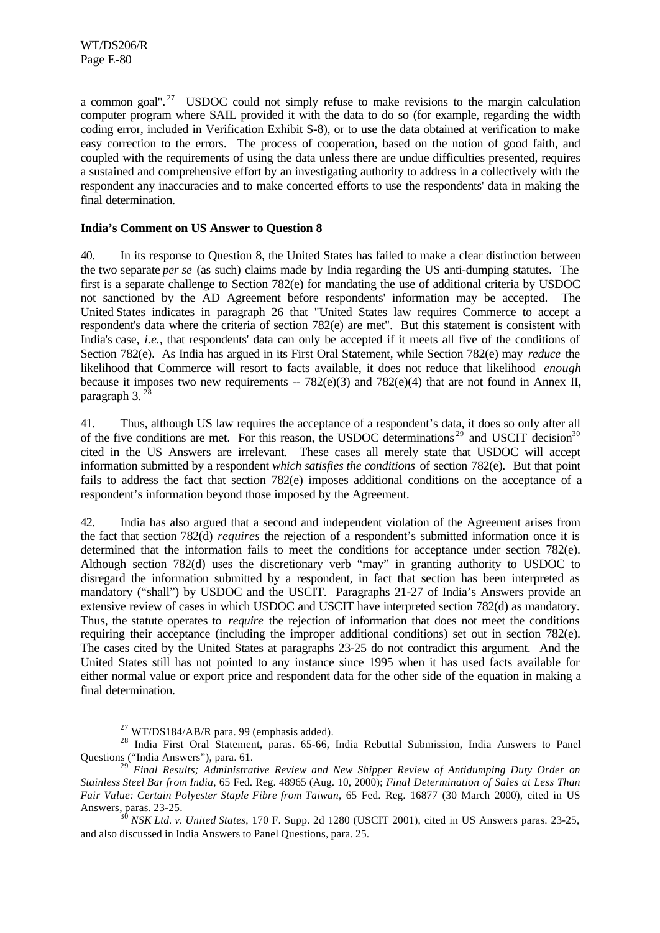a common goal". $27$  USDOC could not simply refuse to make revisions to the margin calculation computer program where SAIL provided it with the data to do so (for example, regarding the width coding error, included in Verification Exhibit S-8), or to use the data obtained at verification to make easy correction to the errors. The process of cooperation, based on the notion of good faith, and coupled with the requirements of using the data unless there are undue difficulties presented, requires a sustained and comprehensive effort by an investigating authority to address in a collectively with the respondent any inaccuracies and to make concerted efforts to use the respondents' data in making the final determination.

## **India's Comment on US Answer to Question 8**

40. In its response to Question 8, the United States has failed to make a clear distinction between the two separate *per se* (as such) claims made by India regarding the US anti-dumping statutes. The first is a separate challenge to Section 782(e) for mandating the use of additional criteria by USDOC not sanctioned by the AD Agreement before respondents' information may be accepted. The United States indicates in paragraph 26 that "United States law requires Commerce to accept a respondent's data where the criteria of section 782(e) are met". But this statement is consistent with India's case, *i.e.,* that respondents' data can only be accepted if it meets all five of the conditions of Section 782(e). As India has argued in its First Oral Statement, while Section 782(e) may *reduce* the likelihood that Commerce will resort to facts available, it does not reduce that likelihood *enough* because it imposes two new requirements  $-782(e)(3)$  and  $782(e)(4)$  that are not found in Annex II, paragraph 3.<sup>28</sup>

41. Thus, although US law requires the acceptance of a respondent's data, it does so only after all of the five conditions are met. For this reason, the USDOC determinations<sup>29</sup> and USCIT decision<sup>30</sup> cited in the US Answers are irrelevant. These cases all merely state that USDOC will accept information submitted by a respondent *which satisfies the conditions* of section 782(e). But that point fails to address the fact that section 782(e) imposes additional conditions on the acceptance of a respondent's information beyond those imposed by the Agreement.

42. India has also argued that a second and independent violation of the Agreement arises from the fact that section 782(d) *requires* the rejection of a respondent's submitted information once it is determined that the information fails to meet the conditions for acceptance under section 782(e). Although section 782(d) uses the discretionary verb "may" in granting authority to USDOC to disregard the information submitted by a respondent, in fact that section has been interpreted as mandatory ("shall") by USDOC and the USCIT. Paragraphs 21-27 of India's Answers provide an extensive review of cases in which USDOC and USCIT have interpreted section 782(d) as mandatory. Thus, the statute operates to *require* the rejection of information that does not meet the conditions requiring their acceptance (including the improper additional conditions) set out in section 782(e). The cases cited by the United States at paragraphs 23-25 do not contradict this argument. And the United States still has not pointed to any instance since 1995 when it has used facts available for either normal value or export price and respondent data for the other side of the equation in making a final determination.

 $27$  WT/DS184/AB/R para. 99 (emphasis added).

<sup>&</sup>lt;sup>28</sup> India First Oral Statement, paras. 65-66, India Rebuttal Submission, India Answers to Panel Questions ("India Answers"), para. 61.

<sup>29</sup> *Final Results; Administrative Review and New Shipper Review of Antidumping Duty Order on Stainless Steel Bar from India*, 65 Fed. Reg. 48965 (Aug. 10, 2000); *Final Determination of Sales at Less Than Fair Value: Certain Polyester Staple Fibre from Taiwan*, 65 Fed. Reg. 16877 (30 March 2000), cited in US Answers, paras. 23-25.

<sup>30</sup> *NSK Ltd. v. United States*, 170 F. Supp. 2d 1280 (USCIT 2001), cited in US Answers paras. 23-25, and also discussed in India Answers to Panel Questions, para. 25.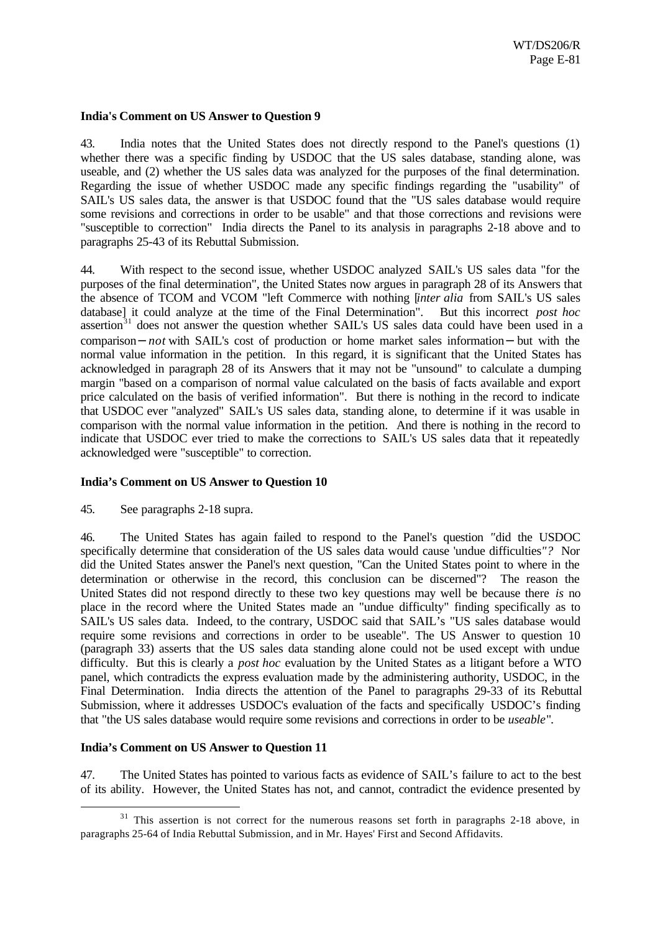#### **India's Comment on US Answer to Question 9**

43. India notes that the United States does not directly respond to the Panel's questions (1) whether there was a specific finding by USDOC that the US sales database, standing alone, was useable, and (2) whether the US sales data was analyzed for the purposes of the final determination. Regarding the issue of whether USDOC made any specific findings regarding the "usability" of SAIL's US sales data, the answer is that USDOC found that the "US sales database would require some revisions and corrections in order to be usable" and that those corrections and revisions were "susceptible to correction" India directs the Panel to its analysis in paragraphs 2-18 above and to paragraphs 25-43 of its Rebuttal Submission.

44. With respect to the second issue, whether USDOC analyzed SAIL's US sales data "for the purposes of the final determination", the United States now argues in paragraph 28 of its Answers that the absence of TCOM and VCOM "left Commerce with nothing [*inter alia* from SAIL's US sales database] it could analyze at the time of the Final Determination". But this incorrect *post hoc* assertion<sup>31</sup> does not answer the question whether SAIL's US sales data could have been used in a comparison− *not* with SAIL's cost of production or home market sales information− but with the normal value information in the petition. In this regard, it is significant that the United States has acknowledged in paragraph 28 of its Answers that it may not be "unsound" to calculate a dumping margin "based on a comparison of normal value calculated on the basis of facts available and export price calculated on the basis of verified information". But there is nothing in the record to indicate that USDOC ever "analyzed" SAIL's US sales data, standing alone, to determine if it was usable in comparison with the normal value information in the petition. And there is nothing in the record to indicate that USDOC ever tried to make the corrections to SAIL's US sales data that it repeatedly acknowledged were "susceptible" to correction.

## **India's Comment on US Answer to Question 10**

#### 45. See paragraphs 2-18 supra.

46. The United States has again failed to respond to the Panel's question *"*did the USDOC specifically determine that consideration of the US sales data would cause 'undue difficulties*"?* Nor did the United States answer the Panel's next question, "Can the United States point to where in the determination or otherwise in the record, this conclusion can be discerned"? The reason the United States did not respond directly to these two key questions may well be because there *is* no place in the record where the United States made an "undue difficulty" finding specifically as to SAIL's US sales data. Indeed, to the contrary, USDOC said that SAIL's "US sales database would require some revisions and corrections in order to be useable". The US Answer to question 10 (paragraph 33) asserts that the US sales data standing alone could not be used except with undue difficulty. But this is clearly a *post hoc* evaluation by the United States as a litigant before a WTO panel, which contradicts the express evaluation made by the administering authority, USDOC, in the Final Determination. India directs the attention of the Panel to paragraphs 29-33 of its Rebuttal Submission, where it addresses USDOC's evaluation of the facts and specifically USDOC's finding that "the US sales database would require some revisions and corrections in order to be *useable*".

#### **India's Comment on US Answer to Question 11**

l

47. The United States has pointed to various facts as evidence of SAIL's failure to act to the best of its ability. However, the United States has not, and cannot, contradict the evidence presented by

 $31$  This assertion is not correct for the numerous reasons set forth in paragraphs 2-18 above, in paragraphs 25-64 of India Rebuttal Submission, and in Mr. Hayes' First and Second Affidavits.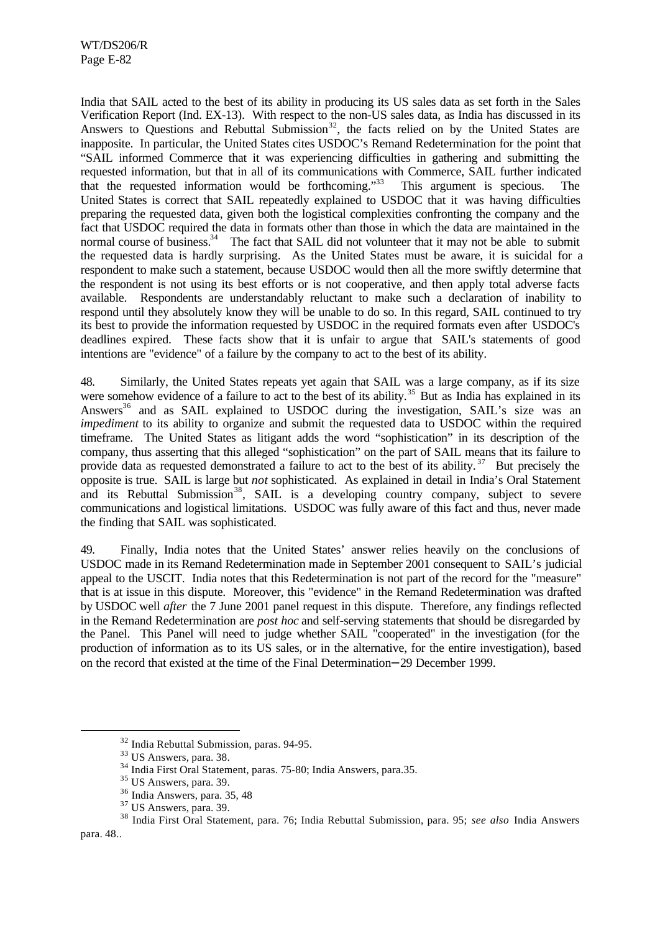India that SAIL acted to the best of its ability in producing its US sales data as set forth in the Sales Verification Report (Ind. EX-13). With respect to the non-US sales data, as India has discussed in its Answers to Questions and Rebuttal Submission<sup>32</sup>, the facts relied on by the United States are inapposite. In particular, the United States cites USDOC's Remand Redetermination for the point that "SAIL informed Commerce that it was experiencing difficulties in gathering and submitting the requested information, but that in all of its communications with Commerce, SAIL further indicated that the requested information would be forthcoming."<sup>33</sup> This argument is specious. The United States is correct that SAIL repeatedly explained to USDOC that it was having difficulties preparing the requested data, given both the logistical complexities confronting the company and the fact that USDOC required the data in formats other than those in which the data are maintained in the normal course of business.<sup>34</sup> The fact that SAIL did not volunteer that it may not be able to submit the requested data is hardly surprising. As the United States must be aware, it is suicidal for a respondent to make such a statement, because USDOC would then all the more swiftly determine that the respondent is not using its best efforts or is not cooperative, and then apply total adverse facts available. Respondents are understandably reluctant to make such a declaration of inability to respond until they absolutely know they will be unable to do so. In this regard, SAIL continued to try its best to provide the information requested by USDOC in the required formats even after USDOC's deadlines expired. These facts show that it is unfair to argue that SAIL's statements of good intentions are "evidence" of a failure by the company to act to the best of its ability.

48. Similarly, the United States repeats yet again that SAIL was a large company, as if its size were somehow evidence of a failure to act to the best of its ability.<sup>35</sup> But as India has explained in its Answers<sup>36</sup> and as SAIL explained to USDOC during the investigation, SAIL's size was an *impediment* to its ability to organize and submit the requested data to USDOC within the required timeframe. The United States as litigant adds the word "sophistication" in its description of the company, thus asserting that this alleged "sophistication" on the part of SAIL means that its failure to provide data as requested demonstrated a failure to act to the best of its ability.<sup>37</sup> But precisely the opposite is true. SAIL is large but *not* sophisticated. As explained in detail in India's Oral Statement and its Rebuttal Submission<sup>38</sup>, SAIL is a developing country company, subject to severe communications and logistical limitations. USDOC was fully aware of this fact and thus, never made the finding that SAIL was sophisticated.

49. Finally, India notes that the United States' answer relies heavily on the conclusions of USDOC made in its Remand Redetermination made in September 2001 consequent to SAIL's judicial appeal to the USCIT. India notes that this Redetermination is not part of the record for the "measure" that is at issue in this dispute. Moreover, this "evidence" in the Remand Redetermination was drafted by USDOC well *after* the 7 June 2001 panel request in this dispute. Therefore, any findings reflected in the Remand Redetermination are *post hoc* and self-serving statements that should be disregarded by the Panel. This Panel will need to judge whether SAIL "cooperated" in the investigation (for the production of information as to its US sales, or in the alternative, for the entire investigation), based on the record that existed at the time of the Final Determination− 29 December 1999.

<sup>32</sup> India Rebuttal Submission, paras. 94-95.

<sup>33</sup> US Answers, para. 38.

<sup>34</sup> India First Oral Statement, paras. 75-80; India Answers, para.35.

<sup>35</sup> US Answers, para. 39.

<sup>36</sup> India Answers, para. 35, 48

<sup>37</sup> US Answers, para. 39.

<sup>38</sup> India First Oral Statement, para. 76; India Rebuttal Submission, para. 95; *see also* India Answers para. 48..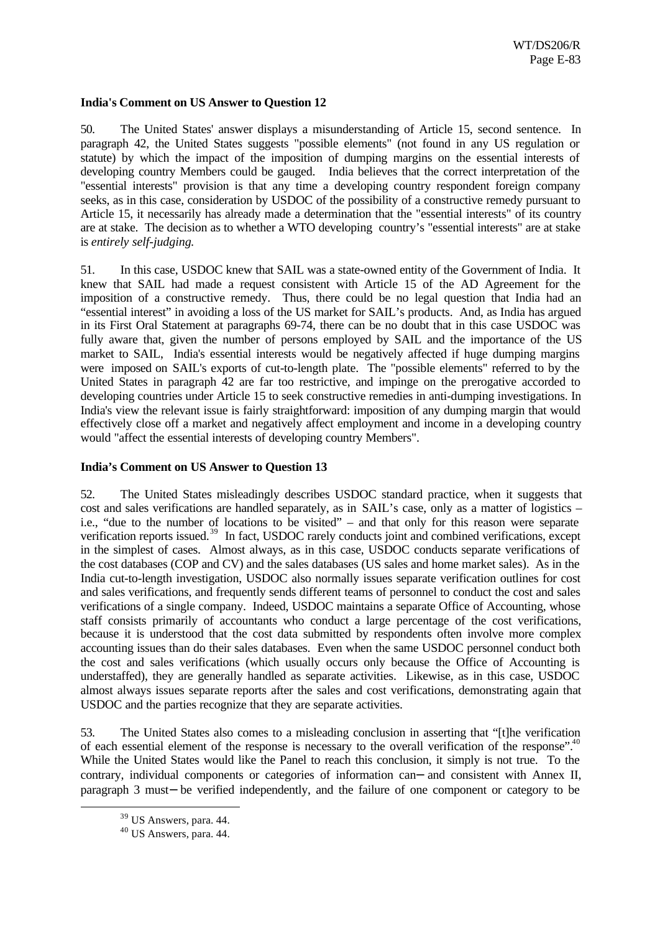## **India's Comment on US Answer to Question 12**

50. The United States' answer displays a misunderstanding of Article 15, second sentence. In paragraph 42, the United States suggests "possible elements" (not found in any US regulation or statute) by which the impact of the imposition of dumping margins on the essential interests of developing country Members could be gauged. India believes that the correct interpretation of the "essential interests" provision is that any time a developing country respondent foreign company seeks, as in this case, consideration by USDOC of the possibility of a constructive remedy pursuant to Article 15, it necessarily has already made a determination that the "essential interests" of its country are at stake. The decision as to whether a WTO developing country's "essential interests" are at stake is *entirely self-judging.*

51. In this case, USDOC knew that SAIL was a state-owned entity of the Government of India. It knew that SAIL had made a request consistent with Article 15 of the AD Agreement for the imposition of a constructive remedy. Thus, there could be no legal question that India had an "essential interest" in avoiding a loss of the US market for SAIL's products. And, as India has argued in its First Oral Statement at paragraphs 69-74, there can be no doubt that in this case USDOC was fully aware that, given the number of persons employed by SAIL and the importance of the US market to SAIL, India's essential interests would be negatively affected if huge dumping margins were imposed on SAIL's exports of cut-to-length plate. The "possible elements" referred to by the United States in paragraph 42 are far too restrictive, and impinge on the prerogative accorded to developing countries under Article 15 to seek constructive remedies in anti-dumping investigations. In India's view the relevant issue is fairly straightforward: imposition of any dumping margin that would effectively close off a market and negatively affect employment and income in a developing country would "affect the essential interests of developing country Members".

## **India's Comment on US Answer to Question 13**

52. The United States misleadingly describes USDOC standard practice, when it suggests that cost and sales verifications are handled separately, as in SAIL's case, only as a matter of logistics – i.e., "due to the number of locations to be visited" – and that only for this reason were separate verification reports issued.<sup>39</sup> In fact, USDOC rarely conducts joint and combined verifications, except in the simplest of cases. Almost always, as in this case, USDOC conducts separate verifications of the cost databases (COP and CV) and the sales databases (US sales and home market sales). As in the India cut-to-length investigation, USDOC also normally issues separate verification outlines for cost and sales verifications, and frequently sends different teams of personnel to conduct the cost and sales verifications of a single company. Indeed, USDOC maintains a separate Office of Accounting, whose staff consists primarily of accountants who conduct a large percentage of the cost verifications, because it is understood that the cost data submitted by respondents often involve more complex accounting issues than do their sales databases. Even when the same USDOC personnel conduct both the cost and sales verifications (which usually occurs only because the Office of Accounting is understaffed), they are generally handled as separate activities. Likewise, as in this case, USDOC almost always issues separate reports after the sales and cost verifications, demonstrating again that USDOC and the parties recognize that they are separate activities.

53. The United States also comes to a misleading conclusion in asserting that "[t]he verification of each essential element of the response is necessary to the overall verification of the response".<sup>40</sup> While the United States would like the Panel to reach this conclusion, it simply is not true. To the contrary, individual components or categories of information can− and consistent with Annex II, paragraph 3 must− be verified independently, and the failure of one component or category to be

<sup>39</sup> US Answers, para. 44.

<sup>40</sup> US Answers, para. 44.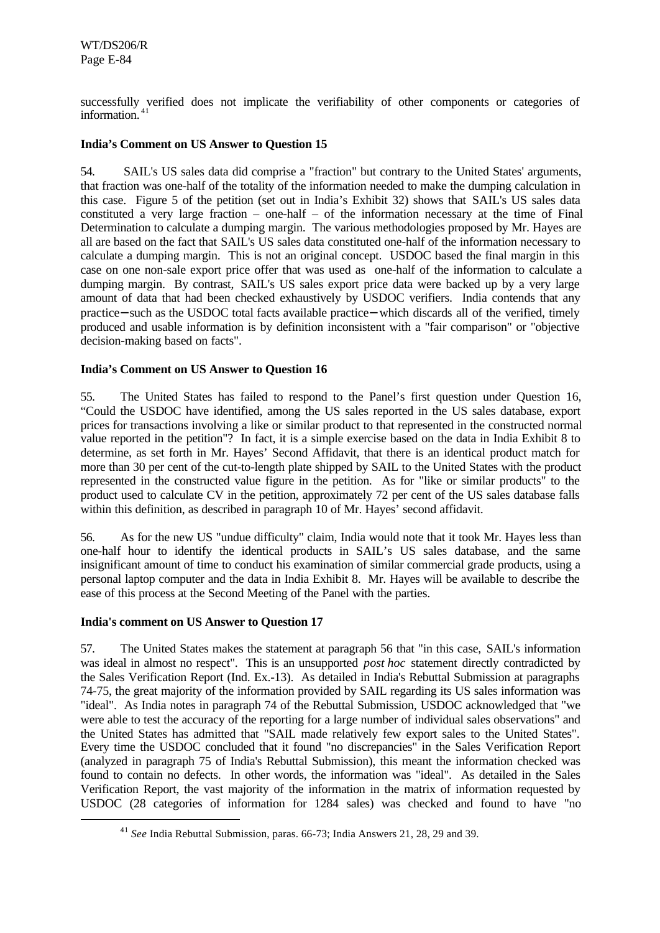successfully verified does not implicate the verifiability of other components or categories of information. <sup>41</sup>

## **India's Comment on US Answer to Question 15**

54. SAIL's US sales data did comprise a "fraction" but contrary to the United States' arguments, that fraction was one-half of the totality of the information needed to make the dumping calculation in this case. Figure 5 of the petition (set out in India's Exhibit 32) shows that SAIL's US sales data constituted a very large fraction – one-half – of the information necessary at the time of Final Determination to calculate a dumping margin. The various methodologies proposed by Mr. Hayes are all are based on the fact that SAIL's US sales data constituted one-half of the information necessary to calculate a dumping margin. This is not an original concept. USDOC based the final margin in this case on one non-sale export price offer that was used as one-half of the information to calculate a dumping margin. By contrast, SAIL's US sales export price data were backed up by a very large amount of data that had been checked exhaustively by USDOC verifiers. India contends that any practice− such as the USDOC total facts available practice− which discards all of the verified, timely produced and usable information is by definition inconsistent with a "fair comparison" or "objective decision-making based on facts".

## **India's Comment on US Answer to Question 16**

55. The United States has failed to respond to the Panel's first question under Question 16, "Could the USDOC have identified, among the US sales reported in the US sales database, export prices for transactions involving a like or similar product to that represented in the constructed normal value reported in the petition"? In fact, it is a simple exercise based on the data in India Exhibit 8 to determine, as set forth in Mr. Hayes' Second Affidavit, that there is an identical product match for more than 30 per cent of the cut-to-length plate shipped by SAIL to the United States with the product represented in the constructed value figure in the petition. As for "like or similar products" to the product used to calculate CV in the petition, approximately 72 per cent of the US sales database falls within this definition, as described in paragraph 10 of Mr. Hayes' second affidavit.

56. As for the new US "undue difficulty" claim, India would note that it took Mr. Hayes less than one-half hour to identify the identical products in SAIL's US sales database, and the same insignificant amount of time to conduct his examination of similar commercial grade products, using a personal laptop computer and the data in India Exhibit 8. Mr. Hayes will be available to describe the ease of this process at the Second Meeting of the Panel with the parties.

# **India's comment on US Answer to Question 17**

l

57. The United States makes the statement at paragraph 56 that "in this case, SAIL's information was ideal in almost no respect". This is an unsupported *post hoc* statement directly contradicted by the Sales Verification Report (Ind. Ex.-13). As detailed in India's Rebuttal Submission at paragraphs 74-75, the great majority of the information provided by SAIL regarding its US sales information was "ideal". As India notes in paragraph 74 of the Rebuttal Submission, USDOC acknowledged that "we were able to test the accuracy of the reporting for a large number of individual sales observations" and the United States has admitted that "SAIL made relatively few export sales to the United States". Every time the USDOC concluded that it found "no discrepancies" in the Sales Verification Report (analyzed in paragraph 75 of India's Rebuttal Submission), this meant the information checked was found to contain no defects. In other words, the information was "ideal". As detailed in the Sales Verification Report, the vast majority of the information in the matrix of information requested by USDOC (28 categories of information for 1284 sales) was checked and found to have "no

<sup>41</sup> *See* India Rebuttal Submission, paras. 66-73; India Answers 21, 28, 29 and 39.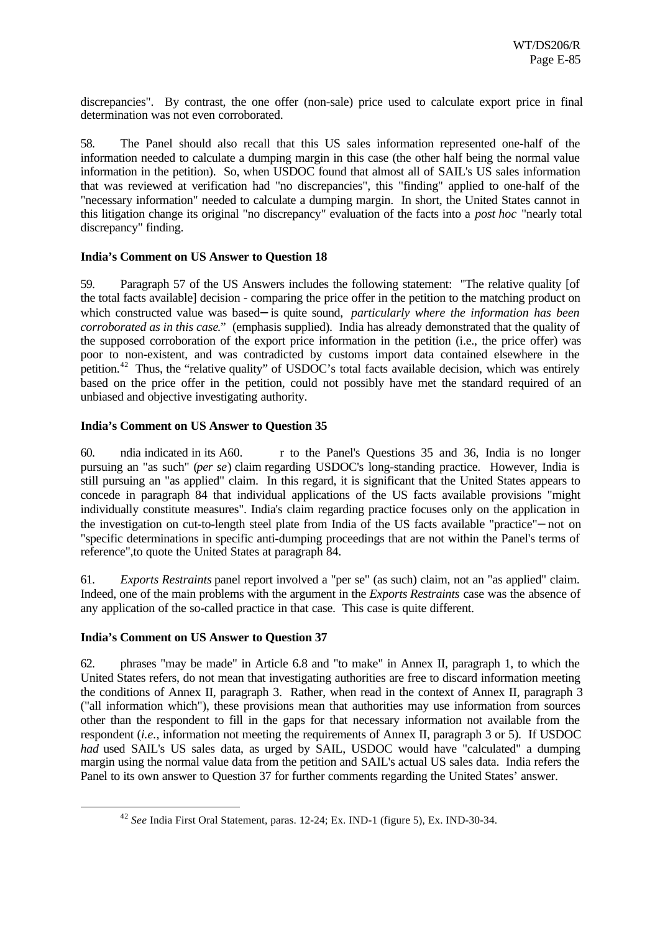discrepancies". By contrast, the one offer (non-sale) price used to calculate export price in final determination was not even corroborated.

58. The Panel should also recall that this US sales information represented one-half of the information needed to calculate a dumping margin in this case (the other half being the normal value information in the petition). So, when USDOC found that almost all of SAIL's US sales information that was reviewed at verification had "no discrepancies", this "finding" applied to one-half of the "necessary information" needed to calculate a dumping margin. In short, the United States cannot in this litigation change its original "no discrepancy" evaluation of the facts into a *post hoc* "nearly total discrepancy" finding.

## **India's Comment on US Answer to Question 18**

59. Paragraph 57 of the US Answers includes the following statement: "The relative quality [of the total facts available] decision - comparing the price offer in the petition to the matching product on which constructed value was based− is quite sound, *particularly where the information has been corroborated as in this case*." (emphasis supplied). India has already demonstrated that the quality of the supposed corroboration of the export price information in the petition (i.e., the price offer) was poor to non-existent, and was contradicted by customs import data contained elsewhere in the petition.<sup>42</sup> Thus, the "relative quality" of USDOC's total facts available decision, which was entirely based on the price offer in the petition, could not possibly have met the standard required of an unbiased and objective investigating authority.

## **India's Comment on US Answer to Question 35**

60. ndia indicated in its A60. r to the Panel's Questions 35 and 36, India is no longer pursuing an "as such" (*per se*) claim regarding USDOC's long-standing practice. However, India is still pursuing an "as applied" claim. In this regard, it is significant that the United States appears to concede in paragraph 84 that individual applications of the US facts available provisions "might individually constitute measures". India's claim regarding practice focuses only on the application in the investigation on cut-to-length steel plate from India of the US facts available "practice"− not on "specific determinations in specific anti-dumping proceedings that are not within the Panel's terms of reference",to quote the United States at paragraph 84.

61. *Exports Restraints* panel report involved a "per se" (as such) claim, not an "as applied" claim. Indeed, one of the main problems with the argument in the *Exports Restraints* case was the absence of any application of the so-called practice in that case. This case is quite different.

## **India's Comment on US Answer to Question 37**

l

62. phrases "may be made" in Article 6.8 and "to make" in Annex II, paragraph 1, to which the United States refers, do not mean that investigating authorities are free to discard information meeting the conditions of Annex II, paragraph 3. Rather, when read in the context of Annex II, paragraph 3 ("all information which"), these provisions mean that authorities may use information from sources other than the respondent to fill in the gaps for that necessary information not available from the respondent (*i.e.,* information not meeting the requirements of Annex II, paragraph 3 or 5). If USDOC *had* used SAIL's US sales data, as urged by SAIL, USDOC would have "calculated" a dumping margin using the normal value data from the petition and SAIL's actual US sales data. India refers the Panel to its own answer to Question 37 for further comments regarding the United States' answer.

<sup>42</sup> *See* India First Oral Statement, paras. 12-24; Ex. IND-1 (figure 5), Ex. IND-30-34.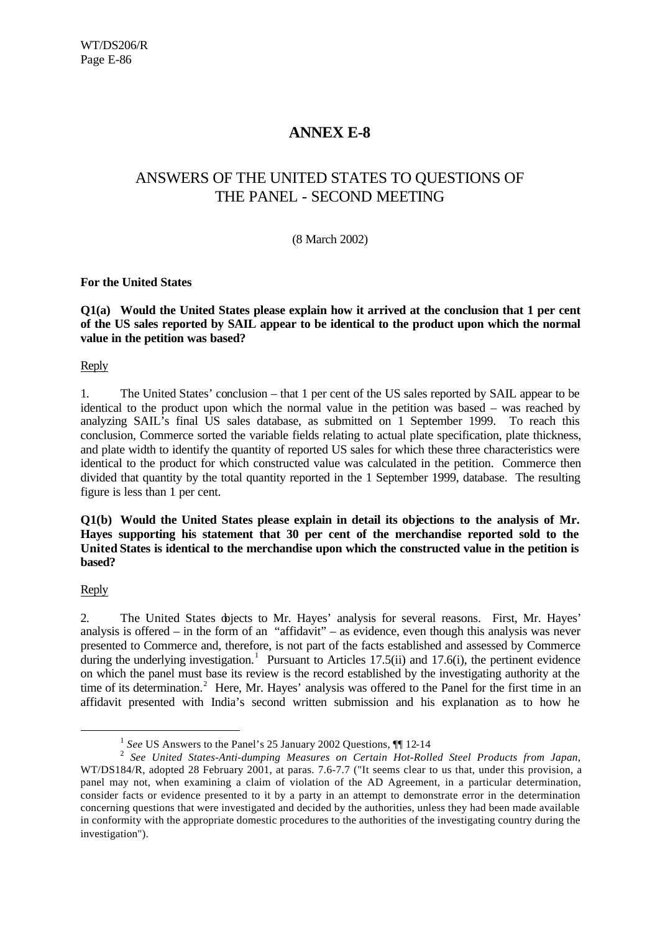# **ANNEX E-8**

# ANSWERS OF THE UNITED STATES TO QUESTIONS OF THE PANEL - SECOND MEETING

## (8 March 2002)

## **For the United States**

## **Q1(a) Would the United States please explain how it arrived at the conclusion that 1 per cent of the US sales reported by SAIL appear to be identical to the product upon which the normal value in the petition was based?**

## Reply

1. The United States' conclusion – that 1 per cent of the US sales reported by SAIL appear to be identical to the product upon which the normal value in the petition was based – was reached by analyzing SAIL's final US sales database, as submitted on 1 September 1999. To reach this conclusion, Commerce sorted the variable fields relating to actual plate specification, plate thickness, and plate width to identify the quantity of reported US sales for which these three characteristics were identical to the product for which constructed value was calculated in the petition. Commerce then divided that quantity by the total quantity reported in the 1 September 1999, database. The resulting figure is less than 1 per cent.

**Q1(b) Would the United States please explain in detail its objections to the analysis of Mr. Hayes supporting his statement that 30 per cent of the merchandise reported sold to the United States is identical to the merchandise upon which the constructed value in the petition is based?**

## Reply

l

2. The United States objects to Mr. Hayes' analysis for several reasons. First, Mr. Hayes' analysis is offered – in the form of an "affidavit" – as evidence, even though this analysis was never presented to Commerce and, therefore, is not part of the facts established and assessed by Commerce during the underlying investigation.<sup>1</sup> Pursuant to Articles 17.5(ii) and 17.6(i), the pertinent evidence on which the panel must base its review is the record established by the investigating authority at the time of its determination.<sup>2</sup> Here, Mr. Hayes' analysis was offered to the Panel for the first time in an affidavit presented with India's second written submission and his explanation as to how he

<sup>&</sup>lt;sup>1</sup> See US Answers to the Panel's 25 January 2002 Questions, **[1]** 12-14

<sup>2</sup> *See United States-Anti-dumping Measures on Certain Hot-Rolled Steel Products from Japan*, WT/DS184/R, adopted 28 February 2001, at paras. 7.6-7.7 ("It seems clear to us that, under this provision, a panel may not, when examining a claim of violation of the AD Agreement, in a particular determination, consider facts or evidence presented to it by a party in an attempt to demonstrate error in the determination concerning questions that were investigated and decided by the authorities, unless they had been made available in conformity with the appropriate domestic procedures to the authorities of the investigating country during the investigation").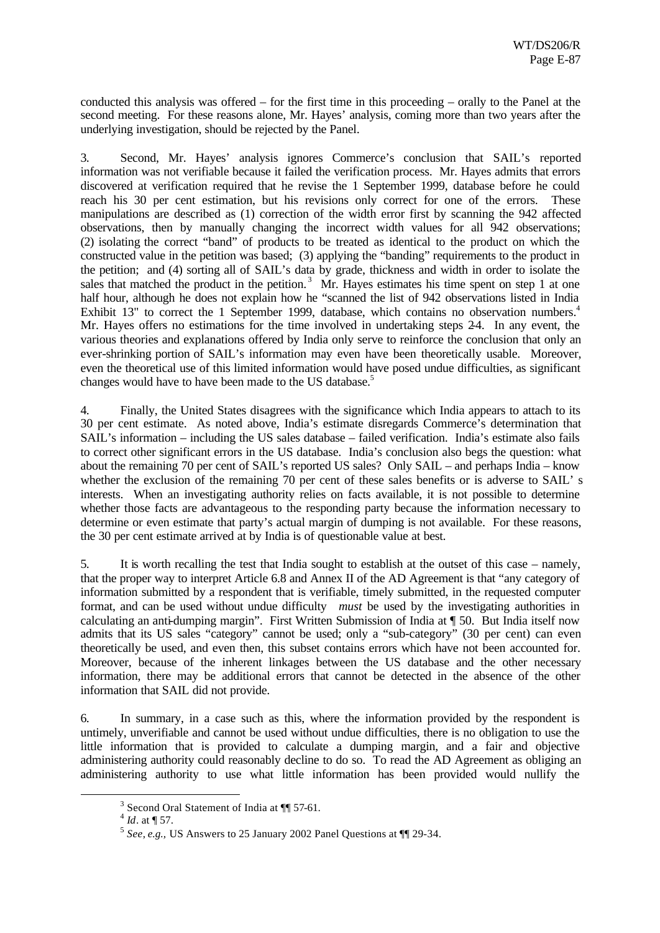conducted this analysis was offered – for the first time in this proceeding – orally to the Panel at the second meeting. For these reasons alone, Mr. Hayes' analysis, coming more than two years after the underlying investigation, should be rejected by the Panel.

3. Second, Mr. Hayes' analysis ignores Commerce's conclusion that SAIL's reported information was not verifiable because it failed the verification process. Mr. Hayes admits that errors discovered at verification required that he revise the 1 September 1999, database before he could reach his 30 per cent estimation, but his revisions only correct for one of the errors. These manipulations are described as (1) correction of the width error first by scanning the 942 affected observations, then by manually changing the incorrect width values for all 942 observations; (2) isolating the correct "band" of products to be treated as identical to the product on which the constructed value in the petition was based; (3) applying the "banding" requirements to the product in the petition; and (4) sorting all of SAIL's data by grade, thickness and width in order to isolate the sales that matched the product in the petition.<sup>3</sup> Mr. Hayes estimates his time spent on step 1 at one half hour, although he does not explain how he "scanned the list of 942 observations listed in India Exhibit 13" to correct the 1 September 1999, database, which contains no observation numbers.<sup>4</sup> Mr. Hayes offers no estimations for the time involved in undertaking steps 2-4. In any event, the various theories and explanations offered by India only serve to reinforce the conclusion that only an ever-shrinking portion of SAIL's information may even have been theoretically usable. Moreover, even the theoretical use of this limited information would have posed undue difficulties, as significant changes would have to have been made to the US database.<sup>5</sup>

4. Finally, the United States disagrees with the significance which India appears to attach to its 30 per cent estimate. As noted above, India's estimate disregards Commerce's determination that SAIL's information – including the US sales database – failed verification. India's estimate also fails to correct other significant errors in the US database. India's conclusion also begs the question: what about the remaining 70 per cent of SAIL's reported US sales? Only SAIL – and perhaps India – know whether the exclusion of the remaining 70 per cent of these sales benefits or is adverse to SAIL's interests. When an investigating authority relies on facts available, it is not possible to determine whether those facts are advantageous to the responding party because the information necessary to determine or even estimate that party's actual margin of dumping is not available. For these reasons, the 30 per cent estimate arrived at by India is of questionable value at best.

5. It is worth recalling the test that India sought to establish at the outset of this case – namely, that the proper way to interpret Article 6.8 and Annex II of the AD Agreement is that "any category of information submitted by a respondent that is verifiable, timely submitted, in the requested computer format, and can be used without undue difficulty *must* be used by the investigating authorities in calculating an anti-dumping margin". First Written Submission of India at ¶ 50. But India itself now admits that its US sales "category" cannot be used; only a "sub-category" (30 per cent) can even theoretically be used, and even then, this subset contains errors which have not been accounted for. Moreover, because of the inherent linkages between the US database and the other necessary information, there may be additional errors that cannot be detected in the absence of the other information that SAIL did not provide.

6. In summary, in a case such as this, where the information provided by the respondent is untimely, unverifiable and cannot be used without undue difficulties, there is no obligation to use the little information that is provided to calculate a dumping margin, and a fair and objective administering authority could reasonably decline to do so. To read the AD Agreement as obliging an administering authority to use what little information has been provided would nullify the

<sup>&</sup>lt;sup>3</sup> Second Oral Statement of India at ¶ 57-61.

 $^{4}$  *Id*. at ¶ 57.

<sup>5</sup> *See*, *e.g.,* US Answers to 25 January 2002 Panel Questions at ¶¶ 29-34.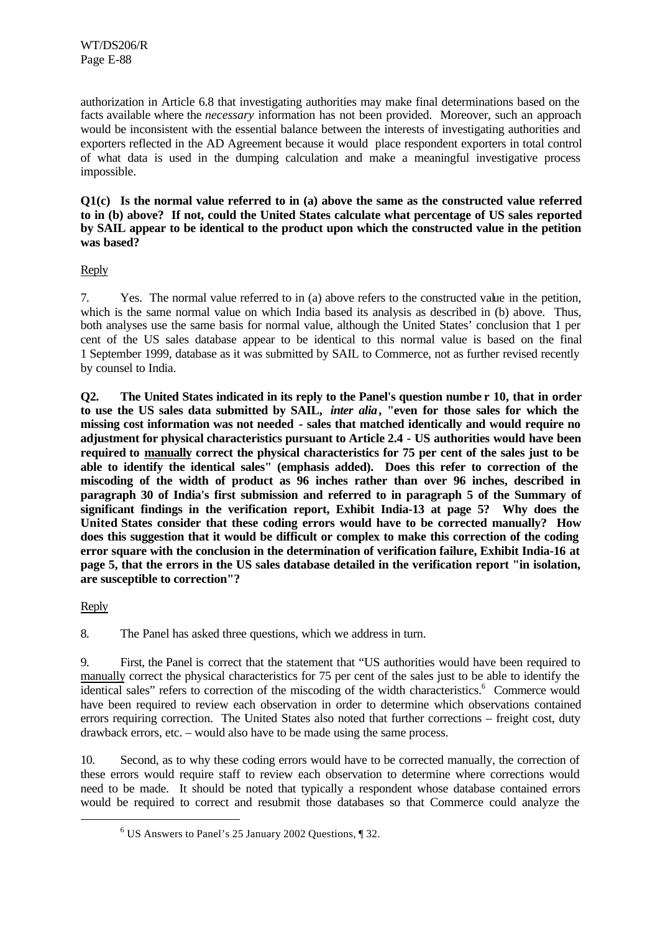authorization in Article 6.8 that investigating authorities may make final determinations based on the facts available where the *necessary* information has not been provided. Moreover, such an approach would be inconsistent with the essential balance between the interests of investigating authorities and exporters reflected in the AD Agreement because it would place respondent exporters in total control of what data is used in the dumping calculation and make a meaningful investigative process impossible.

**Q1(c) Is the normal value referred to in (a) above the same as the constructed value referred to in (b) above? If not, could the United States calculate what percentage of US sales reported by SAIL appear to be identical to the product upon which the constructed value in the petition was based?**

# Reply

7. Yes. The normal value referred to in (a) above refers to the constructed value in the petition, which is the same normal value on which India based its analysis as described in (b) above. Thus, both analyses use the same basis for normal value, although the United States' conclusion that 1 per cent of the US sales database appear to be identical to this normal value is based on the final 1 September 1999, database as it was submitted by SAIL to Commerce, not as further revised recently by counsel to India.

**Q2. The United States indicated in its reply to the Panel's question numbe r 10, that in order to use the US sales data submitted by SAIL,** *inter alia***, "even for those sales for which the missing cost information was not needed - sales that matched identically and would require no adjustment for physical characteristics pursuant to Article 2.4 - US authorities would have been required to manually correct the physical characteristics for 75 per cent of the sales just to be able to identify the identical sales" (emphasis added). Does this refer to correction of the miscoding of the width of product as 96 inches rather than over 96 inches, described in paragraph 30 of India's first submission and referred to in paragraph 5 of the Summary of significant findings in the verification report, Exhibit India-13 at page 5? Why does the United States consider that these coding errors would have to be corrected manually? How does this suggestion that it would be difficult or complex to make this correction of the coding error square with the conclusion in the determination of verification failure, Exhibit India-16 at page 5, that the errors in the US sales database detailed in the verification report "in isolation, are susceptible to correction"?**

# Reply

l

8. The Panel has asked three questions, which we address in turn.

9. First, the Panel is correct that the statement that "US authorities would have been required to manually correct the physical characteristics for 75 per cent of the sales just to be able to identify the identical sales" refers to correction of the miscoding of the width characteristics.<sup>6</sup> Commerce would have been required to review each observation in order to determine which observations contained errors requiring correction. The United States also noted that further corrections – freight cost, duty drawback errors, etc. – would also have to be made using the same process.

10. Second, as to why these coding errors would have to be corrected manually, the correction of these errors would require staff to review each observation to determine where corrections would need to be made. It should be noted that typically a respondent whose database contained errors would be required to correct and resubmit those databases so that Commerce could analyze the

 $6$  US Answers to Panel's 25 January 2002 Questions,  $\P$  32.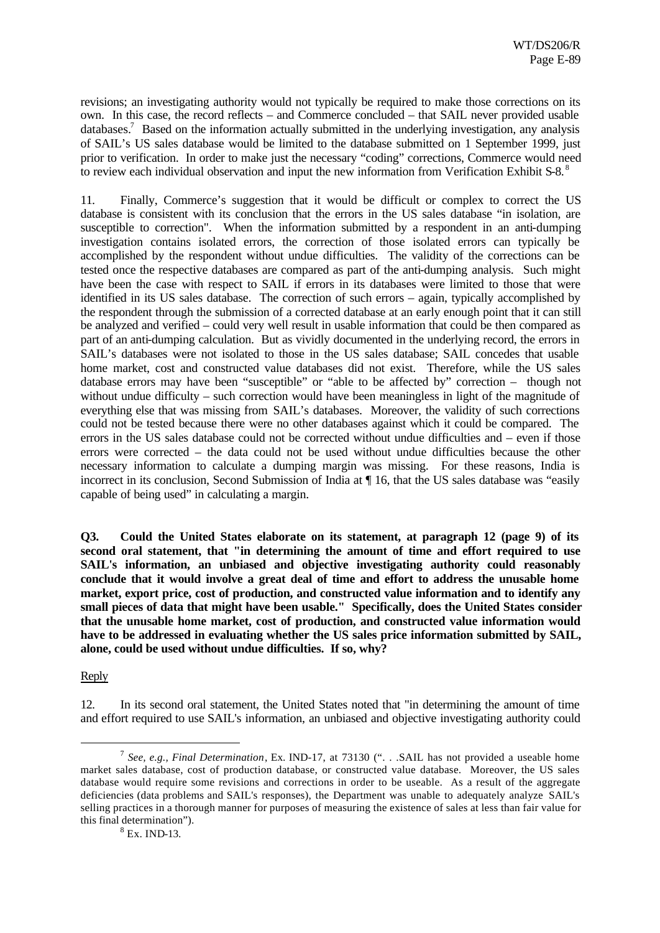revisions; an investigating authority would not typically be required to make those corrections on its own. In this case, the record reflects – and Commerce concluded – that SAIL never provided usable databases.<sup>7</sup> Based on the information actually submitted in the underlying investigation, any analysis of SAIL's US sales database would be limited to the database submitted on 1 September 1999, just prior to verification. In order to make just the necessary "coding" corrections, Commerce would need to review each individual observation and input the new information from Verification Exhibit S-8.<sup>8</sup>

11. Finally, Commerce's suggestion that it would be difficult or complex to correct the US database is consistent with its conclusion that the errors in the US sales database "in isolation, are susceptible to correction". When the information submitted by a respondent in an anti-dumping investigation contains isolated errors, the correction of those isolated errors can typically be accomplished by the respondent without undue difficulties. The validity of the corrections can be tested once the respective databases are compared as part of the anti-dumping analysis. Such might have been the case with respect to SAIL if errors in its databases were limited to those that were identified in its US sales database. The correction of such errors – again, typically accomplished by the respondent through the submission of a corrected database at an early enough point that it can still be analyzed and verified – could very well result in usable information that could be then compared as part of an anti-dumping calculation. But as vividly documented in the underlying record, the errors in SAIL's databases were not isolated to those in the US sales database; SAIL concedes that usable home market, cost and constructed value databases did not exist. Therefore, while the US sales database errors may have been "susceptible" or "able to be affected by" correction – though not without undue difficulty – such correction would have been meaningless in light of the magnitude of everything else that was missing from SAIL's databases. Moreover, the validity of such corrections could not be tested because there were no other databases against which it could be compared. The errors in the US sales database could not be corrected without undue difficulties and – even if those errors were corrected – the data could not be used without undue difficulties because the other necessary information to calculate a dumping margin was missing. For these reasons, India is incorrect in its conclusion, Second Submission of India at ¶ 16, that the US sales database was "easily capable of being used" in calculating a margin.

**Q3. Could the United States elaborate on its statement, at paragraph 12 (page 9) of its second oral statement, that "in determining the amount of time and effort required to use SAIL's information, an unbiased and objective investigating authority could reasonably conclude that it would involve a great deal of time and effort to address the unusable home market, export price, cost of production, and constructed value information and to identify any small pieces of data that might have been usable." Specifically, does the United States consider that the unusable home market, cost of production, and constructed value information would have to be addressed in evaluating whether the US sales price information submitted by SAIL, alone, could be used without undue difficulties. If so, why?**

Reply

l

12. In its second oral statement, the United States noted that "in determining the amount of time and effort required to use SAIL's information, an unbiased and objective investigating authority could

<sup>&</sup>lt;sup>7</sup> See, e.g., Final Determination, Ex. IND-17, at 73130 (". . .SAIL has not provided a useable home market sales database, cost of production database, or constructed value database. Moreover, the US sales database would require some revisions and corrections in order to be useable. As a result of the aggregate deficiencies (data problems and SAIL's responses), the Department was unable to adequately analyze SAIL's selling practices in a thorough manner for purposes of measuring the existence of sales at less than fair value for this final determination").

<sup>8</sup> Ex. IND-13.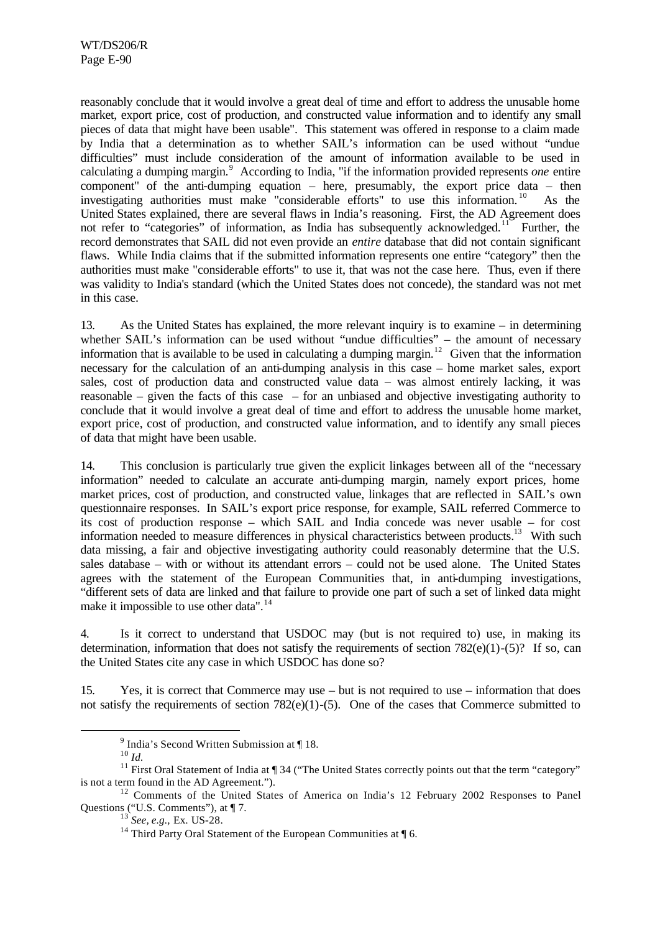reasonably conclude that it would involve a great deal of time and effort to address the unusable home market, export price, cost of production, and constructed value information and to identify any small pieces of data that might have been usable". This statement was offered in response to a claim made by India that a determination as to whether SAIL's information can be used without "undue difficulties" must include consideration of the amount of information available to be used in calculating a dumping margin.<sup>9</sup> According to India, "if the information provided represents *one* entire component" of the anti-dumping equation – here, presumably, the export price data – then investigating authorities must make "considerable efforts" to use this information.<sup>10</sup> As the United States explained, there are several flaws in India's reasoning. First, the AD Agreement does not refer to "categories" of information, as India has subsequently acknowledged.<sup>11</sup> Further, the record demonstrates that SAIL did not even provide an *entire* database that did not contain significant flaws. While India claims that if the submitted information represents one entire "category" then the authorities must make "considerable efforts" to use it, that was not the case here. Thus, even if there was validity to India's standard (which the United States does not concede), the standard was not met in this case.

13. As the United States has explained, the more relevant inquiry is to examine – in determining whether SAIL's information can be used without "undue difficulties" – the amount of necessary information that is available to be used in calculating a dumping margin.<sup>12</sup> Given that the information necessary for the calculation of an anti-dumping analysis in this case – home market sales, export sales, cost of production data and constructed value data – was almost entirely lacking, it was reasonable – given the facts of this case – for an unbiased and objective investigating authority to conclude that it would involve a great deal of time and effort to address the unusable home market, export price, cost of production, and constructed value information, and to identify any small pieces of data that might have been usable.

14. This conclusion is particularly true given the explicit linkages between all of the "necessary information" needed to calculate an accurate anti-dumping margin, namely export prices, home market prices, cost of production, and constructed value, linkages that are reflected in SAIL's own questionnaire responses. In SAIL's export price response, for example, SAIL referred Commerce to its cost of production response – which SAIL and India concede was never usable – for cost information needed to measure differences in physical characteristics between products.<sup>13</sup> With such data missing, a fair and objective investigating authority could reasonably determine that the U.S. sales database – with or without its attendant errors – could not be used alone. The United States agrees with the statement of the European Communities that, in anti-dumping investigations, "different sets of data are linked and that failure to provide one part of such a set of linked data might make it impossible to use other data". $14$ 

4. Is it correct to understand that USDOC may (but is not required to) use, in making its determination, information that does not satisfy the requirements of section 782(e)(1)-(5)? If so, can the United States cite any case in which USDOC has done so?

15. Yes, it is correct that Commerce may use – but is not required to use – information that does not satisfy the requirements of section 782(e)(1)-(5). One of the cases that Commerce submitted to

<sup>&</sup>lt;sup>9</sup> India's Second Written Submission at  $\P$  18.

<sup>10</sup> *Id.*

<sup>&</sup>lt;sup>11</sup> First Oral Statement of India at ¶ 34 ("The United States correctly points out that the term "category" is not a term found in the AD Agreement.").

<sup>&</sup>lt;sup>12</sup> Comments of the United States of America on India's 12 February 2002 Responses to Panel Questions ("U.S. Comments"), at ¶ 7.

<sup>13</sup> *See, e.g.,* Ex. US-28.

<sup>&</sup>lt;sup>14</sup> Third Party Oral Statement of the European Communities at  $\P$  6.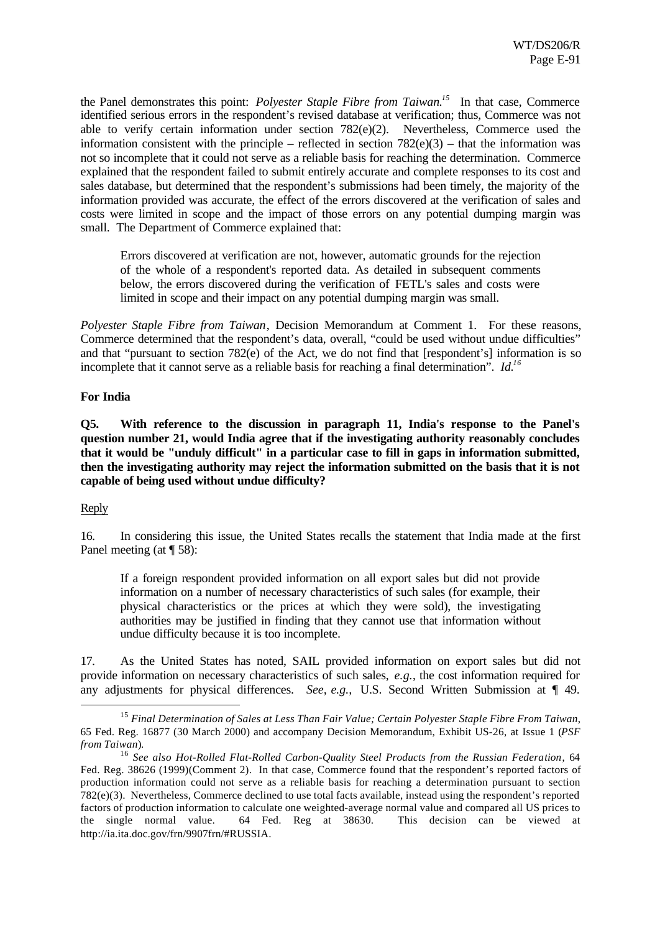the Panel demonstrates this point: *Polyester Staple Fibre from Taiwan.<sup>15</sup>* In that case, Commerce identified serious errors in the respondent's revised database at verification; thus, Commerce was not able to verify certain information under section 782(e)(2). Nevertheless, Commerce used the information consistent with the principle – reflected in section  $782(e)(3)$  – that the information was not so incomplete that it could not serve as a reliable basis for reaching the determination. Commerce explained that the respondent failed to submit entirely accurate and complete responses to its cost and sales database, but determined that the respondent's submissions had been timely, the majority of the information provided was accurate, the effect of the errors discovered at the verification of sales and costs were limited in scope and the impact of those errors on any potential dumping margin was small. The Department of Commerce explained that:

Errors discovered at verification are not, however, automatic grounds for the rejection of the whole of a respondent's reported data. As detailed in subsequent comments below, the errors discovered during the verification of FETL's sales and costs were limited in scope and their impact on any potential dumping margin was small.

*Polyester Staple Fibre from Taiwan*, Decision Memorandum at Comment 1. For these reasons, Commerce determined that the respondent's data, overall, "could be used without undue difficulties" and that "pursuant to section 782(e) of the Act, we do not find that [respondent's] information is so incomplete that it cannot serve as a reliable basis for reaching a final determination". *Id.<sup>16</sup>*

## **For India**

**Q5. With reference to the discussion in paragraph 11, India's response to the Panel's question number 21, would India agree that if the investigating authority reasonably concludes that it would be "unduly difficult" in a particular case to fill in gaps in information submitted, then the investigating authority may reject the information submitted on the basis that it is not capable of being used without undue difficulty?**

## Reply

l

16. In considering this issue, the United States recalls the statement that India made at the first Panel meeting (at ¶ 58):

If a foreign respondent provided information on all export sales but did not provide information on a number of necessary characteristics of such sales (for example, their physical characteristics or the prices at which they were sold), the investigating authorities may be justified in finding that they cannot use that information without undue difficulty because it is too incomplete.

17. As the United States has noted, SAIL provided information on export sales but did not provide information on necessary characteristics of such sales, *e.g.*, the cost information required for any adjustments for physical differences. *See, e.g.,* U.S. Second Written Submission at ¶ 49.

<sup>15</sup> *Final Determination of Sales at Less Than Fair Value; Certain Polyester Staple Fibre From Taiwan*, 65 Fed. Reg. 16877 (30 March 2000) and accompany Decision Memorandum, Exhibit US-26, at Issue 1 (*PSF from Taiwan*).

<sup>16</sup> *See also Hot-Rolled Flat-Rolled Carbon-Quality Steel Products from the Russian Federation*, 64 Fed. Reg. 38626 (1999)(Comment 2). In that case, Commerce found that the respondent's reported factors of production information could not serve as a reliable basis for reaching a determination pursuant to section 782(e)(3). Nevertheless, Commerce declined to use total facts available, instead using the respondent's reported factors of production information to calculate one weighted-average normal value and compared all US prices to the single normal value. 64 Fed. Reg at 38630. This decision can be viewed at http://ia.ita.doc.gov/frn/9907frn/#RUSSIA.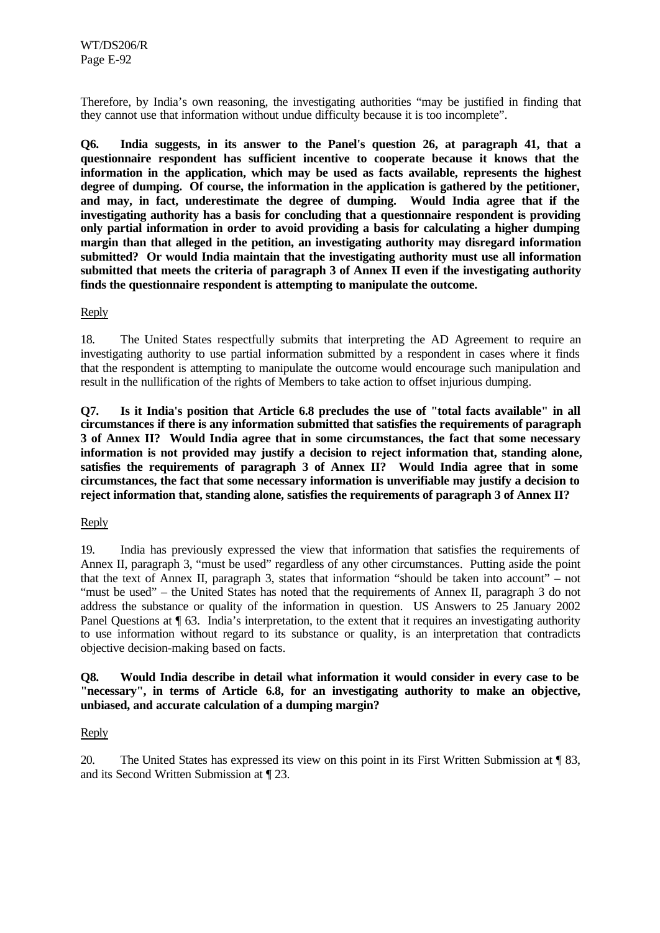Therefore, by India's own reasoning, the investigating authorities "may be justified in finding that they cannot use that information without undue difficulty because it is too incomplete".

**Q6. India suggests, in its answer to the Panel's question 26, at paragraph 41, that a questionnaire respondent has sufficient incentive to cooperate because it knows that the information in the application, which may be used as facts available, represents the highest degree of dumping. Of course, the information in the application is gathered by the petitioner, and may, in fact, underestimate the degree of dumping. Would India agree that if the investigating authority has a basis for concluding that a questionnaire respondent is providing only partial information in order to avoid providing a basis for calculating a higher dumping margin than that alleged in the petition, an investigating authority may disregard information submitted? Or would India maintain that the investigating authority must use all information submitted that meets the criteria of paragraph 3 of Annex II even if the investigating authority finds the questionnaire respondent is attempting to manipulate the outcome.**

## Reply

18. The United States respectfully submits that interpreting the AD Agreement to require an investigating authority to use partial information submitted by a respondent in cases where it finds that the respondent is attempting to manipulate the outcome would encourage such manipulation and result in the nullification of the rights of Members to take action to offset injurious dumping.

**Q7. Is it India's position that Article 6.8 precludes the use of "total facts available" in all circumstances if there is any information submitted that satisfies the requirements of paragraph 3 of Annex II? Would India agree that in some circumstances, the fact that some necessary information is not provided may justify a decision to reject information that, standing alone, satisfies the requirements of paragraph 3 of Annex II? Would India agree that in some circumstances, the fact that some necessary information is unverifiable may justify a decision to reject information that, standing alone, satisfies the requirements of paragraph 3 of Annex II?**

# Reply

19. India has previously expressed the view that information that satisfies the requirements of Annex II, paragraph 3, "must be used" regardless of any other circumstances. Putting aside the point that the text of Annex II, paragraph 3, states that information "should be taken into account" – not "must be used" – the United States has noted that the requirements of Annex II, paragraph 3 do not address the substance or quality of the information in question. US Answers to 25 January 2002 Panel Questions at ¶ 63. India's interpretation, to the extent that it requires an investigating authority to use information without regard to its substance or quality, is an interpretation that contradicts objective decision-making based on facts.

## **Q8. Would India describe in detail what information it would consider in every case to be "necessary", in terms of Article 6.8, for an investigating authority to make an objective, unbiased, and accurate calculation of a dumping margin?**

# Reply

20. The United States has expressed its view on this point in its First Written Submission at ¶ 83, and its Second Written Submission at ¶ 23.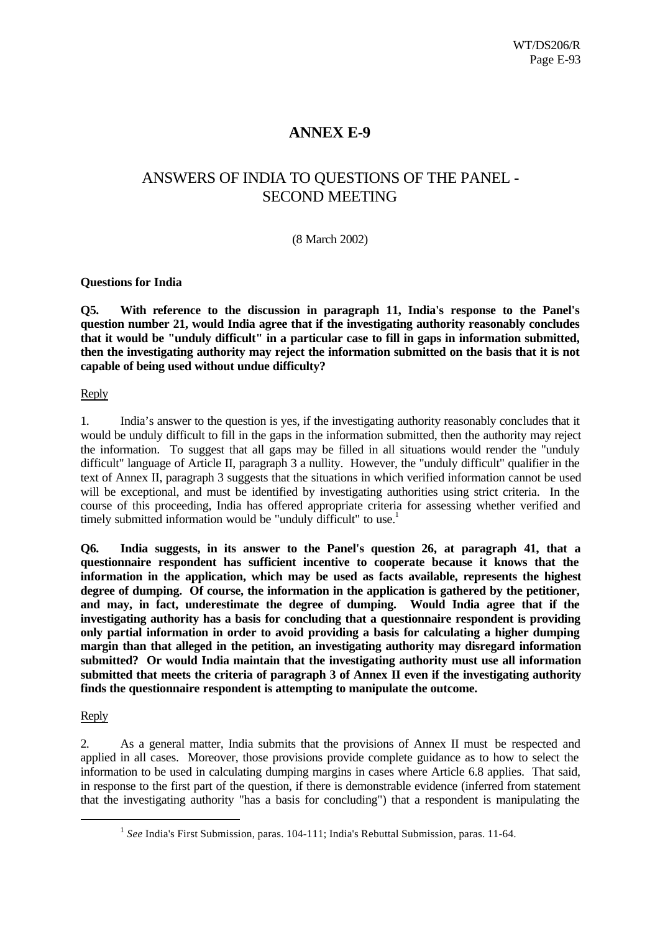# **ANNEX E-9**

# ANSWERS OF INDIA TO QUESTIONS OF THE PANEL - SECOND MEETING

(8 March 2002)

**Questions for India**

**Q5. With reference to the discussion in paragraph 11, India's response to the Panel's question number 21, would India agree that if the investigating authority reasonably concludes that it would be "unduly difficult" in a particular case to fill in gaps in information submitted, then the investigating authority may reject the information submitted on the basis that it is not capable of being used without undue difficulty?**

Reply

1. India's answer to the question is yes, if the investigating authority reasonably concludes that it would be unduly difficult to fill in the gaps in the information submitted, then the authority may reject the information. To suggest that all gaps may be filled in all situations would render the "unduly difficult" language of Article II, paragraph 3 a nullity. However, the "unduly difficult" qualifier in the text of Annex II, paragraph 3 suggests that the situations in which verified information cannot be used will be exceptional, and must be identified by investigating authorities using strict criteria. In the course of this proceeding, India has offered appropriate criteria for assessing whether verified and timely submitted information would be "unduly difficult" to use.<sup>1</sup>

**Q6. India suggests, in its answer to the Panel's question 26, at paragraph 41, that a questionnaire respondent has sufficient incentive to cooperate because it knows that the information in the application, which may be used as facts available, represents the highest degree of dumping. Of course, the information in the application is gathered by the petitioner, and may, in fact, underestimate the degree of dumping. Would India agree that if the investigating authority has a basis for concluding that a questionnaire respondent is providing only partial information in order to avoid providing a basis for calculating a higher dumping margin than that alleged in the petition, an investigating authority may disregard information submitted? Or would India maintain that the investigating authority must use all information submitted that meets the criteria of paragraph 3 of Annex II even if the investigating authority finds the questionnaire respondent is attempting to manipulate the outcome.**

Reply

l

2. As a general matter, India submits that the provisions of Annex II must be respected and applied in all cases. Moreover, those provisions provide complete guidance as to how to select the information to be used in calculating dumping margins in cases where Article 6.8 applies. That said, in response to the first part of the question, if there is demonstrable evidence (inferred from statement that the investigating authority "has a basis for concluding") that a respondent is manipulating the

<sup>&</sup>lt;sup>1</sup> See India's First Submission, paras. 104-111; India's Rebuttal Submission, paras. 11-64.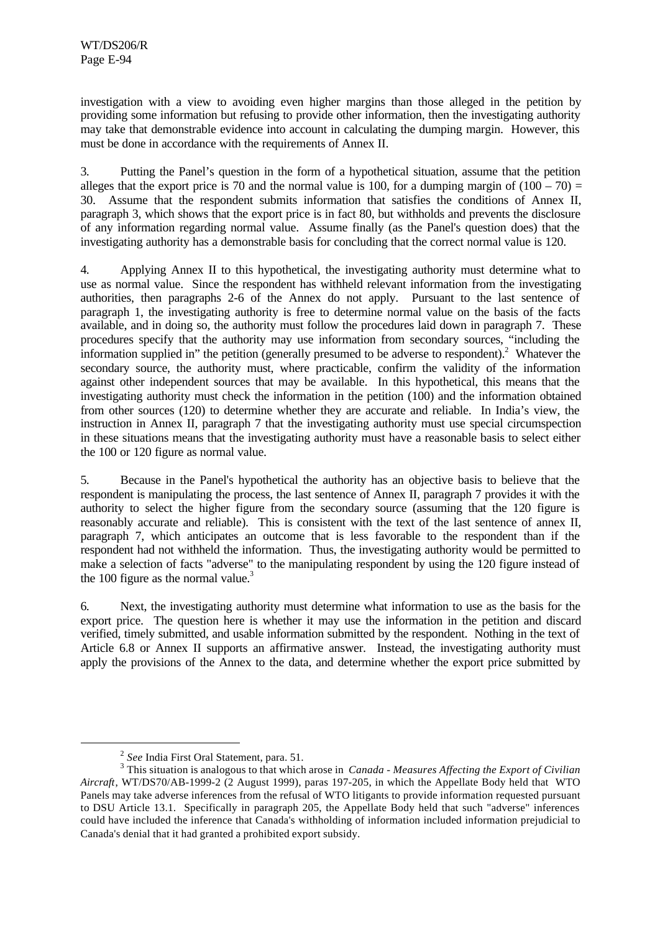investigation with a view to avoiding even higher margins than those alleged in the petition by providing some information but refusing to provide other information, then the investigating authority may take that demonstrable evidence into account in calculating the dumping margin. However, this must be done in accordance with the requirements of Annex II.

3. Putting the Panel's question in the form of a hypothetical situation, assume that the petition alleges that the export price is 70 and the normal value is 100, for a dumping margin of  $(100 - 70) =$ 30. Assume that the respondent submits information that satisfies the conditions of Annex II, paragraph 3, which shows that the export price is in fact 80, but withholds and prevents the disclosure of any information regarding normal value. Assume finally (as the Panel's question does) that the investigating authority has a demonstrable basis for concluding that the correct normal value is 120.

4. Applying Annex II to this hypothetical, the investigating authority must determine what to use as normal value. Since the respondent has withheld relevant information from the investigating authorities, then paragraphs 2-6 of the Annex do not apply. Pursuant to the last sentence of paragraph 1, the investigating authority is free to determine normal value on the basis of the facts available, and in doing so, the authority must follow the procedures laid down in paragraph 7. These procedures specify that the authority may use information from secondary sources, "including the information supplied in" the petition (generally presumed to be adverse to respondent).<sup>2</sup> Whatever the secondary source, the authority must, where practicable, confirm the validity of the information against other independent sources that may be available. In this hypothetical, this means that the investigating authority must check the information in the petition (100) and the information obtained from other sources (120) to determine whether they are accurate and reliable. In India's view, the instruction in Annex II, paragraph 7 that the investigating authority must use special circumspection in these situations means that the investigating authority must have a reasonable basis to select either the 100 or 120 figure as normal value.

5. Because in the Panel's hypothetical the authority has an objective basis to believe that the respondent is manipulating the process, the last sentence of Annex II, paragraph 7 provides it with the authority to select the higher figure from the secondary source (assuming that the 120 figure is reasonably accurate and reliable). This is consistent with the text of the last sentence of annex II, paragraph 7, which anticipates an outcome that is less favorable to the respondent than if the respondent had not withheld the information. Thus, the investigating authority would be permitted to make a selection of facts "adverse" to the manipulating respondent by using the 120 figure instead of the 100 figure as the normal value.<sup>3</sup>

6. Next, the investigating authority must determine what information to use as the basis for the export price. The question here is whether it may use the information in the petition and discard verified, timely submitted, and usable information submitted by the respondent. Nothing in the text of Article 6.8 or Annex II supports an affirmative answer. Instead, the investigating authority must apply the provisions of the Annex to the data, and determine whether the export price submitted by

<sup>2</sup> *See* India First Oral Statement, para. 51.

<sup>3</sup> This situation is analogous to that which arose in *Canada - Measures Affecting the Export of Civilian Aircraft*, WT/DS70/AB-1999-2 (2 August 1999), paras 197-205, in which the Appellate Body held that WTO Panels may take adverse inferences from the refusal of WTO litigants to provide information requested pursuant to DSU Article 13.1. Specifically in paragraph 205, the Appellate Body held that such "adverse" inferences could have included the inference that Canada's withholding of information included information prejudicial to Canada's denial that it had granted a prohibited export subsidy.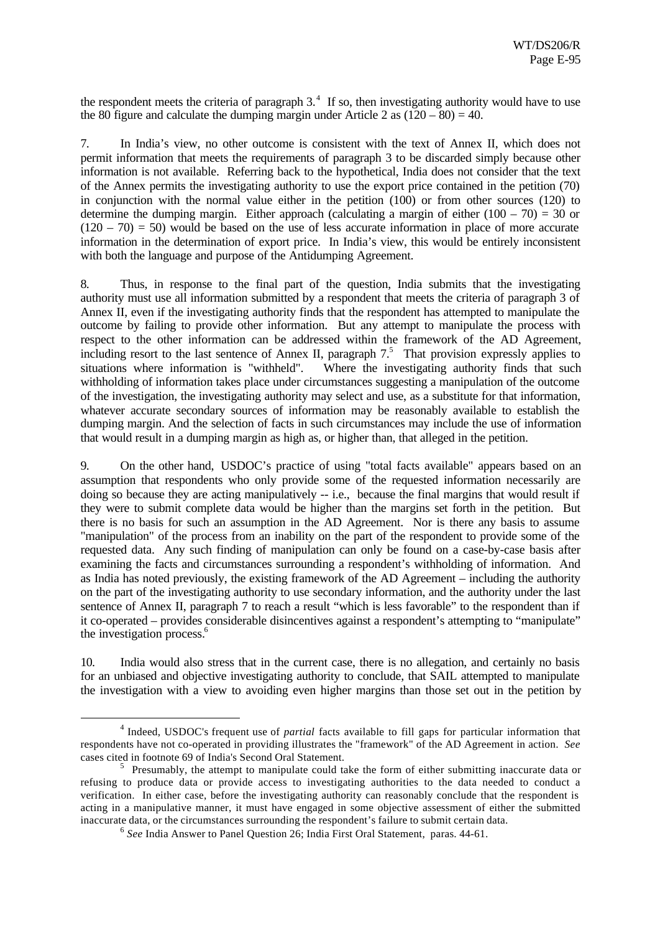the respondent meets the criteria of paragraph  $3<sup>4</sup>$  If so, then investigating authority would have to use the 80 figure and calculate the dumping margin under Article 2 as  $(120 - 80) = 40$ .

7. In India's view, no other outcome is consistent with the text of Annex II, which does not permit information that meets the requirements of paragraph 3 to be discarded simply because other information is not available. Referring back to the hypothetical, India does not consider that the text of the Annex permits the investigating authority to use the export price contained in the petition (70) in conjunction with the normal value either in the petition (100) or from other sources (120) to determine the dumping margin. Either approach (calculating a margin of either  $(100 - 70) = 30$  or  $(120 - 70) = 50$ ) would be based on the use of less accurate information in place of more accurate information in the determination of export price. In India's view, this would be entirely inconsistent with both the language and purpose of the Antidumping Agreement.

8. Thus, in response to the final part of the question, India submits that the investigating authority must use all information submitted by a respondent that meets the criteria of paragraph 3 of Annex II, even if the investigating authority finds that the respondent has attempted to manipulate the outcome by failing to provide other information. But any attempt to manipulate the process with respect to the other information can be addressed within the framework of the AD Agreement, including resort to the last sentence of Annex II, paragraph  $7<sup>5</sup>$  That provision expressly applies to situations where information is "withheld". Where the investigating authority finds that such withholding of information takes place under circumstances suggesting a manipulation of the outcome of the investigation, the investigating authority may select and use, as a substitute for that information, whatever accurate secondary sources of information may be reasonably available to establish the dumping margin. And the selection of facts in such circumstances may include the use of information that would result in a dumping margin as high as, or higher than, that alleged in the petition.

9. On the other hand, USDOC's practice of using "total facts available" appears based on an assumption that respondents who only provide some of the requested information necessarily are doing so because they are acting manipulatively -- i.e., because the final margins that would result if they were to submit complete data would be higher than the margins set forth in the petition. But there is no basis for such an assumption in the AD Agreement. Nor is there any basis to assume "manipulation" of the process from an inability on the part of the respondent to provide some of the requested data. Any such finding of manipulation can only be found on a case-by-case basis after examining the facts and circumstances surrounding a respondent's withholding of information. And as India has noted previously, the existing framework of the AD Agreement – including the authority on the part of the investigating authority to use secondary information, and the authority under the last sentence of Annex II, paragraph 7 to reach a result "which is less favorable" to the respondent than if it co-operated – provides considerable disincentives against a respondent's attempting to "manipulate" the investigation process.<sup>6</sup>

10. India would also stress that in the current case, there is no allegation, and certainly no basis for an unbiased and objective investigating authority to conclude, that SAIL attempted to manipulate the investigation with a view to avoiding even higher margins than those set out in the petition by

<sup>4</sup> Indeed, USDOC's frequent use of *partial* facts available to fill gaps for particular information that respondents have not co-operated in providing illustrates the "framework" of the AD Agreement in action. *See* cases cited in footnote 69 of India's Second Oral Statement.

 $5$  Presumably, the attempt to manipulate could take the form of either submitting inaccurate data or refusing to produce data or provide access to investigating authorities to the data needed to conduct a verification. In either case, before the investigating authority can reasonably conclude that the respondent is acting in a manipulative manner, it must have engaged in some objective assessment of either the submitted inaccurate data, or the circumstances surrounding the respondent's failure to submit certain data.

<sup>6</sup> *See* India Answer to Panel Question 26; India First Oral Statement, paras. 44-61.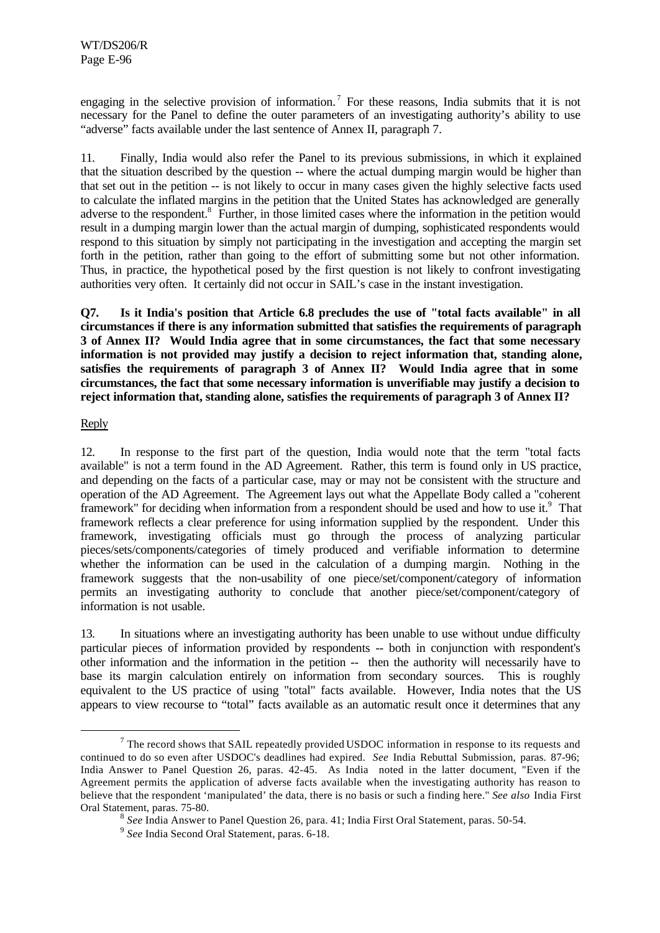engaging in the selective provision of information.<sup>7</sup> For these reasons, India submits that it is not necessary for the Panel to define the outer parameters of an investigating authority's ability to use "adverse" facts available under the last sentence of Annex II, paragraph 7.

11. Finally, India would also refer the Panel to its previous submissions, in which it explained that the situation described by the question -- where the actual dumping margin would be higher than that set out in the petition -- is not likely to occur in many cases given the highly selective facts used to calculate the inflated margins in the petition that the United States has acknowledged are generally adverse to the respondent.<sup>8</sup> Further, in those limited cases where the information in the petition would result in a dumping margin lower than the actual margin of dumping, sophisticated respondents would respond to this situation by simply not participating in the investigation and accepting the margin set forth in the petition, rather than going to the effort of submitting some but not other information. Thus, in practice, the hypothetical posed by the first question is not likely to confront investigating authorities very often. It certainly did not occur in SAIL's case in the instant investigation.

**Q7. Is it India's position that Article 6.8 precludes the use of "total facts available" in all circumstances if there is any information submitted that satisfies the requirements of paragraph 3 of Annex II? Would India agree that in some circumstances, the fact that some necessary information is not provided may justify a decision to reject information that, standing alone, satisfies the requirements of paragraph 3 of Annex II? Would India agree that in some circumstances, the fact that some necessary information is unverifiable may justify a decision to reject information that, standing alone, satisfies the requirements of paragraph 3 of Annex II?**

## Reply

l

12. In response to the first part of the question, India would note that the term "total facts available" is not a term found in the AD Agreement. Rather, this term is found only in US practice, and depending on the facts of a particular case, may or may not be consistent with the structure and operation of the AD Agreement. The Agreement lays out what the Appellate Body called a "coherent framework" for deciding when information from a respondent should be used and how to use it.<sup>9</sup> That framework reflects a clear preference for using information supplied by the respondent. Under this framework, investigating officials must go through the process of analyzing particular pieces/sets/components/categories of timely produced and verifiable information to determine whether the information can be used in the calculation of a dumping margin. Nothing in the framework suggests that the non-usability of one piece/set/component/category of information permits an investigating authority to conclude that another piece/set/component/category of information is not usable.

13. In situations where an investigating authority has been unable to use without undue difficulty particular pieces of information provided by respondents -- both in conjunction with respondent's other information and the information in the petition -- then the authority will necessarily have to base its margin calculation entirely on information from secondary sources. This is roughly equivalent to the US practice of using "total" facts available. However, India notes that the US appears to view recourse to "total" facts available as an automatic result once it determines that any

 $<sup>7</sup>$  The record shows that SAIL repeatedly provided USDOC information in response to its requests and</sup> continued to do so even after USDOC's deadlines had expired. *See* India Rebuttal Submission, paras. 87-96; India Answer to Panel Question 26, paras. 42-45. As India noted in the latter document, "Even if the Agreement permits the application of adverse facts available when the investigating authority has reason to believe that the respondent 'manipulated' the data, there is no basis or such a finding here." *See also* India First Oral Statement, paras. 75-80.

<sup>8</sup> *See* India Answer to Panel Question 26, para. 41; India First Oral Statement, paras. 50-54.

<sup>9</sup> *See* India Second Oral Statement, paras. 6-18.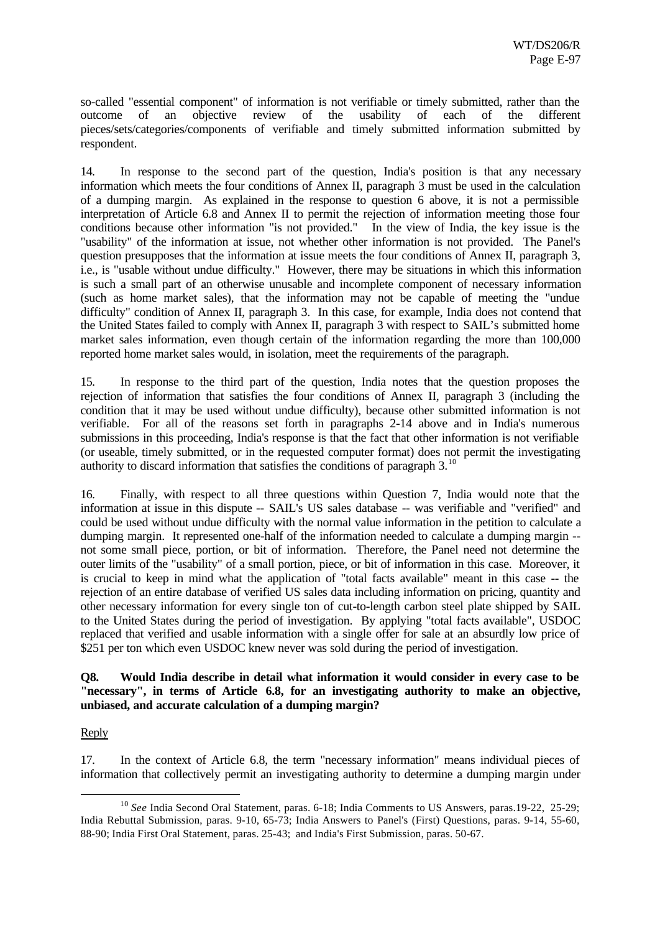so-called "essential component" of information is not verifiable or timely submitted, rather than the outcome of an objective review of the usability of each of the different pieces/sets/categories/components of verifiable and timely submitted information submitted by respondent.

14. In response to the second part of the question, India's position is that any necessary information which meets the four conditions of Annex II, paragraph 3 must be used in the calculation of a dumping margin. As explained in the response to question 6 above, it is not a permissible interpretation of Article 6.8 and Annex II to permit the rejection of information meeting those four conditions because other information "is not provided." In the view of India, the key issue is the "usability" of the information at issue, not whether other information is not provided. The Panel's question presupposes that the information at issue meets the four conditions of Annex II, paragraph 3, i.e., is "usable without undue difficulty." However, there may be situations in which this information is such a small part of an otherwise unusable and incomplete component of necessary information (such as home market sales), that the information may not be capable of meeting the "undue difficulty" condition of Annex II, paragraph 3. In this case, for example, India does not contend that the United States failed to comply with Annex II, paragraph 3 with respect to SAIL's submitted home market sales information, even though certain of the information regarding the more than 100,000 reported home market sales would, in isolation, meet the requirements of the paragraph.

15. In response to the third part of the question, India notes that the question proposes the rejection of information that satisfies the four conditions of Annex II, paragraph 3 (including the condition that it may be used without undue difficulty), because other submitted information is not verifiable. For all of the reasons set forth in paragraphs 2-14 above and in India's numerous submissions in this proceeding, India's response is that the fact that other information is not verifiable (or useable, timely submitted, or in the requested computer format) does not permit the investigating authority to discard information that satisfies the conditions of paragraph  $3<sup>10</sup>$ 

16. Finally, with respect to all three questions within Question 7, India would note that the information at issue in this dispute -- SAIL's US sales database -- was verifiable and "verified" and could be used without undue difficulty with the normal value information in the petition to calculate a dumping margin. It represented one-half of the information needed to calculate a dumping margin - not some small piece, portion, or bit of information. Therefore, the Panel need not determine the outer limits of the "usability" of a small portion, piece, or bit of information in this case. Moreover, it is crucial to keep in mind what the application of "total facts available" meant in this case -- the rejection of an entire database of verified US sales data including information on pricing, quantity and other necessary information for every single ton of cut-to-length carbon steel plate shipped by SAIL to the United States during the period of investigation. By applying "total facts available", USDOC replaced that verified and usable information with a single offer for sale at an absurdly low price of \$251 per ton which even USDOC knew never was sold during the period of investigation.

## **Q8. Would India describe in detail what information it would consider in every case to be "necessary", in terms of Article 6.8, for an investigating authority to make an objective, unbiased, and accurate calculation of a dumping margin?**

# Reply

l

17. In the context of Article 6.8, the term "necessary information" means individual pieces of information that collectively permit an investigating authority to determine a dumping margin under

<sup>10</sup> *See* India Second Oral Statement, paras. 6-18; India Comments to US Answers, paras.19-22, 25-29; India Rebuttal Submission, paras. 9-10, 65-73; India Answers to Panel's (First) Questions, paras. 9-14, 55-60, 88-90; India First Oral Statement, paras. 25-43; and India's First Submission, paras. 50-67.